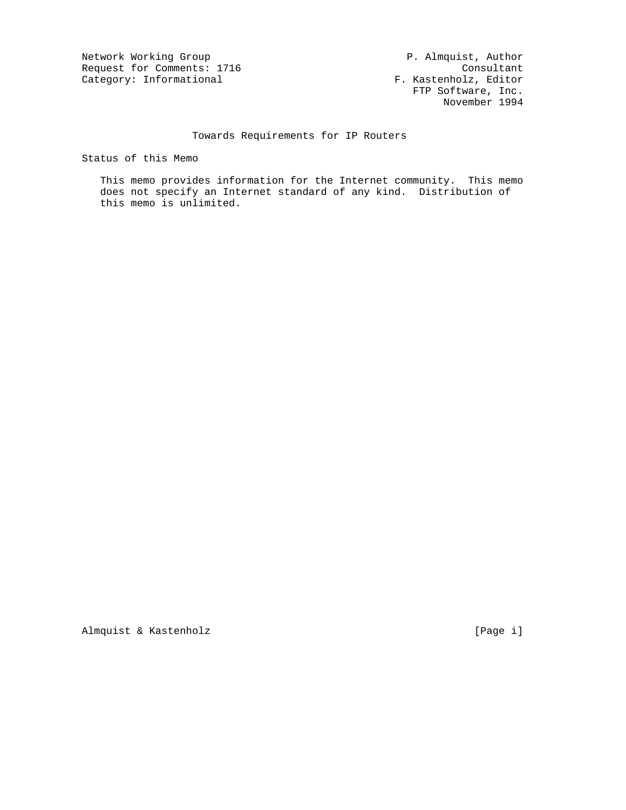Network Working Group 1999 (Network Working Group 1999) (Network Working Group 1999) (Network 1999) (Network 20<br>
Request for Comments: 1716 (Network 2001) (Network 2001) (Network 2001) (Network 2001) (Network 2012) (Networ Request for Comments: 1716 Consultant<br>
Category: Informational Category: Informational F. Kastenholz, Editor Category: Informational

 FTP Software, Inc. November 1994

## Towards Requirements for IP Routers

Status of this Memo

 This memo provides information for the Internet community. This memo does not specify an Internet standard of any kind. Distribution of this memo is unlimited.

Almquist & Kastenholz [Page i]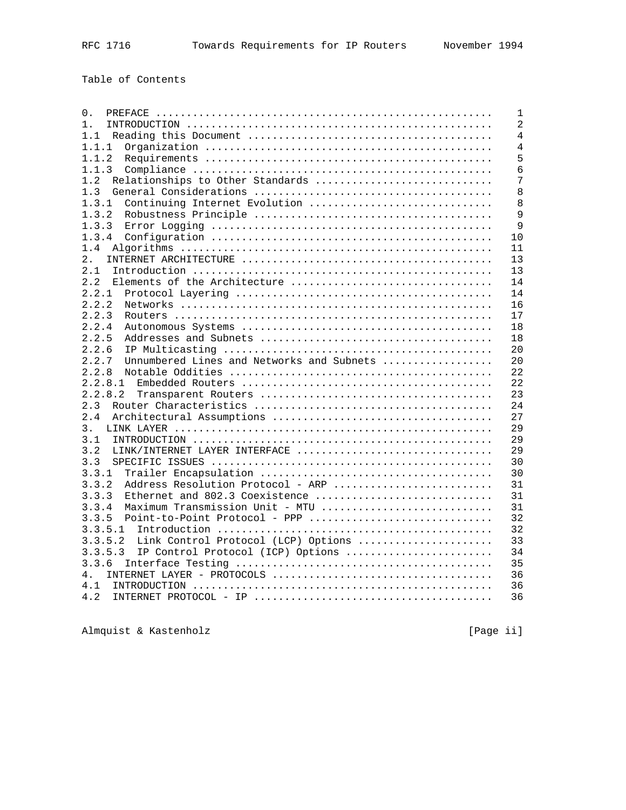Table of Contents

| 0.                                                                                                                  | $\mathbf{1}$   |
|---------------------------------------------------------------------------------------------------------------------|----------------|
| $1$ .                                                                                                               | $\overline{2}$ |
| 1.1                                                                                                                 | $\overline{4}$ |
| 1.1.1                                                                                                               | $\overline{4}$ |
| 1.1.2                                                                                                               | 5              |
| 1.1.3                                                                                                               | 6              |
| 1.2<br>Relationships to Other Standards                                                                             | 7              |
| 1.3                                                                                                                 | 8              |
| Continuing Internet Evolution<br>1.3.1                                                                              | 8              |
| 1.3.2                                                                                                               | 9              |
| 1.3.3                                                                                                               | 9              |
| 1.3.4                                                                                                               | 10             |
| 1.4                                                                                                                 | 11             |
| 2.                                                                                                                  | 13             |
| 2.1                                                                                                                 | 13             |
| Elements of the Architecture<br>2.2                                                                                 | 14             |
| 2.2.1                                                                                                               | 14             |
| 2.2.2                                                                                                               | 16             |
| 2.2.3                                                                                                               | 17             |
| 2.2.4                                                                                                               | 18             |
| 2.2.5                                                                                                               | 18             |
| 2.2.6                                                                                                               | 20             |
| 2.2.7<br>Unnumbered Lines and Networks and Subnets                                                                  | 20             |
| 2.2.8                                                                                                               | 22             |
| 2.2.8.1                                                                                                             | 22             |
| 2.2.8.2                                                                                                             | 23             |
| 2.3                                                                                                                 | 24             |
| 2.4                                                                                                                 | 27             |
| 3.                                                                                                                  | 29             |
| 3.1                                                                                                                 | 29             |
| LINK/INTERNET LAYER INTERFACE<br>3.2                                                                                | 29             |
| 3.3                                                                                                                 | 30             |
| 3.3.1                                                                                                               | 30             |
|                                                                                                                     | 31             |
| 3.3.2<br>Address Resolution Protocol - ARP<br>3.3.3                                                                 |                |
| Ethernet and 802.3 Coexistence                                                                                      | 31             |
| 3.3.4<br>Maximum Transmission Unit - MTU                                                                            | 31             |
| Point-to-Point Protocol - PPP<br>3.3.5                                                                              | 32             |
| 3.3.5.1                                                                                                             | 32             |
| 3.3.5.2<br>Link Control Protocol (LCP) Options                                                                      | 33             |
| 3.3.5.3<br>IP Control Protocol (ICP) Options                                                                        | 34             |
| 3.3.6                                                                                                               | 35             |
| 4.                                                                                                                  | 36             |
| 4.1                                                                                                                 | 36             |
| 4.2<br>INTERNET PROTOCOL - IP $\ldots \ldots \ldots \ldots \ldots \ldots \ldots \ldots \ldots \ldots \ldots \ldots$ | 36             |
|                                                                                                                     |                |

Almquist & Kastenholz **by a state of the Contract Contract Contract Contract Contract Contract Contract Contract Contract Contract Contract Contract Contract Contract Contract Contract Contract Contract Contract Contract C**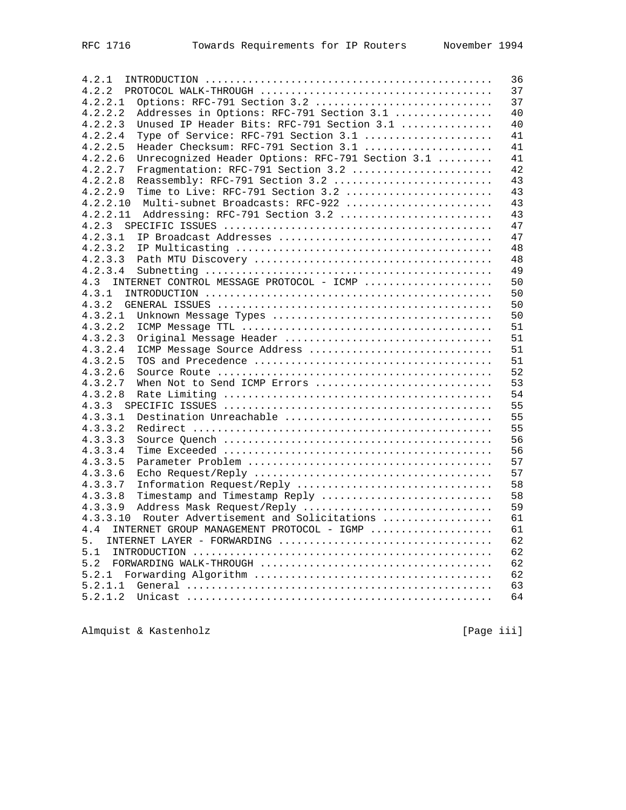| 4.2.1                                                       | 36 |
|-------------------------------------------------------------|----|
| 4.2.2                                                       | 37 |
| Options: RFC-791 Section 3.2<br>4.2.2.1                     | 37 |
| Addresses in Options: RFC-791 Section 3.1<br>4.2.2.2        | 40 |
| Unused IP Header Bits: RFC-791 Section 3.1<br>4.2.2.3       | 40 |
|                                                             |    |
| Type of Service: RFC-791 Section 3.1<br>4.2.2.4             | 41 |
| Header Checksum: RFC-791 Section 3.1<br>4.2.2.5             | 41 |
| Unrecognized Header Options: RFC-791 Section 3.1<br>4.2.2.6 | 41 |
| Fragmentation: RFC-791 Section 3.2<br>4.2.2.7               | 42 |
| 4.2.2.8<br>Reassembly: RFC-791 Section 3.2                  | 43 |
| Time to Live: RFC-791 Section 3.2<br>4.2.2.9                | 43 |
| Multi-subnet Broadcasts: RFC-922<br>4.2.2.10                | 43 |
| Addressing: RFC-791 Section 3.2<br>4.2.2.11                 | 43 |
| 4.2.3                                                       | 47 |
| 4.2.3.1                                                     | 47 |
|                                                             |    |
| 4.2.3.2                                                     | 48 |
| 4.2.3.3                                                     | 48 |
| 4.2.3.4                                                     | 49 |
| INTERNET CONTROL MESSAGE PROTOCOL - ICMP<br>4.3             | 50 |
| 4.3.1                                                       | 50 |
| 4.3.2                                                       | 50 |
| 4.3.2.1                                                     | 50 |
| 4.3.2.2                                                     | 51 |
| Original Message Header<br>4.3.2.3                          | 51 |
| 4.3.2.4<br>ICMP Message Source Address                      | 51 |
|                                                             |    |
| 4.3.2.5                                                     | 51 |
| 4.3.2.6                                                     | 52 |
| When Not to Send ICMP Errors<br>4.3.2.7                     | 53 |
| 4.3.2.8                                                     | 54 |
| 4.3.3                                                       | 55 |
| Destination Unreachable<br>4.3.3.1                          | 55 |
| 4.3.3.2                                                     | 55 |
| 4.3.3.3                                                     | 56 |
| 4.3.3.4                                                     | 56 |
| 4.3.3.5                                                     | 57 |
| 4.3.3.6                                                     |    |
|                                                             | 57 |
| 4.3.3.7<br>Information Request/Reply                        | 58 |
| 4.3.3.8<br>Timestamp and Timestamp Reply                    | 58 |
| Address Mask Request/Reply<br>4.3.3.9                       | 59 |
| Router Advertisement and Solicitations<br>4.3.3.10          | 61 |
| 4.4<br>INTERNET GROUP MANAGEMENT PROTOCOL - IGMP            | 61 |
| INTERNET LAYER - FORWARDING<br>5.                           | 62 |
| 5.1                                                         | 62 |
| 5.2                                                         | 62 |
|                                                             | 62 |
|                                                             |    |
| 5.2.1.1                                                     | 63 |
| 5.2.1.2                                                     | 64 |

Almquist & Kastenholz **Exercise 2018** [Page iii]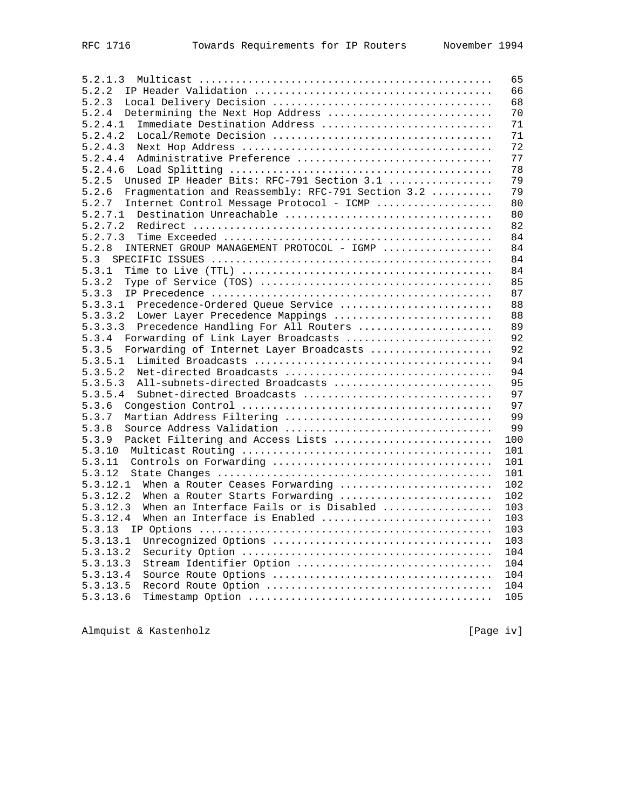| 5.2.1.3                                                    | 65  |
|------------------------------------------------------------|-----|
| 5.2.2                                                      | 66  |
| 5.2.3                                                      | 68  |
| Determining the Next Hop Address<br>5.2.4                  | 70  |
| 5.2.4.1<br>Immediate Destination Address                   | 71  |
| 5.2.4.2                                                    | 71  |
| 5.2.4.3                                                    | 72  |
|                                                            | 77  |
| Administrative Preference<br>5.2.4.4                       |     |
| 5.2.4.6                                                    | 78  |
| Unused IP Header Bits: RFC-791 Section 3.1<br>5.2.5        | 79  |
| 5.2.6<br>Fragmentation and Reassembly: RFC-791 Section 3.2 | 79  |
| Internet Control Message Protocol - ICMP<br>5.2.7          | 80  |
| Destination Unreachable<br>5.2.7.1                         | 80  |
| 5.2.7.2                                                    | 82  |
| 5.2.7.3                                                    | 84  |
| INTERNET GROUP MANAGEMENT PROTOCOL - IGMP<br>5.2.8         | 84  |
| 5.3                                                        | 84  |
|                                                            |     |
| 5.3.1                                                      | 84  |
| 5.3.2                                                      | 85  |
| 5.3.3                                                      | 87  |
| 5.3.3.1 Precedence-Ordered Queue Service                   | 88  |
| Lower Layer Precedence Mappings<br>5.3.3.2                 | 88  |
| 5.3.3.3<br>Precedence Handling For All Routers             | 89  |
| 5.3.4<br>Forwarding of Link Layer Broadcasts               | 92  |
| Forwarding of Internet Layer Broadcasts<br>5.3.5           | 92  |
| 5.3.5.1                                                    | 94  |
| 5.3.5.2                                                    | 94  |
|                                                            | 95  |
| All-subnets-directed Broadcasts<br>5.3.5.3                 |     |
| 5.3.5.4<br>Subnet-directed Broadcasts                      | 97  |
| 5.3.6                                                      | 97  |
| Martian Address Filtering<br>5.3.7                         | 99  |
| 5.3.8                                                      | 99  |
| Packet Filtering and Access Lists<br>5.3.9                 | 100 |
| 5.3.10                                                     | 101 |
| 5.3.11                                                     | 101 |
| 5.3.12                                                     | 101 |
| When a Router Ceases Forwarding<br>5.3.12.1                | 102 |
| 5.3.12.2<br>When a Router Starts Forwarding                | 102 |
|                                                            |     |
| When an Interface Fails or is Disabled<br>5.3.12.3         | 103 |
| When an Interface is Enabled<br>5.3.12.4                   | 103 |
| 5.3.13                                                     | 103 |
| 5.3.13.1                                                   | 103 |
| 5.3.13.2                                                   | 104 |
| Stream Identifier Option<br>5.3.13.3                       | 104 |
| 5.3.13.4                                                   | 104 |
| 5.3.13.5                                                   | 104 |
| 5.3.13.6                                                   | 105 |
|                                                            |     |

Almquist & Kastenholz **Example 20** (Page iv)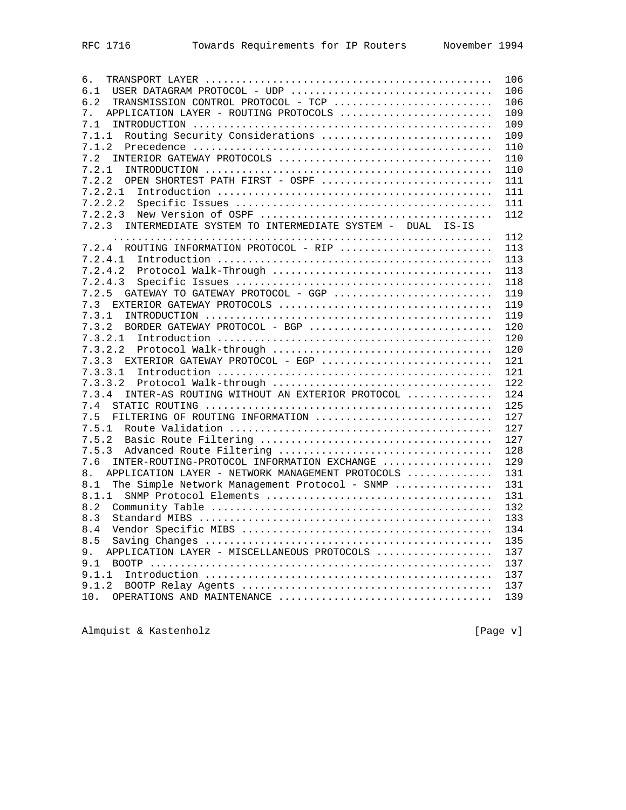| б.                                                               | 106 |
|------------------------------------------------------------------|-----|
| USER DATAGRAM PROTOCOL - UDP<br>6.1                              | 106 |
| 6.2<br>TRANSMISSION CONTROL PROTOCOL - TCP                       | 106 |
| APPLICATION LAYER - ROUTING PROTOCOLS<br>7.                      | 109 |
| 7.1                                                              | 109 |
| Routing Security Considerations<br>7.1.1                         | 109 |
| 7.1.2                                                            | 110 |
| 7.2                                                              | 110 |
| 7.2.1                                                            | 110 |
| OPEN SHORTEST PATH FIRST - OSPF<br>7.2.2                         | 111 |
| 7.2.2.1                                                          | 111 |
| 7.2.2.2                                                          | 111 |
| 7.2.2.3                                                          | 112 |
| INTERMEDIATE SYSTEM TO INTERMEDIATE SYSTEM - DUAL IS-IS<br>7.2.3 |     |
|                                                                  | 112 |
| 7.2.4 ROUTING INFORMATION PROTOCOL - RIP                         | 113 |
| 7.2.4.1                                                          | 113 |
| 7.2.4.2                                                          | 113 |
| 7.2.4.3                                                          | 118 |
| GATEWAY TO GATEWAY PROTOCOL - GGP<br>7.2.5                       |     |
|                                                                  | 119 |
| 7.3                                                              | 119 |
| 7.3.1                                                            | 119 |
| BORDER GATEWAY PROTOCOL - BGP<br>7.3.2                           | 120 |
| 7.3.2.1                                                          | 120 |
| 7.3.2.2                                                          | 120 |
| 7.3.3<br>EXTERIOR GATEWAY PROTOCOL - EGP                         | 121 |
| 7.3.3.1                                                          | 121 |
| 7.3.3.2                                                          | 122 |
| INTER-AS ROUTING WITHOUT AN EXTERIOR PROTOCOL<br>7.3.4           | 124 |
| $7.4$                                                            | 125 |
| FILTERING OF ROUTING INFORMATION<br>7.5                          | 127 |
| 7.5.1                                                            | 127 |
| 7.5.2                                                            | 127 |
| 7.5.3                                                            | 128 |
| 7.6<br>INTER-ROUTING-PROTOCOL INFORMATION EXCHANGE               | 129 |
| 8.<br>APPLICATION LAYER - NETWORK MANAGEMENT PROTOCOLS           | 131 |
| The Simple Network Management Protocol - SNMP<br>8.1             | 131 |
| 8.1.1                                                            | 131 |
| 8.2                                                              | 132 |
| 8.3                                                              | 133 |
| 8.4                                                              | 134 |
| 8.5                                                              | 135 |
| APPLICATION LAYER - MISCELLANEOUS PROTOCOLS<br>9.                | 137 |
| 9.1                                                              | 137 |
| 9.1.1                                                            | 137 |
| 9.1.2                                                            | 137 |
| OPERATIONS AND MAINTENANCE<br>10.                                | 139 |
|                                                                  |     |

Almquist & Kastenholz **Example 20** (Page v)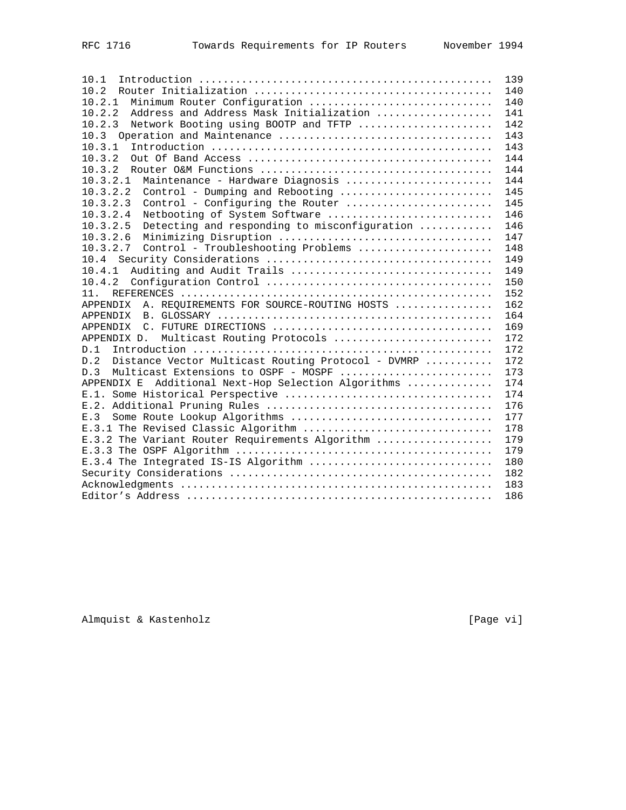| 10.1                                                      | 139 |
|-----------------------------------------------------------|-----|
| 10.2                                                      | 140 |
| Minimum Router Confiquration<br>10.2.1                    | 140 |
| 10.2.2<br>Address and Address Mask Initialization         | 141 |
| 10.2.3<br>Network Booting using BOOTP and TFTP            | 142 |
|                                                           | 143 |
| 10.3.1                                                    | 143 |
| 10.3.2                                                    | 144 |
| 10.3.2                                                    | 144 |
| 10.3.2.1<br>Maintenance - Hardware Diagnosis              | 144 |
| 10.3.2.2<br>Control - Dumping and Rebooting               | 145 |
| 10.3.2.3<br>Control - Configuring the Router              | 145 |
| 10.3.2.4<br>Netbooting of System Software                 | 146 |
| 10.3.2.5<br>Detecting and responding to misconfiguration  | 146 |
| 10.3.2.6                                                  | 147 |
| 10.3.2.7<br>Control - Troubleshooting Problems            | 148 |
| 10.4                                                      | 149 |
| Auditing and Audit Trails<br>10.4.1                       | 149 |
| 10.4.2                                                    | 150 |
| 11.                                                       | 152 |
| A. REQUIREMENTS FOR SOURCE-ROUTING HOSTS<br>APPENDIX      | 162 |
| APPENDIX                                                  | 164 |
| APPENDIX                                                  | 169 |
| APPENDIX D. Multicast Routing Protocols                   | 172 |
| D.1                                                       | 172 |
| D.2<br>Distance Vector Multicast Routing Protocol - DVMRP | 172 |
| D.3<br>Multicast Extensions to OSPF - MOSPF               | 173 |
| Additional Next-Hop Selection Algorithms<br>APPENDIX E    | 174 |
|                                                           | 174 |
|                                                           | 176 |
| Some Route Lookup Algorithms<br>E.3                       | 177 |
| E.3.1 The Revised Classic Algorithm                       | 178 |
| E.3.2 The Variant Router Requirements Algorithm           | 179 |
|                                                           | 179 |
| E.3.4 The Integrated IS-IS Algorithm                      | 180 |
|                                                           | 182 |
|                                                           | 183 |
|                                                           | 186 |

Almquist & Kastenholz **Exercise 2018** [Page vi]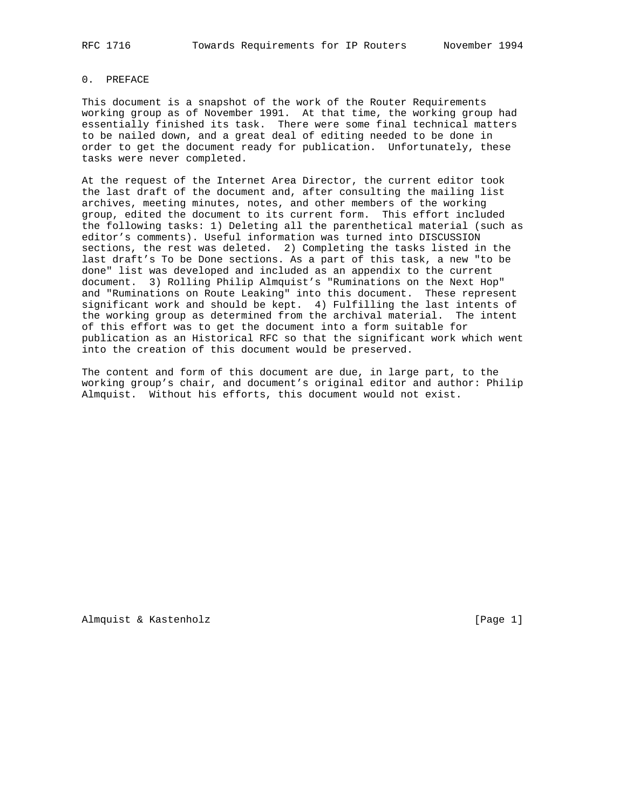#### 0. PREFACE

This document is a snapshot of the work of the Router Requirements working group as of November 1991. At that time, the working group had essentially finished its task. There were some final technical matters to be nailed down, and a great deal of editing needed to be done in order to get the document ready for publication. Unfortunately, these tasks were never completed.

At the request of the Internet Area Director, the current editor took the last draft of the document and, after consulting the mailing list archives, meeting minutes, notes, and other members of the working group, edited the document to its current form. This effort included the following tasks: 1) Deleting all the parenthetical material (such as editor's comments). Useful information was turned into DISCUSSION sections, the rest was deleted. 2) Completing the tasks listed in the last draft's To be Done sections. As a part of this task, a new "to be done" list was developed and included as an appendix to the current document. 3) Rolling Philip Almquist's "Ruminations on the Next Hop" and "Ruminations on Route Leaking" into this document. These represent significant work and should be kept. 4) Fulfilling the last intents of the working group as determined from the archival material. The intent of this effort was to get the document into a form suitable for publication as an Historical RFC so that the significant work which went into the creation of this document would be preserved.

The content and form of this document are due, in large part, to the working group's chair, and document's original editor and author: Philip Almquist. Without his efforts, this document would not exist.

Almquist & Kastenholz **and Communist** [Page 1]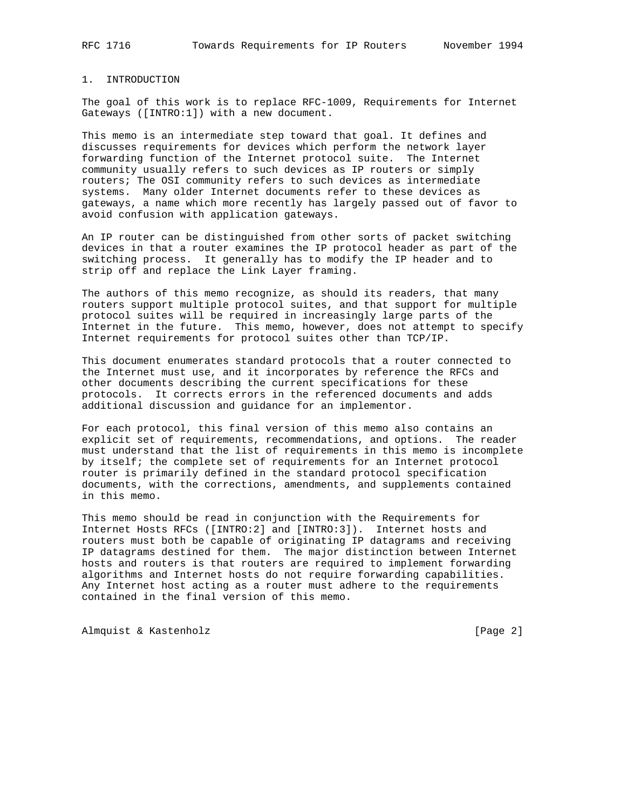## 1. INTRODUCTION

The goal of this work is to replace RFC-1009, Requirements for Internet Gateways ([INTRO:1]) with a new document.

This memo is an intermediate step toward that goal. It defines and discusses requirements for devices which perform the network layer forwarding function of the Internet protocol suite. The Internet community usually refers to such devices as IP routers or simply routers; The OSI community refers to such devices as intermediate systems. Many older Internet documents refer to these devices as gateways, a name which more recently has largely passed out of favor to avoid confusion with application gateways.

An IP router can be distinguished from other sorts of packet switching devices in that a router examines the IP protocol header as part of the switching process. It generally has to modify the IP header and to strip off and replace the Link Layer framing.

The authors of this memo recognize, as should its readers, that many routers support multiple protocol suites, and that support for multiple protocol suites will be required in increasingly large parts of the Internet in the future. This memo, however, does not attempt to specify Internet requirements for protocol suites other than TCP/IP.

This document enumerates standard protocols that a router connected to the Internet must use, and it incorporates by reference the RFCs and other documents describing the current specifications for these protocols. It corrects errors in the referenced documents and adds additional discussion and guidance for an implementor.

For each protocol, this final version of this memo also contains an explicit set of requirements, recommendations, and options. The reader must understand that the list of requirements in this memo is incomplete by itself; the complete set of requirements for an Internet protocol router is primarily defined in the standard protocol specification documents, with the corrections, amendments, and supplements contained in this memo.

This memo should be read in conjunction with the Requirements for Internet Hosts RFCs ([INTRO:2] and [INTRO:3]). Internet hosts and routers must both be capable of originating IP datagrams and receiving IP datagrams destined for them. The major distinction between Internet hosts and routers is that routers are required to implement forwarding algorithms and Internet hosts do not require forwarding capabilities. Any Internet host acting as a router must adhere to the requirements contained in the final version of this memo.

Almquist & Kastenholz [Page 2]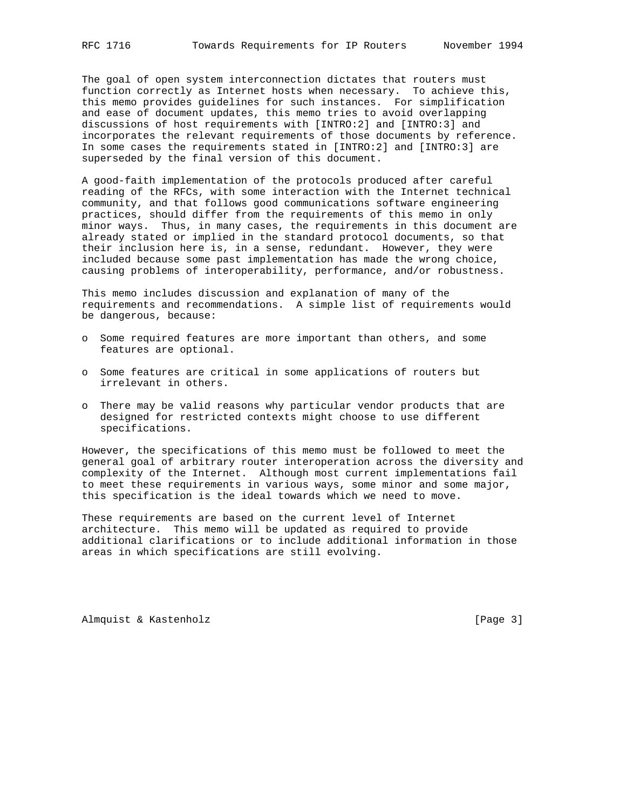The goal of open system interconnection dictates that routers must function correctly as Internet hosts when necessary. To achieve this, this memo provides guidelines for such instances. For simplification and ease of document updates, this memo tries to avoid overlapping discussions of host requirements with [INTRO:2] and [INTRO:3] and incorporates the relevant requirements of those documents by reference. In some cases the requirements stated in [INTRO:2] and [INTRO:3] are superseded by the final version of this document.

A good-faith implementation of the protocols produced after careful reading of the RFCs, with some interaction with the Internet technical community, and that follows good communications software engineering practices, should differ from the requirements of this memo in only minor ways. Thus, in many cases, the requirements in this document are already stated or implied in the standard protocol documents, so that their inclusion here is, in a sense, redundant. However, they were included because some past implementation has made the wrong choice, causing problems of interoperability, performance, and/or robustness.

This memo includes discussion and explanation of many of the requirements and recommendations. A simple list of requirements would be dangerous, because:

- o Some required features are more important than others, and some features are optional.
- o Some features are critical in some applications of routers but irrelevant in others.
- o There may be valid reasons why particular vendor products that are designed for restricted contexts might choose to use different specifications.

However, the specifications of this memo must be followed to meet the general goal of arbitrary router interoperation across the diversity and complexity of the Internet. Although most current implementations fail to meet these requirements in various ways, some minor and some major, this specification is the ideal towards which we need to move.

These requirements are based on the current level of Internet architecture. This memo will be updated as required to provide additional clarifications or to include additional information in those areas in which specifications are still evolving.

Almquist & Kastenholz **and Communist** [Page 3]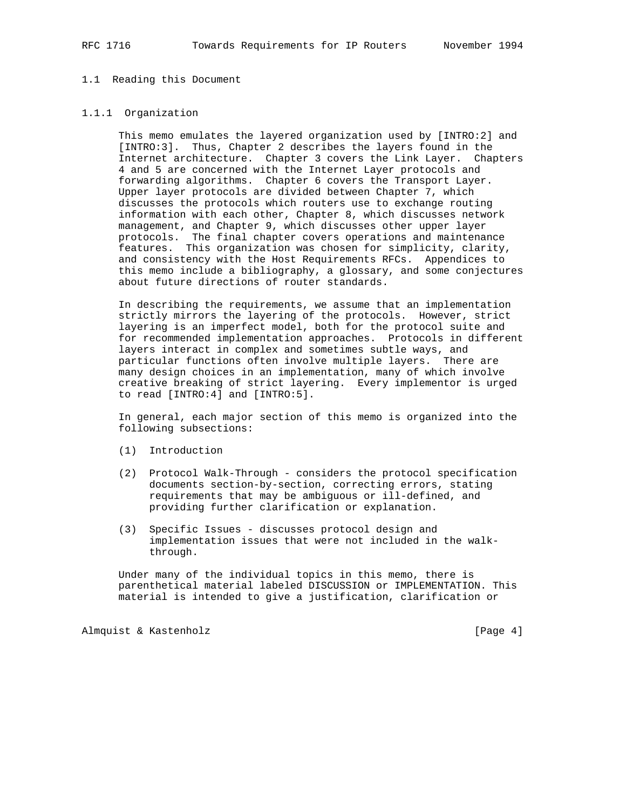#### 1.1 Reading this Document

#### 1.1.1 Organization

 This memo emulates the layered organization used by [INTRO:2] and [INTRO:3]. Thus, Chapter 2 describes the layers found in the Internet architecture. Chapter 3 covers the Link Layer. Chapters 4 and 5 are concerned with the Internet Layer protocols and forwarding algorithms. Chapter 6 covers the Transport Layer. Upper layer protocols are divided between Chapter 7, which discusses the protocols which routers use to exchange routing information with each other, Chapter 8, which discusses network management, and Chapter 9, which discusses other upper layer protocols. The final chapter covers operations and maintenance features. This organization was chosen for simplicity, clarity, and consistency with the Host Requirements RFCs. Appendices to this memo include a bibliography, a glossary, and some conjectures about future directions of router standards.

 In describing the requirements, we assume that an implementation strictly mirrors the layering of the protocols. However, strict layering is an imperfect model, both for the protocol suite and for recommended implementation approaches. Protocols in different layers interact in complex and sometimes subtle ways, and particular functions often involve multiple layers. There are many design choices in an implementation, many of which involve creative breaking of strict layering. Every implementor is urged to read [INTRO:4] and [INTRO:5].

 In general, each major section of this memo is organized into the following subsections:

- (1) Introduction
- (2) Protocol Walk-Through considers the protocol specification documents section-by-section, correcting errors, stating requirements that may be ambiguous or ill-defined, and providing further clarification or explanation.
- (3) Specific Issues discusses protocol design and implementation issues that were not included in the walk through.

 Under many of the individual topics in this memo, there is parenthetical material labeled DISCUSSION or IMPLEMENTATION. This material is intended to give a justification, clarification or

Almquist & Kastenholz **by Equal Contract Contract Contract Contract Contract Contract Contract Contract Contract Contract Contract Contract Contract Contract Contract Contract Contract Contract Contract Contract Contract C**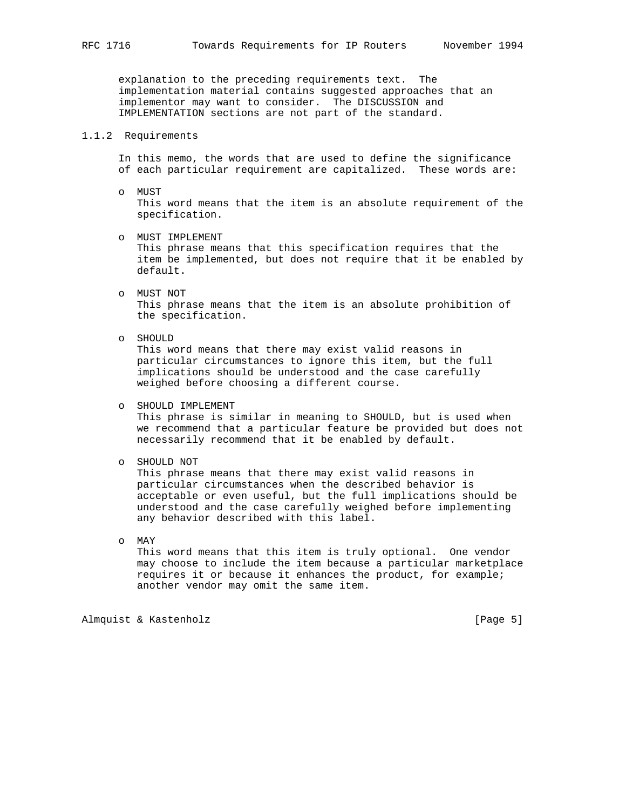explanation to the preceding requirements text. The implementation material contains suggested approaches that an implementor may want to consider. The DISCUSSION and IMPLEMENTATION sections are not part of the standard.

#### 1.1.2 Requirements

 In this memo, the words that are used to define the significance of each particular requirement are capitalized. These words are:

- o MUST This word means that the item is an absolute requirement of the specification.
- o MUST IMPLEMENT This phrase means that this specification requires that the item be implemented, but does not require that it be enabled by default.
- o MUST NOT This phrase means that the item is an absolute prohibition of the specification.
- o SHOULD

 This word means that there may exist valid reasons in particular circumstances to ignore this item, but the full implications should be understood and the case carefully weighed before choosing a different course.

 o SHOULD IMPLEMENT This phrase is similar in meaning to SHOULD, but is used when we recommend that a particular feature be provided but does not necessarily recommend that it be enabled by default.

o SHOULD NOT

 This phrase means that there may exist valid reasons in particular circumstances when the described behavior is acceptable or even useful, but the full implications should be understood and the case carefully weighed before implementing any behavior described with this label.

o MAY

 This word means that this item is truly optional. One vendor may choose to include the item because a particular marketplace requires it or because it enhances the product, for example; another vendor may omit the same item.

Almquist & Kastenholz **by Equal Contract Contract Contract Contract Contract Contract Contract Contract Contract Contract Contract Contract Contract Contract Contract Contract Contract Contract Contract Contract Contract C**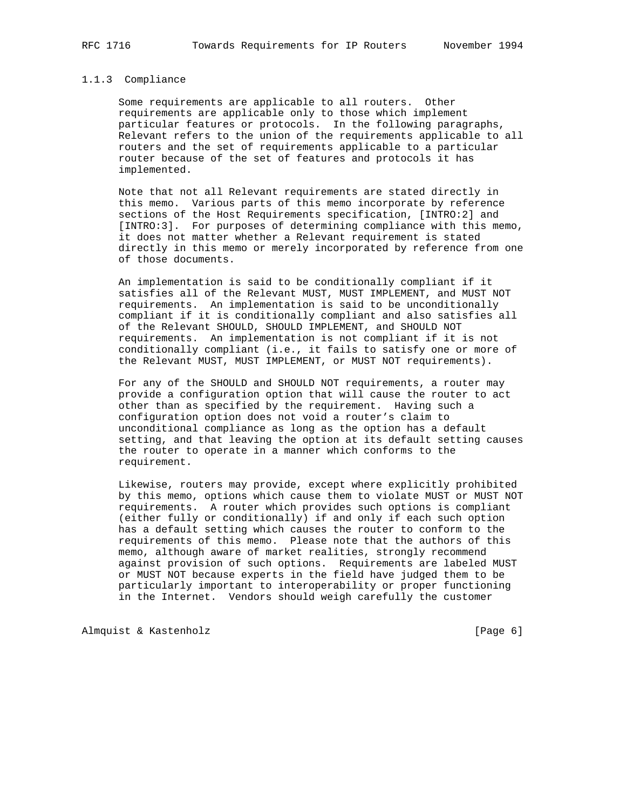## 1.1.3 Compliance

 Some requirements are applicable to all routers. Other requirements are applicable only to those which implement particular features or protocols. In the following paragraphs, Relevant refers to the union of the requirements applicable to all routers and the set of requirements applicable to a particular router because of the set of features and protocols it has implemented.

 Note that not all Relevant requirements are stated directly in this memo. Various parts of this memo incorporate by reference sections of the Host Requirements specification, [INTRO:2] and [INTRO:3]. For purposes of determining compliance with this memo, it does not matter whether a Relevant requirement is stated directly in this memo or merely incorporated by reference from one of those documents.

 An implementation is said to be conditionally compliant if it satisfies all of the Relevant MUST, MUST IMPLEMENT, and MUST NOT requirements. An implementation is said to be unconditionally compliant if it is conditionally compliant and also satisfies all of the Relevant SHOULD, SHOULD IMPLEMENT, and SHOULD NOT requirements. An implementation is not compliant if it is not conditionally compliant (i.e., it fails to satisfy one or more of the Relevant MUST, MUST IMPLEMENT, or MUST NOT requirements).

 For any of the SHOULD and SHOULD NOT requirements, a router may provide a configuration option that will cause the router to act other than as specified by the requirement. Having such a configuration option does not void a router's claim to unconditional compliance as long as the option has a default setting, and that leaving the option at its default setting causes the router to operate in a manner which conforms to the requirement.

 Likewise, routers may provide, except where explicitly prohibited by this memo, options which cause them to violate MUST or MUST NOT requirements. A router which provides such options is compliant (either fully or conditionally) if and only if each such option has a default setting which causes the router to conform to the requirements of this memo. Please note that the authors of this memo, although aware of market realities, strongly recommend against provision of such options. Requirements are labeled MUST or MUST NOT because experts in the field have judged them to be particularly important to interoperability or proper functioning in the Internet. Vendors should weigh carefully the customer

Almquist & Kastenholz **by Equal Contract Contract Contract** [Page 6]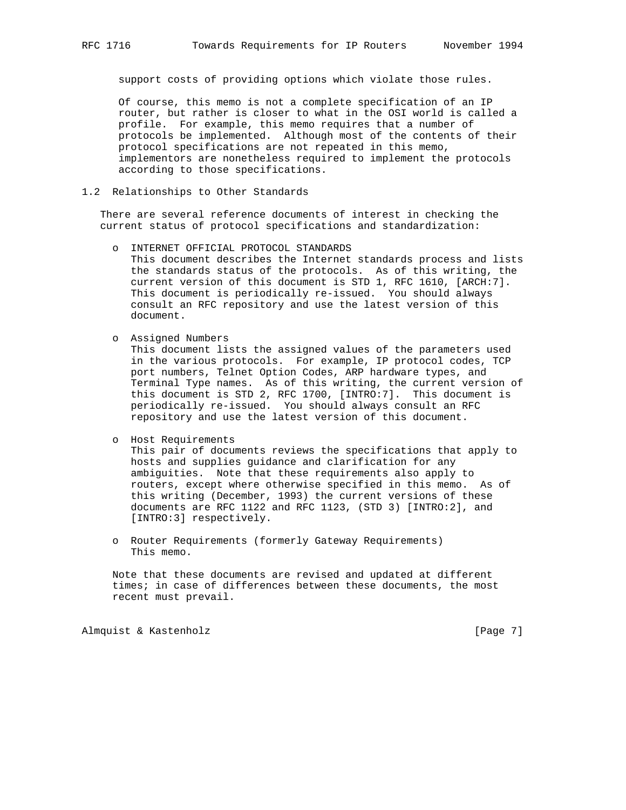support costs of providing options which violate those rules.

 Of course, this memo is not a complete specification of an IP router, but rather is closer to what in the OSI world is called a profile. For example, this memo requires that a number of protocols be implemented. Although most of the contents of their protocol specifications are not repeated in this memo, implementors are nonetheless required to implement the protocols according to those specifications.

1.2 Relationships to Other Standards

 There are several reference documents of interest in checking the current status of protocol specifications and standardization:

- o INTERNET OFFICIAL PROTOCOL STANDARDS This document describes the Internet standards process and lists the standards status of the protocols. As of this writing, the current version of this document is STD 1, RFC 1610, [ARCH:7]. This document is periodically re-issued. You should always consult an RFC repository and use the latest version of this document.
- o Assigned Numbers

 This document lists the assigned values of the parameters used in the various protocols. For example, IP protocol codes, TCP port numbers, Telnet Option Codes, ARP hardware types, and Terminal Type names. As of this writing, the current version of this document is STD 2, RFC 1700, [INTRO:7]. This document is periodically re-issued. You should always consult an RFC repository and use the latest version of this document.

o Host Requirements

 This pair of documents reviews the specifications that apply to hosts and supplies guidance and clarification for any ambiguities. Note that these requirements also apply to routers, except where otherwise specified in this memo. As of this writing (December, 1993) the current versions of these documents are RFC 1122 and RFC 1123, (STD 3) [INTRO:2], and [INTRO:3] respectively.

 o Router Requirements (formerly Gateway Requirements) This memo.

 Note that these documents are revised and updated at different times; in case of differences between these documents, the most recent must prevail.

Almquist & Kastenholz **Example 20** (Page 7)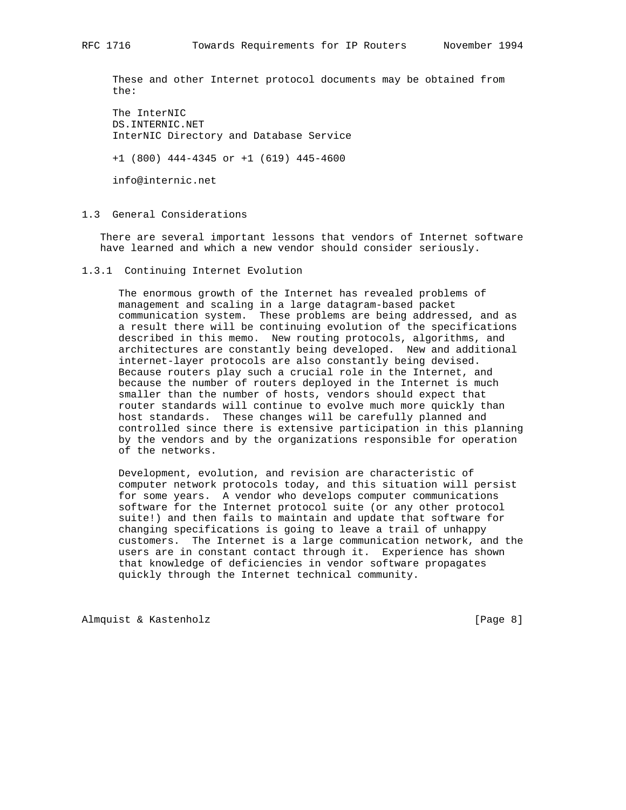These and other Internet protocol documents may be obtained from the:

 The InterNIC DS.INTERNIC.NET InterNIC Directory and Database Service

+1 (800) 444-4345 or +1 (619) 445-4600

info@internic.net

1.3 General Considerations

 There are several important lessons that vendors of Internet software have learned and which a new vendor should consider seriously.

1.3.1 Continuing Internet Evolution

 The enormous growth of the Internet has revealed problems of management and scaling in a large datagram-based packet communication system. These problems are being addressed, and as a result there will be continuing evolution of the specifications described in this memo. New routing protocols, algorithms, and architectures are constantly being developed. New and additional internet-layer protocols are also constantly being devised. Because routers play such a crucial role in the Internet, and because the number of routers deployed in the Internet is much smaller than the number of hosts, vendors should expect that router standards will continue to evolve much more quickly than host standards. These changes will be carefully planned and controlled since there is extensive participation in this planning by the vendors and by the organizations responsible for operation of the networks.

 Development, evolution, and revision are characteristic of computer network protocols today, and this situation will persist for some years. A vendor who develops computer communications software for the Internet protocol suite (or any other protocol suite!) and then fails to maintain and update that software for changing specifications is going to leave a trail of unhappy customers. The Internet is a large communication network, and the users are in constant contact through it. Experience has shown that knowledge of deficiencies in vendor software propagates quickly through the Internet technical community.

Almquist & Kastenholz **by a state of the Contract Contract Contract Contract Contract Contract Contract Contract Contract Contract Contract Contract Contract Contract Contract Contract Contract Contract Contract Contract C**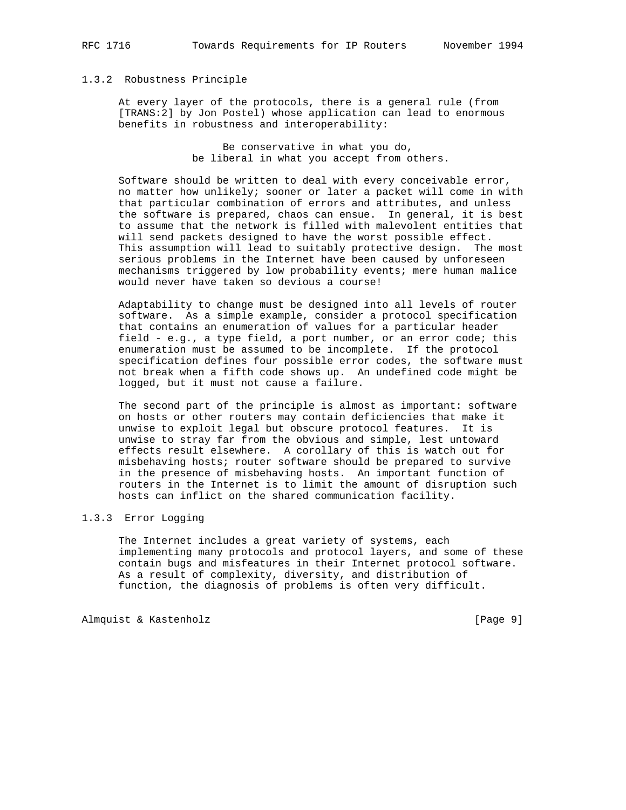## 1.3.2 Robustness Principle

 At every layer of the protocols, there is a general rule (from [TRANS:2] by Jon Postel) whose application can lead to enormous benefits in robustness and interoperability:

> Be conservative in what you do, be liberal in what you accept from others.

 Software should be written to deal with every conceivable error, no matter how unlikely; sooner or later a packet will come in with that particular combination of errors and attributes, and unless the software is prepared, chaos can ensue. In general, it is best to assume that the network is filled with malevolent entities that will send packets designed to have the worst possible effect. This assumption will lead to suitably protective design. The most serious problems in the Internet have been caused by unforeseen mechanisms triggered by low probability events; mere human malice would never have taken so devious a course!

 Adaptability to change must be designed into all levels of router software. As a simple example, consider a protocol specification that contains an enumeration of values for a particular header field - e.g., a type field, a port number, or an error code; this enumeration must be assumed to be incomplete. If the protocol specification defines four possible error codes, the software must not break when a fifth code shows up. An undefined code might be logged, but it must not cause a failure.

 The second part of the principle is almost as important: software on hosts or other routers may contain deficiencies that make it unwise to exploit legal but obscure protocol features. It is unwise to stray far from the obvious and simple, lest untoward effects result elsewhere. A corollary of this is watch out for misbehaving hosts; router software should be prepared to survive in the presence of misbehaving hosts. An important function of routers in the Internet is to limit the amount of disruption such hosts can inflict on the shared communication facility.

## 1.3.3 Error Logging

 The Internet includes a great variety of systems, each implementing many protocols and protocol layers, and some of these contain bugs and misfeatures in their Internet protocol software. As a result of complexity, diversity, and distribution of function, the diagnosis of problems is often very difficult.

Almquist & Kastenholz **by a state of the Contract Contract Contract Contract Contract Contract Contract Contract Contract Contract Contract Contract Contract Contract Contract Contract Contract Contract Contract Contract C**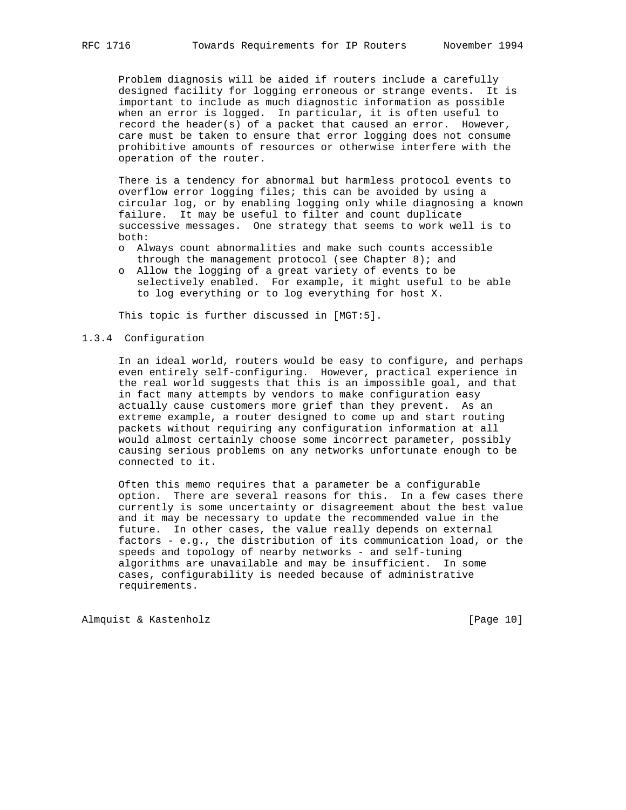Problem diagnosis will be aided if routers include a carefully designed facility for logging erroneous or strange events. It is important to include as much diagnostic information as possible when an error is logged. In particular, it is often useful to record the header(s) of a packet that caused an error. However, care must be taken to ensure that error logging does not consume prohibitive amounts of resources or otherwise interfere with the operation of the router.

 There is a tendency for abnormal but harmless protocol events to overflow error logging files; this can be avoided by using a circular log, or by enabling logging only while diagnosing a known failure. It may be useful to filter and count duplicate successive messages. One strategy that seems to work well is to both:

- o Always count abnormalities and make such counts accessible through the management protocol (see Chapter  $8$ ); and
- o Allow the logging of a great variety of events to be selectively enabled. For example, it might useful to be able to log everything or to log everything for host X.

This topic is further discussed in [MGT:5].

#### 1.3.4 Configuration

 In an ideal world, routers would be easy to configure, and perhaps even entirely self-configuring. However, practical experience in the real world suggests that this is an impossible goal, and that in fact many attempts by vendors to make configuration easy actually cause customers more grief than they prevent. As an extreme example, a router designed to come up and start routing packets without requiring any configuration information at all would almost certainly choose some incorrect parameter, possibly causing serious problems on any networks unfortunate enough to be connected to it.

 Often this memo requires that a parameter be a configurable option. There are several reasons for this. In a few cases there currently is some uncertainty or disagreement about the best value and it may be necessary to update the recommended value in the future. In other cases, the value really depends on external factors - e.g., the distribution of its communication load, or the speeds and topology of nearby networks - and self-tuning algorithms are unavailable and may be insufficient. In some cases, configurability is needed because of administrative requirements.

Almquist & Kastenholz [Page 10]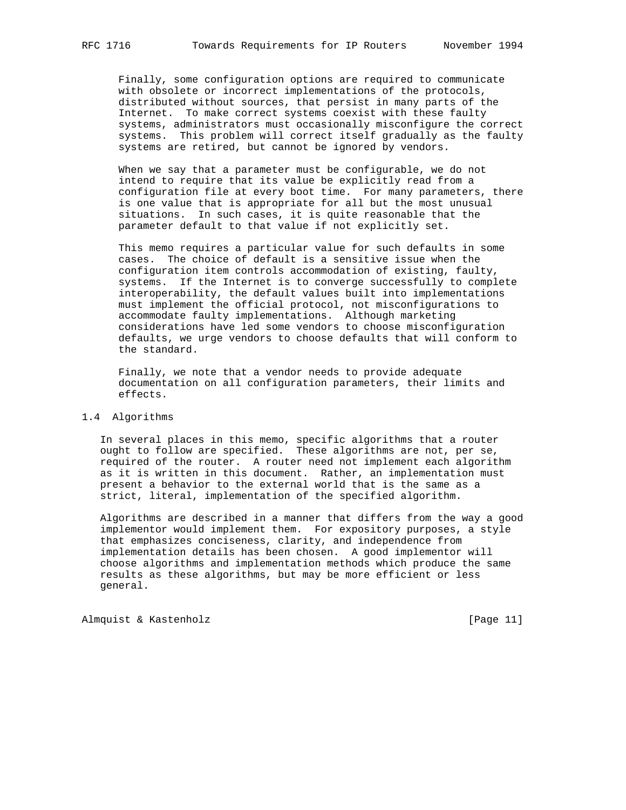Finally, some configuration options are required to communicate with obsolete or incorrect implementations of the protocols, distributed without sources, that persist in many parts of the Internet. To make correct systems coexist with these faulty systems, administrators must occasionally misconfigure the correct systems. This problem will correct itself gradually as the faulty systems are retired, but cannot be ignored by vendors.

 When we say that a parameter must be configurable, we do not intend to require that its value be explicitly read from a configuration file at every boot time. For many parameters, there is one value that is appropriate for all but the most unusual situations. In such cases, it is quite reasonable that the parameter default to that value if not explicitly set.

 This memo requires a particular value for such defaults in some cases. The choice of default is a sensitive issue when the configuration item controls accommodation of existing, faulty, systems. If the Internet is to converge successfully to complete interoperability, the default values built into implementations must implement the official protocol, not misconfigurations to accommodate faulty implementations. Although marketing considerations have led some vendors to choose misconfiguration defaults, we urge vendors to choose defaults that will conform to the standard.

 Finally, we note that a vendor needs to provide adequate documentation on all configuration parameters, their limits and effects.

#### 1.4 Algorithms

 In several places in this memo, specific algorithms that a router ought to follow are specified. These algorithms are not, per se, required of the router. A router need not implement each algorithm as it is written in this document. Rather, an implementation must present a behavior to the external world that is the same as a strict, literal, implementation of the specified algorithm.

 Algorithms are described in a manner that differs from the way a good implementor would implement them. For expository purposes, a style that emphasizes conciseness, clarity, and independence from implementation details has been chosen. A good implementor will choose algorithms and implementation methods which produce the same results as these algorithms, but may be more efficient or less general.

Almquist & Kastenholz [Page 11]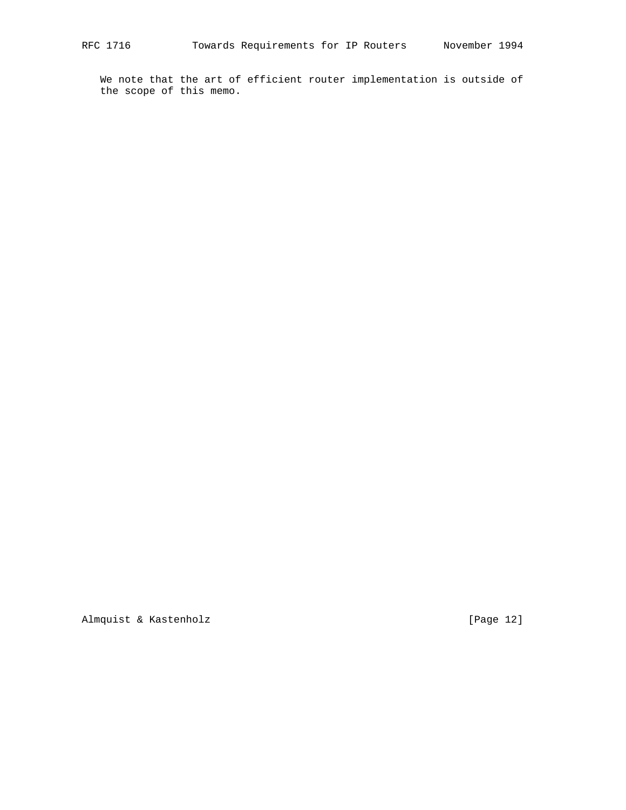We note that the art of efficient router implementation is outside of the scope of this memo.

Almquist & Kastenholz [Page 12]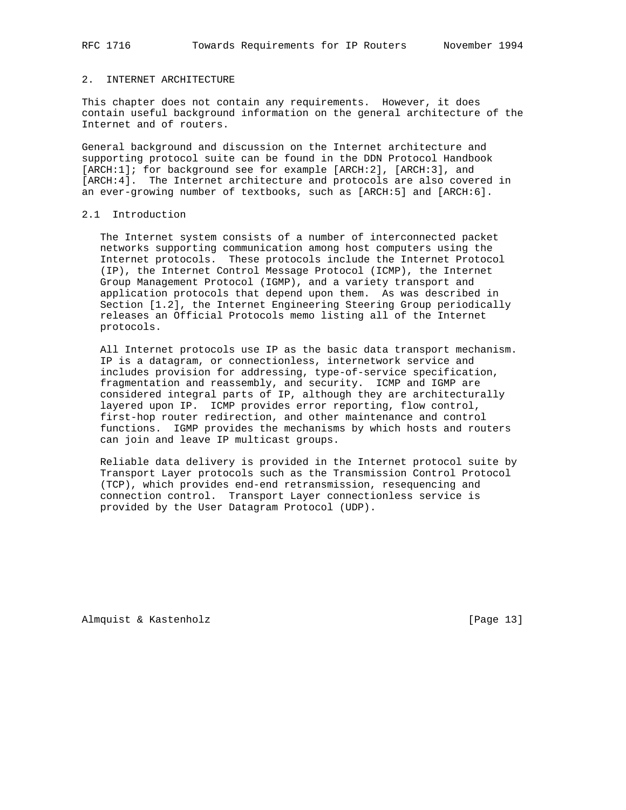## 2. INTERNET ARCHITECTURE

This chapter does not contain any requirements. However, it does contain useful background information on the general architecture of the Internet and of routers.

General background and discussion on the Internet architecture and supporting protocol suite can be found in the DDN Protocol Handbook [ARCH:1]; for background see for example [ARCH:2], [ARCH:3], and [ARCH:4]. The Internet architecture and protocols are also covered in an ever-growing number of textbooks, such as [ARCH:5] and [ARCH:6].

## 2.1 Introduction

 The Internet system consists of a number of interconnected packet networks supporting communication among host computers using the Internet protocols. These protocols include the Internet Protocol (IP), the Internet Control Message Protocol (ICMP), the Internet Group Management Protocol (IGMP), and a variety transport and application protocols that depend upon them. As was described in Section [1.2], the Internet Engineering Steering Group periodically releases an Official Protocols memo listing all of the Internet protocols.

 All Internet protocols use IP as the basic data transport mechanism. IP is a datagram, or connectionless, internetwork service and includes provision for addressing, type-of-service specification, fragmentation and reassembly, and security. ICMP and IGMP are considered integral parts of IP, although they are architecturally layered upon IP. ICMP provides error reporting, flow control, first-hop router redirection, and other maintenance and control functions. IGMP provides the mechanisms by which hosts and routers can join and leave IP multicast groups.

 Reliable data delivery is provided in the Internet protocol suite by Transport Layer protocols such as the Transmission Control Protocol (TCP), which provides end-end retransmission, resequencing and connection control. Transport Layer connectionless service is provided by the User Datagram Protocol (UDP).

Almquist & Kastenholz [Page 13]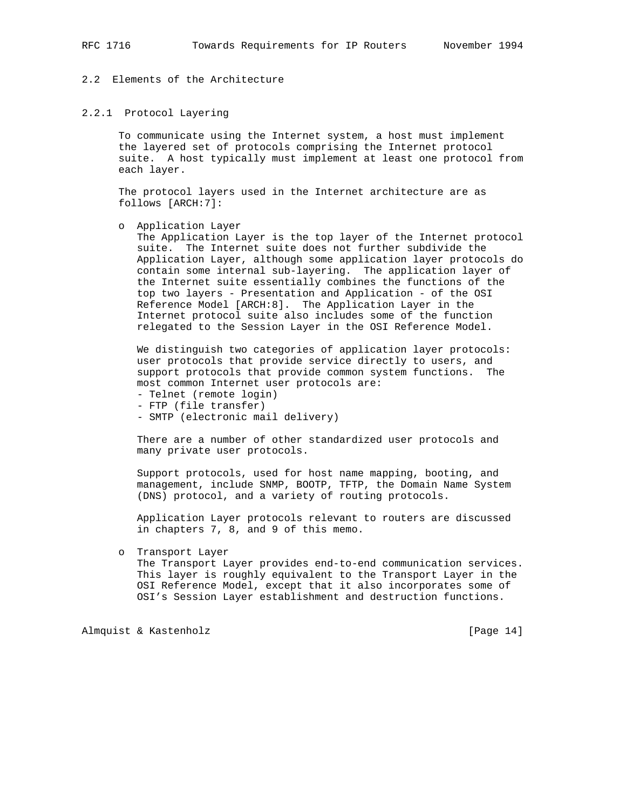# 2.2 Elements of the Architecture

#### 2.2.1 Protocol Layering

 To communicate using the Internet system, a host must implement the layered set of protocols comprising the Internet protocol suite. A host typically must implement at least one protocol from each layer.

 The protocol layers used in the Internet architecture are as follows [ARCH:7]:

o Application Layer

 The Application Layer is the top layer of the Internet protocol suite. The Internet suite does not further subdivide the Application Layer, although some application layer protocols do contain some internal sub-layering. The application layer of the Internet suite essentially combines the functions of the top two layers - Presentation and Application - of the OSI Reference Model [ARCH:8]. The Application Layer in the Internet protocol suite also includes some of the function relegated to the Session Layer in the OSI Reference Model.

 We distinguish two categories of application layer protocols: user protocols that provide service directly to users, and support protocols that provide common system functions. The most common Internet user protocols are:

- Telnet (remote login)
- FTP (file transfer)
- SMTP (electronic mail delivery)

 There are a number of other standardized user protocols and many private user protocols.

 Support protocols, used for host name mapping, booting, and management, include SNMP, BOOTP, TFTP, the Domain Name System (DNS) protocol, and a variety of routing protocols.

 Application Layer protocols relevant to routers are discussed in chapters 7, 8, and 9 of this memo.

o Transport Layer

 The Transport Layer provides end-to-end communication services. This layer is roughly equivalent to the Transport Layer in the OSI Reference Model, except that it also incorporates some of OSI's Session Layer establishment and destruction functions.

Almquist & Kastenholz [Page 14]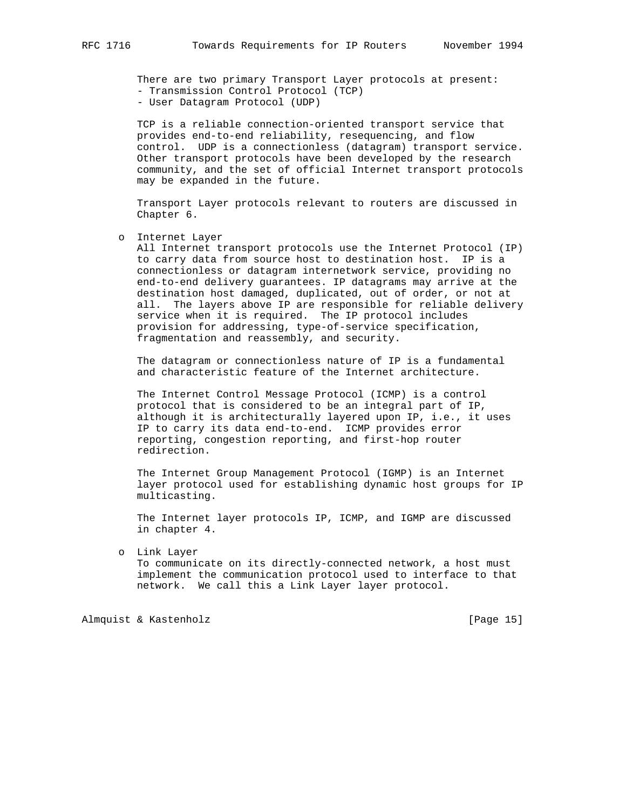There are two primary Transport Layer protocols at present: - Transmission Control Protocol (TCP)

- User Datagram Protocol (UDP)

 TCP is a reliable connection-oriented transport service that provides end-to-end reliability, resequencing, and flow control. UDP is a connectionless (datagram) transport service. Other transport protocols have been developed by the research community, and the set of official Internet transport protocols may be expanded in the future.

 Transport Layer protocols relevant to routers are discussed in Chapter 6.

o Internet Layer

 All Internet transport protocols use the Internet Protocol (IP) to carry data from source host to destination host. IP is a connectionless or datagram internetwork service, providing no end-to-end delivery guarantees. IP datagrams may arrive at the destination host damaged, duplicated, out of order, or not at all. The layers above IP are responsible for reliable delivery service when it is required. The IP protocol includes provision for addressing, type-of-service specification, fragmentation and reassembly, and security.

 The datagram or connectionless nature of IP is a fundamental and characteristic feature of the Internet architecture.

 The Internet Control Message Protocol (ICMP) is a control protocol that is considered to be an integral part of IP, although it is architecturally layered upon IP, i.e., it uses IP to carry its data end-to-end. ICMP provides error reporting, congestion reporting, and first-hop router redirection.

 The Internet Group Management Protocol (IGMP) is an Internet layer protocol used for establishing dynamic host groups for IP multicasting.

 The Internet layer protocols IP, ICMP, and IGMP are discussed in chapter 4.

 o Link Layer To communicate on its directly-connected network, a host must implement the communication protocol used to interface to that network. We call this a Link Layer layer protocol.

Almquist & Kastenholz [Page 15]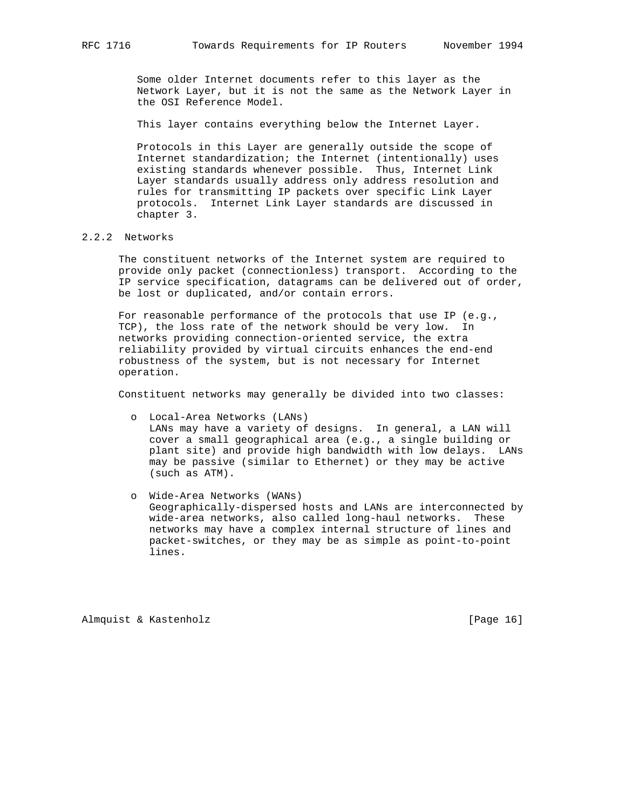Some older Internet documents refer to this layer as the Network Layer, but it is not the same as the Network Layer in the OSI Reference Model.

This layer contains everything below the Internet Layer.

 Protocols in this Layer are generally outside the scope of Internet standardization; the Internet (intentionally) uses existing standards whenever possible. Thus, Internet Link Layer standards usually address only address resolution and rules for transmitting IP packets over specific Link Layer protocols. Internet Link Layer standards are discussed in chapter 3.

## 2.2.2 Networks

 The constituent networks of the Internet system are required to provide only packet (connectionless) transport. According to the IP service specification, datagrams can be delivered out of order, be lost or duplicated, and/or contain errors.

 For reasonable performance of the protocols that use IP (e.g., TCP), the loss rate of the network should be very low. In networks providing connection-oriented service, the extra reliability provided by virtual circuits enhances the end-end robustness of the system, but is not necessary for Internet operation.

Constituent networks may generally be divided into two classes:

- o Local-Area Networks (LANs) LANs may have a variety of designs. In general, a LAN will cover a small geographical area (e.g., a single building or plant site) and provide high bandwidth with low delays. LANs may be passive (similar to Ethernet) or they may be active (such as ATM).
- o Wide-Area Networks (WANs) Geographically-dispersed hosts and LANs are interconnected by wide-area networks, also called long-haul networks. These networks may have a complex internal structure of lines and packet-switches, or they may be as simple as point-to-point lines.

Almquist & Kastenholz [Page 16]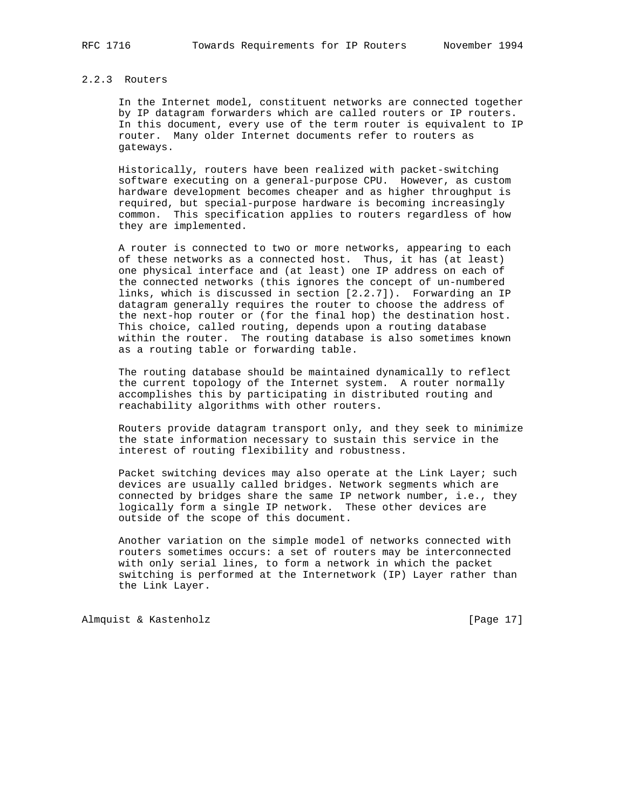## 2.2.3 Routers

 In the Internet model, constituent networks are connected together by IP datagram forwarders which are called routers or IP routers. In this document, every use of the term router is equivalent to IP router. Many older Internet documents refer to routers as gateways.

 Historically, routers have been realized with packet-switching software executing on a general-purpose CPU. However, as custom hardware development becomes cheaper and as higher throughput is required, but special-purpose hardware is becoming increasingly common. This specification applies to routers regardless of how they are implemented.

 A router is connected to two or more networks, appearing to each of these networks as a connected host. Thus, it has (at least) one physical interface and (at least) one IP address on each of the connected networks (this ignores the concept of un-numbered links, which is discussed in section [2.2.7]). Forwarding an IP datagram generally requires the router to choose the address of the next-hop router or (for the final hop) the destination host. This choice, called routing, depends upon a routing database within the router. The routing database is also sometimes known as a routing table or forwarding table.

 The routing database should be maintained dynamically to reflect the current topology of the Internet system. A router normally accomplishes this by participating in distributed routing and reachability algorithms with other routers.

 Routers provide datagram transport only, and they seek to minimize the state information necessary to sustain this service in the interest of routing flexibility and robustness.

Packet switching devices may also operate at the Link Layer; such devices are usually called bridges. Network segments which are connected by bridges share the same IP network number, i.e., they logically form a single IP network. These other devices are outside of the scope of this document.

 Another variation on the simple model of networks connected with routers sometimes occurs: a set of routers may be interconnected with only serial lines, to form a network in which the packet switching is performed at the Internetwork (IP) Layer rather than the Link Layer.

Almquist & Kastenholz [Page 17]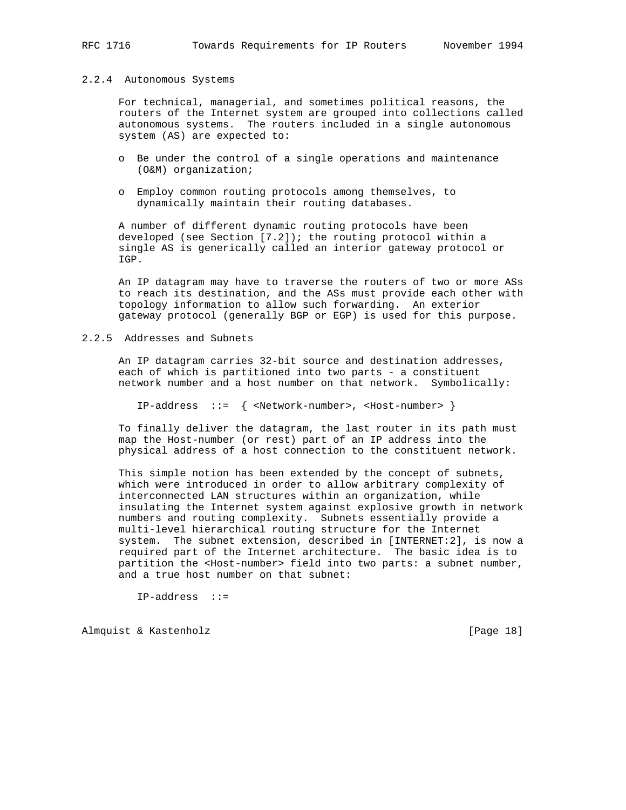#### 2.2.4 Autonomous Systems

 For technical, managerial, and sometimes political reasons, the routers of the Internet system are grouped into collections called autonomous systems. The routers included in a single autonomous system (AS) are expected to:

- o Be under the control of a single operations and maintenance (O&M) organization;
- o Employ common routing protocols among themselves, to dynamically maintain their routing databases.

 A number of different dynamic routing protocols have been developed (see Section  $[7.2]$ ); the routing protocol within a single AS is generically called an interior gateway protocol or IGP.

 An IP datagram may have to traverse the routers of two or more ASs to reach its destination, and the ASs must provide each other with topology information to allow such forwarding. An exterior gateway protocol (generally BGP or EGP) is used for this purpose.

#### 2.2.5 Addresses and Subnets

 An IP datagram carries 32-bit source and destination addresses, each of which is partitioned into two parts - a constituent network number and a host number on that network. Symbolically:

IP-address ::= { <Network-number>, <Host-number> }

 To finally deliver the datagram, the last router in its path must map the Host-number (or rest) part of an IP address into the physical address of a host connection to the constituent network.

 This simple notion has been extended by the concept of subnets, which were introduced in order to allow arbitrary complexity of interconnected LAN structures within an organization, while insulating the Internet system against explosive growth in network numbers and routing complexity. Subnets essentially provide a multi-level hierarchical routing structure for the Internet system. The subnet extension, described in [INTERNET:2], is now a required part of the Internet architecture. The basic idea is to partition the <Host-number> field into two parts: a subnet number, and a true host number on that subnet:

IP-address ::=

Almquist & Kastenholz [Page 18]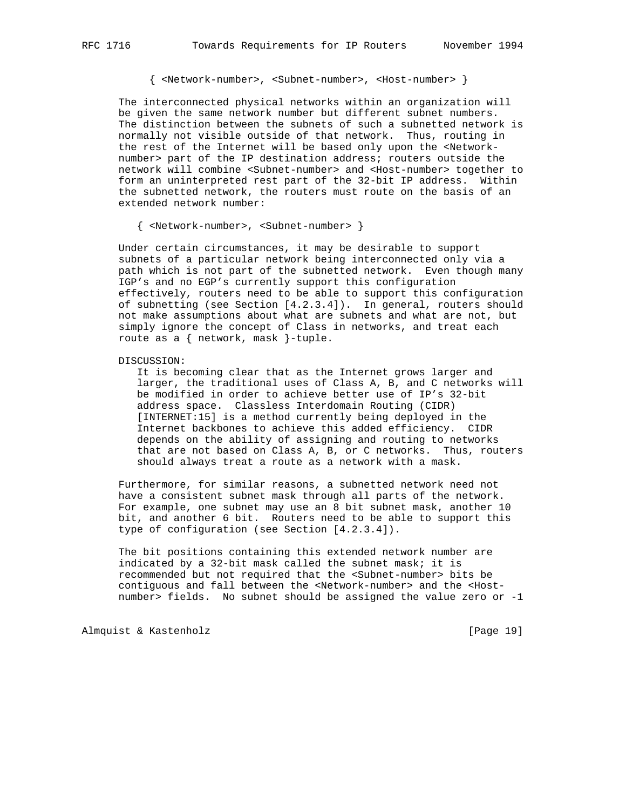{ <Network-number>, <Subnet-number>, <Host-number> }

 The interconnected physical networks within an organization will be given the same network number but different subnet numbers. The distinction between the subnets of such a subnetted network is normally not visible outside of that network. Thus, routing in the rest of the Internet will be based only upon the <Network number> part of the IP destination address; routers outside the network will combine <Subnet-number> and <Host-number> together to form an uninterpreted rest part of the 32-bit IP address. Within the subnetted network, the routers must route on the basis of an extended network number:

{ <Network-number>, <Subnet-number> }

 Under certain circumstances, it may be desirable to support subnets of a particular network being interconnected only via a path which is not part of the subnetted network. Even though many IGP's and no EGP's currently support this configuration effectively, routers need to be able to support this configuration of subnetting (see Section [4.2.3.4]). In general, routers should not make assumptions about what are subnets and what are not, but simply ignore the concept of Class in networks, and treat each route as a { network, mask }-tuple.

DISCUSSION:

 It is becoming clear that as the Internet grows larger and larger, the traditional uses of Class A, B, and C networks will be modified in order to achieve better use of IP's 32-bit address space. Classless Interdomain Routing (CIDR) [INTERNET:15] is a method currently being deployed in the Internet backbones to achieve this added efficiency. CIDR depends on the ability of assigning and routing to networks that are not based on Class A, B, or C networks. Thus, routers should always treat a route as a network with a mask.

 Furthermore, for similar reasons, a subnetted network need not have a consistent subnet mask through all parts of the network. For example, one subnet may use an 8 bit subnet mask, another 10 bit, and another 6 bit. Routers need to be able to support this type of configuration (see Section [4.2.3.4]).

 The bit positions containing this extended network number are indicated by a 32-bit mask called the subnet mask; it is recommended but not required that the <Subnet-number> bits be contiguous and fall between the <Network-number> and the <Host number> fields. No subnet should be assigned the value zero or -1

Almquist & Kastenholz [Page 19]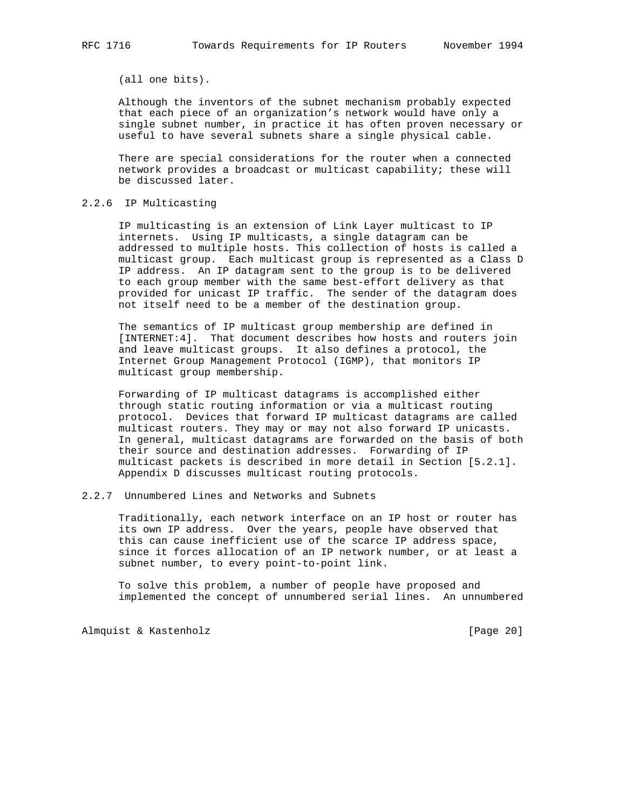(all one bits).

 Although the inventors of the subnet mechanism probably expected that each piece of an organization's network would have only a single subnet number, in practice it has often proven necessary or useful to have several subnets share a single physical cable.

 There are special considerations for the router when a connected network provides a broadcast or multicast capability; these will be discussed later.

## 2.2.6 IP Multicasting

 IP multicasting is an extension of Link Layer multicast to IP internets. Using IP multicasts, a single datagram can be addressed to multiple hosts. This collection of hosts is called a multicast group. Each multicast group is represented as a Class D IP address. An IP datagram sent to the group is to be delivered to each group member with the same best-effort delivery as that provided for unicast IP traffic. The sender of the datagram does not itself need to be a member of the destination group.

 The semantics of IP multicast group membership are defined in [INTERNET:4]. That document describes how hosts and routers join and leave multicast groups. It also defines a protocol, the Internet Group Management Protocol (IGMP), that monitors IP multicast group membership.

 Forwarding of IP multicast datagrams is accomplished either through static routing information or via a multicast routing protocol. Devices that forward IP multicast datagrams are called multicast routers. They may or may not also forward IP unicasts. In general, multicast datagrams are forwarded on the basis of both their source and destination addresses. Forwarding of IP multicast packets is described in more detail in Section [5.2.1]. Appendix D discusses multicast routing protocols.

# 2.2.7 Unnumbered Lines and Networks and Subnets

 Traditionally, each network interface on an IP host or router has its own IP address. Over the years, people have observed that this can cause inefficient use of the scarce IP address space, since it forces allocation of an IP network number, or at least a subnet number, to every point-to-point link.

 To solve this problem, a number of people have proposed and implemented the concept of unnumbered serial lines. An unnumbered

Almquist & Kastenholz [Page 20]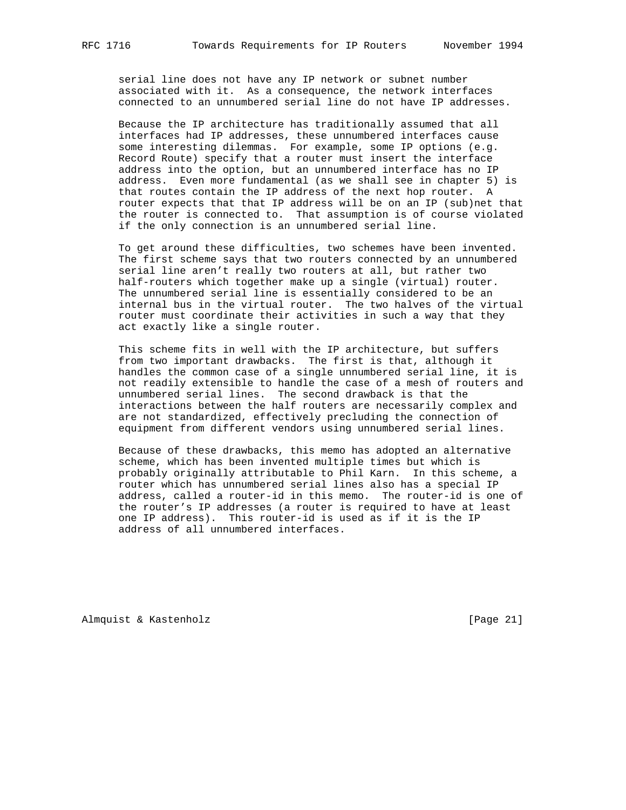serial line does not have any IP network or subnet number associated with it. As a consequence, the network interfaces connected to an unnumbered serial line do not have IP addresses.

 Because the IP architecture has traditionally assumed that all interfaces had IP addresses, these unnumbered interfaces cause some interesting dilemmas. For example, some IP options (e.g. Record Route) specify that a router must insert the interface address into the option, but an unnumbered interface has no IP address. Even more fundamental (as we shall see in chapter 5) is that routes contain the IP address of the next hop router. A router expects that that IP address will be on an IP (sub)net that the router is connected to. That assumption is of course violated if the only connection is an unnumbered serial line.

 To get around these difficulties, two schemes have been invented. The first scheme says that two routers connected by an unnumbered serial line aren't really two routers at all, but rather two half-routers which together make up a single (virtual) router. The unnumbered serial line is essentially considered to be an internal bus in the virtual router. The two halves of the virtual router must coordinate their activities in such a way that they act exactly like a single router.

 This scheme fits in well with the IP architecture, but suffers from two important drawbacks. The first is that, although it handles the common case of a single unnumbered serial line, it is not readily extensible to handle the case of a mesh of routers and unnumbered serial lines. The second drawback is that the interactions between the half routers are necessarily complex and are not standardized, effectively precluding the connection of equipment from different vendors using unnumbered serial lines.

 Because of these drawbacks, this memo has adopted an alternative scheme, which has been invented multiple times but which is probably originally attributable to Phil Karn. In this scheme, a router which has unnumbered serial lines also has a special IP address, called a router-id in this memo. The router-id is one of the router's IP addresses (a router is required to have at least one IP address). This router-id is used as if it is the IP address of all unnumbered interfaces.

Almquist & Kastenholz [Page 21]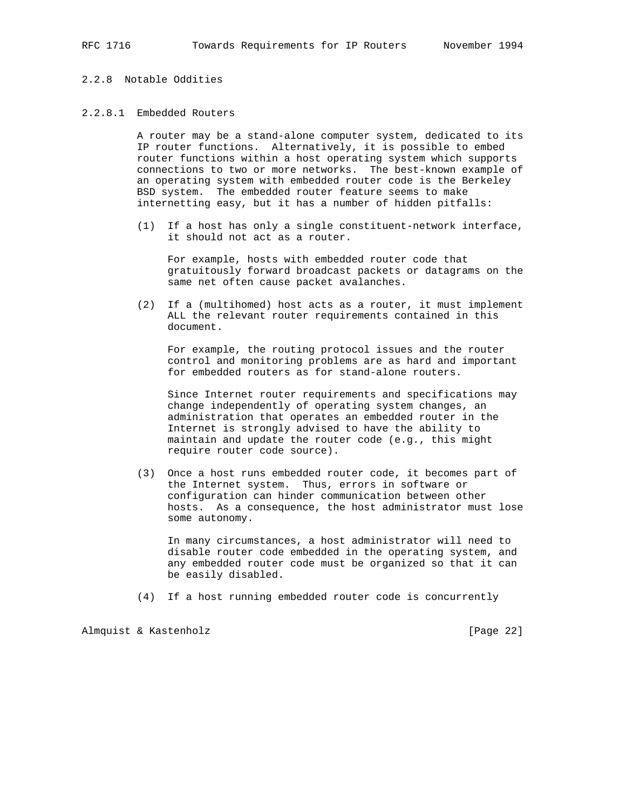## 2.2.8 Notable Oddities

## 2.2.8.1 Embedded Routers

 A router may be a stand-alone computer system, dedicated to its IP router functions. Alternatively, it is possible to embed router functions within a host operating system which supports connections to two or more networks. The best-known example of an operating system with embedded router code is the Berkeley BSD system. The embedded router feature seems to make internetting easy, but it has a number of hidden pitfalls:

 (1) If a host has only a single constituent-network interface, it should not act as a router.

 For example, hosts with embedded router code that gratuitously forward broadcast packets or datagrams on the same net often cause packet avalanches.

 (2) If a (multihomed) host acts as a router, it must implement ALL the relevant router requirements contained in this document.

 For example, the routing protocol issues and the router control and monitoring problems are as hard and important for embedded routers as for stand-alone routers.

 Since Internet router requirements and specifications may change independently of operating system changes, an administration that operates an embedded router in the Internet is strongly advised to have the ability to maintain and update the router code (e.g., this might require router code source).

 (3) Once a host runs embedded router code, it becomes part of the Internet system. Thus, errors in software or configuration can hinder communication between other hosts. As a consequence, the host administrator must lose some autonomy.

 In many circumstances, a host administrator will need to disable router code embedded in the operating system, and any embedded router code must be organized so that it can be easily disabled.

(4) If a host running embedded router code is concurrently

Almquist & Kastenholz [Page 22]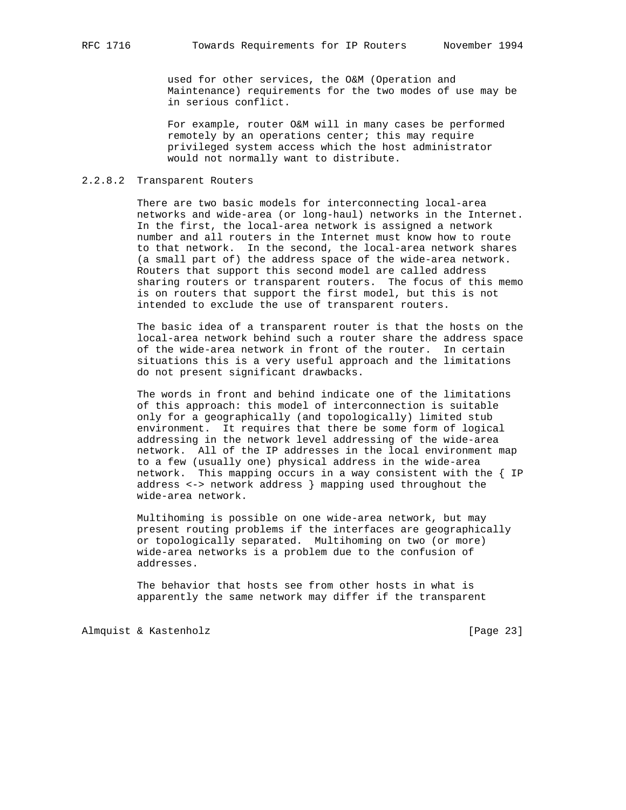used for other services, the O&M (Operation and Maintenance) requirements for the two modes of use may be in serious conflict.

 For example, router O&M will in many cases be performed remotely by an operations center; this may require privileged system access which the host administrator would not normally want to distribute.

#### 2.2.8.2 Transparent Routers

 There are two basic models for interconnecting local-area networks and wide-area (or long-haul) networks in the Internet. In the first, the local-area network is assigned a network number and all routers in the Internet must know how to route to that network. In the second, the local-area network shares (a small part of) the address space of the wide-area network. Routers that support this second model are called address sharing routers or transparent routers. The focus of this memo is on routers that support the first model, but this is not intended to exclude the use of transparent routers.

 The basic idea of a transparent router is that the hosts on the local-area network behind such a router share the address space of the wide-area network in front of the router. In certain situations this is a very useful approach and the limitations do not present significant drawbacks.

 The words in front and behind indicate one of the limitations of this approach: this model of interconnection is suitable only for a geographically (and topologically) limited stub environment. It requires that there be some form of logical addressing in the network level addressing of the wide-area network. All of the IP addresses in the local environment map to a few (usually one) physical address in the wide-area network. This mapping occurs in a way consistent with the { IP address <-> network address } mapping used throughout the wide-area network.

 Multihoming is possible on one wide-area network, but may present routing problems if the interfaces are geographically or topologically separated. Multihoming on two (or more) wide-area networks is a problem due to the confusion of addresses.

 The behavior that hosts see from other hosts in what is apparently the same network may differ if the transparent

Almquist & Kastenholz [Page 23]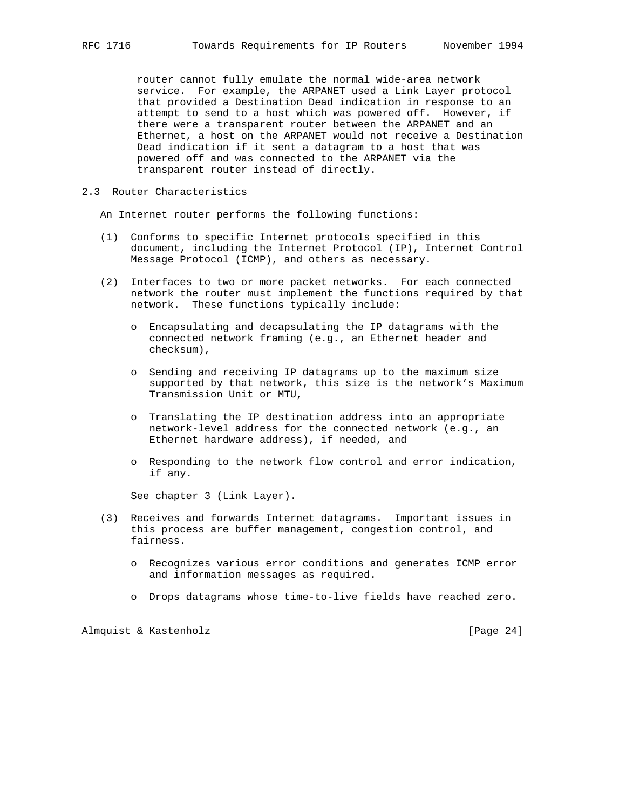router cannot fully emulate the normal wide-area network service. For example, the ARPANET used a Link Layer protocol that provided a Destination Dead indication in response to an attempt to send to a host which was powered off. However, if there were a transparent router between the ARPANET and an Ethernet, a host on the ARPANET would not receive a Destination Dead indication if it sent a datagram to a host that was powered off and was connected to the ARPANET via the transparent router instead of directly.

## 2.3 Router Characteristics

An Internet router performs the following functions:

- (1) Conforms to specific Internet protocols specified in this document, including the Internet Protocol (IP), Internet Control Message Protocol (ICMP), and others as necessary.
- (2) Interfaces to two or more packet networks. For each connected network the router must implement the functions required by that network. These functions typically include:
	- o Encapsulating and decapsulating the IP datagrams with the connected network framing (e.g., an Ethernet header and checksum),
	- o Sending and receiving IP datagrams up to the maximum size supported by that network, this size is the network's Maximum Transmission Unit or MTU,
	- o Translating the IP destination address into an appropriate network-level address for the connected network (e.g., an Ethernet hardware address), if needed, and
	- o Responding to the network flow control and error indication, if any.

See chapter 3 (Link Layer).

- (3) Receives and forwards Internet datagrams. Important issues in this process are buffer management, congestion control, and fairness.
	- o Recognizes various error conditions and generates ICMP error and information messages as required.
	- o Drops datagrams whose time-to-live fields have reached zero.

Almquist & Kastenholz [Page 24]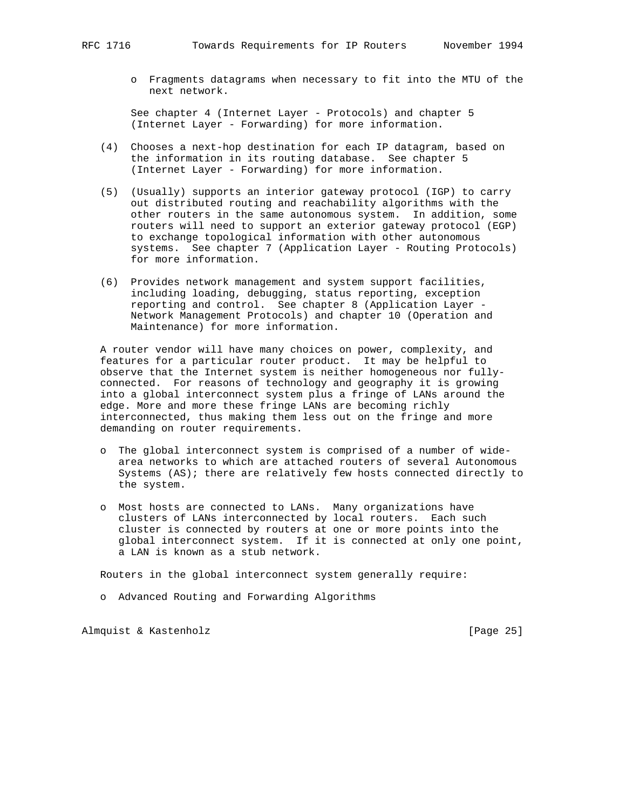o Fragments datagrams when necessary to fit into the MTU of the next network.

 See chapter 4 (Internet Layer - Protocols) and chapter 5 (Internet Layer - Forwarding) for more information.

- (4) Chooses a next-hop destination for each IP datagram, based on the information in its routing database. See chapter 5 (Internet Layer - Forwarding) for more information.
- (5) (Usually) supports an interior gateway protocol (IGP) to carry out distributed routing and reachability algorithms with the other routers in the same autonomous system. In addition, some routers will need to support an exterior gateway protocol (EGP) to exchange topological information with other autonomous systems. See chapter 7 (Application Layer - Routing Protocols) for more information.
- (6) Provides network management and system support facilities, including loading, debugging, status reporting, exception reporting and control. See chapter 8 (Application Layer - Network Management Protocols) and chapter 10 (Operation and Maintenance) for more information.

 A router vendor will have many choices on power, complexity, and features for a particular router product. It may be helpful to observe that the Internet system is neither homogeneous nor fully connected. For reasons of technology and geography it is growing into a global interconnect system plus a fringe of LANs around the edge. More and more these fringe LANs are becoming richly interconnected, thus making them less out on the fringe and more demanding on router requirements.

- o The global interconnect system is comprised of a number of wide area networks to which are attached routers of several Autonomous Systems (AS); there are relatively few hosts connected directly to the system.
- o Most hosts are connected to LANs. Many organizations have clusters of LANs interconnected by local routers. Each such cluster is connected by routers at one or more points into the global interconnect system. If it is connected at only one point, a LAN is known as a stub network.

Routers in the global interconnect system generally require:

o Advanced Routing and Forwarding Algorithms

Almquist & Kastenholz [Page 25]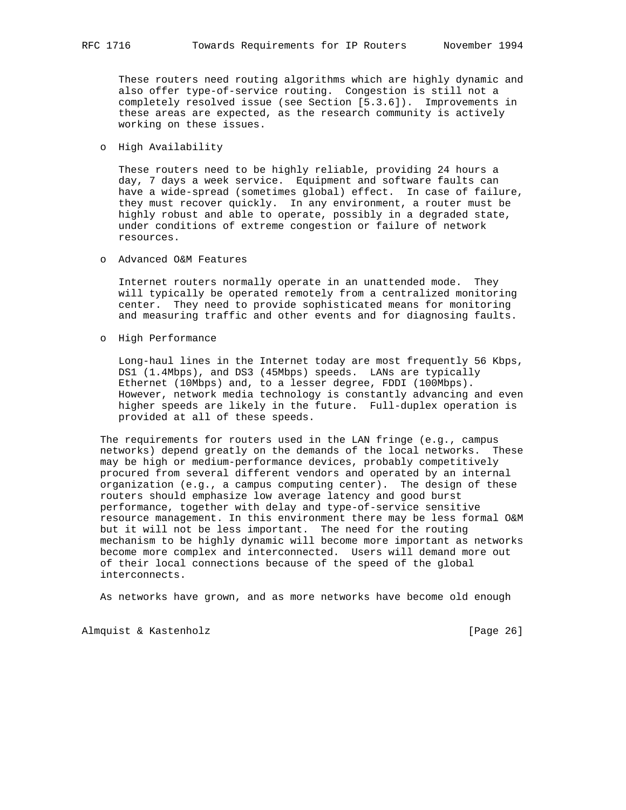These routers need routing algorithms which are highly dynamic and also offer type-of-service routing. Congestion is still not a completely resolved issue (see Section [5.3.6]). Improvements in these areas are expected, as the research community is actively working on these issues.

o High Availability

 These routers need to be highly reliable, providing 24 hours a day, 7 days a week service. Equipment and software faults can have a wide-spread (sometimes global) effect. In case of failure, they must recover quickly. In any environment, a router must be highly robust and able to operate, possibly in a degraded state, under conditions of extreme congestion or failure of network resources.

o Advanced O&M Features

 Internet routers normally operate in an unattended mode. They will typically be operated remotely from a centralized monitoring center. They need to provide sophisticated means for monitoring and measuring traffic and other events and for diagnosing faults.

o High Performance

 Long-haul lines in the Internet today are most frequently 56 Kbps, DS1 (1.4Mbps), and DS3 (45Mbps) speeds. LANs are typically Ethernet (10Mbps) and, to a lesser degree, FDDI (100Mbps). However, network media technology is constantly advancing and even higher speeds are likely in the future. Full-duplex operation is provided at all of these speeds.

 The requirements for routers used in the LAN fringe (e.g., campus networks) depend greatly on the demands of the local networks. These may be high or medium-performance devices, probably competitively procured from several different vendors and operated by an internal organization (e.g., a campus computing center). The design of these routers should emphasize low average latency and good burst performance, together with delay and type-of-service sensitive resource management. In this environment there may be less formal O&M but it will not be less important. The need for the routing mechanism to be highly dynamic will become more important as networks become more complex and interconnected. Users will demand more out of their local connections because of the speed of the global interconnects.

As networks have grown, and as more networks have become old enough

Almquist & Kastenholz [Page 26]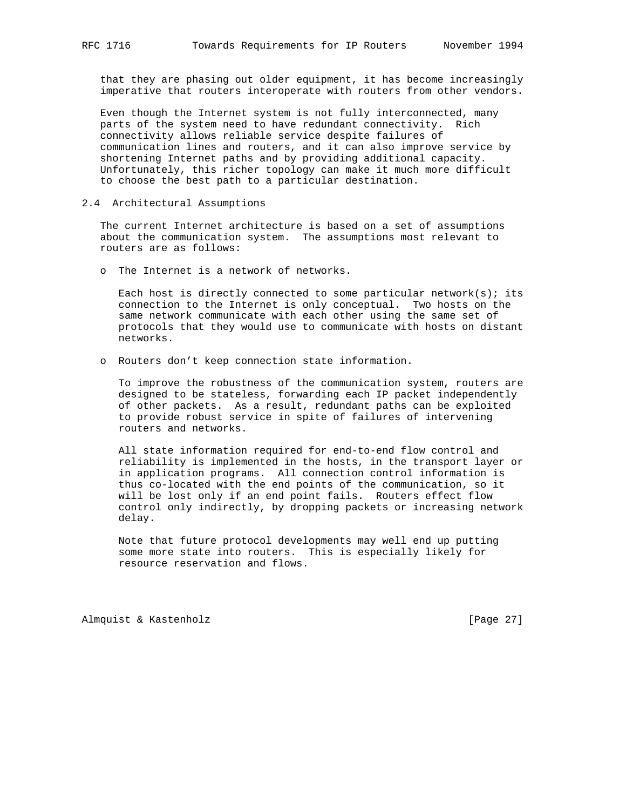that they are phasing out older equipment, it has become increasingly imperative that routers interoperate with routers from other vendors.

 Even though the Internet system is not fully interconnected, many parts of the system need to have redundant connectivity. Rich connectivity allows reliable service despite failures of communication lines and routers, and it can also improve service by shortening Internet paths and by providing additional capacity. Unfortunately, this richer topology can make it much more difficult to choose the best path to a particular destination.

2.4 Architectural Assumptions

 The current Internet architecture is based on a set of assumptions about the communication system. The assumptions most relevant to routers are as follows:

o The Internet is a network of networks.

Each host is directly connected to some particular network(s); its connection to the Internet is only conceptual. Two hosts on the same network communicate with each other using the same set of protocols that they would use to communicate with hosts on distant networks.

o Routers don't keep connection state information.

 To improve the robustness of the communication system, routers are designed to be stateless, forwarding each IP packet independently of other packets. As a result, redundant paths can be exploited to provide robust service in spite of failures of intervening routers and networks.

 All state information required for end-to-end flow control and reliability is implemented in the hosts, in the transport layer or in application programs. All connection control information is thus co-located with the end points of the communication, so it will be lost only if an end point fails. Routers effect flow control only indirectly, by dropping packets or increasing network delay.

 Note that future protocol developments may well end up putting some more state into routers. This is especially likely for resource reservation and flows.

Almquist & Kastenholz [Page 27]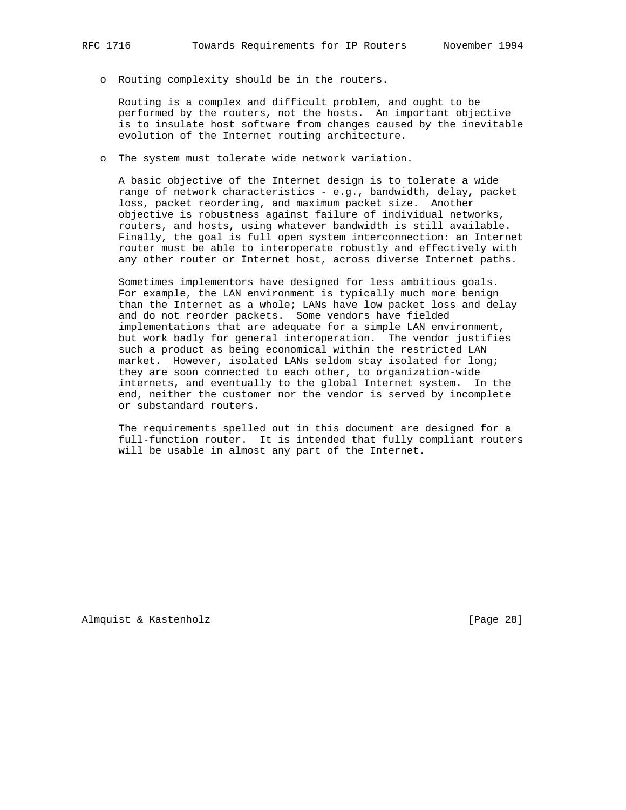o Routing complexity should be in the routers.

 Routing is a complex and difficult problem, and ought to be performed by the routers, not the hosts. An important objective is to insulate host software from changes caused by the inevitable evolution of the Internet routing architecture.

o The system must tolerate wide network variation.

 A basic objective of the Internet design is to tolerate a wide range of network characteristics - e.g., bandwidth, delay, packet loss, packet reordering, and maximum packet size. Another objective is robustness against failure of individual networks, routers, and hosts, using whatever bandwidth is still available. Finally, the goal is full open system interconnection: an Internet router must be able to interoperate robustly and effectively with any other router or Internet host, across diverse Internet paths.

 Sometimes implementors have designed for less ambitious goals. For example, the LAN environment is typically much more benign than the Internet as a whole; LANs have low packet loss and delay and do not reorder packets. Some vendors have fielded implementations that are adequate for a simple LAN environment, but work badly for general interoperation. The vendor justifies such a product as being economical within the restricted LAN market. However, isolated LANs seldom stay isolated for long; they are soon connected to each other, to organization-wide internets, and eventually to the global Internet system. In the end, neither the customer nor the vendor is served by incomplete or substandard routers.

 The requirements spelled out in this document are designed for a full-function router. It is intended that fully compliant routers will be usable in almost any part of the Internet.

Almquist & Kastenholz [Page 28]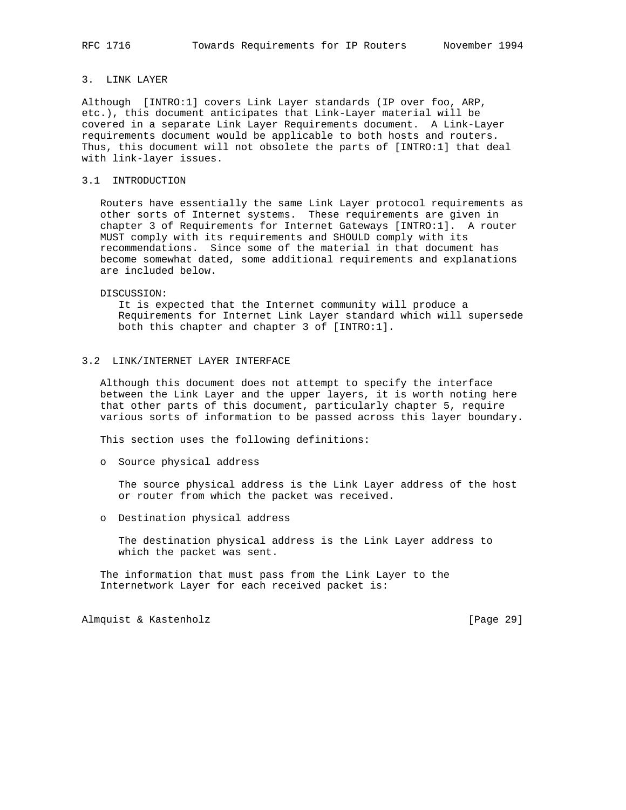# 3. LINK LAYER

Although [INTRO:1] covers Link Layer standards (IP over foo, ARP, etc.), this document anticipates that Link-Layer material will be covered in a separate Link Layer Requirements document. A Link-Layer requirements document would be applicable to both hosts and routers. Thus, this document will not obsolete the parts of [INTRO:1] that deal with link-layer issues.

#### 3.1 INTRODUCTION

 Routers have essentially the same Link Layer protocol requirements as other sorts of Internet systems. These requirements are given in chapter 3 of Requirements for Internet Gateways [INTRO:1]. A router MUST comply with its requirements and SHOULD comply with its recommendations. Since some of the material in that document has become somewhat dated, some additional requirements and explanations are included below.

#### DISCUSSION:

 It is expected that the Internet community will produce a Requirements for Internet Link Layer standard which will supersede both this chapter and chapter 3 of [INTRO:1].

## 3.2 LINK/INTERNET LAYER INTERFACE

 Although this document does not attempt to specify the interface between the Link Layer and the upper layers, it is worth noting here that other parts of this document, particularly chapter 5, require various sorts of information to be passed across this layer boundary.

This section uses the following definitions:

o Source physical address

 The source physical address is the Link Layer address of the host or router from which the packet was received.

o Destination physical address

 The destination physical address is the Link Layer address to which the packet was sent.

 The information that must pass from the Link Layer to the Internetwork Layer for each received packet is:

Almquist & Kastenholz [Page 29]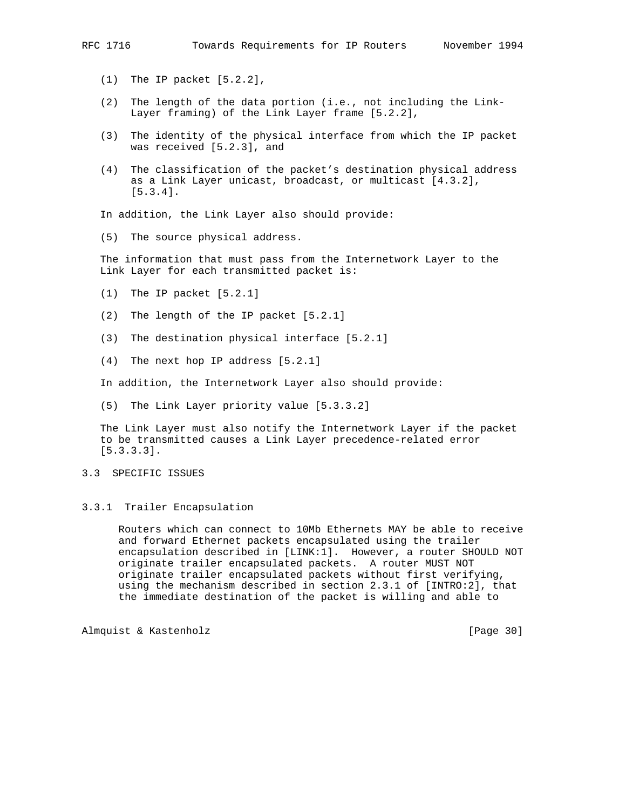- (1) The IP packet [5.2.2],
- (2) The length of the data portion (i.e., not including the Link- Layer framing) of the Link Layer frame [5.2.2],
- (3) The identity of the physical interface from which the IP packet was received [5.2.3], and
- (4) The classification of the packet's destination physical address as a Link Layer unicast, broadcast, or multicast [4.3.2], [5.3.4].

In addition, the Link Layer also should provide:

(5) The source physical address.

 The information that must pass from the Internetwork Layer to the Link Layer for each transmitted packet is:

- (1) The IP packet [5.2.1]
- (2) The length of the IP packet [5.2.1]
- (3) The destination physical interface [5.2.1]
- (4) The next hop IP address [5.2.1]

In addition, the Internetwork Layer also should provide:

(5) The Link Layer priority value [5.3.3.2]

 The Link Layer must also notify the Internetwork Layer if the packet to be transmitted causes a Link Layer precedence-related error [5.3.3.3].

3.3 SPECIFIC ISSUES

#### 3.3.1 Trailer Encapsulation

 Routers which can connect to 10Mb Ethernets MAY be able to receive and forward Ethernet packets encapsulated using the trailer encapsulation described in [LINK:1]. However, a router SHOULD NOT originate trailer encapsulated packets. A router MUST NOT originate trailer encapsulated packets without first verifying, using the mechanism described in section 2.3.1 of [INTRO:2], that the immediate destination of the packet is willing and able to

Almquist & Kastenholz [Page 30]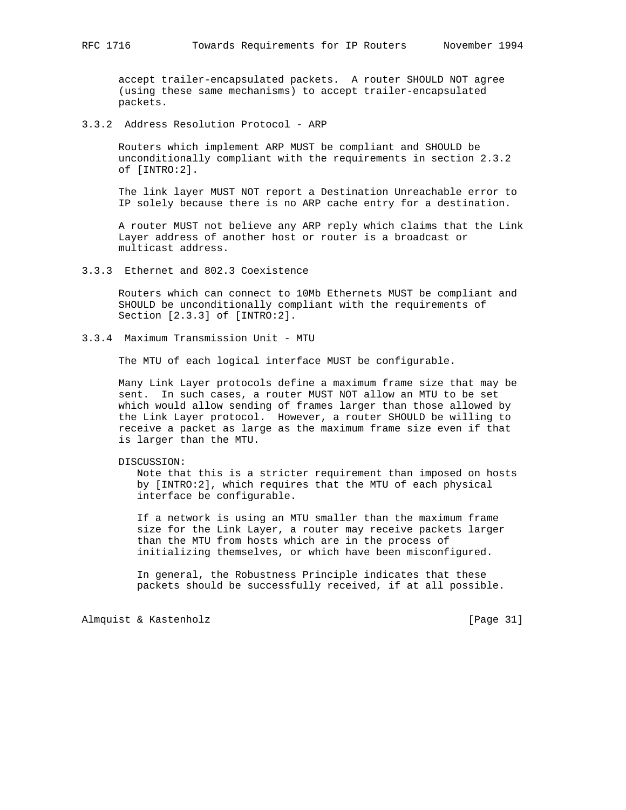accept trailer-encapsulated packets. A router SHOULD NOT agree (using these same mechanisms) to accept trailer-encapsulated packets.

# 3.3.2 Address Resolution Protocol - ARP

 Routers which implement ARP MUST be compliant and SHOULD be unconditionally compliant with the requirements in section 2.3.2 of [INTRO:2].

 The link layer MUST NOT report a Destination Unreachable error to IP solely because there is no ARP cache entry for a destination.

 A router MUST not believe any ARP reply which claims that the Link Layer address of another host or router is a broadcast or multicast address.

3.3.3 Ethernet and 802.3 Coexistence

 Routers which can connect to 10Mb Ethernets MUST be compliant and SHOULD be unconditionally compliant with the requirements of Section [2.3.3] of [INTRO:2].

3.3.4 Maximum Transmission Unit - MTU

The MTU of each logical interface MUST be configurable.

 Many Link Layer protocols define a maximum frame size that may be sent. In such cases, a router MUST NOT allow an MTU to be set which would allow sending of frames larger than those allowed by the Link Layer protocol. However, a router SHOULD be willing to receive a packet as large as the maximum frame size even if that is larger than the MTU.

#### DISCUSSION:

 Note that this is a stricter requirement than imposed on hosts by [INTRO:2], which requires that the MTU of each physical interface be configurable.

 If a network is using an MTU smaller than the maximum frame size for the Link Layer, a router may receive packets larger than the MTU from hosts which are in the process of initializing themselves, or which have been misconfigured.

 In general, the Robustness Principle indicates that these packets should be successfully received, if at all possible.

Almquist & Kastenholz [Page 31]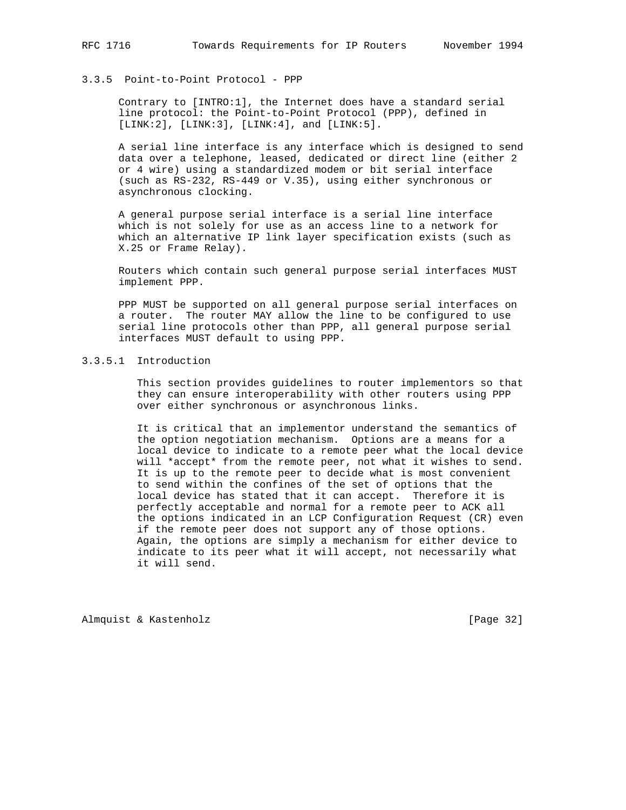## 3.3.5 Point-to-Point Protocol - PPP

 Contrary to [INTRO:1], the Internet does have a standard serial line protocol: the Point-to-Point Protocol (PPP), defined in  $[LINK:2]$ ,  $[LINK:3]$ ,  $[LINK:4]$ , and  $[LINK:5]$ .

 A serial line interface is any interface which is designed to send data over a telephone, leased, dedicated or direct line (either 2 or 4 wire) using a standardized modem or bit serial interface (such as RS-232, RS-449 or V.35), using either synchronous or asynchronous clocking.

 A general purpose serial interface is a serial line interface which is not solely for use as an access line to a network for which an alternative IP link layer specification exists (such as X.25 or Frame Relay).

 Routers which contain such general purpose serial interfaces MUST implement PPP.

 PPP MUST be supported on all general purpose serial interfaces on a router. The router MAY allow the line to be configured to use serial line protocols other than PPP, all general purpose serial interfaces MUST default to using PPP.

# 3.3.5.1 Introduction

 This section provides guidelines to router implementors so that they can ensure interoperability with other routers using PPP over either synchronous or asynchronous links.

 It is critical that an implementor understand the semantics of the option negotiation mechanism. Options are a means for a local device to indicate to a remote peer what the local device will \*accept\* from the remote peer, not what it wishes to send. It is up to the remote peer to decide what is most convenient to send within the confines of the set of options that the local device has stated that it can accept. Therefore it is perfectly acceptable and normal for a remote peer to ACK all the options indicated in an LCP Configuration Request (CR) even if the remote peer does not support any of those options. Again, the options are simply a mechanism for either device to indicate to its peer what it will accept, not necessarily what it will send.

Almquist & Kastenholz [Page 32]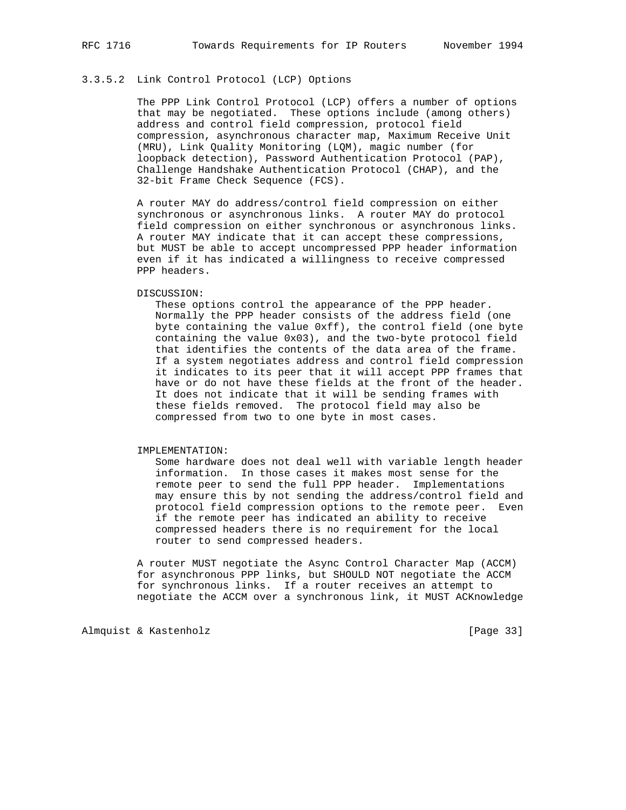# 3.3.5.2 Link Control Protocol (LCP) Options

 The PPP Link Control Protocol (LCP) offers a number of options that may be negotiated. These options include (among others) address and control field compression, protocol field compression, asynchronous character map, Maximum Receive Unit (MRU), Link Quality Monitoring (LQM), magic number (for loopback detection), Password Authentication Protocol (PAP), Challenge Handshake Authentication Protocol (CHAP), and the 32-bit Frame Check Sequence (FCS).

 A router MAY do address/control field compression on either synchronous or asynchronous links. A router MAY do protocol field compression on either synchronous or asynchronous links. A router MAY indicate that it can accept these compressions, but MUST be able to accept uncompressed PPP header information even if it has indicated a willingness to receive compressed PPP headers.

#### DISCUSSION:

 These options control the appearance of the PPP header. Normally the PPP header consists of the address field (one byte containing the value 0xff), the control field (one byte containing the value 0x03), and the two-byte protocol field that identifies the contents of the data area of the frame. If a system negotiates address and control field compression it indicates to its peer that it will accept PPP frames that have or do not have these fields at the front of the header. It does not indicate that it will be sending frames with these fields removed. The protocol field may also be compressed from two to one byte in most cases.

IMPLEMENTATION:

 Some hardware does not deal well with variable length header information. In those cases it makes most sense for the remote peer to send the full PPP header. Implementations may ensure this by not sending the address/control field and protocol field compression options to the remote peer. Even if the remote peer has indicated an ability to receive compressed headers there is no requirement for the local router to send compressed headers.

 A router MUST negotiate the Async Control Character Map (ACCM) for asynchronous PPP links, but SHOULD NOT negotiate the ACCM for synchronous links. If a router receives an attempt to negotiate the ACCM over a synchronous link, it MUST ACKnowledge

Almquist & Kastenholz [Page 33]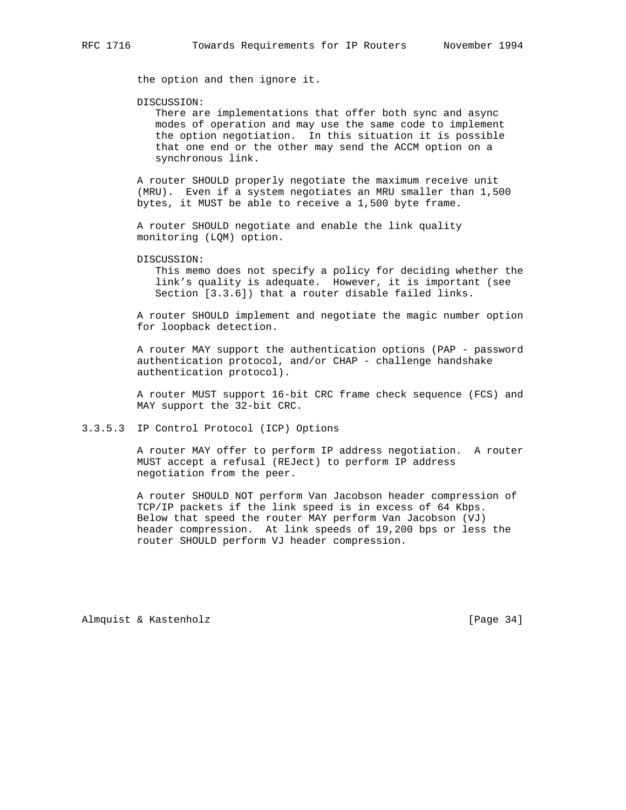the option and then ignore it.

DISCUSSION:

 There are implementations that offer both sync and async modes of operation and may use the same code to implement the option negotiation. In this situation it is possible that one end or the other may send the ACCM option on a synchronous link.

 A router SHOULD properly negotiate the maximum receive unit (MRU). Even if a system negotiates an MRU smaller than 1,500 bytes, it MUST be able to receive a 1,500 byte frame.

 A router SHOULD negotiate and enable the link quality monitoring (LQM) option.

DISCUSSION:

 This memo does not specify a policy for deciding whether the link's quality is adequate. However, it is important (see Section [3.3.6]) that a router disable failed links.

 A router SHOULD implement and negotiate the magic number option for loopback detection.

 A router MAY support the authentication options (PAP - password authentication protocol, and/or CHAP - challenge handshake authentication protocol).

 A router MUST support 16-bit CRC frame check sequence (FCS) and MAY support the 32-bit CRC.

3.3.5.3 IP Control Protocol (ICP) Options

 A router MAY offer to perform IP address negotiation. A router MUST accept a refusal (REJect) to perform IP address negotiation from the peer.

 A router SHOULD NOT perform Van Jacobson header compression of TCP/IP packets if the link speed is in excess of 64 Kbps. Below that speed the router MAY perform Van Jacobson (VJ) header compression. At link speeds of 19,200 bps or less the router SHOULD perform VJ header compression.

Almquist & Kastenholz [Page 34]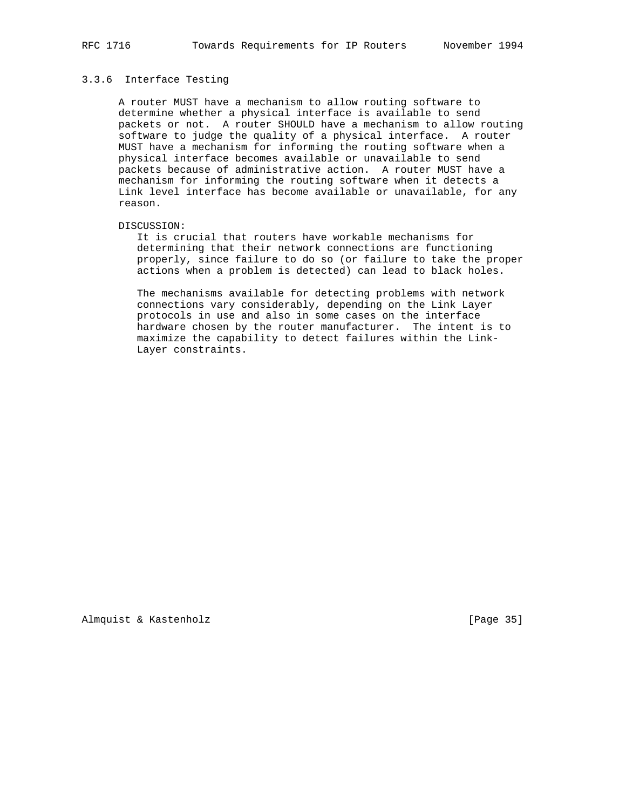## 3.3.6 Interface Testing

 A router MUST have a mechanism to allow routing software to determine whether a physical interface is available to send packets or not. A router SHOULD have a mechanism to allow routing software to judge the quality of a physical interface. A router MUST have a mechanism for informing the routing software when a physical interface becomes available or unavailable to send packets because of administrative action. A router MUST have a mechanism for informing the routing software when it detects a Link level interface has become available or unavailable, for any reason.

#### DISCUSSION:

 It is crucial that routers have workable mechanisms for determining that their network connections are functioning properly, since failure to do so (or failure to take the proper actions when a problem is detected) can lead to black holes.

 The mechanisms available for detecting problems with network connections vary considerably, depending on the Link Layer protocols in use and also in some cases on the interface hardware chosen by the router manufacturer. The intent is to maximize the capability to detect failures within the Link- Layer constraints.

Almquist & Kastenholz [Page 35]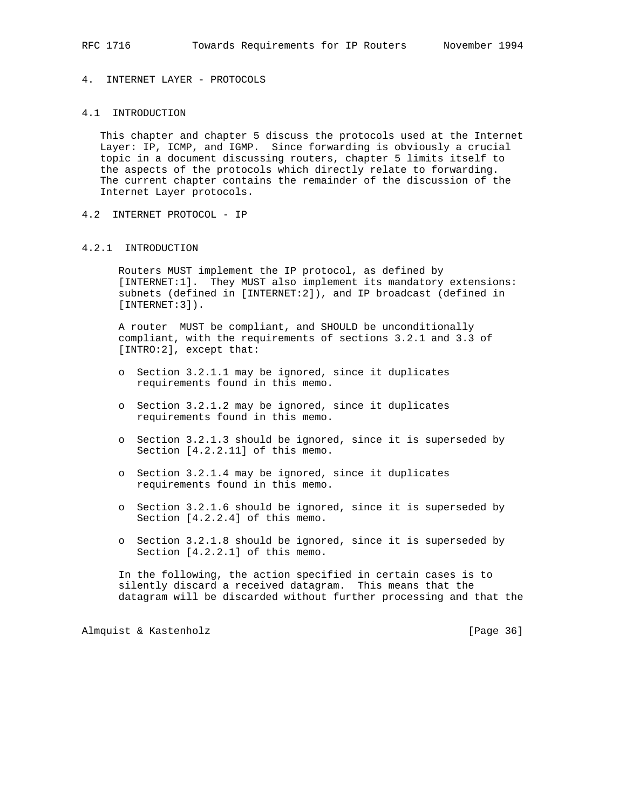# 4. INTERNET LAYER - PROTOCOLS

# 4.1 INTRODUCTION

 This chapter and chapter 5 discuss the protocols used at the Internet Layer: IP, ICMP, and IGMP. Since forwarding is obviously a crucial topic in a document discussing routers, chapter 5 limits itself to the aspects of the protocols which directly relate to forwarding. The current chapter contains the remainder of the discussion of the Internet Layer protocols.

4.2 INTERNET PROTOCOL - IP

### 4.2.1 INTRODUCTION

 Routers MUST implement the IP protocol, as defined by [INTERNET:1]. They MUST also implement its mandatory extensions: subnets (defined in [INTERNET:2]), and IP broadcast (defined in [INTERNET:3]).

 A router MUST be compliant, and SHOULD be unconditionally compliant, with the requirements of sections 3.2.1 and 3.3 of [INTRO:2], except that:

- o Section 3.2.1.1 may be ignored, since it duplicates requirements found in this memo.
- o Section 3.2.1.2 may be ignored, since it duplicates requirements found in this memo.
- o Section 3.2.1.3 should be ignored, since it is superseded by Section [4.2.2.11] of this memo.
- o Section 3.2.1.4 may be ignored, since it duplicates requirements found in this memo.
- o Section 3.2.1.6 should be ignored, since it is superseded by Section [4.2.2.4] of this memo.
- o Section 3.2.1.8 should be ignored, since it is superseded by Section [4.2.2.1] of this memo.

 In the following, the action specified in certain cases is to silently discard a received datagram. This means that the datagram will be discarded without further processing and that the

Almquist & Kastenholz [Page 36]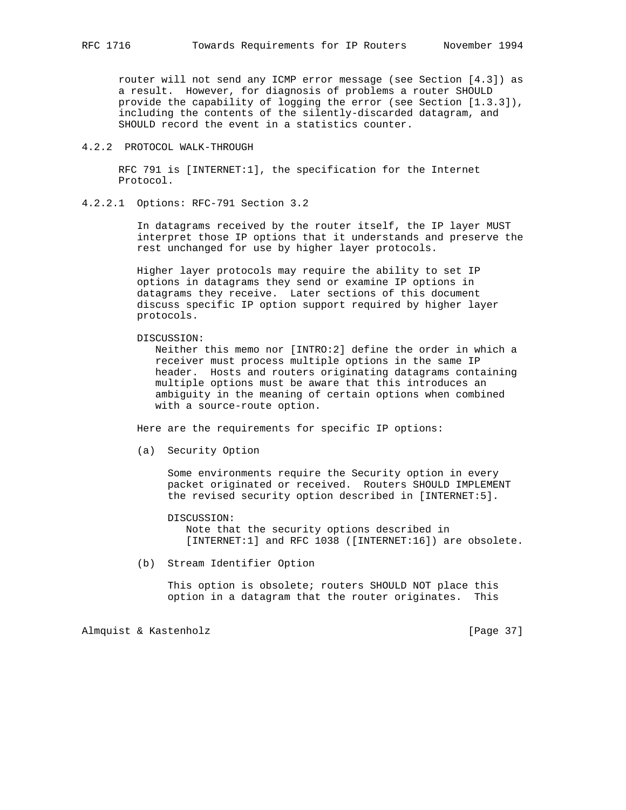router will not send any ICMP error message (see Section [4.3]) as a result. However, for diagnosis of problems a router SHOULD provide the capability of logging the error (see Section [1.3.3]), including the contents of the silently-discarded datagram, and SHOULD record the event in a statistics counter.

# 4.2.2 PROTOCOL WALK-THROUGH

 RFC 791 is [INTERNET:1], the specification for the Internet Protocol.

# 4.2.2.1 Options: RFC-791 Section 3.2

 In datagrams received by the router itself, the IP layer MUST interpret those IP options that it understands and preserve the rest unchanged for use by higher layer protocols.

 Higher layer protocols may require the ability to set IP options in datagrams they send or examine IP options in datagrams they receive. Later sections of this document discuss specific IP option support required by higher layer protocols.

#### DISCUSSION:

 Neither this memo nor [INTRO:2] define the order in which a receiver must process multiple options in the same IP header. Hosts and routers originating datagrams containing multiple options must be aware that this introduces an ambiguity in the meaning of certain options when combined with a source-route option.

Here are the requirements for specific IP options:

(a) Security Option

 Some environments require the Security option in every packet originated or received. Routers SHOULD IMPLEMENT the revised security option described in [INTERNET:5].

DISCUSSION:

 Note that the security options described in [INTERNET:1] and RFC 1038 ([INTERNET:16]) are obsolete.

(b) Stream Identifier Option

This option is obsolete; routers SHOULD NOT place this option in a datagram that the router originates. This

Almquist & Kastenholz [Page 37]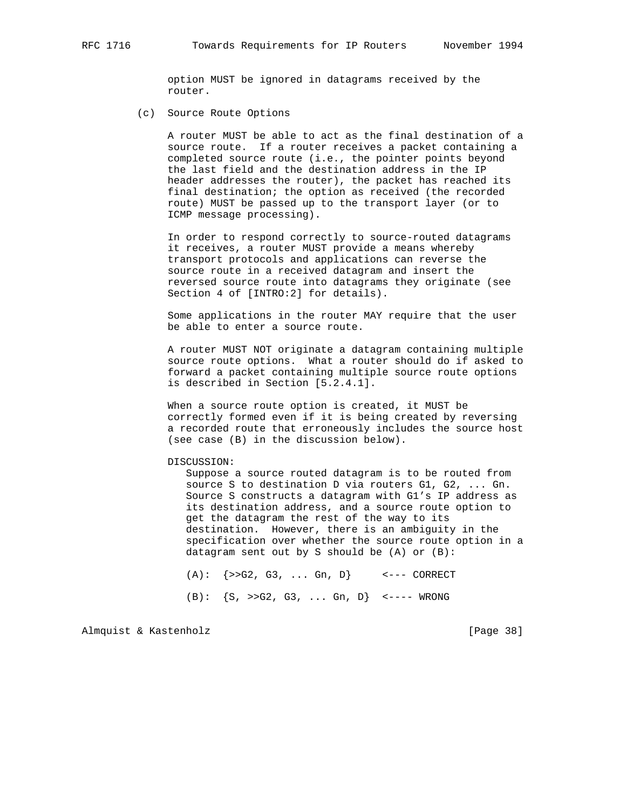option MUST be ignored in datagrams received by the router.

(c) Source Route Options

 A router MUST be able to act as the final destination of a source route. If a router receives a packet containing a completed source route (i.e., the pointer points beyond the last field and the destination address in the IP header addresses the router), the packet has reached its final destination; the option as received (the recorded route) MUST be passed up to the transport layer (or to ICMP message processing).

 In order to respond correctly to source-routed datagrams it receives, a router MUST provide a means whereby transport protocols and applications can reverse the source route in a received datagram and insert the reversed source route into datagrams they originate (see Section 4 of [INTRO:2] for details).

 Some applications in the router MAY require that the user be able to enter a source route.

 A router MUST NOT originate a datagram containing multiple source route options. What a router should do if asked to forward a packet containing multiple source route options is described in Section [5.2.4.1].

 When a source route option is created, it MUST be correctly formed even if it is being created by reversing a recorded route that erroneously includes the source host (see case (B) in the discussion below).

#### DISCUSSION:

 Suppose a source routed datagram is to be routed from source S to destination D via routers G1, G2, ... Gn. Source S constructs a datagram with G1's IP address as its destination address, and a source route option to get the datagram the rest of the way to its destination. However, there is an ambiguity in the specification over whether the source route option in a datagram sent out by S should be (A) or (B):

 $(A): \{>>G2, G3, ... Gn, D\}$  <--- CORRECT

(B):  $\{S, \rangle > G2, G3, \ldots Gn, D\}$  <---- WRONG

Almquist & Kastenholz [Page 38]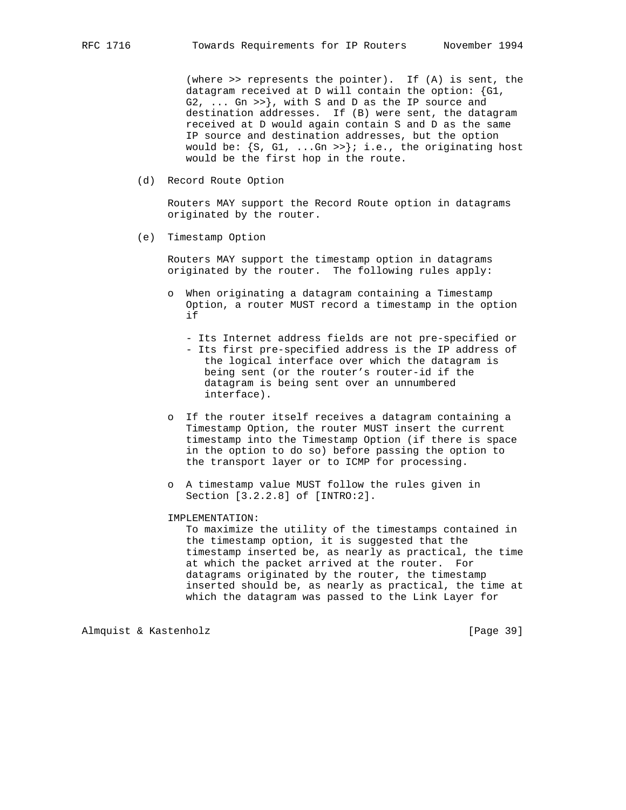(where >> represents the pointer). If (A) is sent, the datagram received at D will contain the option: {G1, G2, ... Gn >>}, with S and D as the IP source and destination addresses. If (B) were sent, the datagram received at D would again contain S and D as the same IP source and destination addresses, but the option would be:  $\{S, G1, \ldots, Gn \gg\}$ ; i.e., the originating host would be the first hop in the route.

(d) Record Route Option

 Routers MAY support the Record Route option in datagrams originated by the router.

(e) Timestamp Option

 Routers MAY support the timestamp option in datagrams originated by the router. The following rules apply:

- o When originating a datagram containing a Timestamp Option, a router MUST record a timestamp in the option if and the state of the state of the state of the state of the state of the state of the state of the state of the state of the state of the state of the state of the state of the state of the state of the state of the sta
	- Its Internet address fields are not pre-specified or
	- Its first pre-specified address is the IP address of the logical interface over which the datagram is being sent (or the router's router-id if the datagram is being sent over an unnumbered interface).
	- o If the router itself receives a datagram containing a Timestamp Option, the router MUST insert the current timestamp into the Timestamp Option (if there is space in the option to do so) before passing the option to the transport layer or to ICMP for processing.
	- o A timestamp value MUST follow the rules given in Section [3.2.2.8] of [INTRO:2].

### IMPLEMENTATION:

 To maximize the utility of the timestamps contained in the timestamp option, it is suggested that the timestamp inserted be, as nearly as practical, the time at which the packet arrived at the router. For datagrams originated by the router, the timestamp inserted should be, as nearly as practical, the time at which the datagram was passed to the Link Layer for

Almquist & Kastenholz [Page 39]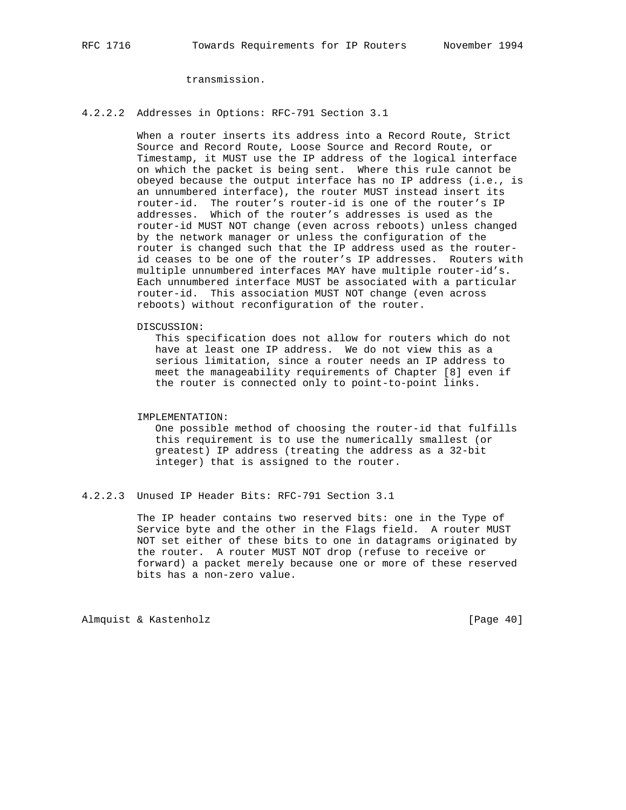transmission.

### 4.2.2.2 Addresses in Options: RFC-791 Section 3.1

 When a router inserts its address into a Record Route, Strict Source and Record Route, Loose Source and Record Route, or Timestamp, it MUST use the IP address of the logical interface on which the packet is being sent. Where this rule cannot be obeyed because the output interface has no IP address (i.e., is an unnumbered interface), the router MUST instead insert its router-id. The router's router-id is one of the router's IP addresses. Which of the router's addresses is used as the router-id MUST NOT change (even across reboots) unless changed by the network manager or unless the configuration of the router is changed such that the IP address used as the router id ceases to be one of the router's IP addresses. Routers with multiple unnumbered interfaces MAY have multiple router-id's. Each unnumbered interface MUST be associated with a particular router-id. This association MUST NOT change (even across reboots) without reconfiguration of the router.

DISCUSSION:

 This specification does not allow for routers which do not have at least one IP address. We do not view this as a serious limitation, since a router needs an IP address to meet the manageability requirements of Chapter [8] even if the router is connected only to point-to-point links.

### IMPLEMENTATION:

 One possible method of choosing the router-id that fulfills this requirement is to use the numerically smallest (or greatest) IP address (treating the address as a 32-bit integer) that is assigned to the router.

4.2.2.3 Unused IP Header Bits: RFC-791 Section 3.1

 The IP header contains two reserved bits: one in the Type of Service byte and the other in the Flags field. A router MUST NOT set either of these bits to one in datagrams originated by the router. A router MUST NOT drop (refuse to receive or forward) a packet merely because one or more of these reserved bits has a non-zero value.

Almquist & Kastenholz [Page 40]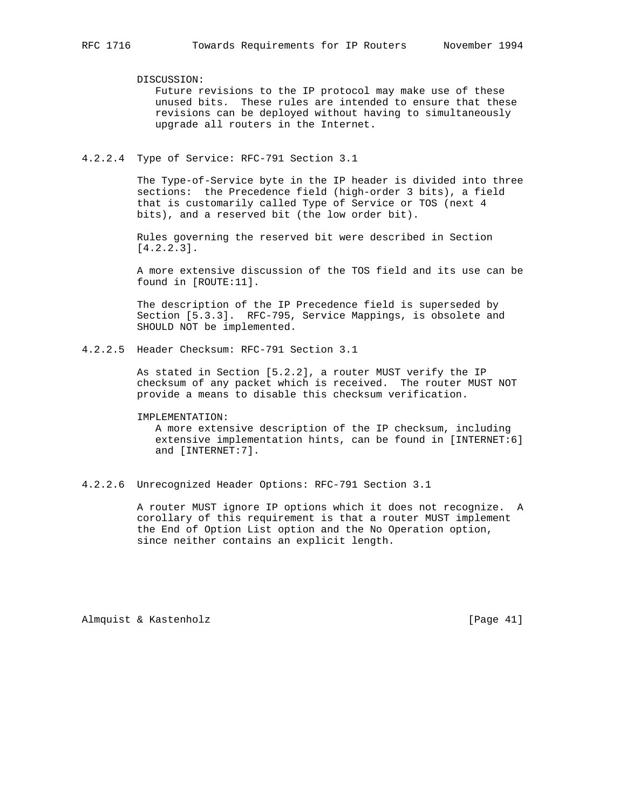DISCUSSION:

 Future revisions to the IP protocol may make use of these unused bits. These rules are intended to ensure that these revisions can be deployed without having to simultaneously upgrade all routers in the Internet.

4.2.2.4 Type of Service: RFC-791 Section 3.1

 The Type-of-Service byte in the IP header is divided into three sections: the Precedence field (high-order 3 bits), a field that is customarily called Type of Service or TOS (next 4 bits), and a reserved bit (the low order bit).

 Rules governing the reserved bit were described in Section [4.2.2.3].

 A more extensive discussion of the TOS field and its use can be found in [ROUTE:11].

 The description of the IP Precedence field is superseded by Section [5.3.3]. RFC-795, Service Mappings, is obsolete and SHOULD NOT be implemented.

4.2.2.5 Header Checksum: RFC-791 Section 3.1

 As stated in Section [5.2.2], a router MUST verify the IP checksum of any packet which is received. The router MUST NOT provide a means to disable this checksum verification.

#### IMPLEMENTATION:

 A more extensive description of the IP checksum, including extensive implementation hints, can be found in [INTERNET:6] and [INTERNET:7].

4.2.2.6 Unrecognized Header Options: RFC-791 Section 3.1

 A router MUST ignore IP options which it does not recognize. A corollary of this requirement is that a router MUST implement the End of Option List option and the No Operation option, since neither contains an explicit length.

Almquist & Kastenholz [Page 41]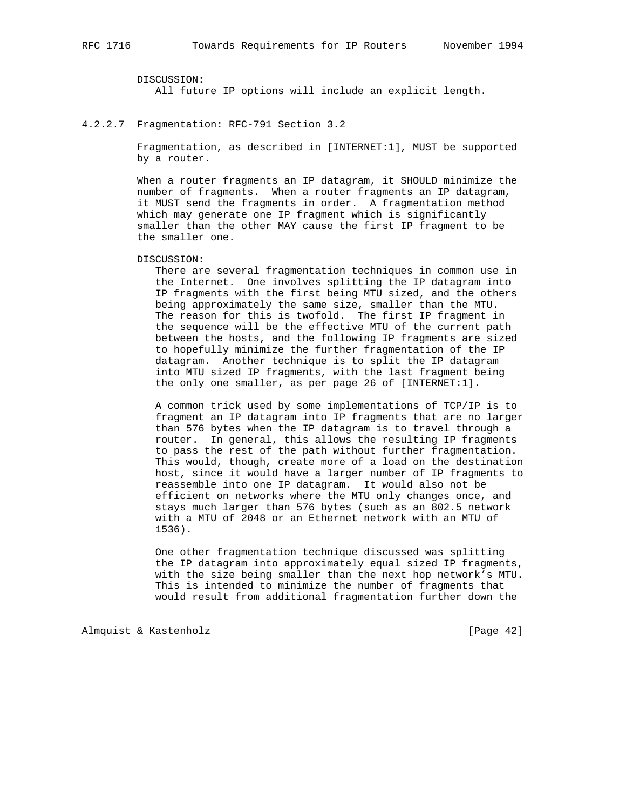DISCUSSION: All future IP options will include an explicit length.

#### 4.2.2.7 Fragmentation: RFC-791 Section 3.2

 Fragmentation, as described in [INTERNET:1], MUST be supported by a router.

 When a router fragments an IP datagram, it SHOULD minimize the number of fragments. When a router fragments an IP datagram, it MUST send the fragments in order. A fragmentation method which may generate one IP fragment which is significantly smaller than the other MAY cause the first IP fragment to be the smaller one.

#### DISCUSSION:

 There are several fragmentation techniques in common use in the Internet. One involves splitting the IP datagram into IP fragments with the first being MTU sized, and the others being approximately the same size, smaller than the MTU. The reason for this is twofold. The first IP fragment in the sequence will be the effective MTU of the current path between the hosts, and the following IP fragments are sized to hopefully minimize the further fragmentation of the IP datagram. Another technique is to split the IP datagram into MTU sized IP fragments, with the last fragment being the only one smaller, as per page 26 of [INTERNET:1].

 A common trick used by some implementations of TCP/IP is to fragment an IP datagram into IP fragments that are no larger than 576 bytes when the IP datagram is to travel through a router. In general, this allows the resulting IP fragments to pass the rest of the path without further fragmentation. This would, though, create more of a load on the destination host, since it would have a larger number of IP fragments to reassemble into one IP datagram. It would also not be efficient on networks where the MTU only changes once, and stays much larger than 576 bytes (such as an 802.5 network with a MTU of 2048 or an Ethernet network with an MTU of 1536).

 One other fragmentation technique discussed was splitting the IP datagram into approximately equal sized IP fragments, with the size being smaller than the next hop network's MTU. This is intended to minimize the number of fragments that would result from additional fragmentation further down the

Almquist & Kastenholz [Page 42]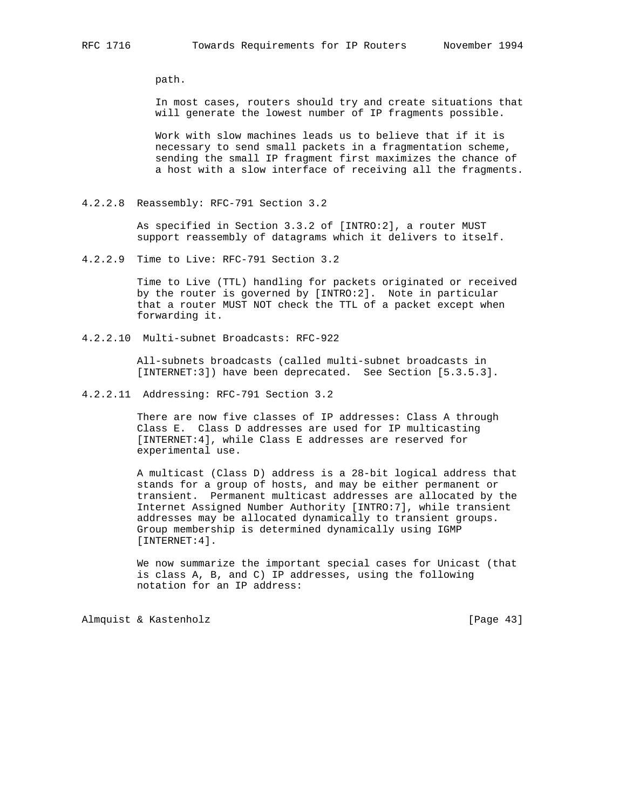path.

 In most cases, routers should try and create situations that will generate the lowest number of IP fragments possible.

 Work with slow machines leads us to believe that if it is necessary to send small packets in a fragmentation scheme, sending the small IP fragment first maximizes the chance of a host with a slow interface of receiving all the fragments.

4.2.2.8 Reassembly: RFC-791 Section 3.2

 As specified in Section 3.3.2 of [INTRO:2], a router MUST support reassembly of datagrams which it delivers to itself.

4.2.2.9 Time to Live: RFC-791 Section 3.2

 Time to Live (TTL) handling for packets originated or received by the router is governed by [INTRO:2]. Note in particular that a router MUST NOT check the TTL of a packet except when forwarding it.

4.2.2.10 Multi-subnet Broadcasts: RFC-922

 All-subnets broadcasts (called multi-subnet broadcasts in [INTERNET:3]) have been deprecated. See Section [5.3.5.3].

4.2.2.11 Addressing: RFC-791 Section 3.2

 There are now five classes of IP addresses: Class A through Class E. Class D addresses are used for IP multicasting [INTERNET:4], while Class E addresses are reserved for experimental use.

 A multicast (Class D) address is a 28-bit logical address that stands for a group of hosts, and may be either permanent or transient. Permanent multicast addresses are allocated by the Internet Assigned Number Authority [INTRO:7], while transient addresses may be allocated dynamically to transient groups. Group membership is determined dynamically using IGMP [INTERNET:4].

 We now summarize the important special cases for Unicast (that is class A, B, and C) IP addresses, using the following notation for an IP address:

Almquist & Kastenholz [Page 43]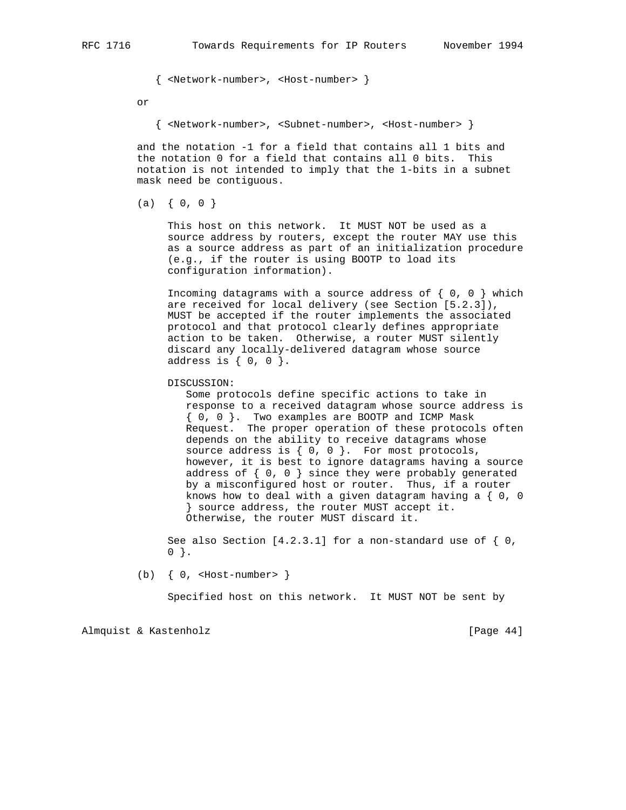{ <Network-number>, <Host-number> }

or

{ <Network-number>, <Subnet-number>, <Host-number> }

 and the notation -1 for a field that contains all 1 bits and the notation 0 for a field that contains all 0 bits. This notation is not intended to imply that the 1-bits in a subnet mask need be contiguous.

 $(a) \{ 0, 0 \}$ 

 This host on this network. It MUST NOT be used as a source address by routers, except the router MAY use this as a source address as part of an initialization procedure (e.g., if the router is using BOOTP to load its configuration information).

Incoming datagrams with a source address of  $\{ 0, 0 \}$  which are received for local delivery (see Section [5.2.3]), MUST be accepted if the router implements the associated protocol and that protocol clearly defines appropriate action to be taken. Otherwise, a router MUST silently discard any locally-delivered datagram whose source address is  $\{ 0, 0 \}$ .

DISCUSSION:

 Some protocols define specific actions to take in response to a received datagram whose source address is { 0, 0 }. Two examples are BOOTP and ICMP Mask Request. The proper operation of these protocols often depends on the ability to receive datagrams whose source address is  $\{ 0, 0 \}$ . For most protocols, however, it is best to ignore datagrams having a source address of  $\{ 0, 0 \}$  since they were probably generated by a misconfigured host or router. Thus, if a router knows how to deal with a given datagram having a  $\{ 0, 0 \}$  } source address, the router MUST accept it. Otherwise, the router MUST discard it.

 See also Section [4.2.3.1] for a non-standard use of { 0,  $0$  }.

(b)  $\{ 0,$  <Host-number>  $\}$ 

Specified host on this network. It MUST NOT be sent by

Almquist & Kastenholz [Page 44]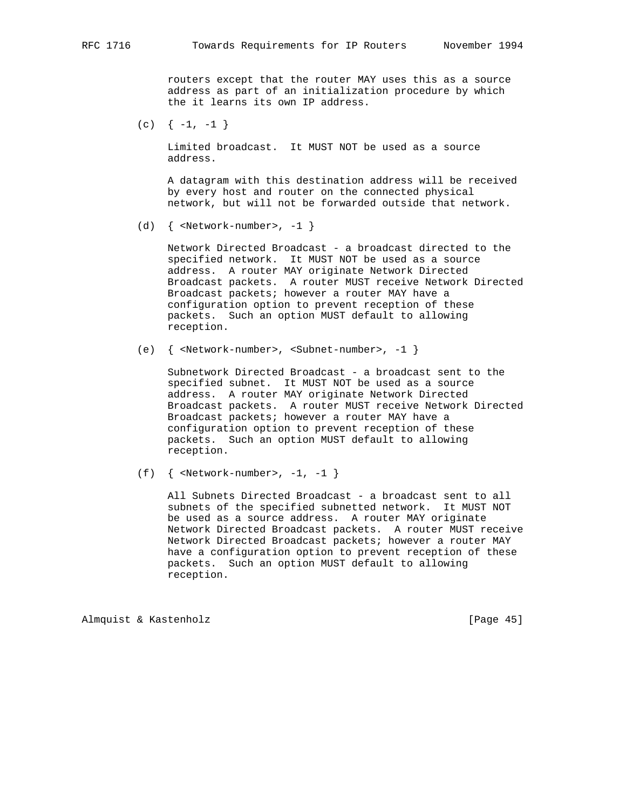routers except that the router MAY uses this as a source address as part of an initialization procedure by which the it learns its own IP address.

 $(c)$  {  $-1, -1$ }

 Limited broadcast. It MUST NOT be used as a source address.

 A datagram with this destination address will be received by every host and router on the connected physical network, but will not be forwarded outside that network.

(d)  $\{$  <Network-number>, -1  $\}$ 

 Network Directed Broadcast - a broadcast directed to the specified network. It MUST NOT be used as a source address. A router MAY originate Network Directed Broadcast packets. A router MUST receive Network Directed Broadcast packets; however a router MAY have a configuration option to prevent reception of these packets. Such an option MUST default to allowing reception.

(e) { <Network-number>, <Subnet-number>, -1 }

 Subnetwork Directed Broadcast - a broadcast sent to the specified subnet. It MUST NOT be used as a source address. A router MAY originate Network Directed Broadcast packets. A router MUST receive Network Directed Broadcast packets; however a router MAY have a configuration option to prevent reception of these packets. Such an option MUST default to allowing reception.

(f) {  $\langle Network-number \rangle$ , -1, -1 }

 All Subnets Directed Broadcast - a broadcast sent to all subnets of the specified subnetted network. It MUST NOT be used as a source address. A router MAY originate Network Directed Broadcast packets. A router MUST receive Network Directed Broadcast packets; however a router MAY have a configuration option to prevent reception of these packets. Such an option MUST default to allowing reception.

Almquist & Kastenholz [Page 45]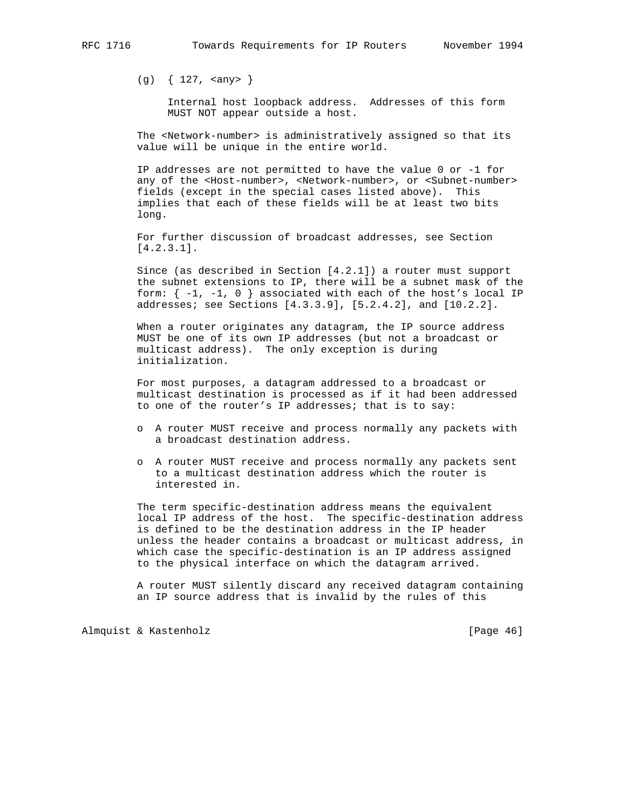(g) { 127, <any> }

 Internal host loopback address. Addresses of this form MUST NOT appear outside a host.

 The <Network-number> is administratively assigned so that its value will be unique in the entire world.

 IP addresses are not permitted to have the value 0 or -1 for any of the <Host-number>, <Network-number>, or <Subnet-number> fields (except in the special cases listed above). This implies that each of these fields will be at least two bits long.

 For further discussion of broadcast addresses, see Section [4.2.3.1].

 Since (as described in Section [4.2.1]) a router must support the subnet extensions to IP, there will be a subnet mask of the form:  $\{-1, -1, 0\}$  associated with each of the host's local IP addresses; see Sections [4.3.3.9], [5.2.4.2], and [10.2.2].

 When a router originates any datagram, the IP source address MUST be one of its own IP addresses (but not a broadcast or multicast address). The only exception is during initialization.

 For most purposes, a datagram addressed to a broadcast or multicast destination is processed as if it had been addressed to one of the router's IP addresses; that is to say:

- o A router MUST receive and process normally any packets with a broadcast destination address.
- o A router MUST receive and process normally any packets sent to a multicast destination address which the router is interested in.

 The term specific-destination address means the equivalent local IP address of the host. The specific-destination address is defined to be the destination address in the IP header unless the header contains a broadcast or multicast address, in which case the specific-destination is an IP address assigned to the physical interface on which the datagram arrived.

 A router MUST silently discard any received datagram containing an IP source address that is invalid by the rules of this

Almquist & Kastenholz [Page 46]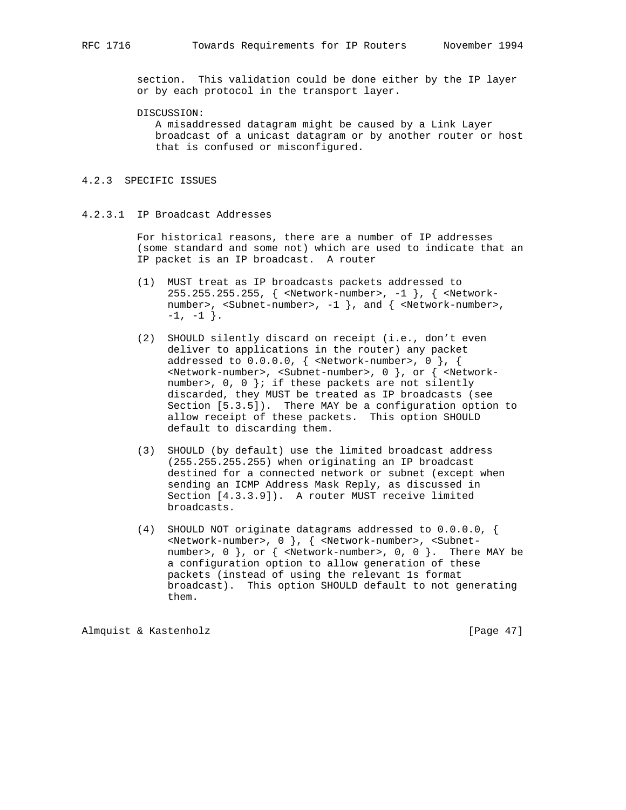section. This validation could be done either by the IP layer or by each protocol in the transport layer.

DISCUSSION:

 A misaddressed datagram might be caused by a Link Layer broadcast of a unicast datagram or by another router or host that is confused or misconfigured.

### 4.2.3 SPECIFIC ISSUES

# 4.2.3.1 IP Broadcast Addresses

 For historical reasons, there are a number of IP addresses (some standard and some not) which are used to indicate that an IP packet is an IP broadcast. A router

- (1) MUST treat as IP broadcasts packets addressed to 255.255.255.255, { <Network-number>, -1 }, { <Network number>, <Subnet-number>, -1 }, and { <Network-number>,  $-1, -1$  }.
- (2) SHOULD silently discard on receipt (i.e., don't even deliver to applications in the router) any packet addressed to  $0.0.0.0$ ,  $\{$  <Network-number>,  $0$  },  $\{$  <Network-number>, <Subnet-number>, 0 }, or { <Network number>,  $0$ ,  $0$  }; if these packets are not silently discarded, they MUST be treated as IP broadcasts (see Section [5.3.5]). There MAY be a configuration option to allow receipt of these packets. This option SHOULD default to discarding them.
- (3) SHOULD (by default) use the limited broadcast address (255.255.255.255) when originating an IP broadcast destined for a connected network or subnet (except when sending an ICMP Address Mask Reply, as discussed in Section [4.3.3.9]). A router MUST receive limited broadcasts.
- (4) SHOULD NOT originate datagrams addressed to 0.0.0.0, { <Network-number>, 0 }, { <Network-number>, <Subnet number>, 0 }, or { <Network-number>, 0, 0 }. There MAY be a configuration option to allow generation of these packets (instead of using the relevant 1s format broadcast). This option SHOULD default to not generating them.

Almquist & Kastenholz [Page 47]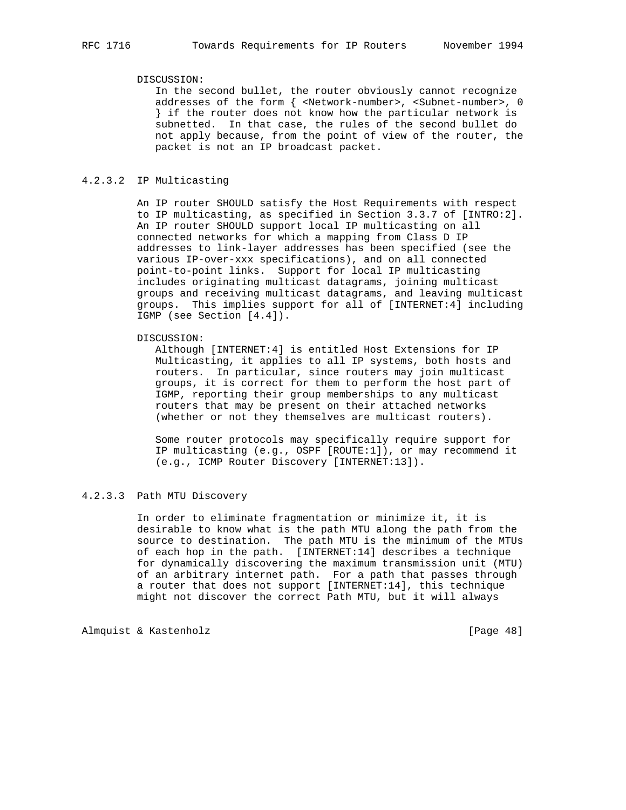### DISCUSSION:

 In the second bullet, the router obviously cannot recognize addresses of the form { <Network-number>, <Subnet-number>, 0 } if the router does not know how the particular network is subnetted. In that case, the rules of the second bullet do not apply because, from the point of view of the router, the packet is not an IP broadcast packet.

### 4.2.3.2 IP Multicasting

 An IP router SHOULD satisfy the Host Requirements with respect to IP multicasting, as specified in Section 3.3.7 of [INTRO:2]. An IP router SHOULD support local IP multicasting on all connected networks for which a mapping from Class D IP addresses to link-layer addresses has been specified (see the various IP-over-xxx specifications), and on all connected point-to-point links. Support for local IP multicasting includes originating multicast datagrams, joining multicast groups and receiving multicast datagrams, and leaving multicast groups. This implies support for all of [INTERNET:4] including IGMP (see Section [4.4]).

### DISCUSSION:

 Although [INTERNET:4] is entitled Host Extensions for IP Multicasting, it applies to all IP systems, both hosts and routers. In particular, since routers may join multicast groups, it is correct for them to perform the host part of IGMP, reporting their group memberships to any multicast routers that may be present on their attached networks (whether or not they themselves are multicast routers).

 Some router protocols may specifically require support for IP multicasting (e.g., OSPF [ROUTE:1]), or may recommend it (e.g., ICMP Router Discovery [INTERNET:13]).

# 4.2.3.3 Path MTU Discovery

 In order to eliminate fragmentation or minimize it, it is desirable to know what is the path MTU along the path from the source to destination. The path MTU is the minimum of the MTUs of each hop in the path. [INTERNET:14] describes a technique for dynamically discovering the maximum transmission unit (MTU) of an arbitrary internet path. For a path that passes through a router that does not support [INTERNET:14], this technique might not discover the correct Path MTU, but it will always

Almquist & Kastenholz [Page 48]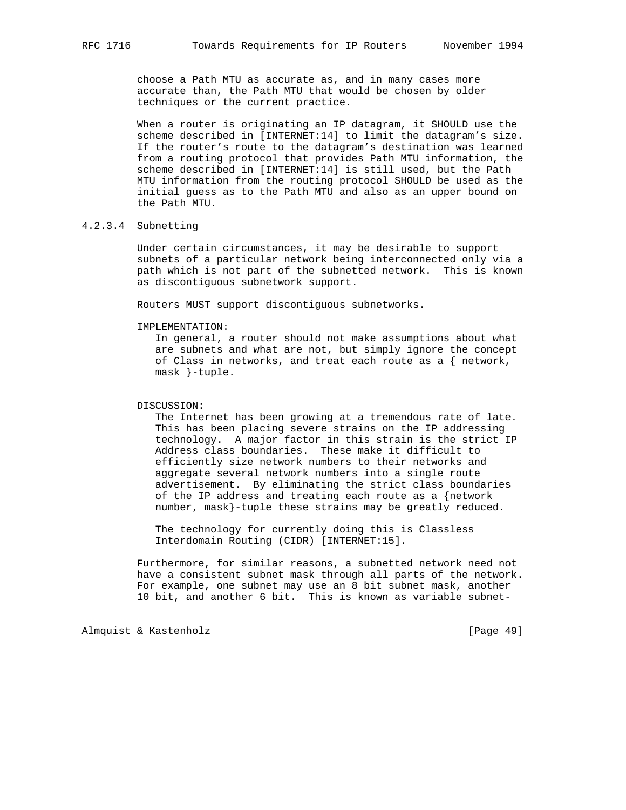choose a Path MTU as accurate as, and in many cases more accurate than, the Path MTU that would be chosen by older techniques or the current practice.

 When a router is originating an IP datagram, it SHOULD use the scheme described in [INTERNET:14] to limit the datagram's size. If the router's route to the datagram's destination was learned from a routing protocol that provides Path MTU information, the scheme described in [INTERNET:14] is still used, but the Path MTU information from the routing protocol SHOULD be used as the initial guess as to the Path MTU and also as an upper bound on the Path MTU.

# 4.2.3.4 Subnetting

 Under certain circumstances, it may be desirable to support subnets of a particular network being interconnected only via a path which is not part of the subnetted network. This is known as discontiguous subnetwork support.

Routers MUST support discontiguous subnetworks.

#### IMPLEMENTATION:

 In general, a router should not make assumptions about what are subnets and what are not, but simply ignore the concept of Class in networks, and treat each route as a  $\{$  network, mask }-tuple.

### DISCUSSION:

 The Internet has been growing at a tremendous rate of late. This has been placing severe strains on the IP addressing technology. A major factor in this strain is the strict IP Address class boundaries. These make it difficult to efficiently size network numbers to their networks and aggregate several network numbers into a single route advertisement. By eliminating the strict class boundaries of the IP address and treating each route as a {network number, mask}-tuple these strains may be greatly reduced.

 The technology for currently doing this is Classless Interdomain Routing (CIDR) [INTERNET:15].

 Furthermore, for similar reasons, a subnetted network need not have a consistent subnet mask through all parts of the network. For example, one subnet may use an 8 bit subnet mask, another 10 bit, and another 6 bit. This is known as variable subnet-

Almquist & Kastenholz [Page 49]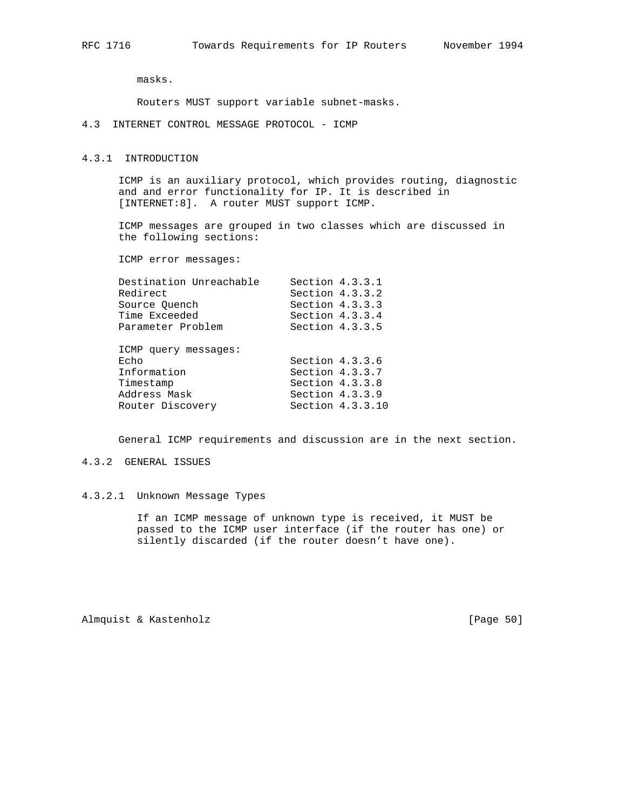masks.

Routers MUST support variable subnet-masks.

4.3 INTERNET CONTROL MESSAGE PROTOCOL - ICMP

### 4.3.1 INTRODUCTION

 ICMP is an auxiliary protocol, which provides routing, diagnostic and and error functionality for IP. It is described in [INTERNET:8]. A router MUST support ICMP.

 ICMP messages are grouped in two classes which are discussed in the following sections:

ICMP error messages:

| Destination Unreachable<br>Redirect<br>Source Ouench<br>Time Exceeded<br>Parameter Problem   | Section $4.3.3.1$<br>Section $4.3.3.2$<br>Section 4.3.3.3<br>Section 4.3.3.4<br>Section $4.3.3.5$ |                  |
|----------------------------------------------------------------------------------------------|---------------------------------------------------------------------------------------------------|------------------|
| ICMP query messages:<br>Echo<br>Information<br>Timestamp<br>Address Mask<br>Router Discovery | Section $4.3.3.6$<br>Section 4.3.3.7<br>Section $4.3.3.8$<br>Section $4.3.3.9$                    | Section 4.3.3.10 |

General ICMP requirements and discussion are in the next section.

# 4.3.2 GENERAL ISSUES

# 4.3.2.1 Unknown Message Types

 If an ICMP message of unknown type is received, it MUST be passed to the ICMP user interface (if the router has one) or silently discarded (if the router doesn't have one).

Almquist & Kastenholz [Page 50]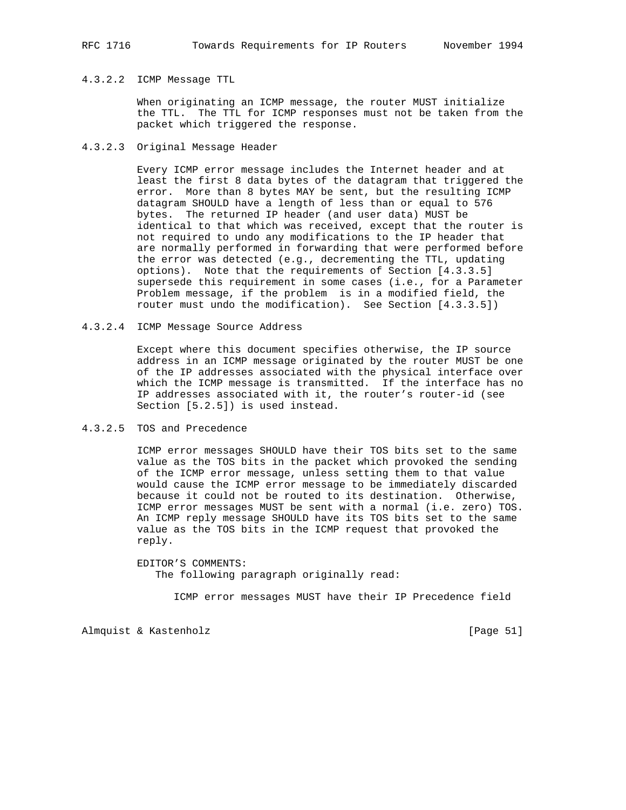## 4.3.2.2 ICMP Message TTL

 When originating an ICMP message, the router MUST initialize the TTL. The TTL for ICMP responses must not be taken from the packet which triggered the response.

### 4.3.2.3 Original Message Header

 Every ICMP error message includes the Internet header and at least the first 8 data bytes of the datagram that triggered the error. More than 8 bytes MAY be sent, but the resulting ICMP datagram SHOULD have a length of less than or equal to 576 bytes. The returned IP header (and user data) MUST be identical to that which was received, except that the router is not required to undo any modifications to the IP header that are normally performed in forwarding that were performed before the error was detected (e.g., decrementing the TTL, updating options). Note that the requirements of Section [4.3.3.5] supersede this requirement in some cases (i.e., for a Parameter Problem message, if the problem is in a modified field, the router must undo the modification). See Section [4.3.3.5])

4.3.2.4 ICMP Message Source Address

 Except where this document specifies otherwise, the IP source address in an ICMP message originated by the router MUST be one of the IP addresses associated with the physical interface over which the ICMP message is transmitted. If the interface has no IP addresses associated with it, the router's router-id (see Section [5.2.5]) is used instead.

## 4.3.2.5 TOS and Precedence

 ICMP error messages SHOULD have their TOS bits set to the same value as the TOS bits in the packet which provoked the sending of the ICMP error message, unless setting them to that value would cause the ICMP error message to be immediately discarded because it could not be routed to its destination. Otherwise, ICMP error messages MUST be sent with a normal (i.e. zero) TOS. An ICMP reply message SHOULD have its TOS bits set to the same value as the TOS bits in the ICMP request that provoked the reply.

 EDITOR'S COMMENTS: The following paragraph originally read:

ICMP error messages MUST have their IP Precedence field

Almquist & Kastenholz [Page 51]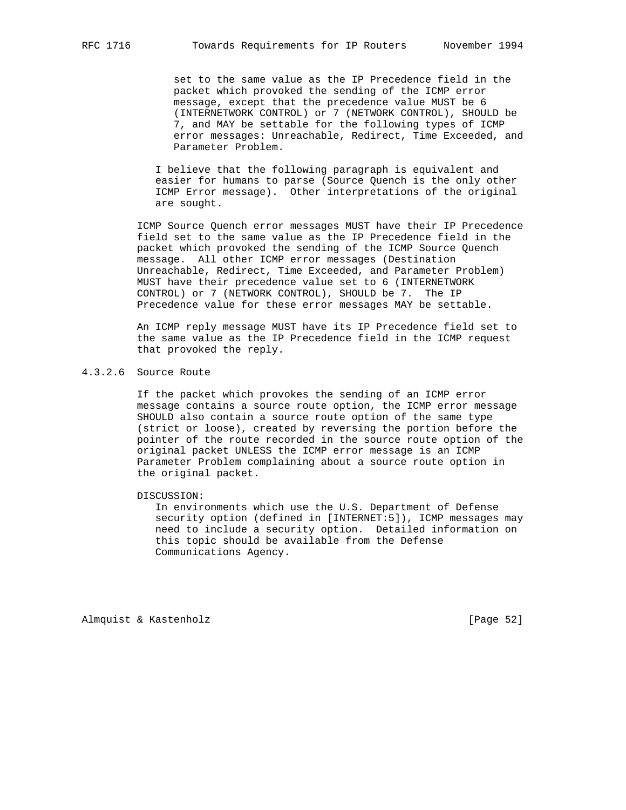set to the same value as the IP Precedence field in the packet which provoked the sending of the ICMP error message, except that the precedence value MUST be 6 (INTERNETWORK CONTROL) or 7 (NETWORK CONTROL), SHOULD be 7, and MAY be settable for the following types of ICMP error messages: Unreachable, Redirect, Time Exceeded, and Parameter Problem.

 I believe that the following paragraph is equivalent and easier for humans to parse (Source Quench is the only other ICMP Error message). Other interpretations of the original are sought.

 ICMP Source Quench error messages MUST have their IP Precedence field set to the same value as the IP Precedence field in the packet which provoked the sending of the ICMP Source Quench message. All other ICMP error messages (Destination Unreachable, Redirect, Time Exceeded, and Parameter Problem) MUST have their precedence value set to 6 (INTERNETWORK CONTROL) or 7 (NETWORK CONTROL), SHOULD be 7. The IP Precedence value for these error messages MAY be settable.

 An ICMP reply message MUST have its IP Precedence field set to the same value as the IP Precedence field in the ICMP request that provoked the reply.

# 4.3.2.6 Source Route

 If the packet which provokes the sending of an ICMP error message contains a source route option, the ICMP error message SHOULD also contain a source route option of the same type (strict or loose), created by reversing the portion before the pointer of the route recorded in the source route option of the original packet UNLESS the ICMP error message is an ICMP Parameter Problem complaining about a source route option in the original packet.

DISCUSSION:

 In environments which use the U.S. Department of Defense security option (defined in [INTERNET:5]), ICMP messages may need to include a security option. Detailed information on this topic should be available from the Defense Communications Agency.

Almquist & Kastenholz [Page 52]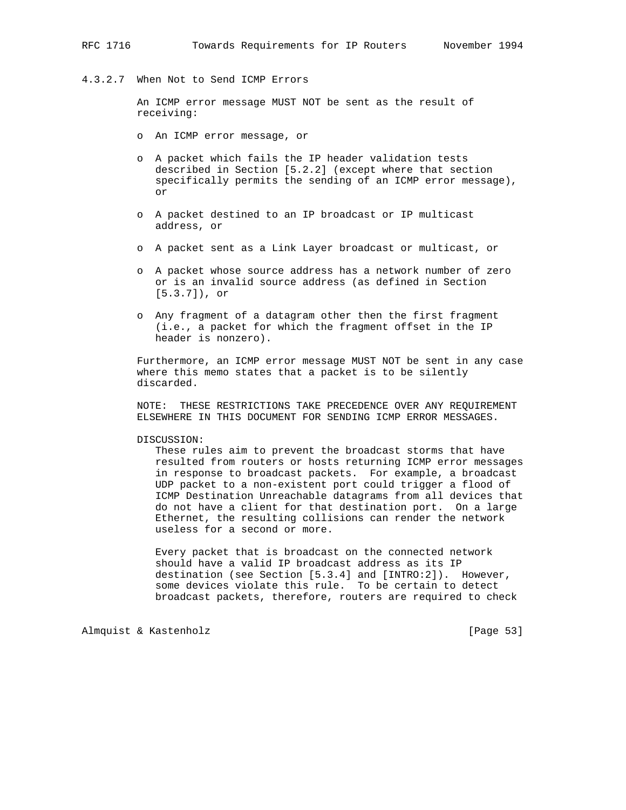## 4.3.2.7 When Not to Send ICMP Errors

 An ICMP error message MUST NOT be sent as the result of receiving:

- o An ICMP error message, or
- o A packet which fails the IP header validation tests described in Section [5.2.2] (except where that section specifically permits the sending of an ICMP error message), or
- o A packet destined to an IP broadcast or IP multicast address, or
- o A packet sent as a Link Layer broadcast or multicast, or
- o A packet whose source address has a network number of zero or is an invalid source address (as defined in Section [5.3.7]), or
- o Any fragment of a datagram other then the first fragment (i.e., a packet for which the fragment offset in the IP header is nonzero).

 Furthermore, an ICMP error message MUST NOT be sent in any case where this memo states that a packet is to be silently discarded.

 NOTE: THESE RESTRICTIONS TAKE PRECEDENCE OVER ANY REQUIREMENT ELSEWHERE IN THIS DOCUMENT FOR SENDING ICMP ERROR MESSAGES.

### DISCUSSION:

 These rules aim to prevent the broadcast storms that have resulted from routers or hosts returning ICMP error messages in response to broadcast packets. For example, a broadcast UDP packet to a non-existent port could trigger a flood of ICMP Destination Unreachable datagrams from all devices that do not have a client for that destination port. On a large Ethernet, the resulting collisions can render the network useless for a second or more.

 Every packet that is broadcast on the connected network should have a valid IP broadcast address as its IP destination (see Section [5.3.4] and [INTRO:2]). However, some devices violate this rule. To be certain to detect broadcast packets, therefore, routers are required to check

Almquist & Kastenholz [Page 53]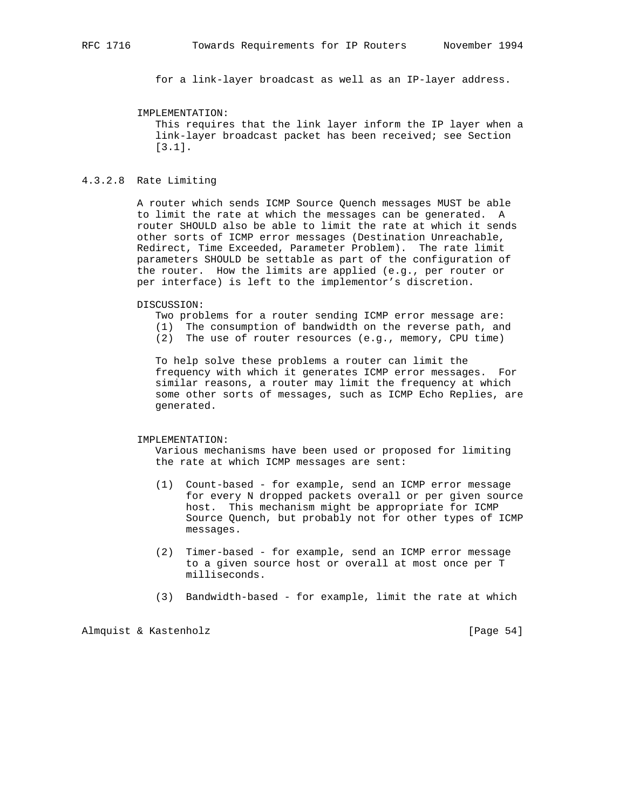for a link-layer broadcast as well as an IP-layer address.

### IMPLEMENTATION:

 This requires that the link layer inform the IP layer when a link-layer broadcast packet has been received; see Section [3.1].

### 4.3.2.8 Rate Limiting

 A router which sends ICMP Source Quench messages MUST be able to limit the rate at which the messages can be generated. A router SHOULD also be able to limit the rate at which it sends other sorts of ICMP error messages (Destination Unreachable, Redirect, Time Exceeded, Parameter Problem). The rate limit parameters SHOULD be settable as part of the configuration of the router. How the limits are applied (e.g., per router or per interface) is left to the implementor's discretion.

#### DISCUSSION:

- Two problems for a router sending ICMP error message are:
- (1) The consumption of bandwidth on the reverse path, and
- (2) The use of router resources (e.g., memory, CPU time)

 To help solve these problems a router can limit the frequency with which it generates ICMP error messages. For similar reasons, a router may limit the frequency at which some other sorts of messages, such as ICMP Echo Replies, are generated.

#### IMPLEMENTATION:

 Various mechanisms have been used or proposed for limiting the rate at which ICMP messages are sent:

- (1) Count-based for example, send an ICMP error message for every N dropped packets overall or per given source host. This mechanism might be appropriate for ICMP Source Quench, but probably not for other types of ICMP messages.
- (2) Timer-based for example, send an ICMP error message to a given source host or overall at most once per T milliseconds.
- (3) Bandwidth-based for example, limit the rate at which

Almquist & Kastenholz [Page 54]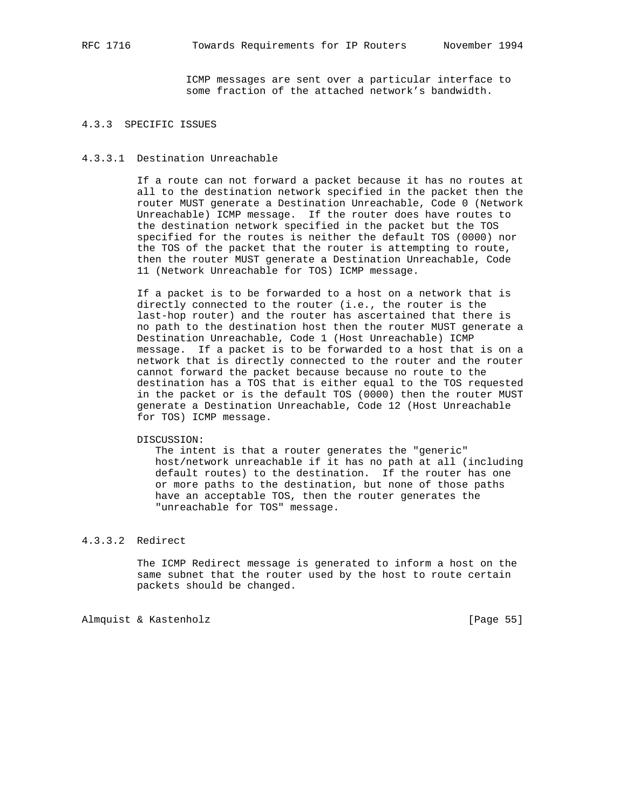ICMP messages are sent over a particular interface to some fraction of the attached network's bandwidth.

## 4.3.3 SPECIFIC ISSUES

### 4.3.3.1 Destination Unreachable

 If a route can not forward a packet because it has no routes at all to the destination network specified in the packet then the router MUST generate a Destination Unreachable, Code 0 (Network Unreachable) ICMP message. If the router does have routes to the destination network specified in the packet but the TOS specified for the routes is neither the default TOS (0000) nor the TOS of the packet that the router is attempting to route, then the router MUST generate a Destination Unreachable, Code 11 (Network Unreachable for TOS) ICMP message.

 If a packet is to be forwarded to a host on a network that is directly connected to the router (i.e., the router is the last-hop router) and the router has ascertained that there is no path to the destination host then the router MUST generate a Destination Unreachable, Code 1 (Host Unreachable) ICMP message. If a packet is to be forwarded to a host that is on a network that is directly connected to the router and the router cannot forward the packet because because no route to the destination has a TOS that is either equal to the TOS requested in the packet or is the default TOS (0000) then the router MUST generate a Destination Unreachable, Code 12 (Host Unreachable for TOS) ICMP message.

### DISCUSSION:

 The intent is that a router generates the "generic" host/network unreachable if it has no path at all (including default routes) to the destination. If the router has one or more paths to the destination, but none of those paths have an acceptable TOS, then the router generates the "unreachable for TOS" message.

# 4.3.3.2 Redirect

 The ICMP Redirect message is generated to inform a host on the same subnet that the router used by the host to route certain packets should be changed.

Almquist & Kastenholz [Page 55]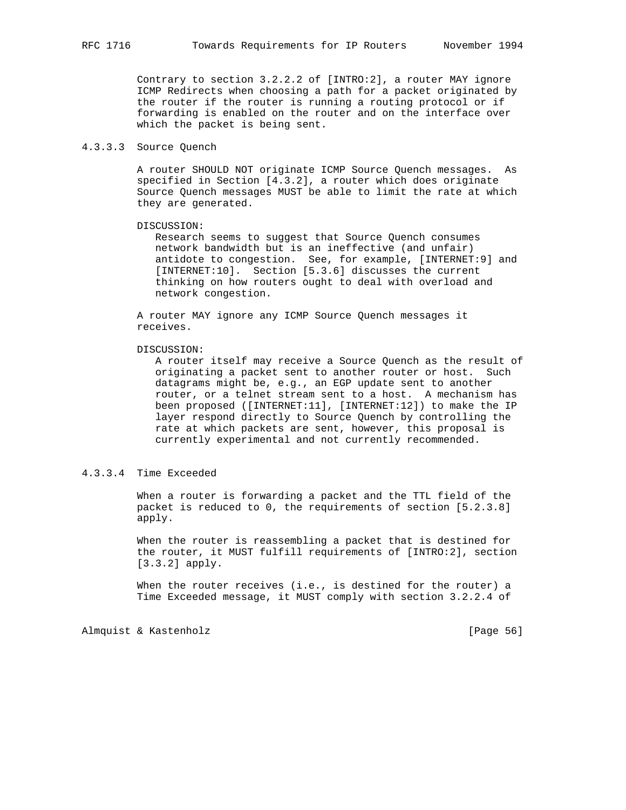Contrary to section 3.2.2.2 of [INTRO:2], a router MAY ignore ICMP Redirects when choosing a path for a packet originated by the router if the router is running a routing protocol or if forwarding is enabled on the router and on the interface over which the packet is being sent.

### 4.3.3.3 Source Quench

 A router SHOULD NOT originate ICMP Source Quench messages. As specified in Section [4.3.2], a router which does originate Source Quench messages MUST be able to limit the rate at which they are generated.

### DISCUSSION:

 Research seems to suggest that Source Quench consumes network bandwidth but is an ineffective (and unfair) antidote to congestion. See, for example, [INTERNET:9] and [INTERNET:10]. Section [5.3.6] discusses the current thinking on how routers ought to deal with overload and network congestion.

 A router MAY ignore any ICMP Source Quench messages it receives.

#### DISCUSSION:

 A router itself may receive a Source Quench as the result of originating a packet sent to another router or host. Such datagrams might be, e.g., an EGP update sent to another router, or a telnet stream sent to a host. A mechanism has been proposed ([INTERNET:11], [INTERNET:12]) to make the IP layer respond directly to Source Quench by controlling the rate at which packets are sent, however, this proposal is currently experimental and not currently recommended.

# 4.3.3.4 Time Exceeded

 When a router is forwarding a packet and the TTL field of the packet is reduced to 0, the requirements of section [5.2.3.8] apply.

 When the router is reassembling a packet that is destined for the router, it MUST fulfill requirements of [INTRO:2], section [3.3.2] apply.

When the router receives (i.e., is destined for the router) a Time Exceeded message, it MUST comply with section 3.2.2.4 of

Almquist & Kastenholz [Page 56]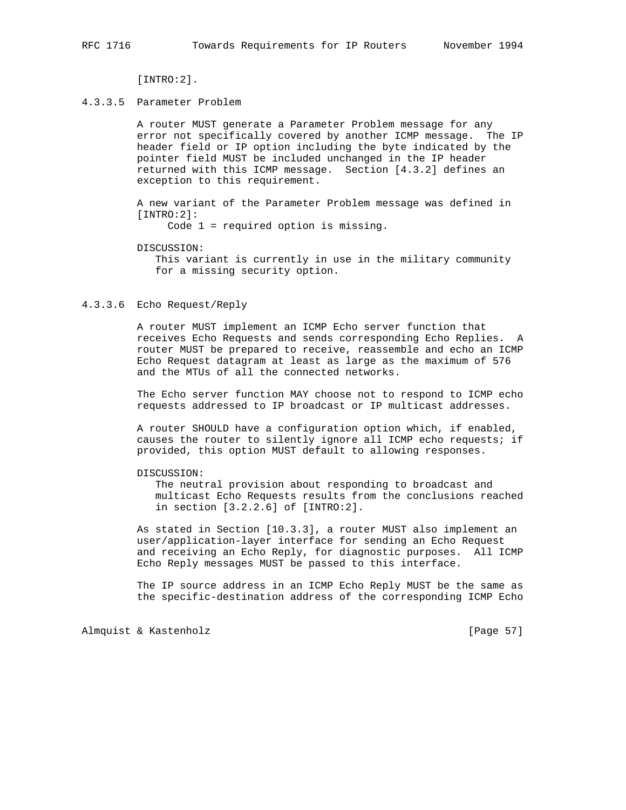[INTRO:2].

### 4.3.3.5 Parameter Problem

 A router MUST generate a Parameter Problem message for any error not specifically covered by another ICMP message. The IP header field or IP option including the byte indicated by the pointer field MUST be included unchanged in the IP header returned with this ICMP message. Section [4.3.2] defines an exception to this requirement.

 A new variant of the Parameter Problem message was defined in [INTRO:2]:

Code 1 = required option is missing.

DISCUSSION:

 This variant is currently in use in the military community for a missing security option.

#### 4.3.3.6 Echo Request/Reply

 A router MUST implement an ICMP Echo server function that receives Echo Requests and sends corresponding Echo Replies. A router MUST be prepared to receive, reassemble and echo an ICMP Echo Request datagram at least as large as the maximum of 576 and the MTUs of all the connected networks.

 The Echo server function MAY choose not to respond to ICMP echo requests addressed to IP broadcast or IP multicast addresses.

 A router SHOULD have a configuration option which, if enabled, causes the router to silently ignore all ICMP echo requests; if provided, this option MUST default to allowing responses.

### DISCUSSION:

 The neutral provision about responding to broadcast and multicast Echo Requests results from the conclusions reached in section [3.2.2.6] of [INTRO:2].

 As stated in Section [10.3.3], a router MUST also implement an user/application-layer interface for sending an Echo Request and receiving an Echo Reply, for diagnostic purposes. All ICMP Echo Reply messages MUST be passed to this interface.

 The IP source address in an ICMP Echo Reply MUST be the same as the specific-destination address of the corresponding ICMP Echo

Almquist & Kastenholz [Page 57]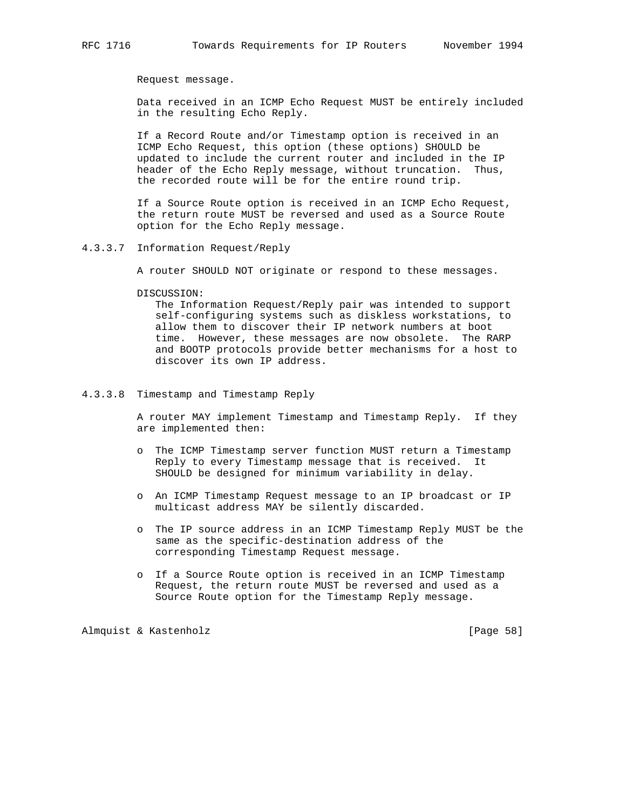Request message.

 Data received in an ICMP Echo Request MUST be entirely included in the resulting Echo Reply.

 If a Record Route and/or Timestamp option is received in an ICMP Echo Request, this option (these options) SHOULD be updated to include the current router and included in the IP header of the Echo Reply message, without truncation. Thus, the recorded route will be for the entire round trip.

 If a Source Route option is received in an ICMP Echo Request, the return route MUST be reversed and used as a Source Route option for the Echo Reply message.

4.3.3.7 Information Request/Reply

A router SHOULD NOT originate or respond to these messages.

#### DISCUSSION:

 The Information Request/Reply pair was intended to support self-configuring systems such as diskless workstations, to allow them to discover their IP network numbers at boot time. However, these messages are now obsolete. The RARP and BOOTP protocols provide better mechanisms for a host to discover its own IP address.

### 4.3.3.8 Timestamp and Timestamp Reply

 A router MAY implement Timestamp and Timestamp Reply. If they are implemented then:

- o The ICMP Timestamp server function MUST return a Timestamp Reply to every Timestamp message that is received. It SHOULD be designed for minimum variability in delay.
- o An ICMP Timestamp Request message to an IP broadcast or IP multicast address MAY be silently discarded.
- o The IP source address in an ICMP Timestamp Reply MUST be the same as the specific-destination address of the corresponding Timestamp Request message.
- o If a Source Route option is received in an ICMP Timestamp Request, the return route MUST be reversed and used as a Source Route option for the Timestamp Reply message.

Almquist & Kastenholz [Page 58]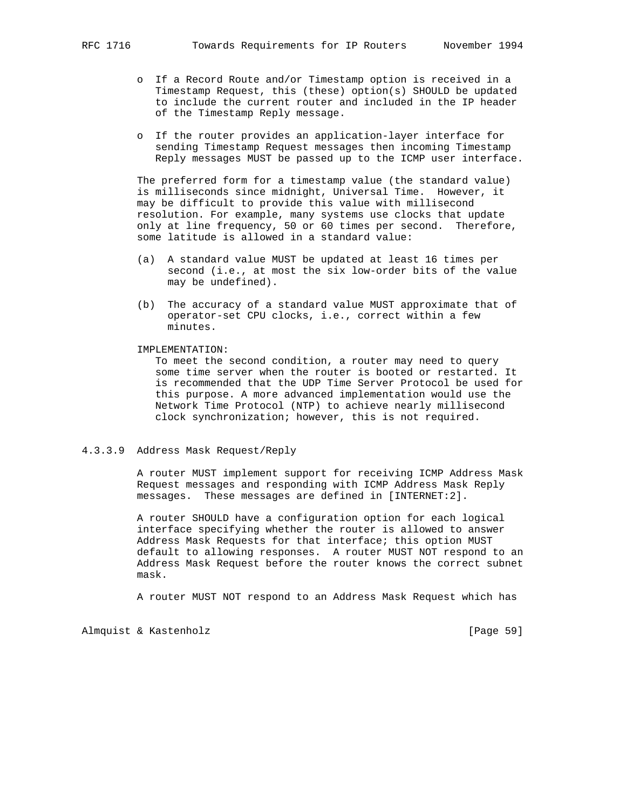- o If a Record Route and/or Timestamp option is received in a Timestamp Request, this (these) option(s) SHOULD be updated to include the current router and included in the IP header of the Timestamp Reply message.
- o If the router provides an application-layer interface for sending Timestamp Request messages then incoming Timestamp Reply messages MUST be passed up to the ICMP user interface.

 The preferred form for a timestamp value (the standard value) is milliseconds since midnight, Universal Time. However, it may be difficult to provide this value with millisecond resolution. For example, many systems use clocks that update only at line frequency, 50 or 60 times per second. Therefore, some latitude is allowed in a standard value:

- (a) A standard value MUST be updated at least 16 times per second (i.e., at most the six low-order bits of the value may be undefined).
- (b) The accuracy of a standard value MUST approximate that of operator-set CPU clocks, i.e., correct within a few minutes.

IMPLEMENTATION:

 To meet the second condition, a router may need to query some time server when the router is booted or restarted. It is recommended that the UDP Time Server Protocol be used for this purpose. A more advanced implementation would use the Network Time Protocol (NTP) to achieve nearly millisecond clock synchronization; however, this is not required.

### 4.3.3.9 Address Mask Request/Reply

 A router MUST implement support for receiving ICMP Address Mask Request messages and responding with ICMP Address Mask Reply messages. These messages are defined in [INTERNET:2].

 A router SHOULD have a configuration option for each logical interface specifying whether the router is allowed to answer Address Mask Requests for that interface; this option MUST default to allowing responses. A router MUST NOT respond to an Address Mask Request before the router knows the correct subnet mask.

A router MUST NOT respond to an Address Mask Request which has

Almquist & Kastenholz [Page 59]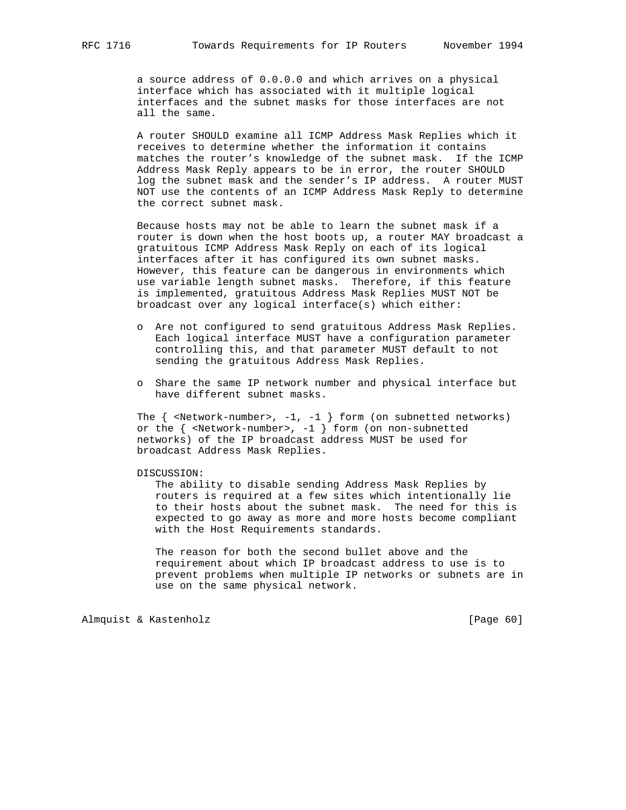a source address of 0.0.0.0 and which arrives on a physical interface which has associated with it multiple logical interfaces and the subnet masks for those interfaces are not all the same.

 A router SHOULD examine all ICMP Address Mask Replies which it receives to determine whether the information it contains matches the router's knowledge of the subnet mask. If the ICMP Address Mask Reply appears to be in error, the router SHOULD log the subnet mask and the sender's IP address. A router MUST NOT use the contents of an ICMP Address Mask Reply to determine the correct subnet mask.

 Because hosts may not be able to learn the subnet mask if a router is down when the host boots up, a router MAY broadcast a gratuitous ICMP Address Mask Reply on each of its logical interfaces after it has configured its own subnet masks. However, this feature can be dangerous in environments which use variable length subnet masks. Therefore, if this feature is implemented, gratuitous Address Mask Replies MUST NOT be broadcast over any logical interface(s) which either:

- o Are not configured to send gratuitous Address Mask Replies. Each logical interface MUST have a configuration parameter controlling this, and that parameter MUST default to not sending the gratuitous Address Mask Replies.
- o Share the same IP network number and physical interface but have different subnet masks.

The  $\{$  <Network-number>, -1, -1  $\}$  form (on subnetted networks) or the { <Network-number>, -1 } form (on non-subnetted networks) of the IP broadcast address MUST be used for broadcast Address Mask Replies.

DISCUSSION:

 The ability to disable sending Address Mask Replies by routers is required at a few sites which intentionally lie to their hosts about the subnet mask. The need for this is expected to go away as more and more hosts become compliant with the Host Requirements standards.

 The reason for both the second bullet above and the requirement about which IP broadcast address to use is to prevent problems when multiple IP networks or subnets are in use on the same physical network.

Almquist & Kastenholz [Page 60]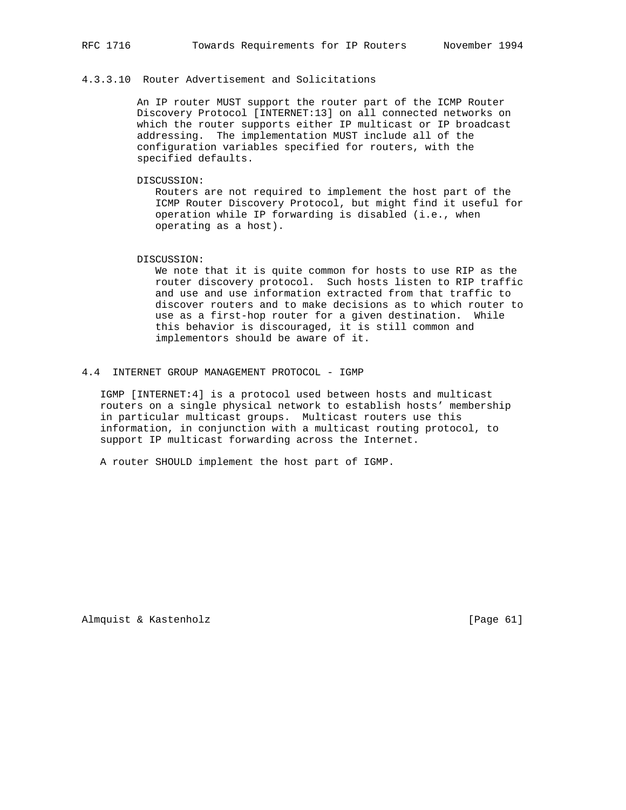## 4.3.3.10 Router Advertisement and Solicitations

 An IP router MUST support the router part of the ICMP Router Discovery Protocol [INTERNET:13] on all connected networks on which the router supports either IP multicast or IP broadcast addressing. The implementation MUST include all of the configuration variables specified for routers, with the specified defaults.

DISCUSSION:

 Routers are not required to implement the host part of the ICMP Router Discovery Protocol, but might find it useful for operation while IP forwarding is disabled (i.e., when operating as a host).

DISCUSSION:

 We note that it is quite common for hosts to use RIP as the router discovery protocol. Such hosts listen to RIP traffic and use and use information extracted from that traffic to discover routers and to make decisions as to which router to use as a first-hop router for a given destination. While this behavior is discouraged, it is still common and implementors should be aware of it.

4.4 INTERNET GROUP MANAGEMENT PROTOCOL - IGMP

 IGMP [INTERNET:4] is a protocol used between hosts and multicast routers on a single physical network to establish hosts' membership in particular multicast groups. Multicast routers use this information, in conjunction with a multicast routing protocol, to support IP multicast forwarding across the Internet.

A router SHOULD implement the host part of IGMP.

Almquist & Kastenholz [Page 61]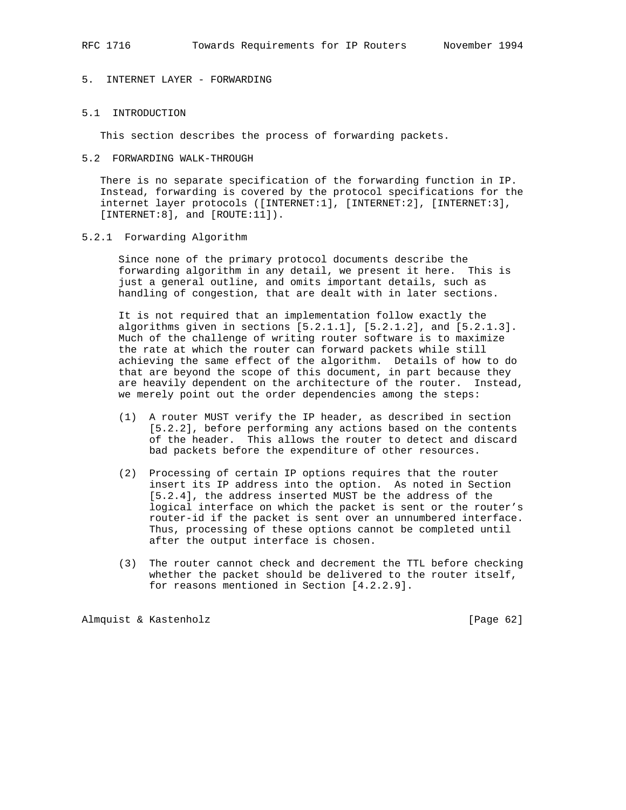# 5. INTERNET LAYER - FORWARDING

# 5.1 INTRODUCTION

This section describes the process of forwarding packets.

5.2 FORWARDING WALK-THROUGH

 There is no separate specification of the forwarding function in IP. Instead, forwarding is covered by the protocol specifications for the internet layer protocols ([INTERNET:1], [INTERNET:2], [INTERNET:3], [INTERNET:8], and [ROUTE:11]).

5.2.1 Forwarding Algorithm

 Since none of the primary protocol documents describe the forwarding algorithm in any detail, we present it here. This is just a general outline, and omits important details, such as handling of congestion, that are dealt with in later sections.

 It is not required that an implementation follow exactly the algorithms given in sections  $[5.2.1.1]$ ,  $[5.2.1.2]$ , and  $[5.2.1.3]$ . Much of the challenge of writing router software is to maximize the rate at which the router can forward packets while still achieving the same effect of the algorithm. Details of how to do that are beyond the scope of this document, in part because they are heavily dependent on the architecture of the router. Instead, we merely point out the order dependencies among the steps:

- (1) A router MUST verify the IP header, as described in section [5.2.2], before performing any actions based on the contents of the header. This allows the router to detect and discard bad packets before the expenditure of other resources.
- (2) Processing of certain IP options requires that the router insert its IP address into the option. As noted in Section [5.2.4], the address inserted MUST be the address of the logical interface on which the packet is sent or the router's router-id if the packet is sent over an unnumbered interface. Thus, processing of these options cannot be completed until after the output interface is chosen.
- (3) The router cannot check and decrement the TTL before checking whether the packet should be delivered to the router itself, for reasons mentioned in Section [4.2.2.9].

Almquist & Kastenholz [Page 62]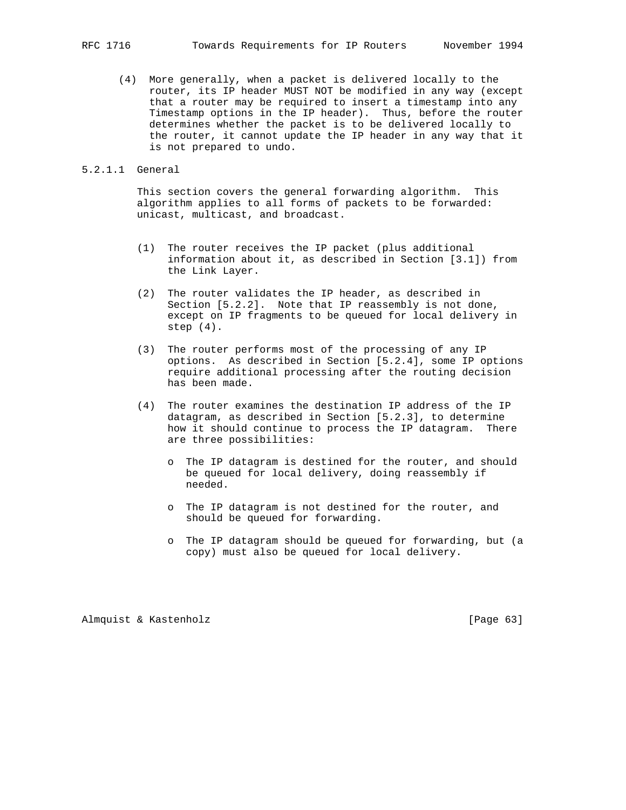(4) More generally, when a packet is delivered locally to the router, its IP header MUST NOT be modified in any way (except that a router may be required to insert a timestamp into any Timestamp options in the IP header). Thus, before the router determines whether the packet is to be delivered locally to the router, it cannot update the IP header in any way that it is not prepared to undo.

### 5.2.1.1 General

 This section covers the general forwarding algorithm. This algorithm applies to all forms of packets to be forwarded: unicast, multicast, and broadcast.

- (1) The router receives the IP packet (plus additional information about it, as described in Section [3.1]) from the Link Layer.
- (2) The router validates the IP header, as described in Section [5.2.2]. Note that IP reassembly is not done, except on IP fragments to be queued for local delivery in step (4).
- (3) The router performs most of the processing of any IP options. As described in Section [5.2.4], some IP options require additional processing after the routing decision has been made.
- (4) The router examines the destination IP address of the IP datagram, as described in Section [5.2.3], to determine how it should continue to process the IP datagram. There are three possibilities:
	- o The IP datagram is destined for the router, and should be queued for local delivery, doing reassembly if needed.
	- o The IP datagram is not destined for the router, and should be queued for forwarding.
	- o The IP datagram should be queued for forwarding, but (a copy) must also be queued for local delivery.

Almquist & Kastenholz [Page 63]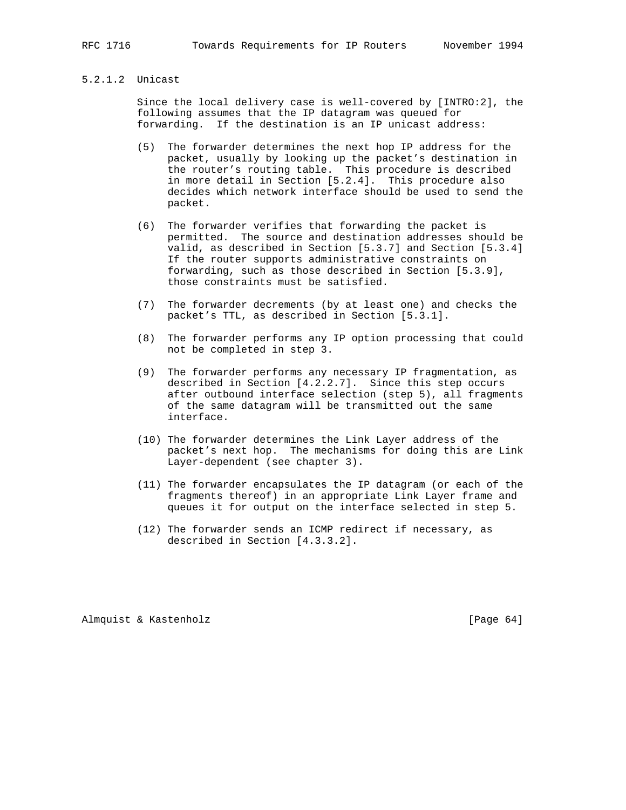# 5.2.1.2 Unicast

 Since the local delivery case is well-covered by [INTRO:2], the following assumes that the IP datagram was queued for forwarding. If the destination is an IP unicast address:

- (5) The forwarder determines the next hop IP address for the packet, usually by looking up the packet's destination in the router's routing table. This procedure is described in more detail in Section [5.2.4]. This procedure also decides which network interface should be used to send the packet.
- (6) The forwarder verifies that forwarding the packet is permitted. The source and destination addresses should be valid, as described in Section [5.3.7] and Section [5.3.4] If the router supports administrative constraints on forwarding, such as those described in Section [5.3.9], those constraints must be satisfied.
- (7) The forwarder decrements (by at least one) and checks the packet's TTL, as described in Section [5.3.1].
- (8) The forwarder performs any IP option processing that could not be completed in step 3.
- (9) The forwarder performs any necessary IP fragmentation, as described in Section [4.2.2.7]. Since this step occurs after outbound interface selection (step 5), all fragments of the same datagram will be transmitted out the same interface.
- (10) The forwarder determines the Link Layer address of the packet's next hop. The mechanisms for doing this are Link Layer-dependent (see chapter 3).
- (11) The forwarder encapsulates the IP datagram (or each of the fragments thereof) in an appropriate Link Layer frame and queues it for output on the interface selected in step 5.
- (12) The forwarder sends an ICMP redirect if necessary, as described in Section [4.3.3.2].

Almquist & Kastenholz [Page 64]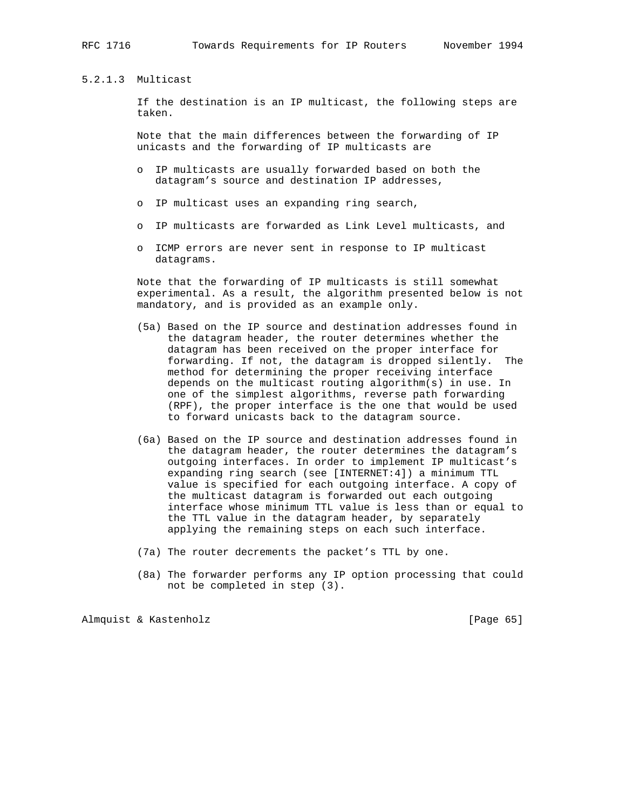## 5.2.1.3 Multicast

 If the destination is an IP multicast, the following steps are taken.

 Note that the main differences between the forwarding of IP unicasts and the forwarding of IP multicasts are

- o IP multicasts are usually forwarded based on both the datagram's source and destination IP addresses,
- o IP multicast uses an expanding ring search,
- o IP multicasts are forwarded as Link Level multicasts, and
- o ICMP errors are never sent in response to IP multicast datagrams.

 Note that the forwarding of IP multicasts is still somewhat experimental. As a result, the algorithm presented below is not mandatory, and is provided as an example only.

- (5a) Based on the IP source and destination addresses found in the datagram header, the router determines whether the datagram has been received on the proper interface for forwarding. If not, the datagram is dropped silently. The method for determining the proper receiving interface depends on the multicast routing algorithm(s) in use. In one of the simplest algorithms, reverse path forwarding (RPF), the proper interface is the one that would be used to forward unicasts back to the datagram source.
- (6a) Based on the IP source and destination addresses found in the datagram header, the router determines the datagram's outgoing interfaces. In order to implement IP multicast's expanding ring search (see [INTERNET:4]) a minimum TTL value is specified for each outgoing interface. A copy of the multicast datagram is forwarded out each outgoing interface whose minimum TTL value is less than or equal to the TTL value in the datagram header, by separately applying the remaining steps on each such interface.
- (7a) The router decrements the packet's TTL by one.
- (8a) The forwarder performs any IP option processing that could not be completed in step (3).

Almquist & Kastenholz [Page 65]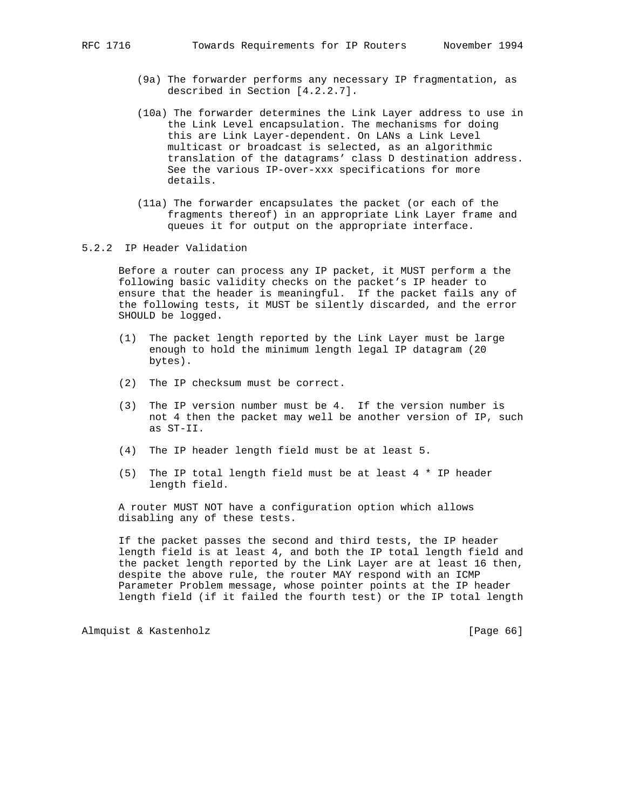- (9a) The forwarder performs any necessary IP fragmentation, as described in Section [4.2.2.7].
- (10a) The forwarder determines the Link Layer address to use in the Link Level encapsulation. The mechanisms for doing this are Link Layer-dependent. On LANs a Link Level multicast or broadcast is selected, as an algorithmic translation of the datagrams' class D destination address. See the various IP-over-xxx specifications for more details.
- (11a) The forwarder encapsulates the packet (or each of the fragments thereof) in an appropriate Link Layer frame and queues it for output on the appropriate interface.

## 5.2.2 IP Header Validation

 Before a router can process any IP packet, it MUST perform a the following basic validity checks on the packet's IP header to ensure that the header is meaningful. If the packet fails any of the following tests, it MUST be silently discarded, and the error SHOULD be logged.

- (1) The packet length reported by the Link Layer must be large enough to hold the minimum length legal IP datagram (20 bytes).
- (2) The IP checksum must be correct.
- (3) The IP version number must be 4. If the version number is not 4 then the packet may well be another version of IP, such as ST-II.
- (4) The IP header length field must be at least 5.
- (5) The IP total length field must be at least 4 \* IP header length field.

 A router MUST NOT have a configuration option which allows disabling any of these tests.

 If the packet passes the second and third tests, the IP header length field is at least 4, and both the IP total length field and the packet length reported by the Link Layer are at least 16 then, despite the above rule, the router MAY respond with an ICMP Parameter Problem message, whose pointer points at the IP header length field (if it failed the fourth test) or the IP total length

Almquist & Kastenholz [Page 66]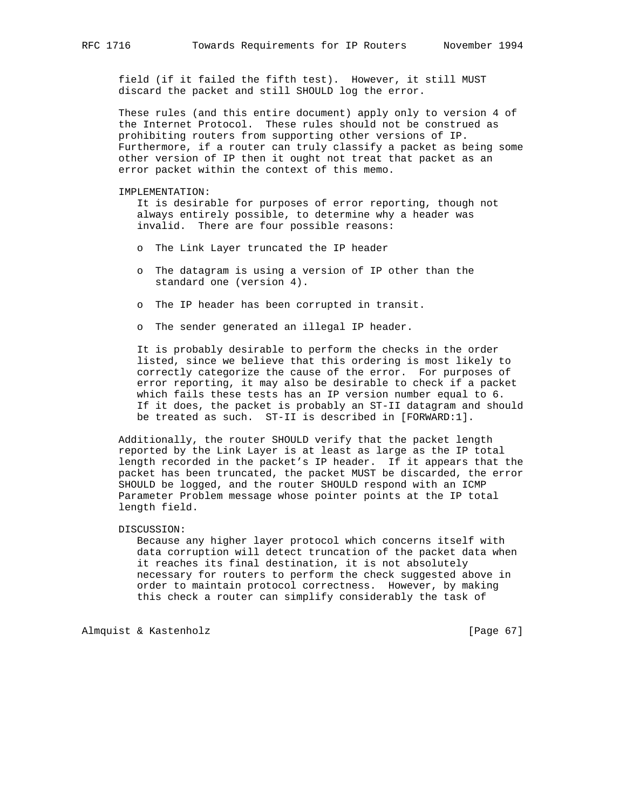field (if it failed the fifth test). However, it still MUST discard the packet and still SHOULD log the error.

 These rules (and this entire document) apply only to version 4 of the Internet Protocol. These rules should not be construed as prohibiting routers from supporting other versions of IP. Furthermore, if a router can truly classify a packet as being some other version of IP then it ought not treat that packet as an error packet within the context of this memo.

#### IMPLEMENTATION:

 It is desirable for purposes of error reporting, though not always entirely possible, to determine why a header was invalid. There are four possible reasons:

- o The Link Layer truncated the IP header
- o The datagram is using a version of IP other than the standard one (version 4).
- o The IP header has been corrupted in transit.
- o The sender generated an illegal IP header.

 It is probably desirable to perform the checks in the order listed, since we believe that this ordering is most likely to correctly categorize the cause of the error. For purposes of error reporting, it may also be desirable to check if a packet which fails these tests has an IP version number equal to 6. If it does, the packet is probably an ST-II datagram and should be treated as such. ST-II is described in [FORWARD:1].

 Additionally, the router SHOULD verify that the packet length reported by the Link Layer is at least as large as the IP total length recorded in the packet's IP header. If it appears that the packet has been truncated, the packet MUST be discarded, the error SHOULD be logged, and the router SHOULD respond with an ICMP Parameter Problem message whose pointer points at the IP total length field.

#### DISCUSSION:

 Because any higher layer protocol which concerns itself with data corruption will detect truncation of the packet data when it reaches its final destination, it is not absolutely necessary for routers to perform the check suggested above in order to maintain protocol correctness. However, by making this check a router can simplify considerably the task of

Almquist & Kastenholz [Page 67]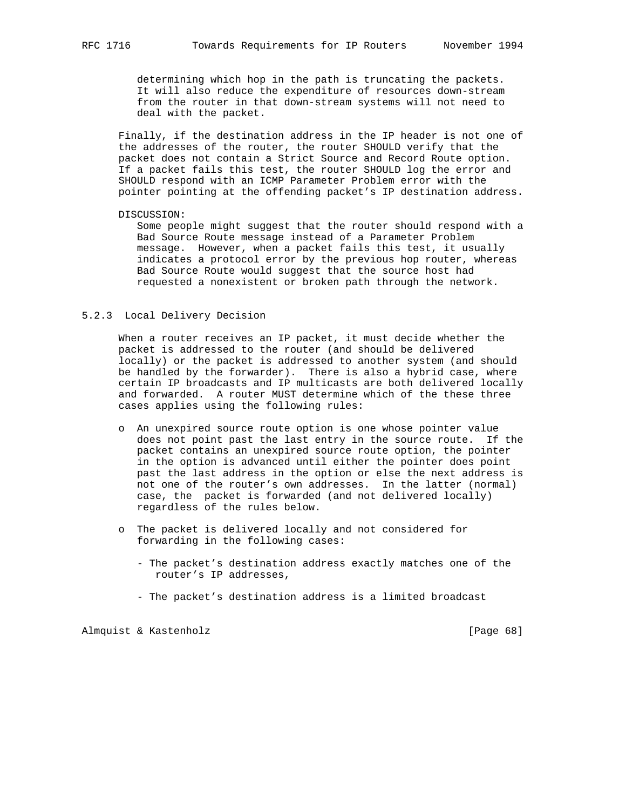determining which hop in the path is truncating the packets. It will also reduce the expenditure of resources down-stream from the router in that down-stream systems will not need to deal with the packet.

 Finally, if the destination address in the IP header is not one of the addresses of the router, the router SHOULD verify that the packet does not contain a Strict Source and Record Route option. If a packet fails this test, the router SHOULD log the error and SHOULD respond with an ICMP Parameter Problem error with the pointer pointing at the offending packet's IP destination address.

#### DISCUSSION:

 Some people might suggest that the router should respond with a Bad Source Route message instead of a Parameter Problem message. However, when a packet fails this test, it usually indicates a protocol error by the previous hop router, whereas Bad Source Route would suggest that the source host had requested a nonexistent or broken path through the network.

### 5.2.3 Local Delivery Decision

 When a router receives an IP packet, it must decide whether the packet is addressed to the router (and should be delivered locally) or the packet is addressed to another system (and should be handled by the forwarder). There is also a hybrid case, where certain IP broadcasts and IP multicasts are both delivered locally and forwarded. A router MUST determine which of the these three cases applies using the following rules:

- o An unexpired source route option is one whose pointer value does not point past the last entry in the source route. If the packet contains an unexpired source route option, the pointer in the option is advanced until either the pointer does point past the last address in the option or else the next address is not one of the router's own addresses. In the latter (normal) case, the packet is forwarded (and not delivered locally) regardless of the rules below.
- o The packet is delivered locally and not considered for forwarding in the following cases:
	- The packet's destination address exactly matches one of the router's IP addresses,
	- The packet's destination address is a limited broadcast

Almquist & Kastenholz [Page 68]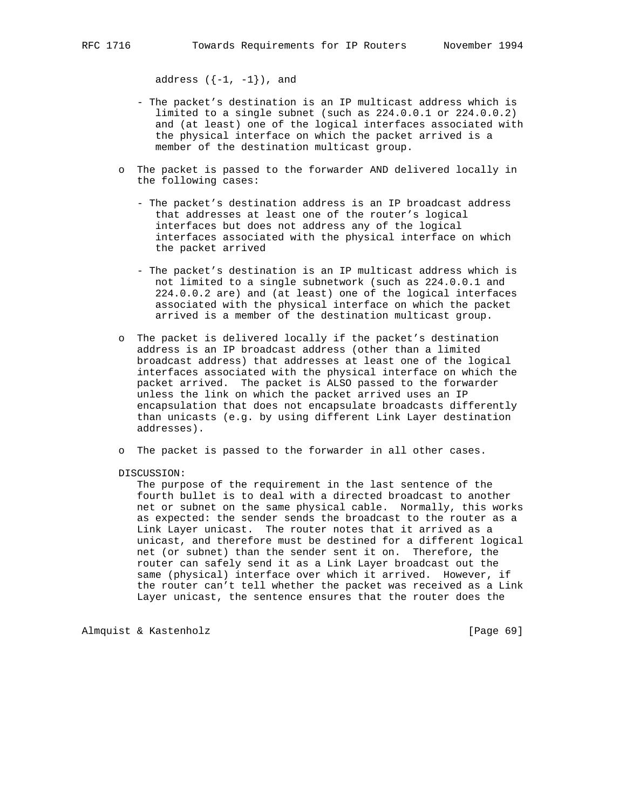address  $(\{-1, -1\})$ , and

- The packet's destination is an IP multicast address which is limited to a single subnet (such as 224.0.0.1 or 224.0.0.2) and (at least) one of the logical interfaces associated with the physical interface on which the packet arrived is a member of the destination multicast group.
- o The packet is passed to the forwarder AND delivered locally in the following cases:
	- The packet's destination address is an IP broadcast address that addresses at least one of the router's logical interfaces but does not address any of the logical interfaces associated with the physical interface on which the packet arrived
	- The packet's destination is an IP multicast address which is not limited to a single subnetwork (such as 224.0.0.1 and 224.0.0.2 are) and (at least) one of the logical interfaces associated with the physical interface on which the packet arrived is a member of the destination multicast group.
- o The packet is delivered locally if the packet's destination address is an IP broadcast address (other than a limited broadcast address) that addresses at least one of the logical interfaces associated with the physical interface on which the packet arrived. The packet is ALSO passed to the forwarder unless the link on which the packet arrived uses an IP encapsulation that does not encapsulate broadcasts differently than unicasts (e.g. by using different Link Layer destination addresses).
- o The packet is passed to the forwarder in all other cases.

#### DISCUSSION:

 The purpose of the requirement in the last sentence of the fourth bullet is to deal with a directed broadcast to another net or subnet on the same physical cable. Normally, this works as expected: the sender sends the broadcast to the router as a Link Layer unicast. The router notes that it arrived as a unicast, and therefore must be destined for a different logical net (or subnet) than the sender sent it on. Therefore, the router can safely send it as a Link Layer broadcast out the same (physical) interface over which it arrived. However, if the router can't tell whether the packet was received as a Link Layer unicast, the sentence ensures that the router does the

Almquist & Kastenholz [Page 69]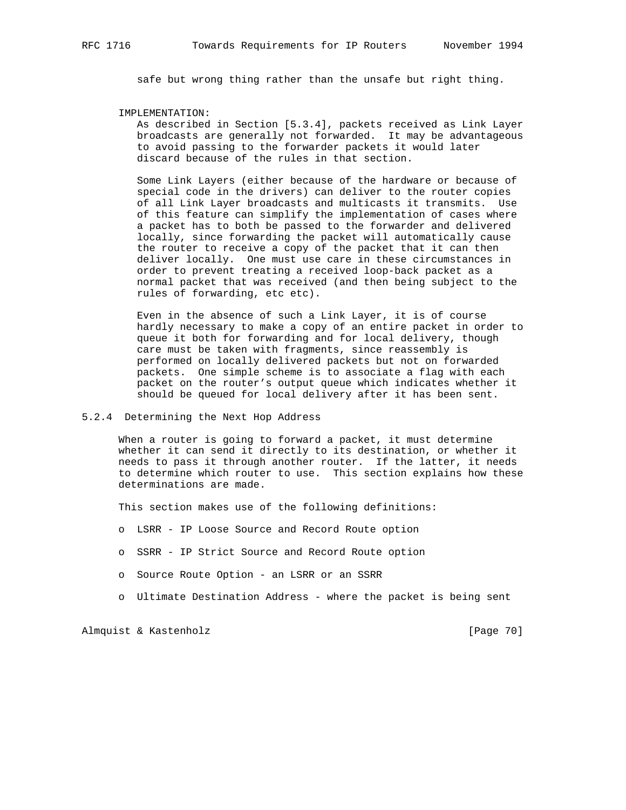safe but wrong thing rather than the unsafe but right thing.

#### IMPLEMENTATION:

 As described in Section [5.3.4], packets received as Link Layer broadcasts are generally not forwarded. It may be advantageous to avoid passing to the forwarder packets it would later discard because of the rules in that section.

 Some Link Layers (either because of the hardware or because of special code in the drivers) can deliver to the router copies of all Link Layer broadcasts and multicasts it transmits. Use of this feature can simplify the implementation of cases where a packet has to both be passed to the forwarder and delivered locally, since forwarding the packet will automatically cause the router to receive a copy of the packet that it can then deliver locally. One must use care in these circumstances in order to prevent treating a received loop-back packet as a normal packet that was received (and then being subject to the rules of forwarding, etc etc).

 Even in the absence of such a Link Layer, it is of course hardly necessary to make a copy of an entire packet in order to queue it both for forwarding and for local delivery, though care must be taken with fragments, since reassembly is performed on locally delivered packets but not on forwarded packets. One simple scheme is to associate a flag with each packet on the router's output queue which indicates whether it should be queued for local delivery after it has been sent.

### 5.2.4 Determining the Next Hop Address

 When a router is going to forward a packet, it must determine whether it can send it directly to its destination, or whether it needs to pass it through another router. If the latter, it needs to determine which router to use. This section explains how these determinations are made.

This section makes use of the following definitions:

- o LSRR IP Loose Source and Record Route option
- o SSRR IP Strict Source and Record Route option
- o Source Route Option an LSRR or an SSRR
- o Ultimate Destination Address where the packet is being sent

Almquist & Kastenholz [Page 70]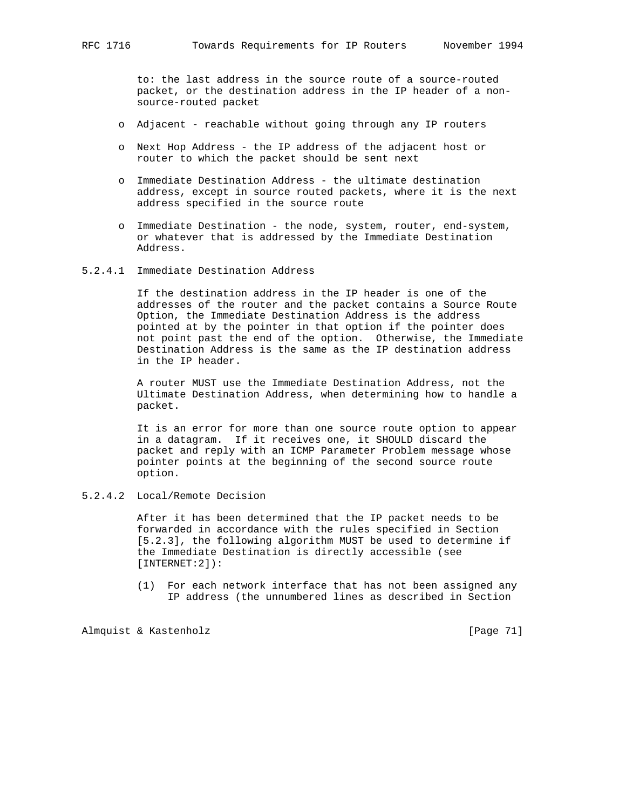to: the last address in the source route of a source-routed packet, or the destination address in the IP header of a non source-routed packet

- o Adjacent reachable without going through any IP routers
- o Next Hop Address the IP address of the adjacent host or router to which the packet should be sent next
- o Immediate Destination Address the ultimate destination address, except in source routed packets, where it is the next address specified in the source route
- o Immediate Destination the node, system, router, end-system, or whatever that is addressed by the Immediate Destination Address.
- 5.2.4.1 Immediate Destination Address

 If the destination address in the IP header is one of the addresses of the router and the packet contains a Source Route Option, the Immediate Destination Address is the address pointed at by the pointer in that option if the pointer does not point past the end of the option. Otherwise, the Immediate Destination Address is the same as the IP destination address in the IP header.

 A router MUST use the Immediate Destination Address, not the Ultimate Destination Address, when determining how to handle a packet.

 It is an error for more than one source route option to appear in a datagram. If it receives one, it SHOULD discard the packet and reply with an ICMP Parameter Problem message whose pointer points at the beginning of the second source route option.

5.2.4.2 Local/Remote Decision

 After it has been determined that the IP packet needs to be forwarded in accordance with the rules specified in Section [5.2.3], the following algorithm MUST be used to determine if the Immediate Destination is directly accessible (see [INTERNET:2]):

 (1) For each network interface that has not been assigned any IP address (the unnumbered lines as described in Section

Almquist & Kastenholz [Page 71]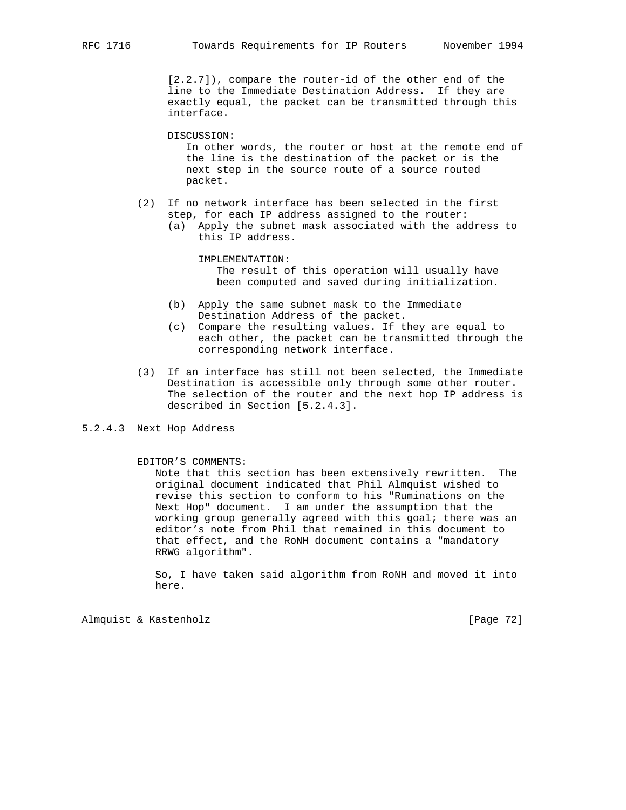[2.2.7]), compare the router-id of the other end of the line to the Immediate Destination Address. If they are exactly equal, the packet can be transmitted through this interface.

DISCUSSION:

 In other words, the router or host at the remote end of the line is the destination of the packet or is the next step in the source route of a source routed packet.

- (2) If no network interface has been selected in the first step, for each IP address assigned to the router:
	- (a) Apply the subnet mask associated with the address to this IP address.

 IMPLEMENTATION: The result of this operation will usually have been computed and saved during initialization.

- (b) Apply the same subnet mask to the Immediate Destination Address of the packet.
- (c) Compare the resulting values. If they are equal to each other, the packet can be transmitted through the corresponding network interface.
- (3) If an interface has still not been selected, the Immediate Destination is accessible only through some other router. The selection of the router and the next hop IP address is described in Section [5.2.4.3].

## 5.2.4.3 Next Hop Address

### EDITOR'S COMMENTS:

 Note that this section has been extensively rewritten. The original document indicated that Phil Almquist wished to revise this section to conform to his "Ruminations on the Next Hop" document. I am under the assumption that the working group generally agreed with this goal; there was an editor's note from Phil that remained in this document to that effect, and the RoNH document contains a "mandatory RRWG algorithm".

 So, I have taken said algorithm from RoNH and moved it into here.

Almquist & Kastenholz [Page 72]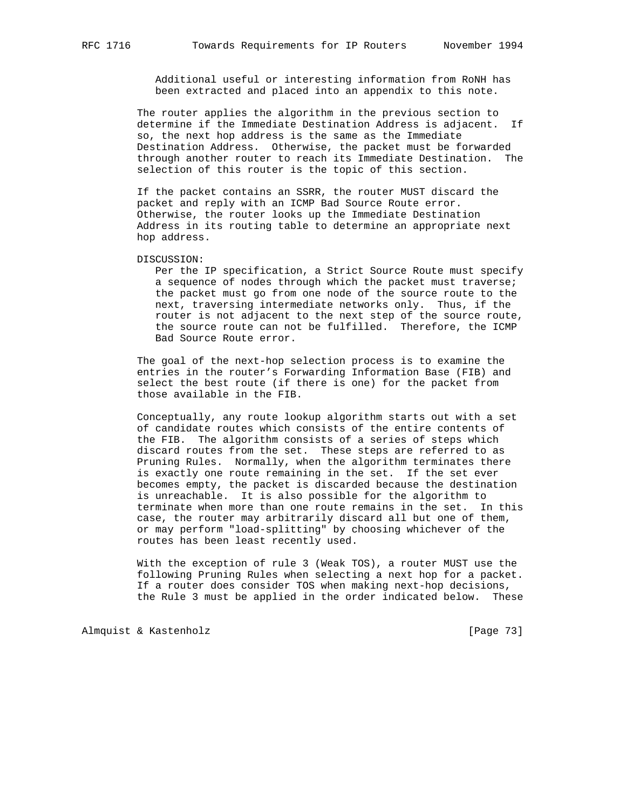Additional useful or interesting information from RoNH has been extracted and placed into an appendix to this note.

 The router applies the algorithm in the previous section to determine if the Immediate Destination Address is adjacent. If so, the next hop address is the same as the Immediate Destination Address. Otherwise, the packet must be forwarded through another router to reach its Immediate Destination. The selection of this router is the topic of this section.

 If the packet contains an SSRR, the router MUST discard the packet and reply with an ICMP Bad Source Route error. Otherwise, the router looks up the Immediate Destination Address in its routing table to determine an appropriate next hop address.

DISCUSSION:

 Per the IP specification, a Strict Source Route must specify a sequence of nodes through which the packet must traverse; the packet must go from one node of the source route to the next, traversing intermediate networks only. Thus, if the router is not adjacent to the next step of the source route, the source route can not be fulfilled. Therefore, the ICMP Bad Source Route error.

 The goal of the next-hop selection process is to examine the entries in the router's Forwarding Information Base (FIB) and select the best route (if there is one) for the packet from those available in the FIB.

 Conceptually, any route lookup algorithm starts out with a set of candidate routes which consists of the entire contents of the FIB. The algorithm consists of a series of steps which discard routes from the set. These steps are referred to as Pruning Rules. Normally, when the algorithm terminates there is exactly one route remaining in the set. If the set ever becomes empty, the packet is discarded because the destination is unreachable. It is also possible for the algorithm to terminate when more than one route remains in the set. In this case, the router may arbitrarily discard all but one of them, or may perform "load-splitting" by choosing whichever of the routes has been least recently used.

 With the exception of rule 3 (Weak TOS), a router MUST use the following Pruning Rules when selecting a next hop for a packet. If a router does consider TOS when making next-hop decisions, the Rule 3 must be applied in the order indicated below. These

Almquist & Kastenholz [Page 73]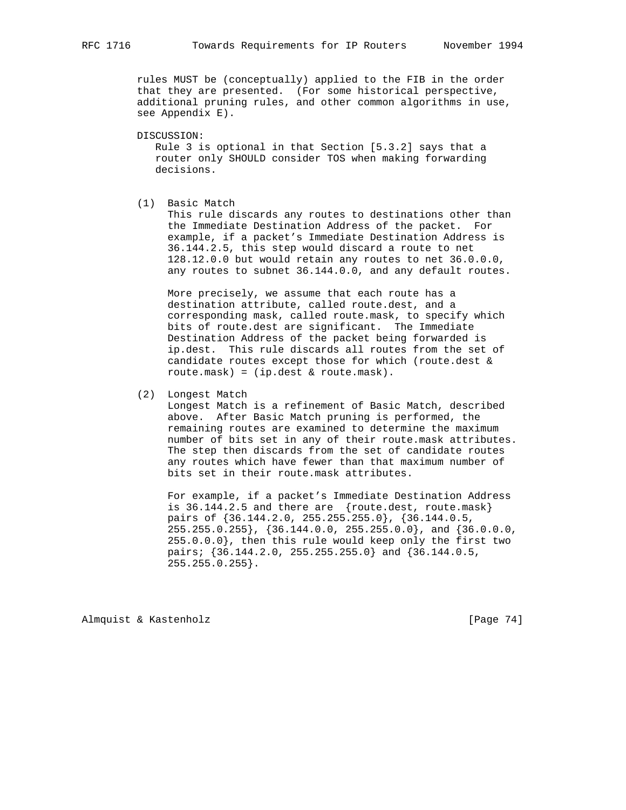rules MUST be (conceptually) applied to the FIB in the order that they are presented. (For some historical perspective, additional pruning rules, and other common algorithms in use, see Appendix E).

DISCUSSION:

 Rule 3 is optional in that Section [5.3.2] says that a router only SHOULD consider TOS when making forwarding decisions.

(1) Basic Match

 This rule discards any routes to destinations other than the Immediate Destination Address of the packet. For example, if a packet's Immediate Destination Address is 36.144.2.5, this step would discard a route to net 128.12.0.0 but would retain any routes to net 36.0.0.0, any routes to subnet 36.144.0.0, and any default routes.

 More precisely, we assume that each route has a destination attribute, called route.dest, and a corresponding mask, called route.mask, to specify which bits of route.dest are significant. The Immediate Destination Address of the packet being forwarded is ip.dest. This rule discards all routes from the set of candidate routes except those for which (route.dest & route.mask) = (ip.dest & route.mask).

(2) Longest Match

 Longest Match is a refinement of Basic Match, described above. After Basic Match pruning is performed, the remaining routes are examined to determine the maximum number of bits set in any of their route.mask attributes. The step then discards from the set of candidate routes any routes which have fewer than that maximum number of bits set in their route.mask attributes.

 For example, if a packet's Immediate Destination Address is 36.144.2.5 and there are {route.dest, route.mask} pairs of {36.144.2.0, 255.255.255.0}, {36.144.0.5, 255.255.0.255}, {36.144.0.0, 255.255.0.0}, and {36.0.0.0, 255.0.0.0}, then this rule would keep only the first two pairs; {36.144.2.0, 255.255.255.0} and {36.144.0.5, 255.255.0.255}.

Almquist & Kastenholz [Page 74]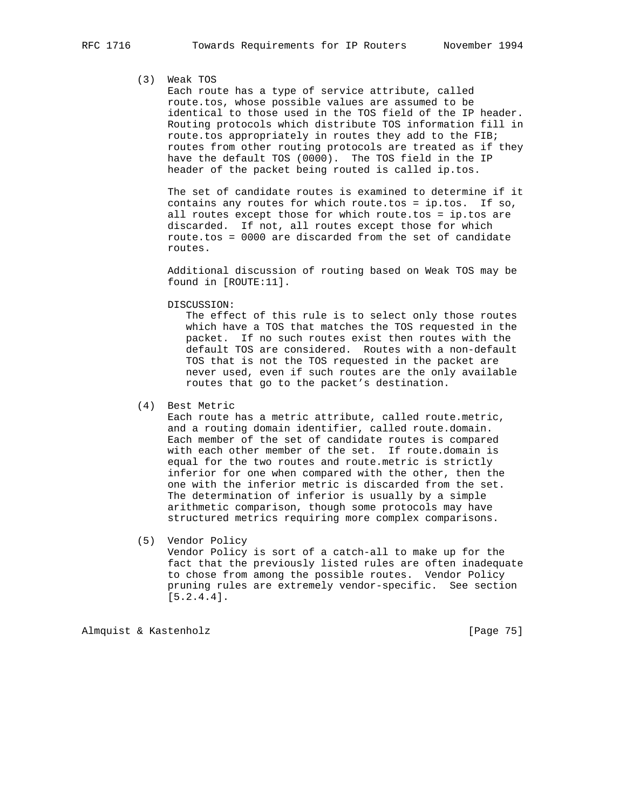# (3) Weak TOS

 Each route has a type of service attribute, called route.tos, whose possible values are assumed to be identical to those used in the TOS field of the IP header. Routing protocols which distribute TOS information fill in route.tos appropriately in routes they add to the FIB; routes from other routing protocols are treated as if they have the default TOS (0000). The TOS field in the IP header of the packet being routed is called ip.tos.

 The set of candidate routes is examined to determine if it contains any routes for which route.tos = ip.tos. If so, all routes except those for which route.tos = ip.tos are discarded. If not, all routes except those for which route.tos = 0000 are discarded from the set of candidate routes.

 Additional discussion of routing based on Weak TOS may be found in [ROUTE:11].

DISCUSSION:

 The effect of this rule is to select only those routes which have a TOS that matches the TOS requested in the packet. If no such routes exist then routes with the default TOS are considered. Routes with a non-default TOS that is not the TOS requested in the packet are never used, even if such routes are the only available routes that go to the packet's destination.

(4) Best Metric

 Each route has a metric attribute, called route.metric, and a routing domain identifier, called route.domain. Each member of the set of candidate routes is compared with each other member of the set. If route.domain is equal for the two routes and route.metric is strictly inferior for one when compared with the other, then the one with the inferior metric is discarded from the set. The determination of inferior is usually by a simple arithmetic comparison, though some protocols may have structured metrics requiring more complex comparisons.

 (5) Vendor Policy Vendor Policy is sort of a catch-all to make up for the fact that the previously listed rules are often inadequate to chose from among the possible routes. Vendor Policy pruning rules are extremely vendor-specific. See section [5.2.4.4].

Almquist & Kastenholz [Page 75]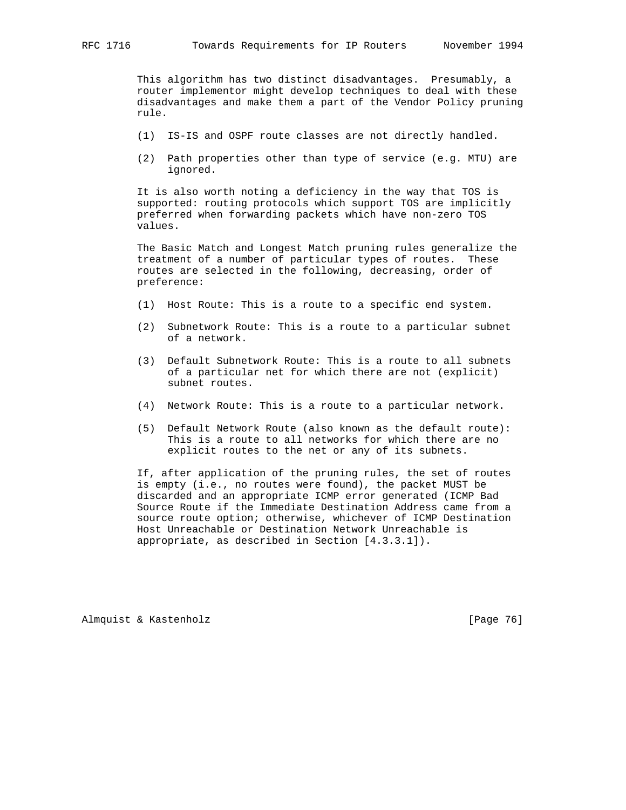This algorithm has two distinct disadvantages. Presumably, a router implementor might develop techniques to deal with these disadvantages and make them a part of the Vendor Policy pruning rule.

- (1) IS-IS and OSPF route classes are not directly handled.
- (2) Path properties other than type of service (e.g. MTU) are ignored.

 It is also worth noting a deficiency in the way that TOS is supported: routing protocols which support TOS are implicitly preferred when forwarding packets which have non-zero TOS values.

 The Basic Match and Longest Match pruning rules generalize the treatment of a number of particular types of routes. These routes are selected in the following, decreasing, order of preference:

- (1) Host Route: This is a route to a specific end system.
- (2) Subnetwork Route: This is a route to a particular subnet of a network.
- (3) Default Subnetwork Route: This is a route to all subnets of a particular net for which there are not (explicit) subnet routes.
- (4) Network Route: This is a route to a particular network.
- (5) Default Network Route (also known as the default route): This is a route to all networks for which there are no explicit routes to the net or any of its subnets.

 If, after application of the pruning rules, the set of routes is empty (i.e., no routes were found), the packet MUST be discarded and an appropriate ICMP error generated (ICMP Bad Source Route if the Immediate Destination Address came from a source route option; otherwise, whichever of ICMP Destination Host Unreachable or Destination Network Unreachable is appropriate, as described in Section [4.3.3.1]).

Almquist & Kastenholz [Page 76]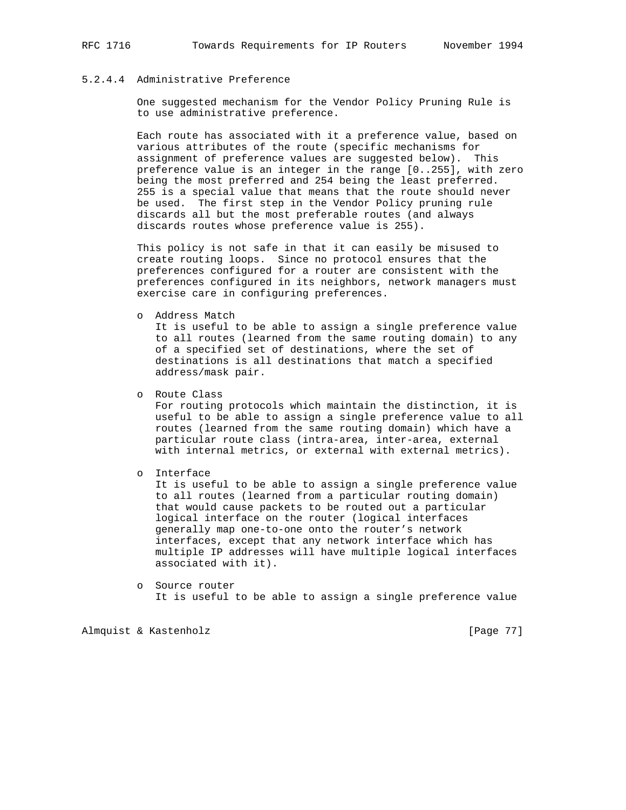## 5.2.4.4 Administrative Preference

 One suggested mechanism for the Vendor Policy Pruning Rule is to use administrative preference.

 Each route has associated with it a preference value, based on various attributes of the route (specific mechanisms for assignment of preference values are suggested below). This preference value is an integer in the range [0..255], with zero being the most preferred and 254 being the least preferred. 255 is a special value that means that the route should never be used. The first step in the Vendor Policy pruning rule discards all but the most preferable routes (and always discards routes whose preference value is 255).

 This policy is not safe in that it can easily be misused to create routing loops. Since no protocol ensures that the preferences configured for a router are consistent with the preferences configured in its neighbors, network managers must exercise care in configuring preferences.

o Address Match

 It is useful to be able to assign a single preference value to all routes (learned from the same routing domain) to any of a specified set of destinations, where the set of destinations is all destinations that match a specified address/mask pair.

o Route Class

 For routing protocols which maintain the distinction, it is useful to be able to assign a single preference value to all routes (learned from the same routing domain) which have a particular route class (intra-area, inter-area, external with internal metrics, or external with external metrics).

o Interface

 It is useful to be able to assign a single preference value to all routes (learned from a particular routing domain) that would cause packets to be routed out a particular logical interface on the router (logical interfaces generally map one-to-one onto the router's network interfaces, except that any network interface which has multiple IP addresses will have multiple logical interfaces associated with it).

 o Source router It is useful to be able to assign a single preference value

Almquist & Kastenholz [Page 77]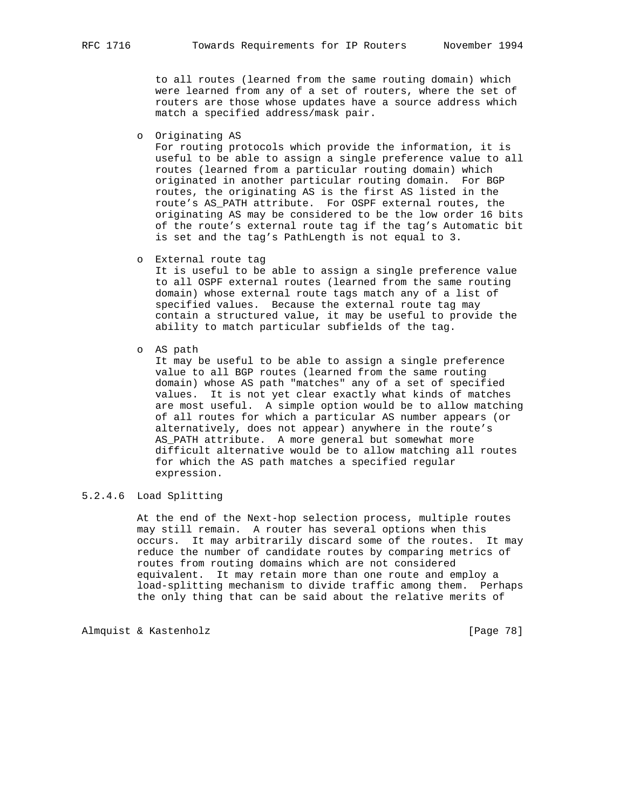to all routes (learned from the same routing domain) which were learned from any of a set of routers, where the set of routers are those whose updates have a source address which match a specified address/mask pair.

o Originating AS

 For routing protocols which provide the information, it is useful to be able to assign a single preference value to all routes (learned from a particular routing domain) which originated in another particular routing domain. For BGP routes, the originating AS is the first AS listed in the route's AS\_PATH attribute. For OSPF external routes, the originating AS may be considered to be the low order 16 bits of the route's external route tag if the tag's Automatic bit is set and the tag's PathLength is not equal to 3.

o External route tag

 It is useful to be able to assign a single preference value to all OSPF external routes (learned from the same routing domain) whose external route tags match any of a list of specified values. Because the external route tag may contain a structured value, it may be useful to provide the ability to match particular subfields of the tag.

o AS path

 It may be useful to be able to assign a single preference value to all BGP routes (learned from the same routing domain) whose AS path "matches" any of a set of specified values. It is not yet clear exactly what kinds of matches are most useful. A simple option would be to allow matching of all routes for which a particular AS number appears (or alternatively, does not appear) anywhere in the route's AS\_PATH attribute. A more general but somewhat more difficult alternative would be to allow matching all routes for which the AS path matches a specified regular expression.

# 5.2.4.6 Load Splitting

 At the end of the Next-hop selection process, multiple routes may still remain. A router has several options when this occurs. It may arbitrarily discard some of the routes. It may reduce the number of candidate routes by comparing metrics of routes from routing domains which are not considered equivalent. It may retain more than one route and employ a load-splitting mechanism to divide traffic among them. Perhaps the only thing that can be said about the relative merits of

Almquist & Kastenholz [Page 78]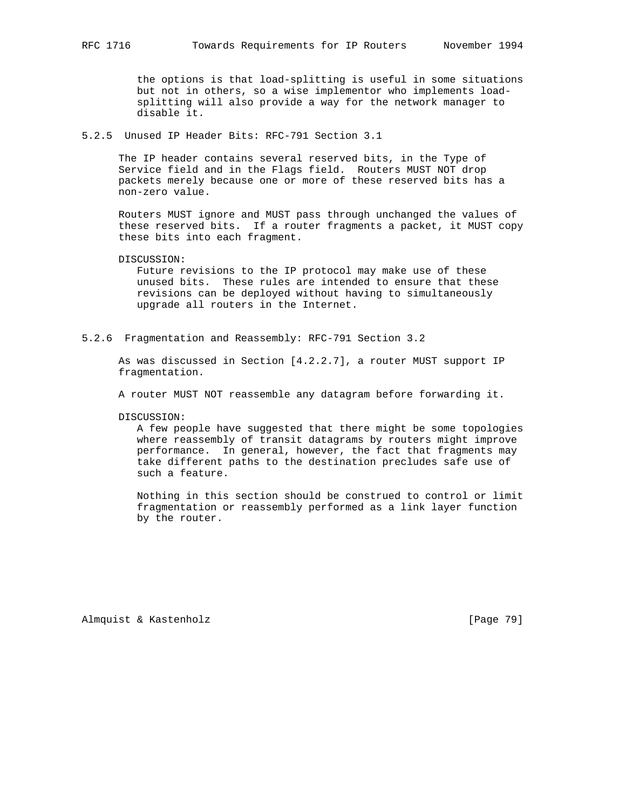the options is that load-splitting is useful in some situations but not in others, so a wise implementor who implements load splitting will also provide a way for the network manager to disable it.

5.2.5 Unused IP Header Bits: RFC-791 Section 3.1

 The IP header contains several reserved bits, in the Type of Service field and in the Flags field. Routers MUST NOT drop packets merely because one or more of these reserved bits has a non-zero value.

 Routers MUST ignore and MUST pass through unchanged the values of these reserved bits. If a router fragments a packet, it MUST copy these bits into each fragment.

DISCUSSION:

 Future revisions to the IP protocol may make use of these unused bits. These rules are intended to ensure that these revisions can be deployed without having to simultaneously upgrade all routers in the Internet.

5.2.6 Fragmentation and Reassembly: RFC-791 Section 3.2

 As was discussed in Section [4.2.2.7], a router MUST support IP fragmentation.

A router MUST NOT reassemble any datagram before forwarding it.

DISCUSSION:

 A few people have suggested that there might be some topologies where reassembly of transit datagrams by routers might improve performance. In general, however, the fact that fragments may take different paths to the destination precludes safe use of such a feature.

 Nothing in this section should be construed to control or limit fragmentation or reassembly performed as a link layer function by the router.

Almquist & Kastenholz [Page 79]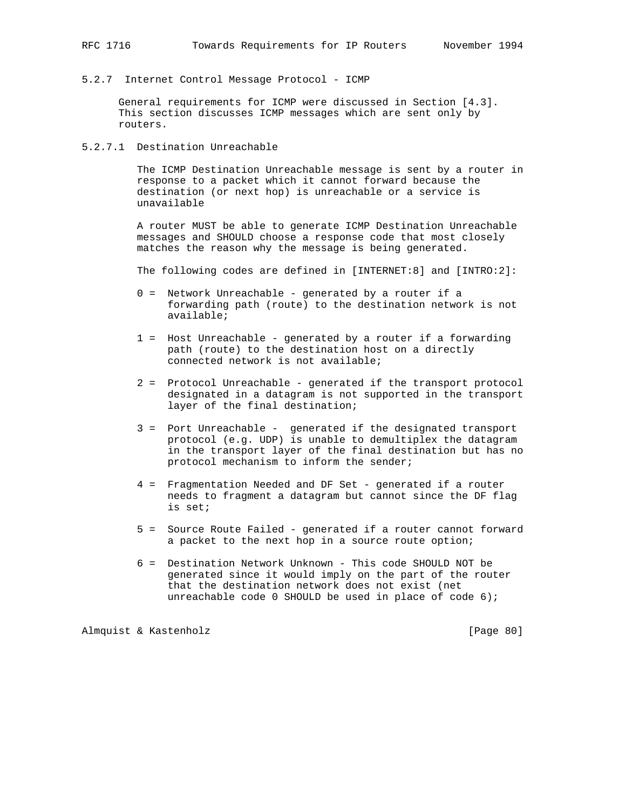5.2.7 Internet Control Message Protocol - ICMP

 General requirements for ICMP were discussed in Section [4.3]. This section discusses ICMP messages which are sent only by routers.

5.2.7.1 Destination Unreachable

 The ICMP Destination Unreachable message is sent by a router in response to a packet which it cannot forward because the destination (or next hop) is unreachable or a service is unavailable

 A router MUST be able to generate ICMP Destination Unreachable messages and SHOULD choose a response code that most closely matches the reason why the message is being generated.

The following codes are defined in [INTERNET:8] and [INTRO:2]:

- 0 = Network Unreachable generated by a router if a forwarding path (route) to the destination network is not available;
- 1 = Host Unreachable generated by a router if a forwarding path (route) to the destination host on a directly connected network is not available;
- 2 = Protocol Unreachable generated if the transport protocol designated in a datagram is not supported in the transport layer of the final destination;
- 3 = Port Unreachable generated if the designated transport protocol (e.g. UDP) is unable to demultiplex the datagram in the transport layer of the final destination but has no protocol mechanism to inform the sender;
- 4 = Fragmentation Needed and DF Set generated if a router needs to fragment a datagram but cannot since the DF flag is set;
- 5 = Source Route Failed generated if a router cannot forward a packet to the next hop in a source route option;
- 6 = Destination Network Unknown This code SHOULD NOT be generated since it would imply on the part of the router that the destination network does not exist (net unreachable code 0 SHOULD be used in place of code 6);

Almquist & Kastenholz [Page 80]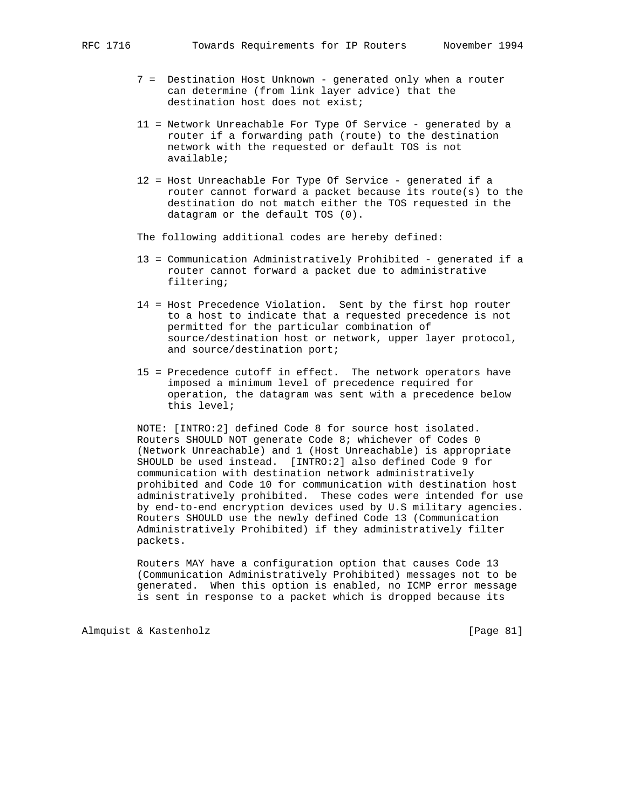- 7 = Destination Host Unknown generated only when a router can determine (from link layer advice) that the destination host does not exist;
- 11 = Network Unreachable For Type Of Service generated by a router if a forwarding path (route) to the destination network with the requested or default TOS is not available;
- 12 = Host Unreachable For Type Of Service generated if a router cannot forward a packet because its route(s) to the destination do not match either the TOS requested in the datagram or the default TOS (0).

The following additional codes are hereby defined:

- 13 = Communication Administratively Prohibited generated if a router cannot forward a packet due to administrative filtering;
- 14 = Host Precedence Violation. Sent by the first hop router to a host to indicate that a requested precedence is not permitted for the particular combination of source/destination host or network, upper layer protocol, and source/destination port;
- 15 = Precedence cutoff in effect. The network operators have imposed a minimum level of precedence required for operation, the datagram was sent with a precedence below this level;

 NOTE: [INTRO:2] defined Code 8 for source host isolated. Routers SHOULD NOT generate Code 8; whichever of Codes 0 (Network Unreachable) and 1 (Host Unreachable) is appropriate SHOULD be used instead. [INTRO:2] also defined Code 9 for communication with destination network administratively prohibited and Code 10 for communication with destination host administratively prohibited. These codes were intended for use by end-to-end encryption devices used by U.S military agencies. Routers SHOULD use the newly defined Code 13 (Communication Administratively Prohibited) if they administratively filter packets.

 Routers MAY have a configuration option that causes Code 13 (Communication Administratively Prohibited) messages not to be generated. When this option is enabled, no ICMP error message is sent in response to a packet which is dropped because its

Almquist & Kastenholz [Page 81]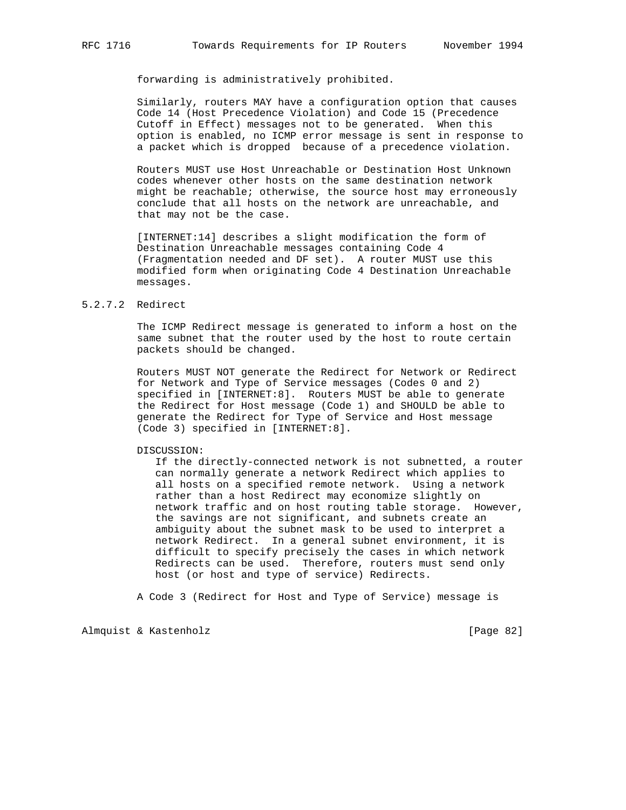forwarding is administratively prohibited.

 Similarly, routers MAY have a configuration option that causes Code 14 (Host Precedence Violation) and Code 15 (Precedence Cutoff in Effect) messages not to be generated. When this option is enabled, no ICMP error message is sent in response to a packet which is dropped because of a precedence violation.

 Routers MUST use Host Unreachable or Destination Host Unknown codes whenever other hosts on the same destination network might be reachable; otherwise, the source host may erroneously conclude that all hosts on the network are unreachable, and that may not be the case.

 [INTERNET:14] describes a slight modification the form of Destination Unreachable messages containing Code 4 (Fragmentation needed and DF set). A router MUST use this modified form when originating Code 4 Destination Unreachable messages.

## 5.2.7.2 Redirect

 The ICMP Redirect message is generated to inform a host on the same subnet that the router used by the host to route certain packets should be changed.

 Routers MUST NOT generate the Redirect for Network or Redirect for Network and Type of Service messages (Codes 0 and 2) specified in [INTERNET:8]. Routers MUST be able to generate the Redirect for Host message (Code 1) and SHOULD be able to generate the Redirect for Type of Service and Host message (Code 3) specified in [INTERNET:8].

#### DISCUSSION:

 If the directly-connected network is not subnetted, a router can normally generate a network Redirect which applies to all hosts on a specified remote network. Using a network rather than a host Redirect may economize slightly on network traffic and on host routing table storage. However, the savings are not significant, and subnets create an ambiguity about the subnet mask to be used to interpret a network Redirect. In a general subnet environment, it is difficult to specify precisely the cases in which network Redirects can be used. Therefore, routers must send only host (or host and type of service) Redirects.

A Code 3 (Redirect for Host and Type of Service) message is

Almquist & Kastenholz [Page 82]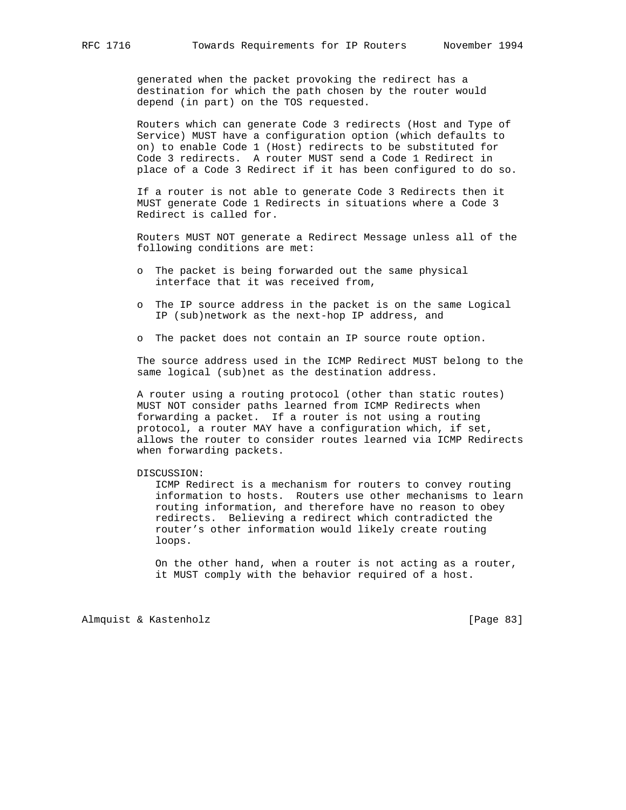generated when the packet provoking the redirect has a destination for which the path chosen by the router would depend (in part) on the TOS requested.

 Routers which can generate Code 3 redirects (Host and Type of Service) MUST have a configuration option (which defaults to on) to enable Code 1 (Host) redirects to be substituted for Code 3 redirects. A router MUST send a Code 1 Redirect in place of a Code 3 Redirect if it has been configured to do so.

 If a router is not able to generate Code 3 Redirects then it MUST generate Code 1 Redirects in situations where a Code 3 Redirect is called for.

 Routers MUST NOT generate a Redirect Message unless all of the following conditions are met:

- o The packet is being forwarded out the same physical interface that it was received from,
- o The IP source address in the packet is on the same Logical IP (sub)network as the next-hop IP address, and
- o The packet does not contain an IP source route option.

 The source address used in the ICMP Redirect MUST belong to the same logical (sub)net as the destination address.

 A router using a routing protocol (other than static routes) MUST NOT consider paths learned from ICMP Redirects when forwarding a packet. If a router is not using a routing protocol, a router MAY have a configuration which, if set, allows the router to consider routes learned via ICMP Redirects when forwarding packets.

### DISCUSSION:

 ICMP Redirect is a mechanism for routers to convey routing information to hosts. Routers use other mechanisms to learn routing information, and therefore have no reason to obey redirects. Believing a redirect which contradicted the router's other information would likely create routing loops.

 On the other hand, when a router is not acting as a router, it MUST comply with the behavior required of a host.

Almquist & Kastenholz [Page 83]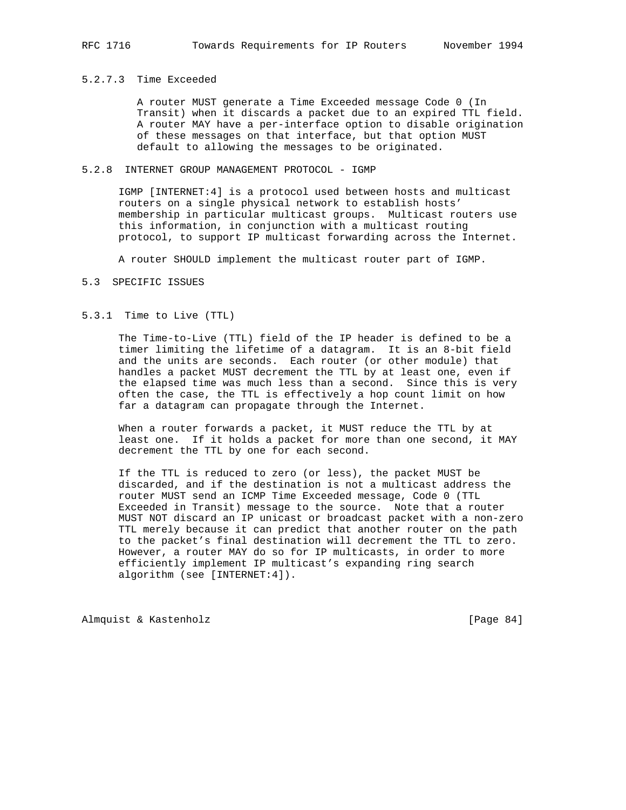## 5.2.7.3 Time Exceeded

 A router MUST generate a Time Exceeded message Code 0 (In Transit) when it discards a packet due to an expired TTL field. A router MAY have a per-interface option to disable origination of these messages on that interface, but that option MUST default to allowing the messages to be originated.

### 5.2.8 INTERNET GROUP MANAGEMENT PROTOCOL - IGMP

 IGMP [INTERNET:4] is a protocol used between hosts and multicast routers on a single physical network to establish hosts' membership in particular multicast groups. Multicast routers use this information, in conjunction with a multicast routing protocol, to support IP multicast forwarding across the Internet.

A router SHOULD implement the multicast router part of IGMP.

#### 5.3 SPECIFIC ISSUES

#### 5.3.1 Time to Live (TTL)

 The Time-to-Live (TTL) field of the IP header is defined to be a timer limiting the lifetime of a datagram. It is an 8-bit field and the units are seconds. Each router (or other module) that handles a packet MUST decrement the TTL by at least one, even if the elapsed time was much less than a second. Since this is very often the case, the TTL is effectively a hop count limit on how far a datagram can propagate through the Internet.

 When a router forwards a packet, it MUST reduce the TTL by at least one. If it holds a packet for more than one second, it MAY decrement the TTL by one for each second.

 If the TTL is reduced to zero (or less), the packet MUST be discarded, and if the destination is not a multicast address the router MUST send an ICMP Time Exceeded message, Code 0 (TTL Exceeded in Transit) message to the source. Note that a router MUST NOT discard an IP unicast or broadcast packet with a non-zero TTL merely because it can predict that another router on the path to the packet's final destination will decrement the TTL to zero. However, a router MAY do so for IP multicasts, in order to more efficiently implement IP multicast's expanding ring search algorithm (see [INTERNET:4]).

Almquist & Kastenholz [Page 84]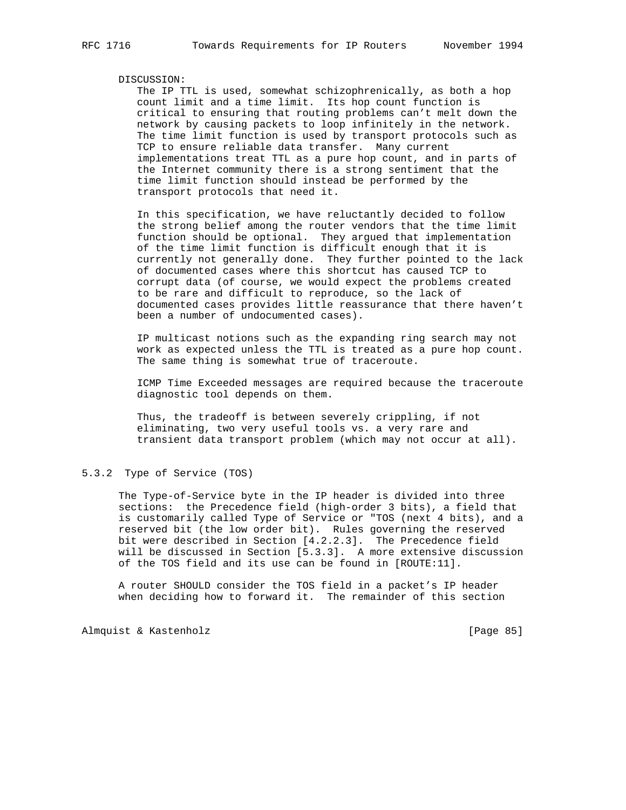#### DISCUSSION:

 The IP TTL is used, somewhat schizophrenically, as both a hop count limit and a time limit. Its hop count function is critical to ensuring that routing problems can't melt down the network by causing packets to loop infinitely in the network. The time limit function is used by transport protocols such as TCP to ensure reliable data transfer. Many current implementations treat TTL as a pure hop count, and in parts of the Internet community there is a strong sentiment that the time limit function should instead be performed by the transport protocols that need it.

 In this specification, we have reluctantly decided to follow the strong belief among the router vendors that the time limit function should be optional. They argued that implementation of the time limit function is difficult enough that it is currently not generally done. They further pointed to the lack of documented cases where this shortcut has caused TCP to corrupt data (of course, we would expect the problems created to be rare and difficult to reproduce, so the lack of documented cases provides little reassurance that there haven't been a number of undocumented cases).

 IP multicast notions such as the expanding ring search may not work as expected unless the TTL is treated as a pure hop count. The same thing is somewhat true of traceroute.

 ICMP Time Exceeded messages are required because the traceroute diagnostic tool depends on them.

 Thus, the tradeoff is between severely crippling, if not eliminating, two very useful tools vs. a very rare and transient data transport problem (which may not occur at all).

### 5.3.2 Type of Service (TOS)

 The Type-of-Service byte in the IP header is divided into three sections: the Precedence field (high-order 3 bits), a field that is customarily called Type of Service or "TOS (next 4 bits), and a reserved bit (the low order bit). Rules governing the reserved bit were described in Section [4.2.2.3]. The Precedence field will be discussed in Section [5.3.3]. A more extensive discussion of the TOS field and its use can be found in [ROUTE:11].

 A router SHOULD consider the TOS field in a packet's IP header when deciding how to forward it. The remainder of this section

Almquist & Kastenholz [Page 85]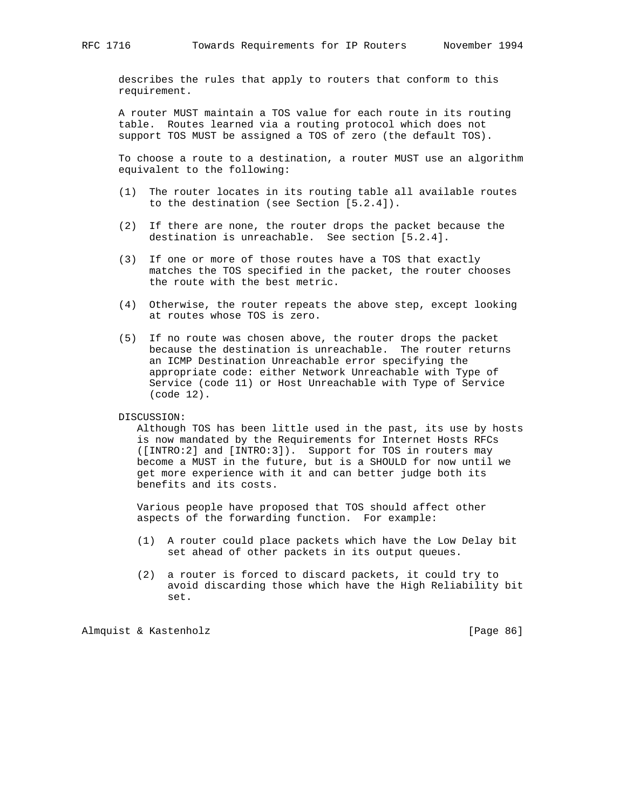describes the rules that apply to routers that conform to this requirement.

 A router MUST maintain a TOS value for each route in its routing table. Routes learned via a routing protocol which does not support TOS MUST be assigned a TOS of zero (the default TOS).

 To choose a route to a destination, a router MUST use an algorithm equivalent to the following:

- (1) The router locates in its routing table all available routes to the destination (see Section [5.2.4]).
- (2) If there are none, the router drops the packet because the destination is unreachable. See section [5.2.4].
- (3) If one or more of those routes have a TOS that exactly matches the TOS specified in the packet, the router chooses the route with the best metric.
- (4) Otherwise, the router repeats the above step, except looking at routes whose TOS is zero.
- (5) If no route was chosen above, the router drops the packet because the destination is unreachable. The router returns an ICMP Destination Unreachable error specifying the appropriate code: either Network Unreachable with Type of Service (code 11) or Host Unreachable with Type of Service (code 12).

DISCUSSION:

 Although TOS has been little used in the past, its use by hosts is now mandated by the Requirements for Internet Hosts RFCs ([INTRO:2] and [INTRO:3]). Support for TOS in routers may become a MUST in the future, but is a SHOULD for now until we get more experience with it and can better judge both its benefits and its costs.

 Various people have proposed that TOS should affect other aspects of the forwarding function. For example:

- (1) A router could place packets which have the Low Delay bit set ahead of other packets in its output queues.
- (2) a router is forced to discard packets, it could try to avoid discarding those which have the High Reliability bit set.

Almquist & Kastenholz [Page 86]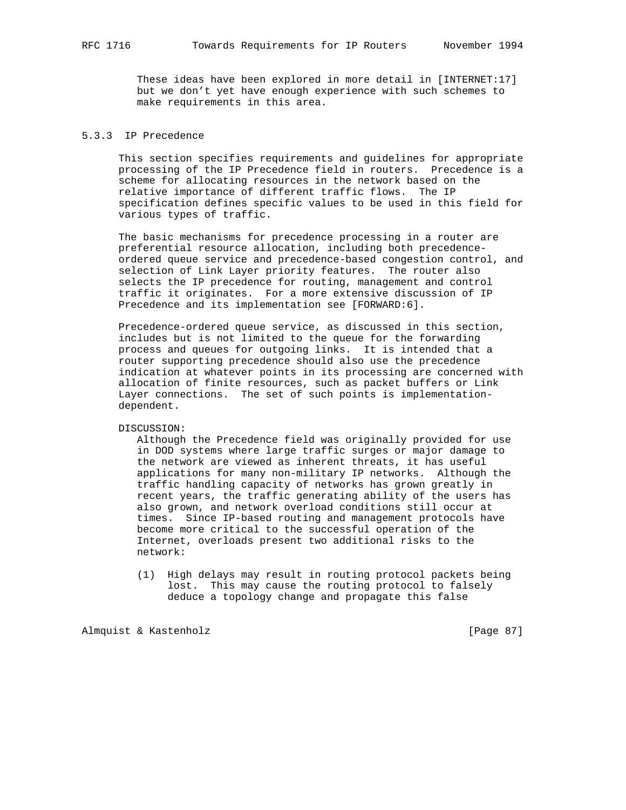These ideas have been explored in more detail in [INTERNET:17] but we don't yet have enough experience with such schemes to make requirements in this area.

# 5.3.3 IP Precedence

 This section specifies requirements and guidelines for appropriate processing of the IP Precedence field in routers. Precedence is a scheme for allocating resources in the network based on the relative importance of different traffic flows. The IP specification defines specific values to be used in this field for various types of traffic.

 The basic mechanisms for precedence processing in a router are preferential resource allocation, including both precedence ordered queue service and precedence-based congestion control, and selection of Link Layer priority features. The router also selects the IP precedence for routing, management and control traffic it originates. For a more extensive discussion of IP Precedence and its implementation see [FORWARD:6].

 Precedence-ordered queue service, as discussed in this section, includes but is not limited to the queue for the forwarding process and queues for outgoing links. It is intended that a router supporting precedence should also use the precedence indication at whatever points in its processing are concerned with allocation of finite resources, such as packet buffers or Link Layer connections. The set of such points is implementation dependent.

#### DISCUSSION:

 Although the Precedence field was originally provided for use in DOD systems where large traffic surges or major damage to the network are viewed as inherent threats, it has useful applications for many non-military IP networks. Although the traffic handling capacity of networks has grown greatly in recent years, the traffic generating ability of the users has also grown, and network overload conditions still occur at times. Since IP-based routing and management protocols have become more critical to the successful operation of the Internet, overloads present two additional risks to the network:

 (1) High delays may result in routing protocol packets being lost. This may cause the routing protocol to falsely deduce a topology change and propagate this false

Almquist & Kastenholz [Page 87]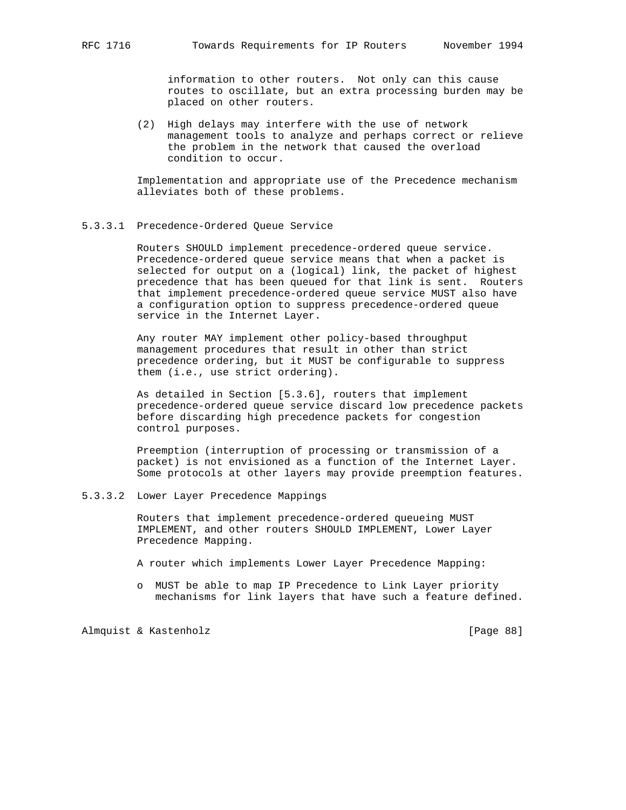information to other routers. Not only can this cause routes to oscillate, but an extra processing burden may be placed on other routers.

 (2) High delays may interfere with the use of network management tools to analyze and perhaps correct or relieve the problem in the network that caused the overload condition to occur.

 Implementation and appropriate use of the Precedence mechanism alleviates both of these problems.

### 5.3.3.1 Precedence-Ordered Queue Service

 Routers SHOULD implement precedence-ordered queue service. Precedence-ordered queue service means that when a packet is selected for output on a (logical) link, the packet of highest precedence that has been queued for that link is sent. Routers that implement precedence-ordered queue service MUST also have a configuration option to suppress precedence-ordered queue service in the Internet Layer.

 Any router MAY implement other policy-based throughput management procedures that result in other than strict precedence ordering, but it MUST be configurable to suppress them (i.e., use strict ordering).

 As detailed in Section [5.3.6], routers that implement precedence-ordered queue service discard low precedence packets before discarding high precedence packets for congestion control purposes.

 Preemption (interruption of processing or transmission of a packet) is not envisioned as a function of the Internet Layer. Some protocols at other layers may provide preemption features.

## 5.3.3.2 Lower Layer Precedence Mappings

 Routers that implement precedence-ordered queueing MUST IMPLEMENT, and other routers SHOULD IMPLEMENT, Lower Layer Precedence Mapping.

- A router which implements Lower Layer Precedence Mapping:
- o MUST be able to map IP Precedence to Link Layer priority mechanisms for link layers that have such a feature defined.

Almquist & Kastenholz [Page 88]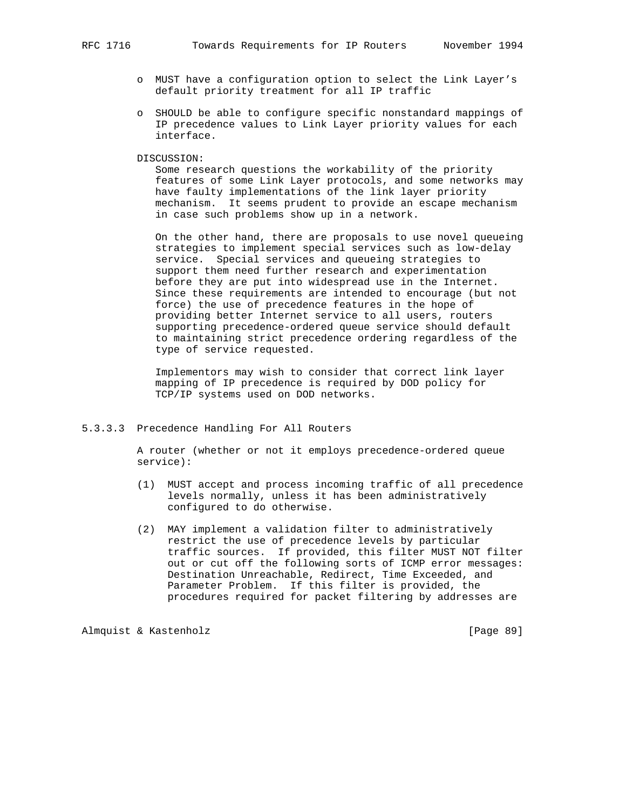- o MUST have a configuration option to select the Link Layer's default priority treatment for all IP traffic
- o SHOULD be able to configure specific nonstandard mappings of IP precedence values to Link Layer priority values for each interface.
- DISCUSSION:

 Some research questions the workability of the priority features of some Link Layer protocols, and some networks may have faulty implementations of the link layer priority mechanism. It seems prudent to provide an escape mechanism in case such problems show up in a network.

 On the other hand, there are proposals to use novel queueing strategies to implement special services such as low-delay service. Special services and queueing strategies to support them need further research and experimentation before they are put into widespread use in the Internet. Since these requirements are intended to encourage (but not force) the use of precedence features in the hope of providing better Internet service to all users, routers supporting precedence-ordered queue service should default to maintaining strict precedence ordering regardless of the type of service requested.

 Implementors may wish to consider that correct link layer mapping of IP precedence is required by DOD policy for TCP/IP systems used on DOD networks.

5.3.3.3 Precedence Handling For All Routers

 A router (whether or not it employs precedence-ordered queue service):

- (1) MUST accept and process incoming traffic of all precedence levels normally, unless it has been administratively configured to do otherwise.
- (2) MAY implement a validation filter to administratively restrict the use of precedence levels by particular traffic sources. If provided, this filter MUST NOT filter out or cut off the following sorts of ICMP error messages: Destination Unreachable, Redirect, Time Exceeded, and Parameter Problem. If this filter is provided, the procedures required for packet filtering by addresses are

Almquist & Kastenholz [Page 89]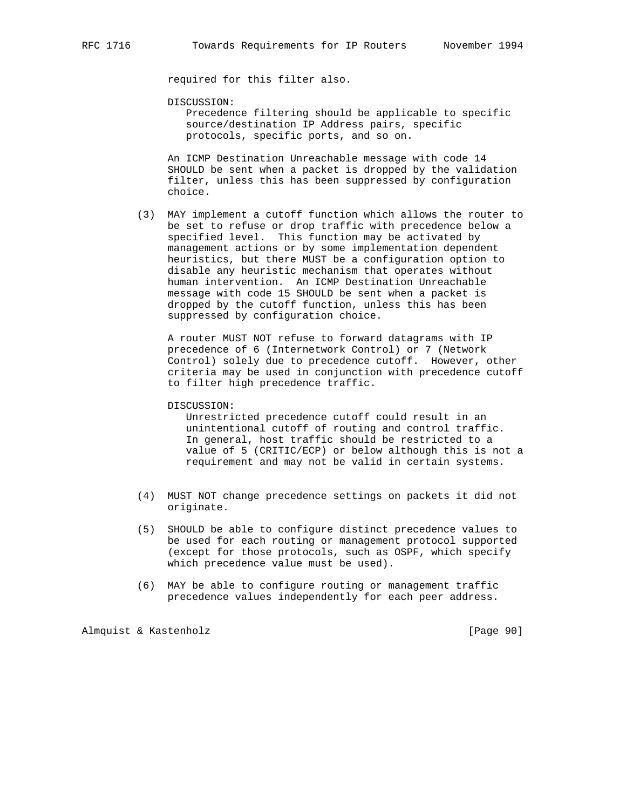required for this filter also.

DISCUSSION:

 Precedence filtering should be applicable to specific source/destination IP Address pairs, specific protocols, specific ports, and so on.

 An ICMP Destination Unreachable message with code 14 SHOULD be sent when a packet is dropped by the validation filter, unless this has been suppressed by configuration choice.

 (3) MAY implement a cutoff function which allows the router to be set to refuse or drop traffic with precedence below a specified level. This function may be activated by management actions or by some implementation dependent heuristics, but there MUST be a configuration option to disable any heuristic mechanism that operates without human intervention. An ICMP Destination Unreachable message with code 15 SHOULD be sent when a packet is dropped by the cutoff function, unless this has been suppressed by configuration choice.

 A router MUST NOT refuse to forward datagrams with IP precedence of 6 (Internetwork Control) or 7 (Network Control) solely due to precedence cutoff. However, other criteria may be used in conjunction with precedence cutoff to filter high precedence traffic.

DISCUSSION:

 Unrestricted precedence cutoff could result in an unintentional cutoff of routing and control traffic. In general, host traffic should be restricted to a value of 5 (CRITIC/ECP) or below although this is not a requirement and may not be valid in certain systems.

- (4) MUST NOT change precedence settings on packets it did not originate.
- (5) SHOULD be able to configure distinct precedence values to be used for each routing or management protocol supported (except for those protocols, such as OSPF, which specify which precedence value must be used).
- (6) MAY be able to configure routing or management traffic precedence values independently for each peer address.

Almquist & Kastenholz [Page 90]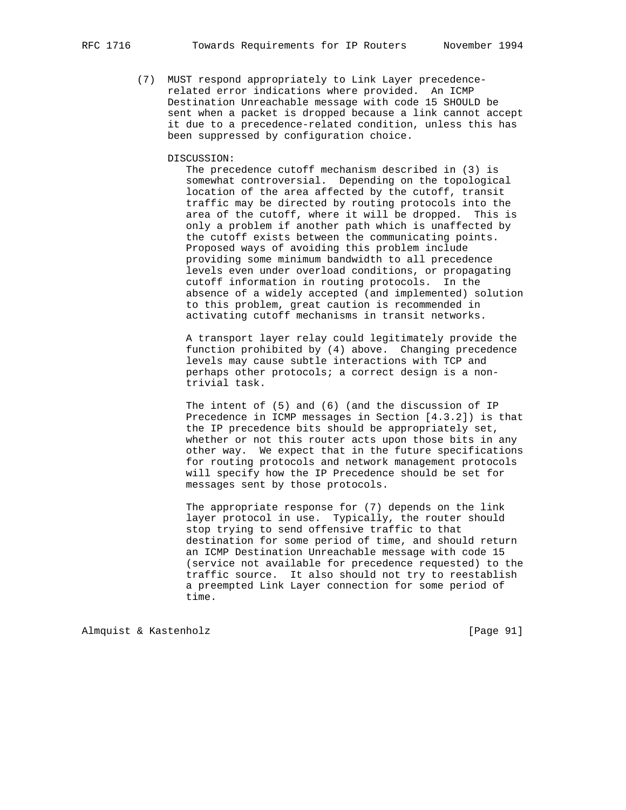(7) MUST respond appropriately to Link Layer precedence related error indications where provided. An ICMP Destination Unreachable message with code 15 SHOULD be sent when a packet is dropped because a link cannot accept it due to a precedence-related condition, unless this has been suppressed by configuration choice.

#### DISCUSSION:

 The precedence cutoff mechanism described in (3) is somewhat controversial. Depending on the topological location of the area affected by the cutoff, transit traffic may be directed by routing protocols into the area of the cutoff, where it will be dropped. This is only a problem if another path which is unaffected by the cutoff exists between the communicating points. Proposed ways of avoiding this problem include providing some minimum bandwidth to all precedence levels even under overload conditions, or propagating cutoff information in routing protocols. In the absence of a widely accepted (and implemented) solution to this problem, great caution is recommended in activating cutoff mechanisms in transit networks.

 A transport layer relay could legitimately provide the function prohibited by (4) above. Changing precedence levels may cause subtle interactions with TCP and perhaps other protocols; a correct design is a non trivial task.

 The intent of (5) and (6) (and the discussion of IP Precedence in ICMP messages in Section [4.3.2]) is that the IP precedence bits should be appropriately set, whether or not this router acts upon those bits in any other way. We expect that in the future specifications for routing protocols and network management protocols will specify how the IP Precedence should be set for messages sent by those protocols.

 The appropriate response for (7) depends on the link layer protocol in use. Typically, the router should stop trying to send offensive traffic to that destination for some period of time, and should return an ICMP Destination Unreachable message with code 15 (service not available for precedence requested) to the traffic source. It also should not try to reestablish a preempted Link Layer connection for some period of time.

Almquist & Kastenholz [Page 91]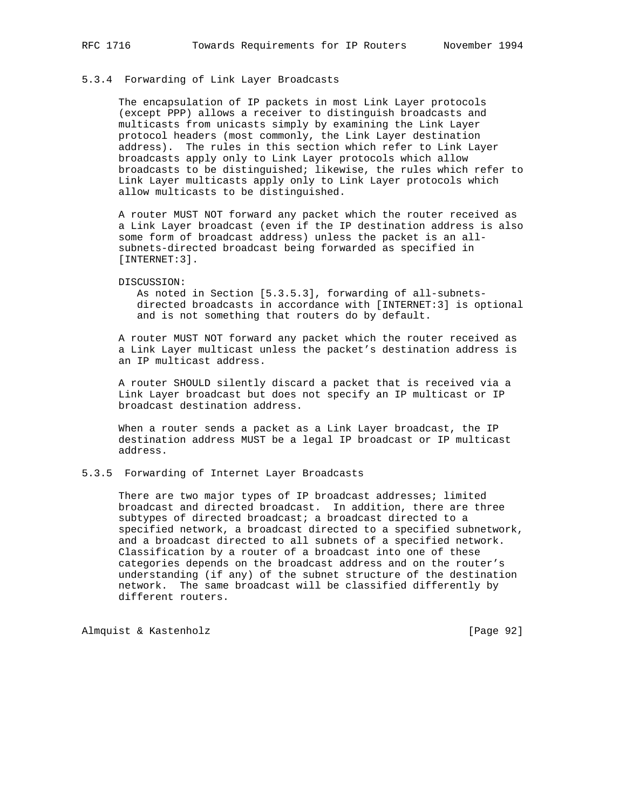## 5.3.4 Forwarding of Link Layer Broadcasts

 The encapsulation of IP packets in most Link Layer protocols (except PPP) allows a receiver to distinguish broadcasts and multicasts from unicasts simply by examining the Link Layer protocol headers (most commonly, the Link Layer destination address). The rules in this section which refer to Link Layer broadcasts apply only to Link Layer protocols which allow broadcasts to be distinguished; likewise, the rules which refer to Link Layer multicasts apply only to Link Layer protocols which allow multicasts to be distinguished.

 A router MUST NOT forward any packet which the router received as a Link Layer broadcast (even if the IP destination address is also some form of broadcast address) unless the packet is an all subnets-directed broadcast being forwarded as specified in [INTERNET:3].

#### DISCUSSION:

 As noted in Section [5.3.5.3], forwarding of all-subnets directed broadcasts in accordance with [INTERNET:3] is optional and is not something that routers do by default.

 A router MUST NOT forward any packet which the router received as a Link Layer multicast unless the packet's destination address is an IP multicast address.

 A router SHOULD silently discard a packet that is received via a Link Layer broadcast but does not specify an IP multicast or IP broadcast destination address.

 When a router sends a packet as a Link Layer broadcast, the IP destination address MUST be a legal IP broadcast or IP multicast address.

### 5.3.5 Forwarding of Internet Layer Broadcasts

There are two major types of IP broadcast addresses; limited broadcast and directed broadcast. In addition, there are three subtypes of directed broadcast; a broadcast directed to a specified network, a broadcast directed to a specified subnetwork, and a broadcast directed to all subnets of a specified network. Classification by a router of a broadcast into one of these categories depends on the broadcast address and on the router's understanding (if any) of the subnet structure of the destination network. The same broadcast will be classified differently by different routers.

Almquist & Kastenholz [Page 92]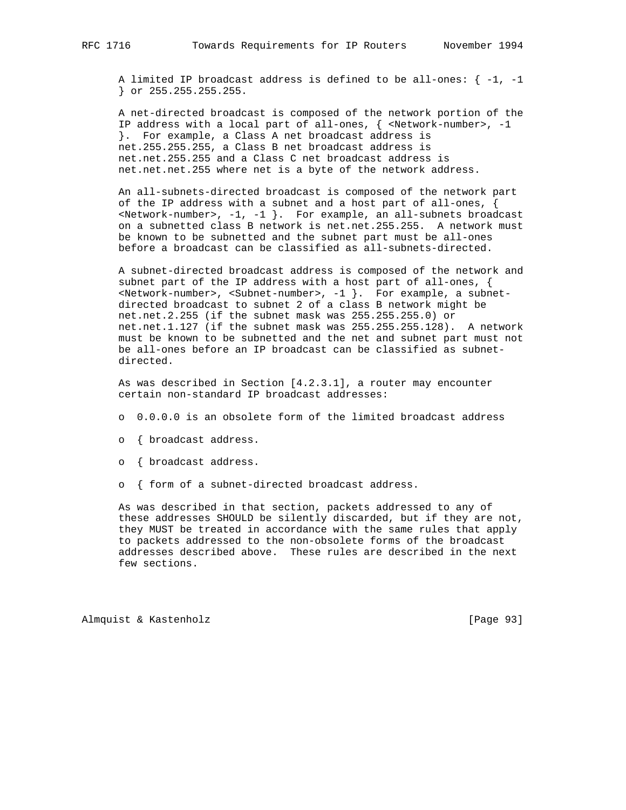A limited IP broadcast address is defined to be all-ones:  $\{-1, -1\}$ } or 255.255.255.255.

 A net-directed broadcast is composed of the network portion of the IP address with a local part of all-ones,  $\{$  <Network-number>, -1 }. For example, a Class A net broadcast address is net.255.255.255, a Class B net broadcast address is net.net.255.255 and a Class C net broadcast address is net.net.net.255 where net is a byte of the network address.

 An all-subnets-directed broadcast is composed of the network part of the IP address with a subnet and a host part of all-ones, {  $\prec$ Network-number>, -1, -1 }. For example, an all-subnets broadcast on a subnetted class B network is net.net.255.255. A network must be known to be subnetted and the subnet part must be all-ones before a broadcast can be classified as all-subnets-directed.

 A subnet-directed broadcast address is composed of the network and subnet part of the IP address with a host part of all-ones, { <Network-number>, <Subnet-number>, -1 }. For example, a subnet directed broadcast to subnet 2 of a class B network might be net.net.2.255 (if the subnet mask was 255.255.255.0) or net.net.1.127 (if the subnet mask was 255.255.255.128). A network must be known to be subnetted and the net and subnet part must not be all-ones before an IP broadcast can be classified as subnet directed.

 As was described in Section [4.2.3.1], a router may encounter certain non-standard IP broadcast addresses:

- o 0.0.0.0 is an obsolete form of the limited broadcast address
- o { broadcast address.
- o { broadcast address.
- o { form of a subnet-directed broadcast address.

 As was described in that section, packets addressed to any of these addresses SHOULD be silently discarded, but if they are not, they MUST be treated in accordance with the same rules that apply to packets addressed to the non-obsolete forms of the broadcast addresses described above. These rules are described in the next few sections.

Almquist & Kastenholz [Page 93]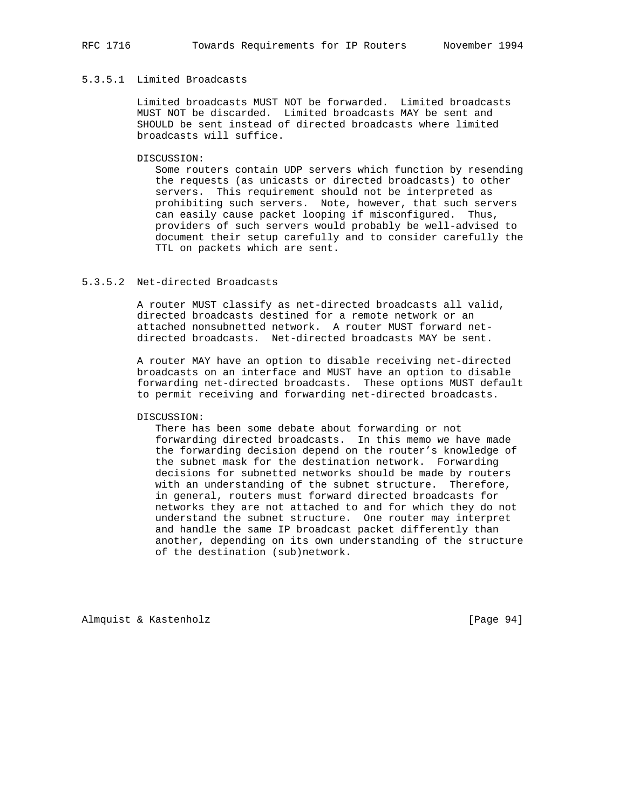## 5.3.5.1 Limited Broadcasts

 Limited broadcasts MUST NOT be forwarded. Limited broadcasts MUST NOT be discarded. Limited broadcasts MAY be sent and SHOULD be sent instead of directed broadcasts where limited broadcasts will suffice.

#### DISCUSSION:

 Some routers contain UDP servers which function by resending the requests (as unicasts or directed broadcasts) to other servers. This requirement should not be interpreted as prohibiting such servers. Note, however, that such servers can easily cause packet looping if misconfigured. Thus, providers of such servers would probably be well-advised to document their setup carefully and to consider carefully the TTL on packets which are sent.

## 5.3.5.2 Net-directed Broadcasts

 A router MUST classify as net-directed broadcasts all valid, directed broadcasts destined for a remote network or an attached nonsubnetted network. A router MUST forward net directed broadcasts. Net-directed broadcasts MAY be sent.

 A router MAY have an option to disable receiving net-directed broadcasts on an interface and MUST have an option to disable forwarding net-directed broadcasts. These options MUST default to permit receiving and forwarding net-directed broadcasts.

#### DISCUSSION:

 There has been some debate about forwarding or not forwarding directed broadcasts. In this memo we have made the forwarding decision depend on the router's knowledge of the subnet mask for the destination network. Forwarding decisions for subnetted networks should be made by routers with an understanding of the subnet structure. Therefore, in general, routers must forward directed broadcasts for networks they are not attached to and for which they do not understand the subnet structure. One router may interpret and handle the same IP broadcast packet differently than another, depending on its own understanding of the structure of the destination (sub)network.

Almquist & Kastenholz [Page 94]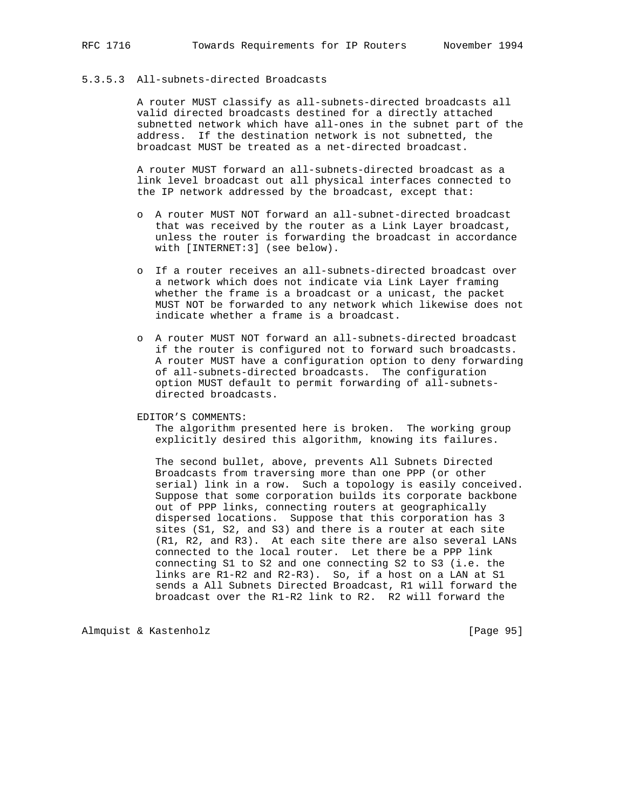## 5.3.5.3 All-subnets-directed Broadcasts

 A router MUST classify as all-subnets-directed broadcasts all valid directed broadcasts destined for a directly attached subnetted network which have all-ones in the subnet part of the address. If the destination network is not subnetted, the broadcast MUST be treated as a net-directed broadcast.

 A router MUST forward an all-subnets-directed broadcast as a link level broadcast out all physical interfaces connected to the IP network addressed by the broadcast, except that:

- o A router MUST NOT forward an all-subnet-directed broadcast that was received by the router as a Link Layer broadcast, unless the router is forwarding the broadcast in accordance with [INTERNET:3] (see below).
- o If a router receives an all-subnets-directed broadcast over a network which does not indicate via Link Layer framing whether the frame is a broadcast or a unicast, the packet MUST NOT be forwarded to any network which likewise does not indicate whether a frame is a broadcast.
- o A router MUST NOT forward an all-subnets-directed broadcast if the router is configured not to forward such broadcasts. A router MUST have a configuration option to deny forwarding of all-subnets-directed broadcasts. The configuration option MUST default to permit forwarding of all-subnets directed broadcasts.

EDITOR'S COMMENTS:

 The algorithm presented here is broken. The working group explicitly desired this algorithm, knowing its failures.

 The second bullet, above, prevents All Subnets Directed Broadcasts from traversing more than one PPP (or other serial) link in a row. Such a topology is easily conceived. Suppose that some corporation builds its corporate backbone out of PPP links, connecting routers at geographically dispersed locations. Suppose that this corporation has 3 sites (S1, S2, and S3) and there is a router at each site (R1, R2, and R3). At each site there are also several LANs connected to the local router. Let there be a PPP link connecting S1 to S2 and one connecting S2 to S3 (i.e. the links are R1-R2 and R2-R3). So, if a host on a LAN at S1 sends a All Subnets Directed Broadcast, R1 will forward the broadcast over the R1-R2 link to R2. R2 will forward the

Almquist & Kastenholz [Page 95]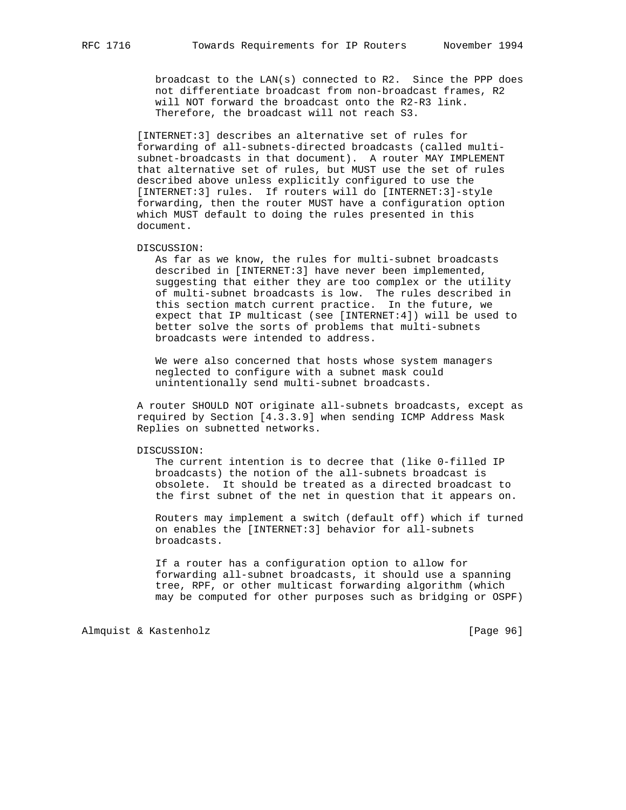broadcast to the LAN(s) connected to R2. Since the PPP does not differentiate broadcast from non-broadcast frames, R2 will NOT forward the broadcast onto the R2-R3 link. Therefore, the broadcast will not reach S3.

 [INTERNET:3] describes an alternative set of rules for forwarding of all-subnets-directed broadcasts (called multi subnet-broadcasts in that document). A router MAY IMPLEMENT that alternative set of rules, but MUST use the set of rules described above unless explicitly configured to use the [INTERNET:3] rules. If routers will do [INTERNET:3]-style forwarding, then the router MUST have a configuration option which MUST default to doing the rules presented in this document.

DISCUSSION:

 As far as we know, the rules for multi-subnet broadcasts described in [INTERNET:3] have never been implemented, suggesting that either they are too complex or the utility of multi-subnet broadcasts is low. The rules described in this section match current practice. In the future, we expect that IP multicast (see [INTERNET:4]) will be used to better solve the sorts of problems that multi-subnets broadcasts were intended to address.

 We were also concerned that hosts whose system managers neglected to configure with a subnet mask could unintentionally send multi-subnet broadcasts.

 A router SHOULD NOT originate all-subnets broadcasts, except as required by Section [4.3.3.9] when sending ICMP Address Mask Replies on subnetted networks.

DISCUSSION:

 The current intention is to decree that (like 0-filled IP broadcasts) the notion of the all-subnets broadcast is obsolete. It should be treated as a directed broadcast to the first subnet of the net in question that it appears on.

 Routers may implement a switch (default off) which if turned on enables the [INTERNET:3] behavior for all-subnets broadcasts.

 If a router has a configuration option to allow for forwarding all-subnet broadcasts, it should use a spanning tree, RPF, or other multicast forwarding algorithm (which may be computed for other purposes such as bridging or OSPF)

Almquist & Kastenholz [Page 96]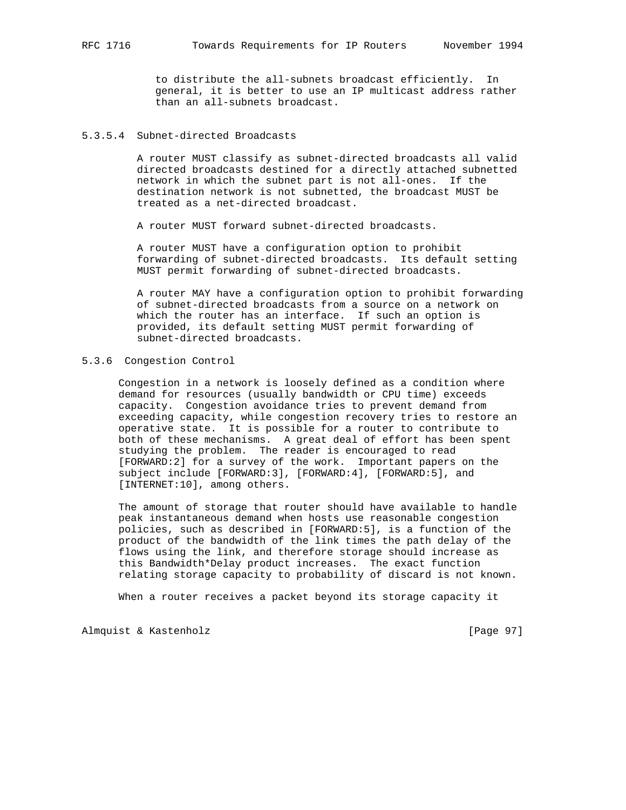to distribute the all-subnets broadcast efficiently. In general, it is better to use an IP multicast address rather than an all-subnets broadcast.

## 5.3.5.4 Subnet-directed Broadcasts

 A router MUST classify as subnet-directed broadcasts all valid directed broadcasts destined for a directly attached subnetted network in which the subnet part is not all-ones. If the destination network is not subnetted, the broadcast MUST be treated as a net-directed broadcast.

A router MUST forward subnet-directed broadcasts.

 A router MUST have a configuration option to prohibit forwarding of subnet-directed broadcasts. Its default setting MUST permit forwarding of subnet-directed broadcasts.

 A router MAY have a configuration option to prohibit forwarding of subnet-directed broadcasts from a source on a network on which the router has an interface. If such an option is provided, its default setting MUST permit forwarding of subnet-directed broadcasts.

## 5.3.6 Congestion Control

 Congestion in a network is loosely defined as a condition where demand for resources (usually bandwidth or CPU time) exceeds capacity. Congestion avoidance tries to prevent demand from exceeding capacity, while congestion recovery tries to restore an operative state. It is possible for a router to contribute to both of these mechanisms. A great deal of effort has been spent studying the problem. The reader is encouraged to read [FORWARD:2] for a survey of the work. Important papers on the subject include [FORWARD:3], [FORWARD:4], [FORWARD:5], and [INTERNET:10], among others.

 The amount of storage that router should have available to handle peak instantaneous demand when hosts use reasonable congestion policies, such as described in [FORWARD:5], is a function of the product of the bandwidth of the link times the path delay of the flows using the link, and therefore storage should increase as this Bandwidth\*Delay product increases. The exact function relating storage capacity to probability of discard is not known.

When a router receives a packet beyond its storage capacity it

Almquist & Kastenholz [Page 97]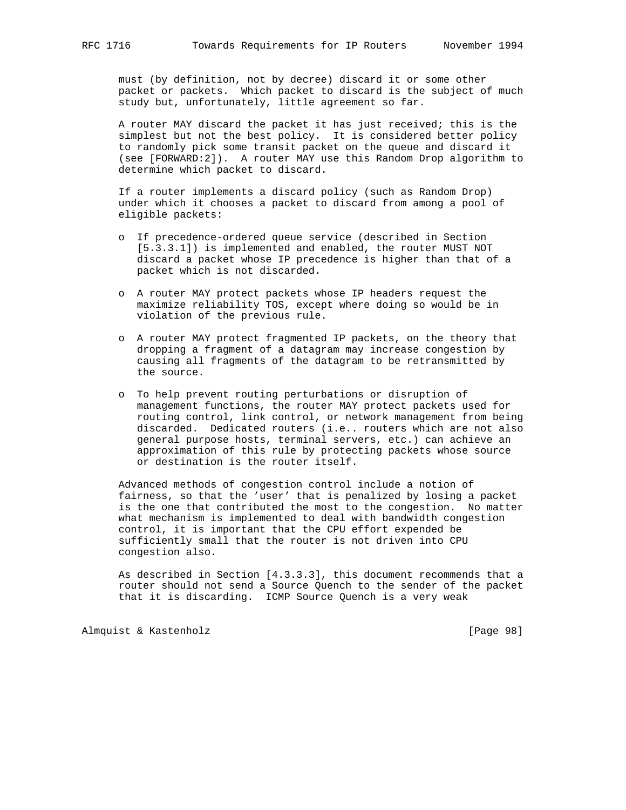must (by definition, not by decree) discard it or some other packet or packets. Which packet to discard is the subject of much study but, unfortunately, little agreement so far.

 A router MAY discard the packet it has just received; this is the simplest but not the best policy. It is considered better policy to randomly pick some transit packet on the queue and discard it (see [FORWARD:2]). A router MAY use this Random Drop algorithm to determine which packet to discard.

 If a router implements a discard policy (such as Random Drop) under which it chooses a packet to discard from among a pool of eligible packets:

- o If precedence-ordered queue service (described in Section [5.3.3.1]) is implemented and enabled, the router MUST NOT discard a packet whose IP precedence is higher than that of a packet which is not discarded.
- o A router MAY protect packets whose IP headers request the maximize reliability TOS, except where doing so would be in violation of the previous rule.
- o A router MAY protect fragmented IP packets, on the theory that dropping a fragment of a datagram may increase congestion by causing all fragments of the datagram to be retransmitted by the source.
- o To help prevent routing perturbations or disruption of management functions, the router MAY protect packets used for routing control, link control, or network management from being discarded. Dedicated routers (i.e.. routers which are not also general purpose hosts, terminal servers, etc.) can achieve an approximation of this rule by protecting packets whose source or destination is the router itself.

 Advanced methods of congestion control include a notion of fairness, so that the 'user' that is penalized by losing a packet is the one that contributed the most to the congestion. No matter what mechanism is implemented to deal with bandwidth congestion control, it is important that the CPU effort expended be sufficiently small that the router is not driven into CPU congestion also.

 As described in Section [4.3.3.3], this document recommends that a router should not send a Source Quench to the sender of the packet that it is discarding. ICMP Source Quench is a very weak

Almquist & Kastenholz [Page 98]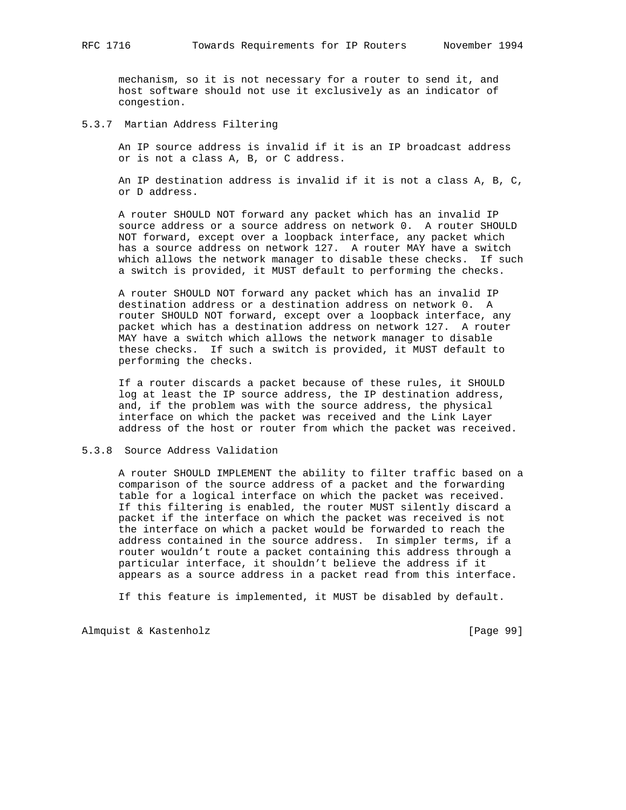mechanism, so it is not necessary for a router to send it, and host software should not use it exclusively as an indicator of congestion.

### 5.3.7 Martian Address Filtering

 An IP source address is invalid if it is an IP broadcast address or is not a class A, B, or C address.

 An IP destination address is invalid if it is not a class A, B, C, or D address.

 A router SHOULD NOT forward any packet which has an invalid IP source address or a source address on network 0. A router SHOULD NOT forward, except over a loopback interface, any packet which has a source address on network 127. A router MAY have a switch which allows the network manager to disable these checks. If such a switch is provided, it MUST default to performing the checks.

 A router SHOULD NOT forward any packet which has an invalid IP destination address or a destination address on network 0. A router SHOULD NOT forward, except over a loopback interface, any packet which has a destination address on network 127. A router MAY have a switch which allows the network manager to disable these checks. If such a switch is provided, it MUST default to performing the checks.

 If a router discards a packet because of these rules, it SHOULD log at least the IP source address, the IP destination address, and, if the problem was with the source address, the physical interface on which the packet was received and the Link Layer address of the host or router from which the packet was received.

### 5.3.8 Source Address Validation

 A router SHOULD IMPLEMENT the ability to filter traffic based on a comparison of the source address of a packet and the forwarding table for a logical interface on which the packet was received. If this filtering is enabled, the router MUST silently discard a packet if the interface on which the packet was received is not the interface on which a packet would be forwarded to reach the address contained in the source address. In simpler terms, if a router wouldn't route a packet containing this address through a particular interface, it shouldn't believe the address if it appears as a source address in a packet read from this interface.

If this feature is implemented, it MUST be disabled by default.

Almquist & Kastenholz [Page 99]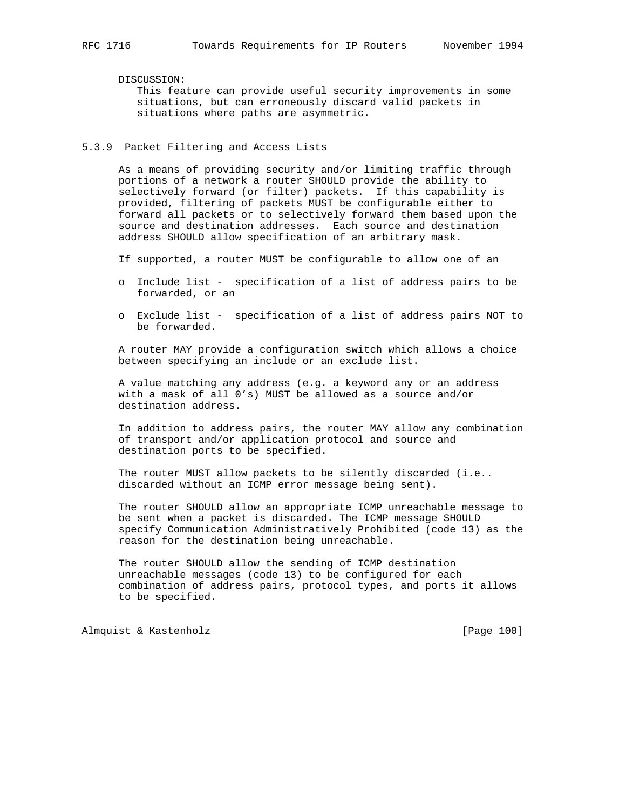DISCUSSION:

 This feature can provide useful security improvements in some situations, but can erroneously discard valid packets in situations where paths are asymmetric.

### 5.3.9 Packet Filtering and Access Lists

 As a means of providing security and/or limiting traffic through portions of a network a router SHOULD provide the ability to selectively forward (or filter) packets. If this capability is provided, filtering of packets MUST be configurable either to forward all packets or to selectively forward them based upon the source and destination addresses. Each source and destination address SHOULD allow specification of an arbitrary mask.

If supported, a router MUST be configurable to allow one of an

- o Include list specification of a list of address pairs to be forwarded, or an
- o Exclude list specification of a list of address pairs NOT to be forwarded.

 A router MAY provide a configuration switch which allows a choice between specifying an include or an exclude list.

 A value matching any address (e.g. a keyword any or an address with a mask of all 0's) MUST be allowed as a source and/or destination address.

 In addition to address pairs, the router MAY allow any combination of transport and/or application protocol and source and destination ports to be specified.

The router MUST allow packets to be silently discarded (i.e.. discarded without an ICMP error message being sent).

 The router SHOULD allow an appropriate ICMP unreachable message to be sent when a packet is discarded. The ICMP message SHOULD specify Communication Administratively Prohibited (code 13) as the reason for the destination being unreachable.

 The router SHOULD allow the sending of ICMP destination unreachable messages (code 13) to be configured for each combination of address pairs, protocol types, and ports it allows to be specified.

Almquist & Kastenholz **by Equal Contract Contract Contract Contract Contract Contract Contract Contract Contract Contract Contract Contract Contract Contract Contract Contract Contract Contract Contract Contract Contract C**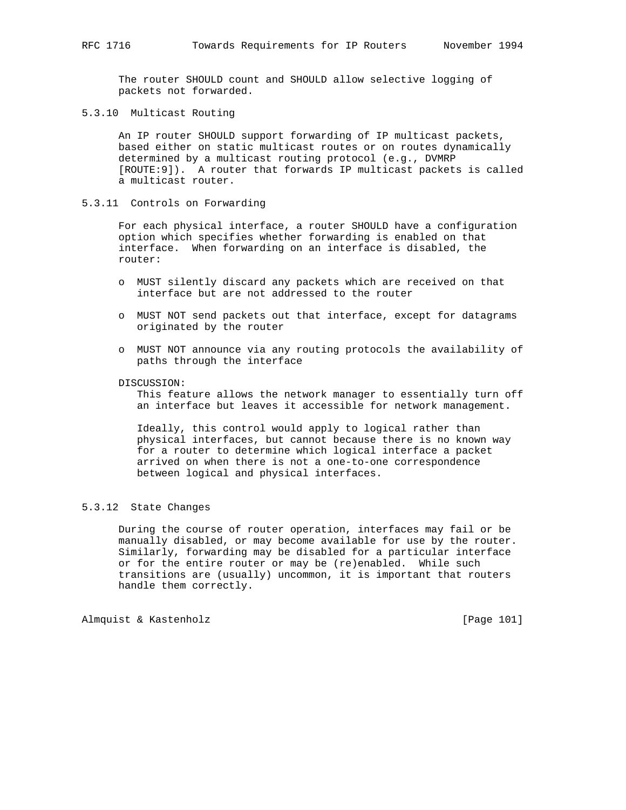The router SHOULD count and SHOULD allow selective logging of packets not forwarded.

5.3.10 Multicast Routing

 An IP router SHOULD support forwarding of IP multicast packets, based either on static multicast routes or on routes dynamically determined by a multicast routing protocol (e.g., DVMRP [ROUTE:9]). A router that forwards IP multicast packets is called a multicast router.

5.3.11 Controls on Forwarding

 For each physical interface, a router SHOULD have a configuration option which specifies whether forwarding is enabled on that interface. When forwarding on an interface is disabled, the router:

- o MUST silently discard any packets which are received on that interface but are not addressed to the router
- o MUST NOT send packets out that interface, except for datagrams originated by the router
- o MUST NOT announce via any routing protocols the availability of paths through the interface

DISCUSSION:

 This feature allows the network manager to essentially turn off an interface but leaves it accessible for network management.

 Ideally, this control would apply to logical rather than physical interfaces, but cannot because there is no known way for a router to determine which logical interface a packet arrived on when there is not a one-to-one correspondence between logical and physical interfaces.

# 5.3.12 State Changes

 During the course of router operation, interfaces may fail or be manually disabled, or may become available for use by the router. Similarly, forwarding may be disabled for a particular interface or for the entire router or may be (re)enabled. While such transitions are (usually) uncommon, it is important that routers handle them correctly.

Almquist & Kastenholz **being a set of the Contract Contract Contract Contract Contract Contract Contract Contract Contract Contract Contract Contract Contract Contract Contract Contract Contract Contract Contract Contract**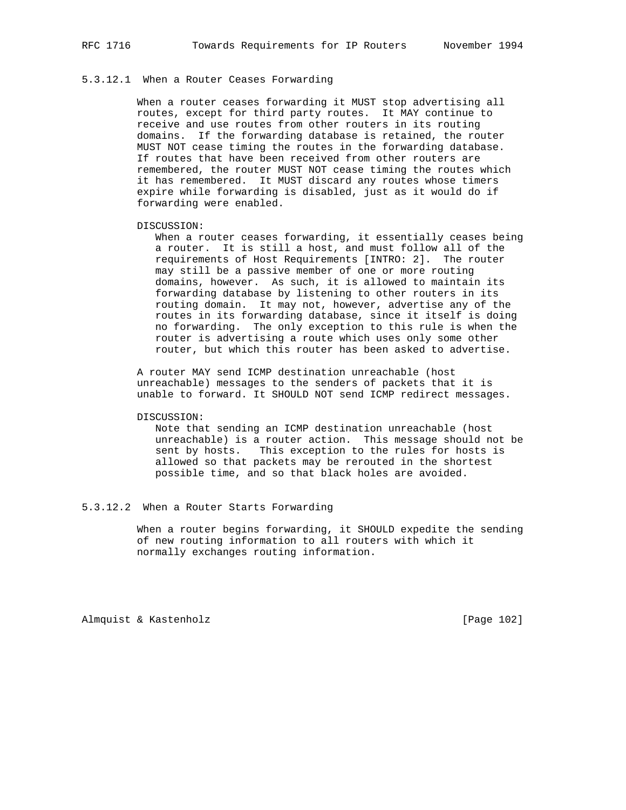# 5.3.12.1 When a Router Ceases Forwarding

 When a router ceases forwarding it MUST stop advertising all routes, except for third party routes. It MAY continue to receive and use routes from other routers in its routing domains. If the forwarding database is retained, the router MUST NOT cease timing the routes in the forwarding database. If routes that have been received from other routers are remembered, the router MUST NOT cease timing the routes which it has remembered. It MUST discard any routes whose timers expire while forwarding is disabled, just as it would do if forwarding were enabled.

DISCUSSION:

 When a router ceases forwarding, it essentially ceases being a router. It is still a host, and must follow all of the requirements of Host Requirements [INTRO: 2]. The router may still be a passive member of one or more routing domains, however. As such, it is allowed to maintain its forwarding database by listening to other routers in its routing domain. It may not, however, advertise any of the routes in its forwarding database, since it itself is doing no forwarding. The only exception to this rule is when the router is advertising a route which uses only some other router, but which this router has been asked to advertise.

 A router MAY send ICMP destination unreachable (host unreachable) messages to the senders of packets that it is unable to forward. It SHOULD NOT send ICMP redirect messages.

#### DISCUSSION:

 Note that sending an ICMP destination unreachable (host unreachable) is a router action. This message should not be sent by hosts. This exception to the rules for hosts is allowed so that packets may be rerouted in the shortest possible time, and so that black holes are avoided.

### 5.3.12.2 When a Router Starts Forwarding

 When a router begins forwarding, it SHOULD expedite the sending of new routing information to all routers with which it normally exchanges routing information.

Almquist & Kastenholz **by Equal Contract Contract Contract Contract Contract Contract Contract Contract Contract Contract Contract Contract Contract Contract Contract Contract Contract Contract Contract Contract Contract C**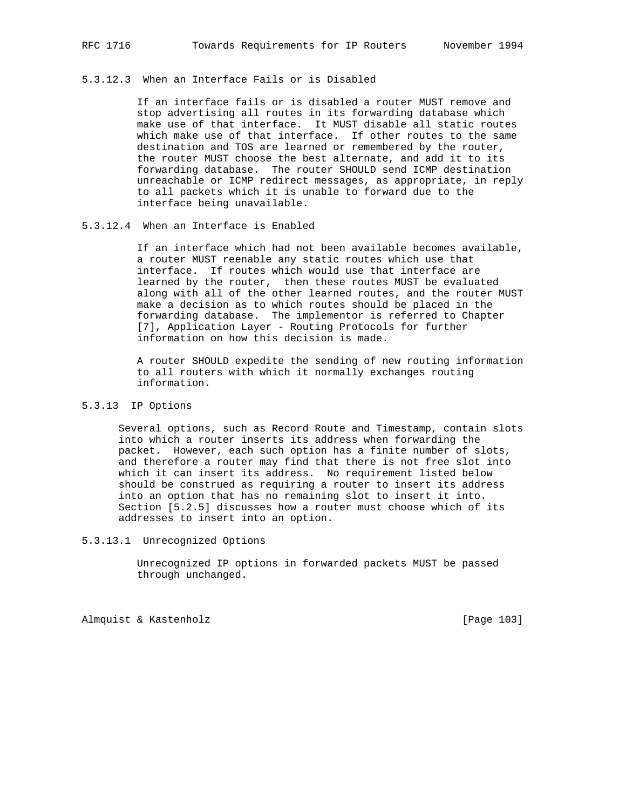## 5.3.12.3 When an Interface Fails or is Disabled

 If an interface fails or is disabled a router MUST remove and stop advertising all routes in its forwarding database which make use of that interface. It MUST disable all static routes which make use of that interface. If other routes to the same destination and TOS are learned or remembered by the router, the router MUST choose the best alternate, and add it to its forwarding database. The router SHOULD send ICMP destination unreachable or ICMP redirect messages, as appropriate, in reply to all packets which it is unable to forward due to the interface being unavailable.

# 5.3.12.4 When an Interface is Enabled

 If an interface which had not been available becomes available, a router MUST reenable any static routes which use that interface. If routes which would use that interface are learned by the router, then these routes MUST be evaluated along with all of the other learned routes, and the router MUST make a decision as to which routes should be placed in the forwarding database. The implementor is referred to Chapter [7], Application Layer - Routing Protocols for further information on how this decision is made.

 A router SHOULD expedite the sending of new routing information to all routers with which it normally exchanges routing information.

# 5.3.13 IP Options

 Several options, such as Record Route and Timestamp, contain slots into which a router inserts its address when forwarding the packet. However, each such option has a finite number of slots, and therefore a router may find that there is not free slot into which it can insert its address. No requirement listed below should be construed as requiring a router to insert its address into an option that has no remaining slot to insert it into. Section [5.2.5] discusses how a router must choose which of its addresses to insert into an option.

# 5.3.13.1 Unrecognized Options

 Unrecognized IP options in forwarded packets MUST be passed through unchanged.

Almquist & Kastenholz **and Contact Contact Act Contact Contact Contact Contact Contact Contact Contact Contact Contact Contact Contact Contact Contact Contact Contact Contact Contact Contact Contact Contact Contact Contact**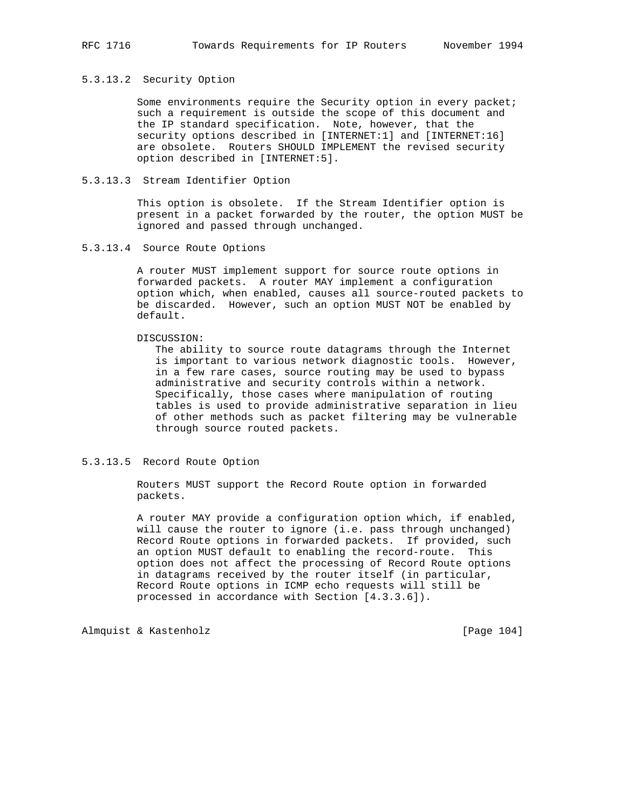## 5.3.13.2 Security Option

 Some environments require the Security option in every packet; such a requirement is outside the scope of this document and the IP standard specification. Note, however, that the security options described in [INTERNET:1] and [INTERNET:16] are obsolete. Routers SHOULD IMPLEMENT the revised security option described in [INTERNET:5].

### 5.3.13.3 Stream Identifier Option

 This option is obsolete. If the Stream Identifier option is present in a packet forwarded by the router, the option MUST be ignored and passed through unchanged.

### 5.3.13.4 Source Route Options

 A router MUST implement support for source route options in forwarded packets. A router MAY implement a configuration option which, when enabled, causes all source-routed packets to be discarded. However, such an option MUST NOT be enabled by default.

### DISCUSSION:

 The ability to source route datagrams through the Internet is important to various network diagnostic tools. However, in a few rare cases, source routing may be used to bypass administrative and security controls within a network. Specifically, those cases where manipulation of routing tables is used to provide administrative separation in lieu of other methods such as packet filtering may be vulnerable through source routed packets.

### 5.3.13.5 Record Route Option

 Routers MUST support the Record Route option in forwarded packets.

 A router MAY provide a configuration option which, if enabled, will cause the router to ignore (i.e. pass through unchanged) Record Route options in forwarded packets. If provided, such an option MUST default to enabling the record-route. This option does not affect the processing of Record Route options in datagrams received by the router itself (in particular, Record Route options in ICMP echo requests will still be processed in accordance with Section [4.3.3.6]).

Almquist & Kastenholz [Page 104]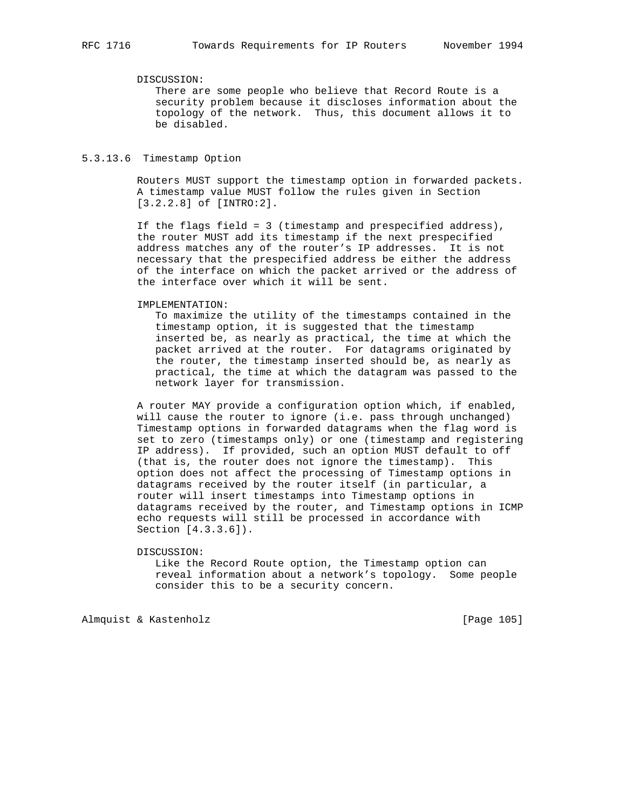# DISCUSSION:

 There are some people who believe that Record Route is a security problem because it discloses information about the topology of the network. Thus, this document allows it to be disabled.

## 5.3.13.6 Timestamp Option

 Routers MUST support the timestamp option in forwarded packets. A timestamp value MUST follow the rules given in Section [3.2.2.8] of [INTRO:2].

 If the flags field = 3 (timestamp and prespecified address), the router MUST add its timestamp if the next prespecified address matches any of the router's IP addresses. It is not necessary that the prespecified address be either the address of the interface on which the packet arrived or the address of the interface over which it will be sent.

#### IMPLEMENTATION:

 To maximize the utility of the timestamps contained in the timestamp option, it is suggested that the timestamp inserted be, as nearly as practical, the time at which the packet arrived at the router. For datagrams originated by the router, the timestamp inserted should be, as nearly as practical, the time at which the datagram was passed to the network layer for transmission.

 A router MAY provide a configuration option which, if enabled, will cause the router to ignore (i.e. pass through unchanged) Timestamp options in forwarded datagrams when the flag word is set to zero (timestamps only) or one (timestamp and registering IP address). If provided, such an option MUST default to off (that is, the router does not ignore the timestamp). This option does not affect the processing of Timestamp options in datagrams received by the router itself (in particular, a router will insert timestamps into Timestamp options in datagrams received by the router, and Timestamp options in ICMP echo requests will still be processed in accordance with Section [4.3.3.6]).

#### DISCUSSION:

 Like the Record Route option, the Timestamp option can reveal information about a network's topology. Some people consider this to be a security concern.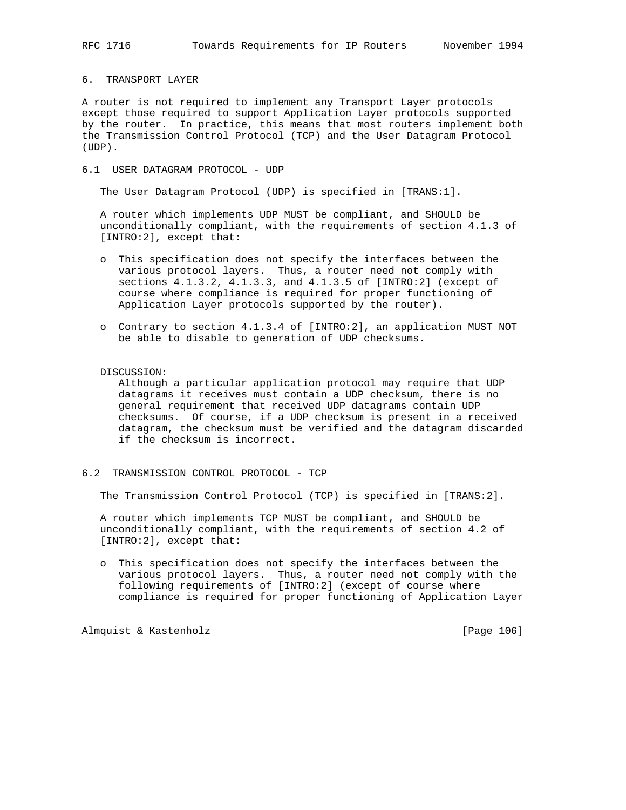### 6. TRANSPORT LAYER

A router is not required to implement any Transport Layer protocols except those required to support Application Layer protocols supported by the router. In practice, this means that most routers implement both the Transmission Control Protocol (TCP) and the User Datagram Protocol (UDP).

6.1 USER DATAGRAM PROTOCOL - UDP

The User Datagram Protocol (UDP) is specified in [TRANS:1].

 A router which implements UDP MUST be compliant, and SHOULD be unconditionally compliant, with the requirements of section 4.1.3 of [INTRO:2], except that:

- o This specification does not specify the interfaces between the various protocol layers. Thus, a router need not comply with sections 4.1.3.2, 4.1.3.3, and 4.1.3.5 of [INTRO:2] (except of course where compliance is required for proper functioning of Application Layer protocols supported by the router).
- o Contrary to section 4.1.3.4 of [INTRO:2], an application MUST NOT be able to disable to generation of UDP checksums.

#### DISCUSSION:

 Although a particular application protocol may require that UDP datagrams it receives must contain a UDP checksum, there is no general requirement that received UDP datagrams contain UDP checksums. Of course, if a UDP checksum is present in a received datagram, the checksum must be verified and the datagram discarded if the checksum is incorrect.

6.2 TRANSMISSION CONTROL PROTOCOL - TCP

The Transmission Control Protocol (TCP) is specified in [TRANS:2].

 A router which implements TCP MUST be compliant, and SHOULD be unconditionally compliant, with the requirements of section 4.2 of [INTRO:2], except that:

 o This specification does not specify the interfaces between the various protocol layers. Thus, a router need not comply with the following requirements of [INTRO:2] (except of course where compliance is required for proper functioning of Application Layer

Almquist & Kastenholz [Page 106]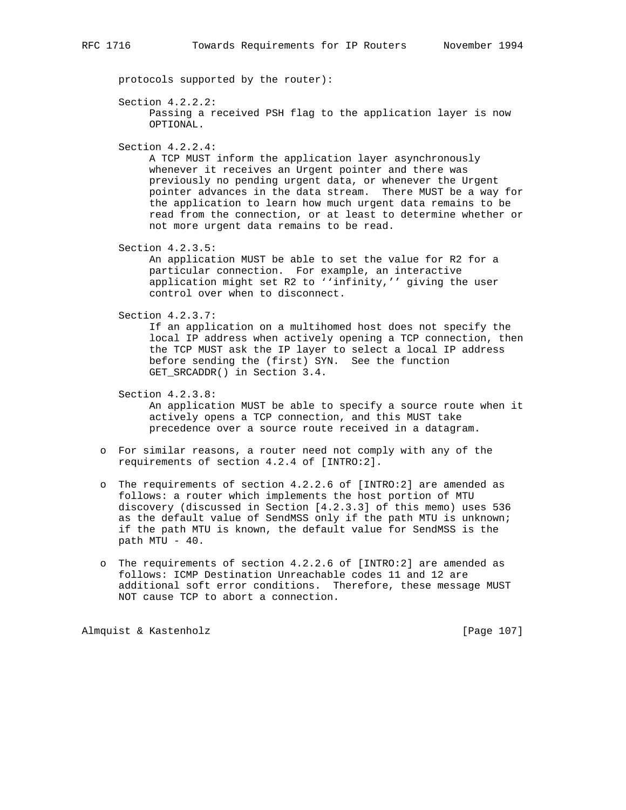protocols supported by the router):

```
 Section 4.2.2.2:
```
 Passing a received PSH flag to the application layer is now OPTIONAL.

Section 4.2.2.4:

 A TCP MUST inform the application layer asynchronously whenever it receives an Urgent pointer and there was previously no pending urgent data, or whenever the Urgent pointer advances in the data stream. There MUST be a way for the application to learn how much urgent data remains to be read from the connection, or at least to determine whether or not more urgent data remains to be read.

Section 4.2.3.5:

 An application MUST be able to set the value for R2 for a particular connection. For example, an interactive application might set R2 to ''infinity,'' giving the user control over when to disconnect.

Section 4.2.3.7:

 If an application on a multihomed host does not specify the local IP address when actively opening a TCP connection, then the TCP MUST ask the IP layer to select a local IP address before sending the (first) SYN. See the function GET\_SRCADDR() in Section 3.4.

Section 4.2.3.8:

 An application MUST be able to specify a source route when it actively opens a TCP connection, and this MUST take precedence over a source route received in a datagram.

- o For similar reasons, a router need not comply with any of the requirements of section 4.2.4 of [INTRO:2].
- o The requirements of section 4.2.2.6 of [INTRO:2] are amended as follows: a router which implements the host portion of MTU discovery (discussed in Section [4.2.3.3] of this memo) uses 536 as the default value of SendMSS only if the path MTU is unknown; if the path MTU is known, the default value for SendMSS is the path MTU - 40.
- o The requirements of section 4.2.2.6 of [INTRO:2] are amended as follows: ICMP Destination Unreachable codes 11 and 12 are additional soft error conditions. Therefore, these message MUST NOT cause TCP to abort a connection.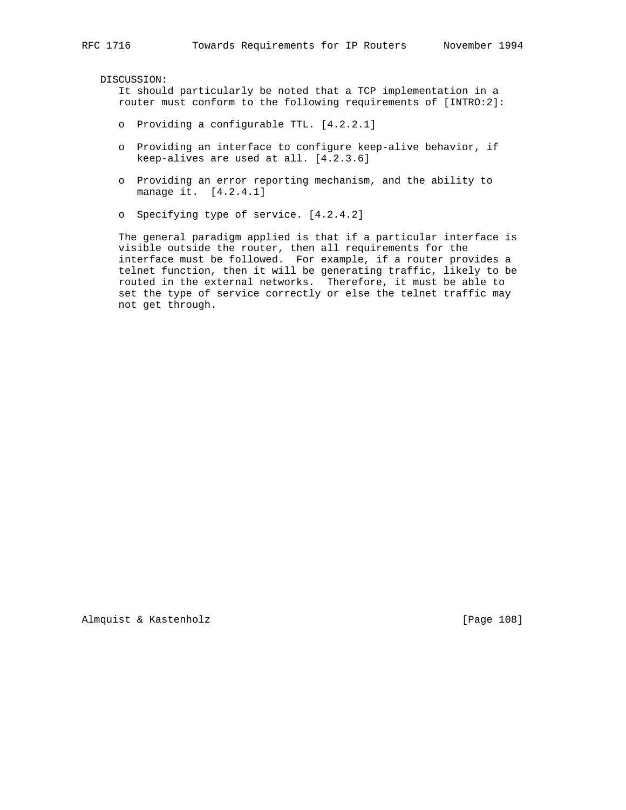DISCUSSION:

 It should particularly be noted that a TCP implementation in a router must conform to the following requirements of [INTRO:2]:

- o Providing a configurable TTL. [4.2.2.1]
- o Providing an interface to configure keep-alive behavior, if keep-alives are used at all. [4.2.3.6]
- o Providing an error reporting mechanism, and the ability to manage it. [4.2.4.1]
- o Specifying type of service. [4.2.4.2]

 The general paradigm applied is that if a particular interface is visible outside the router, then all requirements for the interface must be followed. For example, if a router provides a telnet function, then it will be generating traffic, likely to be routed in the external networks. Therefore, it must be able to set the type of service correctly or else the telnet traffic may not get through.

Almquist & Kastenholz **and Contact Almanus** [Page 108]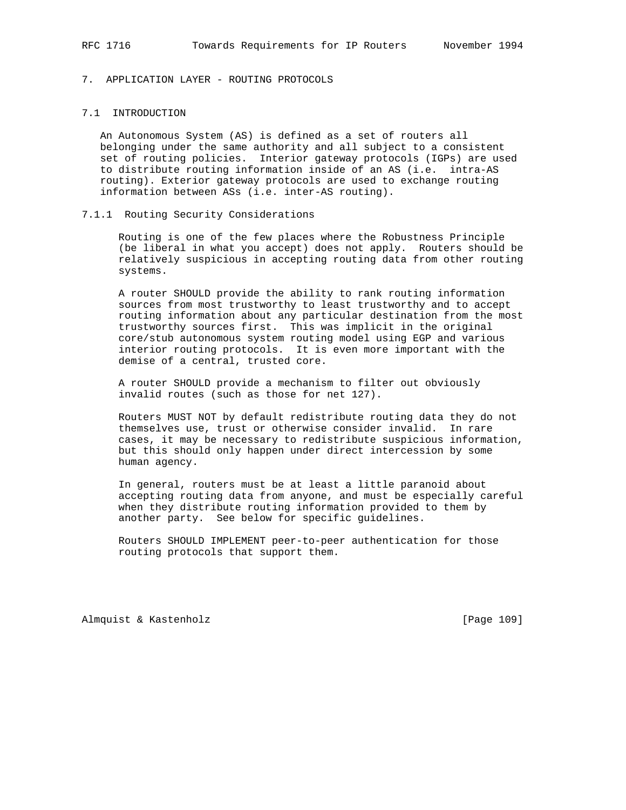# 7. APPLICATION LAYER - ROUTING PROTOCOLS

# 7.1 INTRODUCTION

 An Autonomous System (AS) is defined as a set of routers all belonging under the same authority and all subject to a consistent set of routing policies. Interior gateway protocols (IGPs) are used to distribute routing information inside of an AS (i.e. intra-AS routing). Exterior gateway protocols are used to exchange routing information between ASs (i.e. inter-AS routing).

#### 7.1.1 Routing Security Considerations

 Routing is one of the few places where the Robustness Principle (be liberal in what you accept) does not apply. Routers should be relatively suspicious in accepting routing data from other routing systems.

 A router SHOULD provide the ability to rank routing information sources from most trustworthy to least trustworthy and to accept routing information about any particular destination from the most trustworthy sources first. This was implicit in the original core/stub autonomous system routing model using EGP and various interior routing protocols. It is even more important with the demise of a central, trusted core.

 A router SHOULD provide a mechanism to filter out obviously invalid routes (such as those for net 127).

 Routers MUST NOT by default redistribute routing data they do not themselves use, trust or otherwise consider invalid. In rare cases, it may be necessary to redistribute suspicious information, but this should only happen under direct intercession by some human agency.

 In general, routers must be at least a little paranoid about accepting routing data from anyone, and must be especially careful when they distribute routing information provided to them by another party. See below for specific guidelines.

 Routers SHOULD IMPLEMENT peer-to-peer authentication for those routing protocols that support them.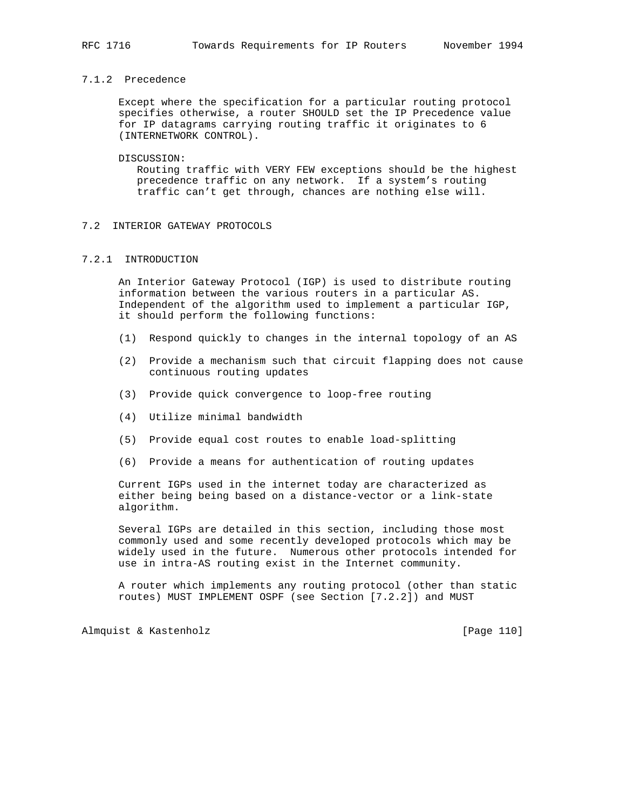# 7.1.2 Precedence

 Except where the specification for a particular routing protocol specifies otherwise, a router SHOULD set the IP Precedence value for IP datagrams carrying routing traffic it originates to 6 (INTERNETWORK CONTROL).

#### DISCUSSION:

 Routing traffic with VERY FEW exceptions should be the highest precedence traffic on any network. If a system's routing traffic can't get through, chances are nothing else will.

### 7.2 INTERIOR GATEWAY PROTOCOLS

## 7.2.1 INTRODUCTION

 An Interior Gateway Protocol (IGP) is used to distribute routing information between the various routers in a particular AS. Independent of the algorithm used to implement a particular IGP, it should perform the following functions:

- (1) Respond quickly to changes in the internal topology of an AS
- (2) Provide a mechanism such that circuit flapping does not cause continuous routing updates
- (3) Provide quick convergence to loop-free routing
- (4) Utilize minimal bandwidth
- (5) Provide equal cost routes to enable load-splitting
- (6) Provide a means for authentication of routing updates

 Current IGPs used in the internet today are characterized as either being being based on a distance-vector or a link-state algorithm.

 Several IGPs are detailed in this section, including those most commonly used and some recently developed protocols which may be widely used in the future. Numerous other protocols intended for use in intra-AS routing exist in the Internet community.

 A router which implements any routing protocol (other than static routes) MUST IMPLEMENT OSPF (see Section [7.2.2]) and MUST

Almquist & Kastenholz [Page 110]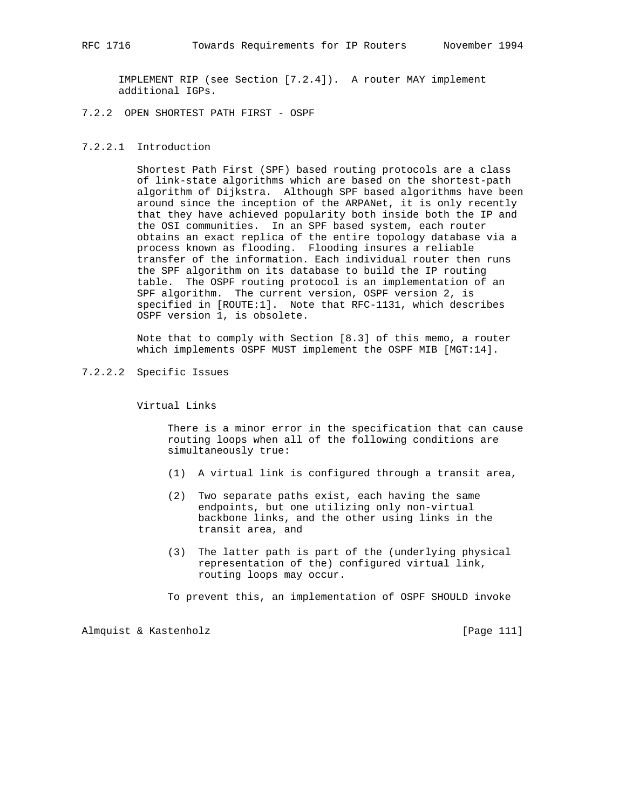IMPLEMENT RIP (see Section [7.2.4]). A router MAY implement additional IGPs.

7.2.2 OPEN SHORTEST PATH FIRST - OSPF

#### 7.2.2.1 Introduction

 Shortest Path First (SPF) based routing protocols are a class of link-state algorithms which are based on the shortest-path algorithm of Dijkstra. Although SPF based algorithms have been around since the inception of the ARPANet, it is only recently that they have achieved popularity both inside both the IP and the OSI communities. In an SPF based system, each router obtains an exact replica of the entire topology database via a process known as flooding. Flooding insures a reliable transfer of the information. Each individual router then runs the SPF algorithm on its database to build the IP routing table. The OSPF routing protocol is an implementation of an SPF algorithm. The current version, OSPF version 2, is specified in [ROUTE:1]. Note that RFC-1131, which describes OSPF version 1, is obsolete.

 Note that to comply with Section [8.3] of this memo, a router which implements OSPF MUST implement the OSPF MIB [MGT:14].

7.2.2.2 Specific Issues

Virtual Links

 There is a minor error in the specification that can cause routing loops when all of the following conditions are simultaneously true:

- (1) A virtual link is configured through a transit area,
- (2) Two separate paths exist, each having the same endpoints, but one utilizing only non-virtual backbone links, and the other using links in the transit area, and
- (3) The latter path is part of the (underlying physical representation of the) configured virtual link, routing loops may occur.

To prevent this, an implementation of OSPF SHOULD invoke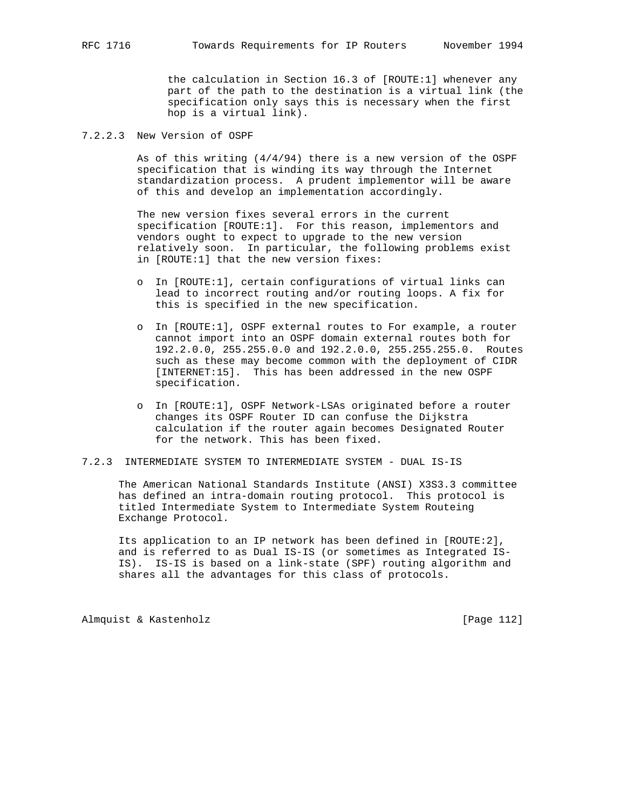the calculation in Section 16.3 of [ROUTE:1] whenever any part of the path to the destination is a virtual link (the specification only says this is necessary when the first hop is a virtual link).

7.2.2.3 New Version of OSPF

 As of this writing (4/4/94) there is a new version of the OSPF specification that is winding its way through the Internet standardization process. A prudent implementor will be aware of this and develop an implementation accordingly.

 The new version fixes several errors in the current specification [ROUTE:1]. For this reason, implementors and vendors ought to expect to upgrade to the new version relatively soon. In particular, the following problems exist in [ROUTE:1] that the new version fixes:

- o In [ROUTE:1], certain configurations of virtual links can lead to incorrect routing and/or routing loops. A fix for this is specified in the new specification.
- o In [ROUTE:1], OSPF external routes to For example, a router cannot import into an OSPF domain external routes both for 192.2.0.0, 255.255.0.0 and 192.2.0.0, 255.255.255.0. Routes such as these may become common with the deployment of CIDR [INTERNET:15]. This has been addressed in the new OSPF specification.
- o In [ROUTE:1], OSPF Network-LSAs originated before a router changes its OSPF Router ID can confuse the Dijkstra calculation if the router again becomes Designated Router for the network. This has been fixed.

# 7.2.3 INTERMEDIATE SYSTEM TO INTERMEDIATE SYSTEM - DUAL IS-IS

 The American National Standards Institute (ANSI) X3S3.3 committee has defined an intra-domain routing protocol. This protocol is titled Intermediate System to Intermediate System Routeing Exchange Protocol.

 Its application to an IP network has been defined in [ROUTE:2], and is referred to as Dual IS-IS (or sometimes as Integrated IS- IS). IS-IS is based on a link-state (SPF) routing algorithm and shares all the advantages for this class of protocols.

Almquist & Kastenholz **and Communist** [Page 112]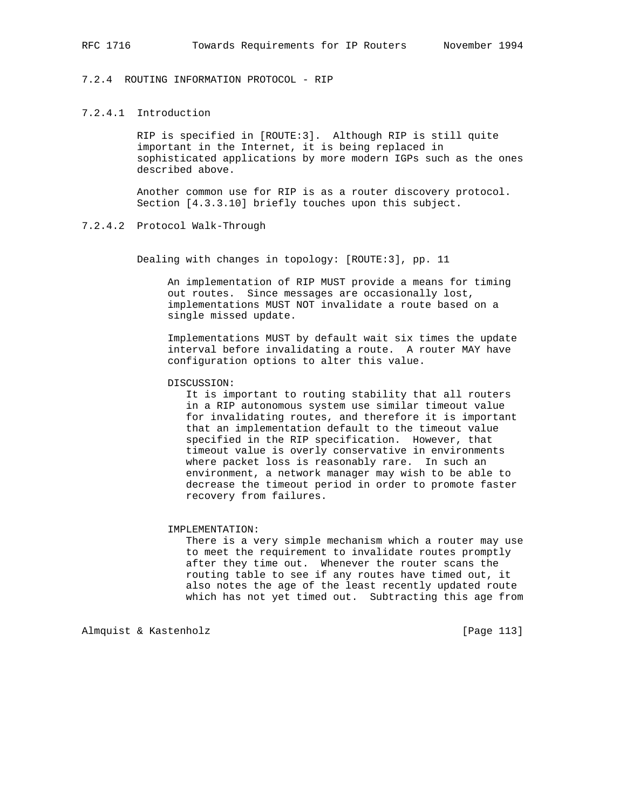# 7.2.4 ROUTING INFORMATION PROTOCOL - RIP

# 7.2.4.1 Introduction

 RIP is specified in [ROUTE:3]. Although RIP is still quite important in the Internet, it is being replaced in sophisticated applications by more modern IGPs such as the ones described above.

 Another common use for RIP is as a router discovery protocol. Section [4.3.3.10] briefly touches upon this subject.

### 7.2.4.2 Protocol Walk-Through

Dealing with changes in topology: [ROUTE:3], pp. 11

 An implementation of RIP MUST provide a means for timing out routes. Since messages are occasionally lost, implementations MUST NOT invalidate a route based on a single missed update.

 Implementations MUST by default wait six times the update interval before invalidating a route. A router MAY have configuration options to alter this value.

DISCUSSION:

 It is important to routing stability that all routers in a RIP autonomous system use similar timeout value for invalidating routes, and therefore it is important that an implementation default to the timeout value specified in the RIP specification. However, that timeout value is overly conservative in environments where packet loss is reasonably rare. In such an environment, a network manager may wish to be able to decrease the timeout period in order to promote faster recovery from failures.

#### IMPLEMENTATION:

 There is a very simple mechanism which a router may use to meet the requirement to invalidate routes promptly after they time out. Whenever the router scans the routing table to see if any routes have timed out, it also notes the age of the least recently updated route which has not yet timed out. Subtracting this age from

Almquist & Kastenholz **by Equal Contract Contract Contract** [Page 113]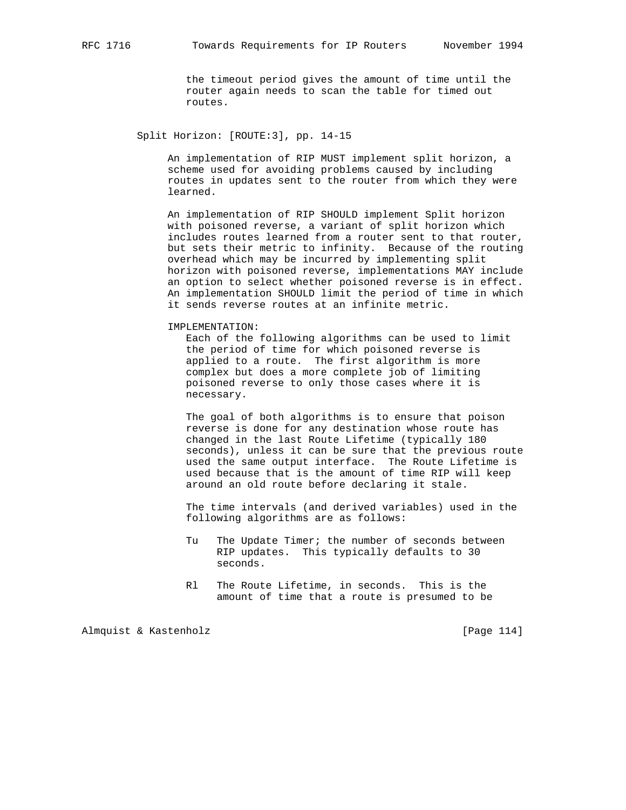the timeout period gives the amount of time until the router again needs to scan the table for timed out routes.

Split Horizon: [ROUTE:3], pp. 14-15

 An implementation of RIP MUST implement split horizon, a scheme used for avoiding problems caused by including routes in updates sent to the router from which they were learned.

 An implementation of RIP SHOULD implement Split horizon with poisoned reverse, a variant of split horizon which includes routes learned from a router sent to that router, but sets their metric to infinity. Because of the routing overhead which may be incurred by implementing split horizon with poisoned reverse, implementations MAY include an option to select whether poisoned reverse is in effect. An implementation SHOULD limit the period of time in which it sends reverse routes at an infinite metric.

IMPLEMENTATION:

 Each of the following algorithms can be used to limit the period of time for which poisoned reverse is applied to a route. The first algorithm is more complex but does a more complete job of limiting poisoned reverse to only those cases where it is necessary.

 The goal of both algorithms is to ensure that poison reverse is done for any destination whose route has changed in the last Route Lifetime (typically 180 seconds), unless it can be sure that the previous route used the same output interface. The Route Lifetime is used because that is the amount of time RIP will keep around an old route before declaring it stale.

 The time intervals (and derived variables) used in the following algorithms are as follows:

- Tu The Update Timer; the number of seconds between RIP updates. This typically defaults to 30 seconds.
- Rl The Route Lifetime, in seconds. This is the amount of time that a route is presumed to be

Almquist & Kastenholz [Page 114]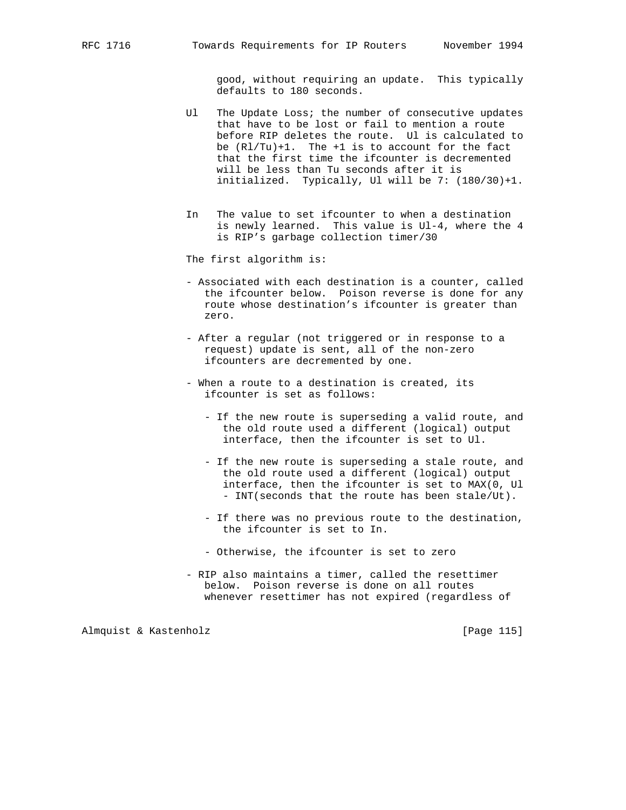good, without requiring an update. This typically defaults to 180 seconds.

- Ul The Update Loss; the number of consecutive updates that have to be lost or fail to mention a route before RIP deletes the route. Ul is calculated to be  $(Rl/Tu)+1$ . The  $+1$  is to account for the fact that the first time the ifcounter is decremented will be less than Tu seconds after it is initialized. Typically, Ul will be 7: (180/30)+1.
- In The value to set ifcounter to when a destination is newly learned. This value is Ul-4, where the 4 is RIP's garbage collection timer/30

The first algorithm is:

- Associated with each destination is a counter, called the ifcounter below. Poison reverse is done for any route whose destination's ifcounter is greater than zero.
- After a regular (not triggered or in response to a request) update is sent, all of the non-zero ifcounters are decremented by one.
- When a route to a destination is created, its ifcounter is set as follows:
	- If the new route is superseding a valid route, and the old route used a different (logical) output interface, then the ifcounter is set to Ul.
	- If the new route is superseding a stale route, and the old route used a different (logical) output interface, then the ifcounter is set to MAX(0, Ul - INT(seconds that the route has been stale/Ut).
	- If there was no previous route to the destination, the ifcounter is set to In.
	- Otherwise, the ifcounter is set to zero
- RIP also maintains a timer, called the resettimer below. Poison reverse is done on all routes whenever resettimer has not expired (regardless of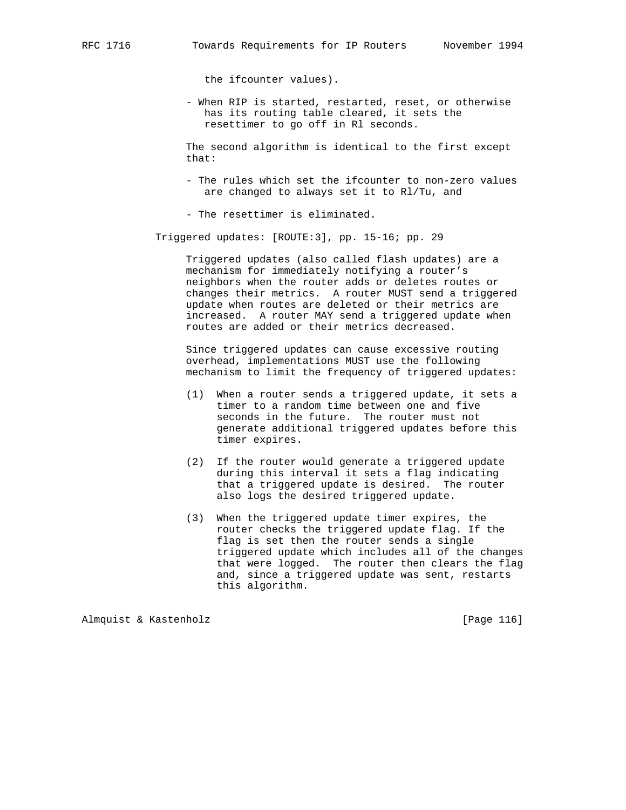the ifcounter values).

 - When RIP is started, restarted, reset, or otherwise has its routing table cleared, it sets the resettimer to go off in Rl seconds.

 The second algorithm is identical to the first except that:

 - The rules which set the ifcounter to non-zero values are changed to always set it to Rl/Tu, and

- The resettimer is eliminated.

Triggered updates: [ROUTE:3], pp. 15-16; pp. 29

 Triggered updates (also called flash updates) are a mechanism for immediately notifying a router's neighbors when the router adds or deletes routes or changes their metrics. A router MUST send a triggered update when routes are deleted or their metrics are increased. A router MAY send a triggered update when routes are added or their metrics decreased.

 Since triggered updates can cause excessive routing overhead, implementations MUST use the following mechanism to limit the frequency of triggered updates:

- (1) When a router sends a triggered update, it sets a timer to a random time between one and five seconds in the future. The router must not generate additional triggered updates before this timer expires.
- (2) If the router would generate a triggered update during this interval it sets a flag indicating that a triggered update is desired. The router also logs the desired triggered update.
- (3) When the triggered update timer expires, the router checks the triggered update flag. If the flag is set then the router sends a single triggered update which includes all of the changes that were logged. The router then clears the flag and, since a triggered update was sent, restarts this algorithm.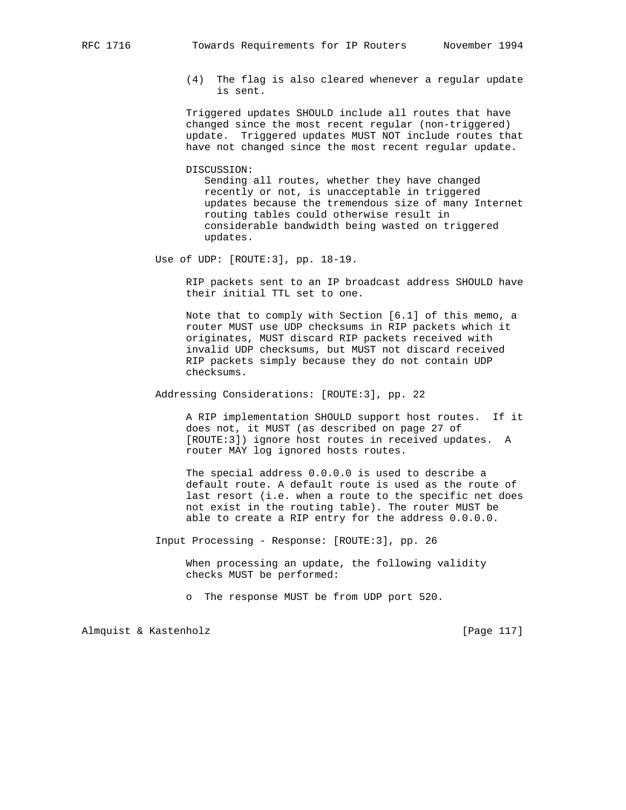(4) The flag is also cleared whenever a regular update is sent.

 Triggered updates SHOULD include all routes that have changed since the most recent regular (non-triggered) update. Triggered updates MUST NOT include routes that have not changed since the most recent regular update.

DISCUSSION:

 Sending all routes, whether they have changed recently or not, is unacceptable in triggered updates because the tremendous size of many Internet routing tables could otherwise result in considerable bandwidth being wasted on triggered updates.

Use of UDP: [ROUTE:3], pp. 18-19.

 RIP packets sent to an IP broadcast address SHOULD have their initial TTL set to one.

 Note that to comply with Section [6.1] of this memo, a router MUST use UDP checksums in RIP packets which it originates, MUST discard RIP packets received with invalid UDP checksums, but MUST not discard received RIP packets simply because they do not contain UDP checksums.

Addressing Considerations: [ROUTE:3], pp. 22

 A RIP implementation SHOULD support host routes. If it does not, it MUST (as described on page 27 of [ROUTE:3]) ignore host routes in received updates. A router MAY log ignored hosts routes.

 The special address 0.0.0.0 is used to describe a default route. A default route is used as the route of last resort (i.e. when a route to the specific net does not exist in the routing table). The router MUST be able to create a RIP entry for the address 0.0.0.0.

Input Processing - Response: [ROUTE:3], pp. 26

 When processing an update, the following validity checks MUST be performed:

o The response MUST be from UDP port 520.

Almquist & Kastenholz [Page 117]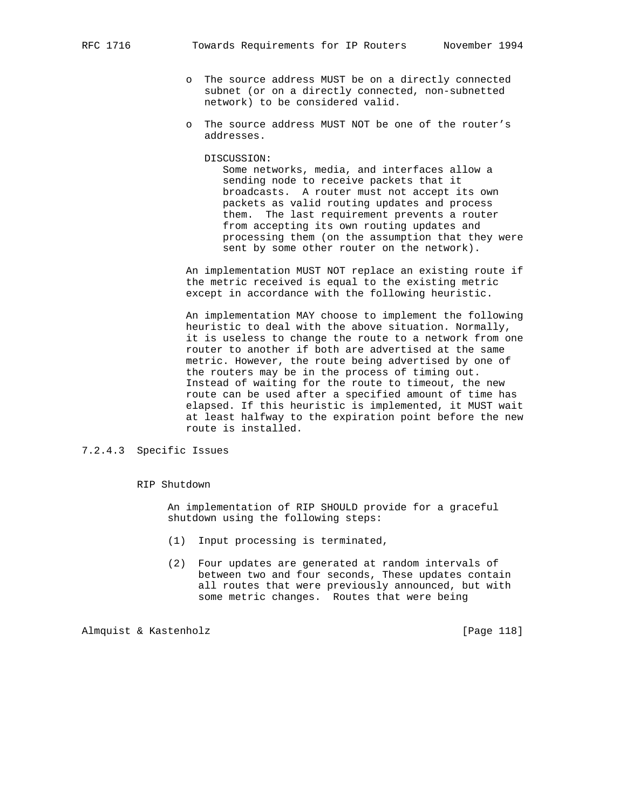- o The source address MUST be on a directly connected subnet (or on a directly connected, non-subnetted network) to be considered valid.
- o The source address MUST NOT be one of the router's addresses.

DISCUSSION:

 Some networks, media, and interfaces allow a sending node to receive packets that it broadcasts. A router must not accept its own packets as valid routing updates and process them. The last requirement prevents a router from accepting its own routing updates and processing them (on the assumption that they were sent by some other router on the network).

 An implementation MUST NOT replace an existing route if the metric received is equal to the existing metric except in accordance with the following heuristic.

 An implementation MAY choose to implement the following heuristic to deal with the above situation. Normally, it is useless to change the route to a network from one router to another if both are advertised at the same metric. However, the route being advertised by one of the routers may be in the process of timing out. Instead of waiting for the route to timeout, the new route can be used after a specified amount of time has elapsed. If this heuristic is implemented, it MUST wait at least halfway to the expiration point before the new route is installed.

# 7.2.4.3 Specific Issues

#### RIP Shutdown

 An implementation of RIP SHOULD provide for a graceful shutdown using the following steps:

- (1) Input processing is terminated,
- (2) Four updates are generated at random intervals of between two and four seconds, These updates contain all routes that were previously announced, but with some metric changes. Routes that were being

Almquist & Kastenholz [Page 118]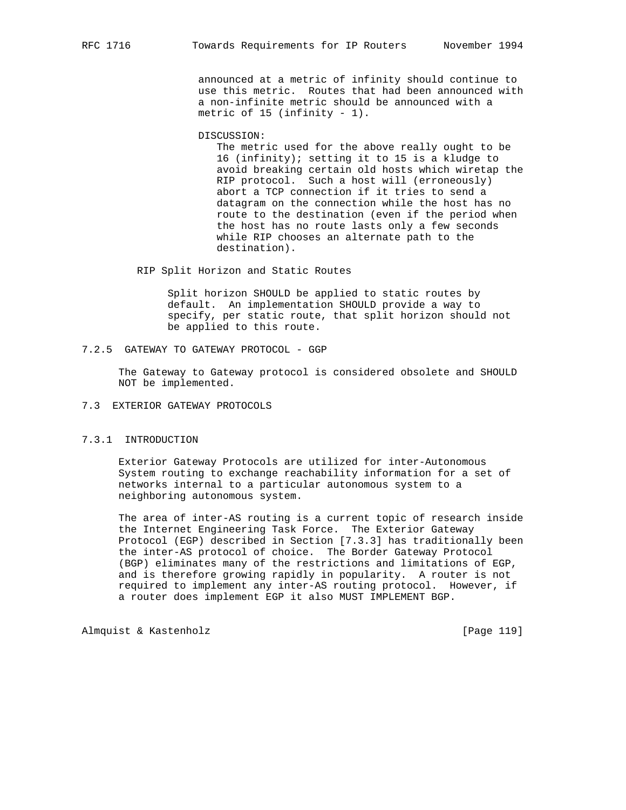announced at a metric of infinity should continue to use this metric. Routes that had been announced with a non-infinite metric should be announced with a metric of 15 (infinity - 1).

DISCUSSION:

 The metric used for the above really ought to be 16 (infinity); setting it to 15 is a kludge to avoid breaking certain old hosts which wiretap the RIP protocol. Such a host will (erroneously) abort a TCP connection if it tries to send a datagram on the connection while the host has no route to the destination (even if the period when the host has no route lasts only a few seconds while RIP chooses an alternate path to the destination).

RIP Split Horizon and Static Routes

 Split horizon SHOULD be applied to static routes by default. An implementation SHOULD provide a way to specify, per static route, that split horizon should not be applied to this route.

7.2.5 GATEWAY TO GATEWAY PROTOCOL - GGP

 The Gateway to Gateway protocol is considered obsolete and SHOULD NOT be implemented.

7.3 EXTERIOR GATEWAY PROTOCOLS

# 7.3.1 INTRODUCTION

 Exterior Gateway Protocols are utilized for inter-Autonomous System routing to exchange reachability information for a set of networks internal to a particular autonomous system to a neighboring autonomous system.

 The area of inter-AS routing is a current topic of research inside the Internet Engineering Task Force. The Exterior Gateway Protocol (EGP) described in Section [7.3.3] has traditionally been the inter-AS protocol of choice. The Border Gateway Protocol (BGP) eliminates many of the restrictions and limitations of EGP, and is therefore growing rapidly in popularity. A router is not required to implement any inter-AS routing protocol. However, if a router does implement EGP it also MUST IMPLEMENT BGP.

Almquist & Kastenholz **but all almost a Community** [Page 119]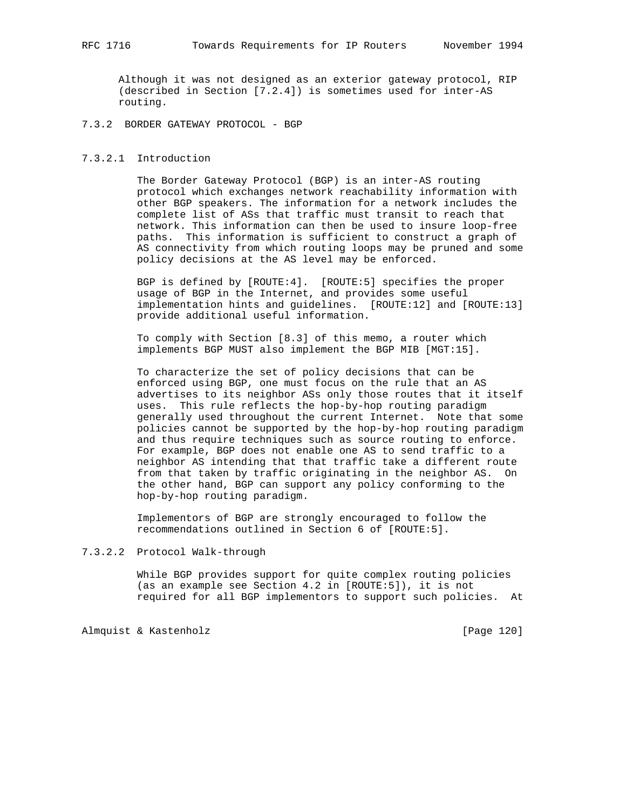Although it was not designed as an exterior gateway protocol, RIP (described in Section [7.2.4]) is sometimes used for inter-AS routing.

## 7.3.2 BORDER GATEWAY PROTOCOL - BGP

### 7.3.2.1 Introduction

 The Border Gateway Protocol (BGP) is an inter-AS routing protocol which exchanges network reachability information with other BGP speakers. The information for a network includes the complete list of ASs that traffic must transit to reach that network. This information can then be used to insure loop-free paths. This information is sufficient to construct a graph of AS connectivity from which routing loops may be pruned and some policy decisions at the AS level may be enforced.

 BGP is defined by [ROUTE:4]. [ROUTE:5] specifies the proper usage of BGP in the Internet, and provides some useful implementation hints and guidelines. [ROUTE:12] and [ROUTE:13] provide additional useful information.

 To comply with Section [8.3] of this memo, a router which implements BGP MUST also implement the BGP MIB [MGT:15].

 To characterize the set of policy decisions that can be enforced using BGP, one must focus on the rule that an AS advertises to its neighbor ASs only those routes that it itself uses. This rule reflects the hop-by-hop routing paradigm generally used throughout the current Internet. Note that some policies cannot be supported by the hop-by-hop routing paradigm and thus require techniques such as source routing to enforce. For example, BGP does not enable one AS to send traffic to a neighbor AS intending that that traffic take a different route from that taken by traffic originating in the neighbor AS. On the other hand, BGP can support any policy conforming to the hop-by-hop routing paradigm.

 Implementors of BGP are strongly encouraged to follow the recommendations outlined in Section 6 of [ROUTE:5].

### 7.3.2.2 Protocol Walk-through

 While BGP provides support for quite complex routing policies (as an example see Section 4.2 in [ROUTE:5]), it is not required for all BGP implementors to support such policies. At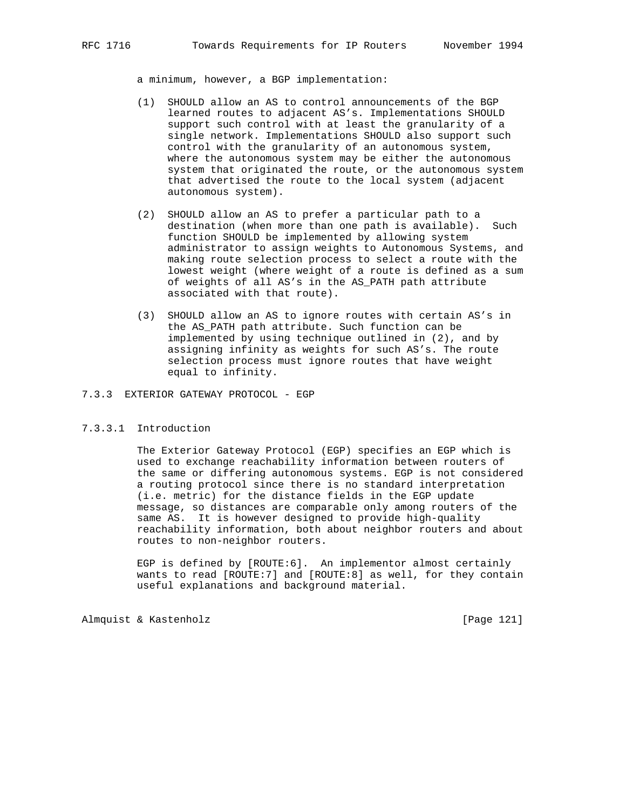a minimum, however, a BGP implementation:

- (1) SHOULD allow an AS to control announcements of the BGP learned routes to adjacent AS's. Implementations SHOULD support such control with at least the granularity of a single network. Implementations SHOULD also support such control with the granularity of an autonomous system, where the autonomous system may be either the autonomous system that originated the route, or the autonomous system that advertised the route to the local system (adjacent autonomous system).
- (2) SHOULD allow an AS to prefer a particular path to a destination (when more than one path is available). Such function SHOULD be implemented by allowing system administrator to assign weights to Autonomous Systems, and making route selection process to select a route with the lowest weight (where weight of a route is defined as a sum of weights of all AS's in the AS\_PATH path attribute associated with that route).
- (3) SHOULD allow an AS to ignore routes with certain AS's in the AS\_PATH path attribute. Such function can be implemented by using technique outlined in (2), and by assigning infinity as weights for such AS's. The route selection process must ignore routes that have weight equal to infinity.

7.3.3 EXTERIOR GATEWAY PROTOCOL - EGP

### 7.3.3.1 Introduction

 The Exterior Gateway Protocol (EGP) specifies an EGP which is used to exchange reachability information between routers of the same or differing autonomous systems. EGP is not considered a routing protocol since there is no standard interpretation (i.e. metric) for the distance fields in the EGP update message, so distances are comparable only among routers of the same AS. It is however designed to provide high-quality reachability information, both about neighbor routers and about routes to non-neighbor routers.

 EGP is defined by [ROUTE:6]. An implementor almost certainly wants to read [ROUTE:7] and [ROUTE:8] as well, for they contain useful explanations and background material.

Almquist & Kastenholz [Page 121]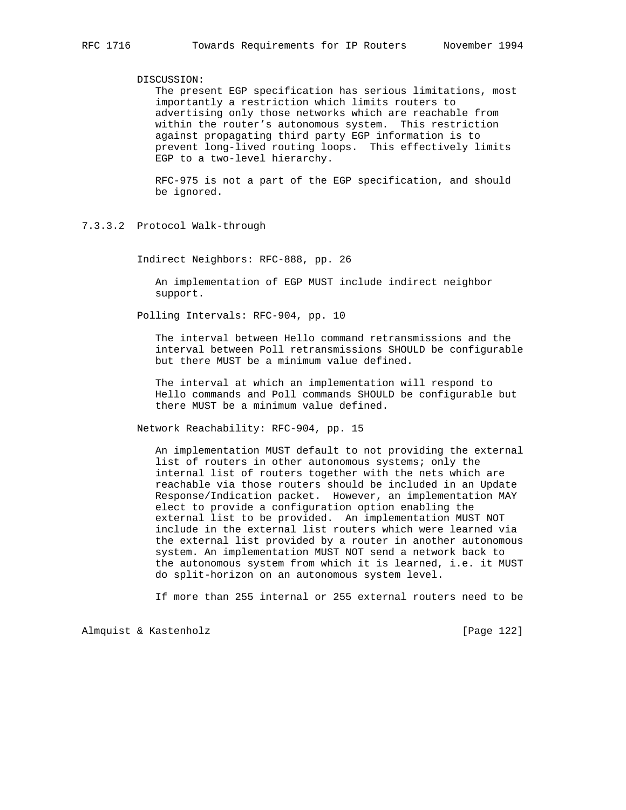### DISCUSSION:

 The present EGP specification has serious limitations, most importantly a restriction which limits routers to advertising only those networks which are reachable from within the router's autonomous system. This restriction against propagating third party EGP information is to prevent long-lived routing loops. This effectively limits EGP to a two-level hierarchy.

 RFC-975 is not a part of the EGP specification, and should be ignored.

Indirect Neighbors: RFC-888, pp. 26

 An implementation of EGP MUST include indirect neighbor support.

Polling Intervals: RFC-904, pp. 10

 The interval between Hello command retransmissions and the interval between Poll retransmissions SHOULD be configurable but there MUST be a minimum value defined.

 The interval at which an implementation will respond to Hello commands and Poll commands SHOULD be configurable but there MUST be a minimum value defined.

Network Reachability: RFC-904, pp. 15

 An implementation MUST default to not providing the external list of routers in other autonomous systems; only the internal list of routers together with the nets which are reachable via those routers should be included in an Update Response/Indication packet. However, an implementation MAY elect to provide a configuration option enabling the external list to be provided. An implementation MUST NOT include in the external list routers which were learned via the external list provided by a router in another autonomous system. An implementation MUST NOT send a network back to the autonomous system from which it is learned, i.e. it MUST do split-horizon on an autonomous system level.

If more than 255 internal or 255 external routers need to be

<sup>7.3.3.2</sup> Protocol Walk-through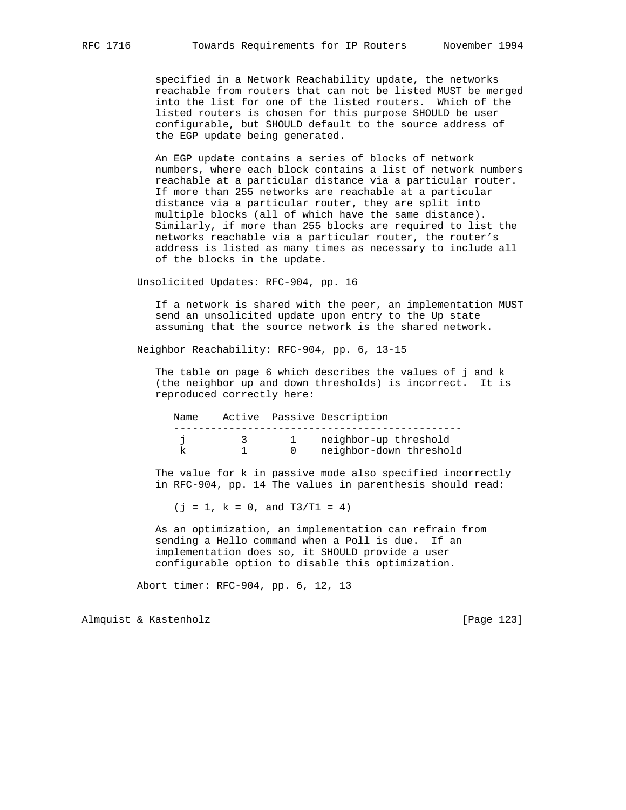specified in a Network Reachability update, the networks reachable from routers that can not be listed MUST be merged into the list for one of the listed routers. Which of the listed routers is chosen for this purpose SHOULD be user configurable, but SHOULD default to the source address of the EGP update being generated.

 An EGP update contains a series of blocks of network numbers, where each block contains a list of network numbers reachable at a particular distance via a particular router. If more than 255 networks are reachable at a particular distance via a particular router, they are split into multiple blocks (all of which have the same distance). Similarly, if more than 255 blocks are required to list the networks reachable via a particular router, the router's address is listed as many times as necessary to include all of the blocks in the update.

Unsolicited Updates: RFC-904, pp. 16

 If a network is shared with the peer, an implementation MUST send an unsolicited update upon entry to the Up state assuming that the source network is the shared network.

Neighbor Reachability: RFC-904, pp. 6, 13-15

 The table on page 6 which describes the values of j and k (the neighbor up and down thresholds) is incorrect. It is reproduced correctly here:

| Name |  | Active Passive Description |
|------|--|----------------------------|
|      |  | neighbor-up threshold      |
|      |  | neighbor-down threshold    |

 The value for k in passive mode also specified incorrectly in RFC-904, pp. 14 The values in parenthesis should read:

 $(j = 1, k = 0, and T3/T1 = 4)$ 

 As an optimization, an implementation can refrain from sending a Hello command when a Poll is due. If an implementation does so, it SHOULD provide a user configurable option to disable this optimization.

Abort timer: RFC-904, pp. 6, 12, 13

Almquist & Kastenholz [Page 123]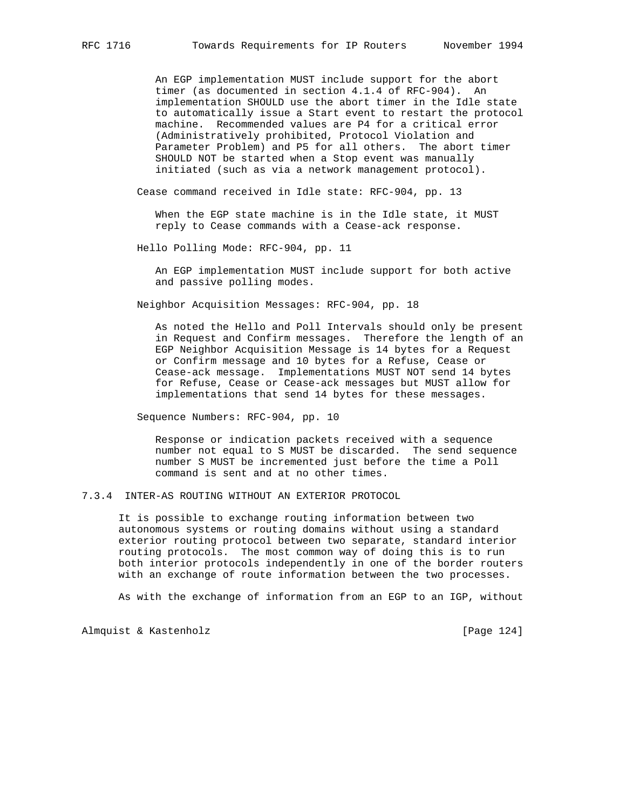An EGP implementation MUST include support for the abort timer (as documented in section 4.1.4 of RFC-904). An implementation SHOULD use the abort timer in the Idle state to automatically issue a Start event to restart the protocol machine. Recommended values are P4 for a critical error (Administratively prohibited, Protocol Violation and Parameter Problem) and P5 for all others. The abort timer SHOULD NOT be started when a Stop event was manually initiated (such as via a network management protocol).

Cease command received in Idle state: RFC-904, pp. 13

 When the EGP state machine is in the Idle state, it MUST reply to Cease commands with a Cease-ack response.

Hello Polling Mode: RFC-904, pp. 11

 An EGP implementation MUST include support for both active and passive polling modes.

Neighbor Acquisition Messages: RFC-904, pp. 18

 As noted the Hello and Poll Intervals should only be present in Request and Confirm messages. Therefore the length of an EGP Neighbor Acquisition Message is 14 bytes for a Request or Confirm message and 10 bytes for a Refuse, Cease or Cease-ack message. Implementations MUST NOT send 14 bytes for Refuse, Cease or Cease-ack messages but MUST allow for implementations that send 14 bytes for these messages.

Sequence Numbers: RFC-904, pp. 10

 Response or indication packets received with a sequence number not equal to S MUST be discarded. The send sequence number S MUST be incremented just before the time a Poll command is sent and at no other times.

7.3.4 INTER-AS ROUTING WITHOUT AN EXTERIOR PROTOCOL

 It is possible to exchange routing information between two autonomous systems or routing domains without using a standard exterior routing protocol between two separate, standard interior routing protocols. The most common way of doing this is to run both interior protocols independently in one of the border routers with an exchange of route information between the two processes.

As with the exchange of information from an EGP to an IGP, without

Almquist & Kastenholz [Page 124]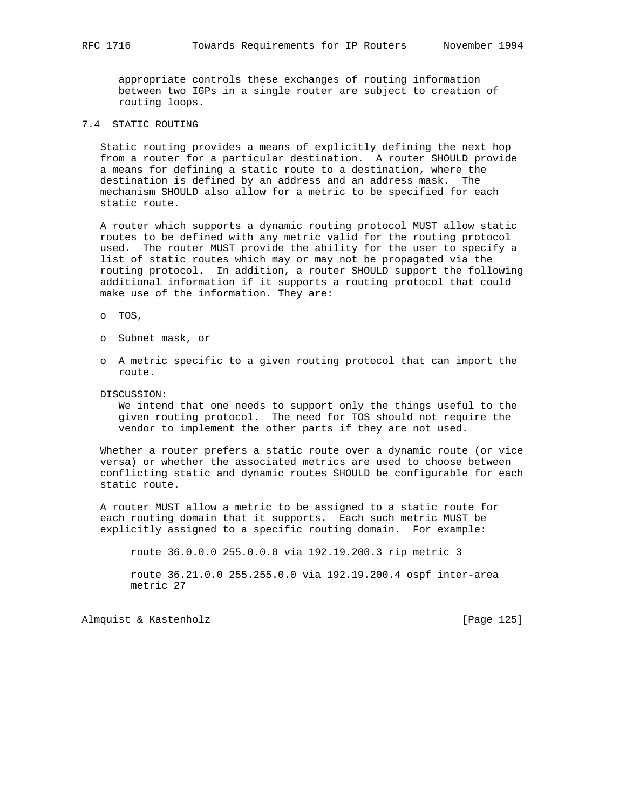appropriate controls these exchanges of routing information between two IGPs in a single router are subject to creation of routing loops.

# 7.4 STATIC ROUTING

 Static routing provides a means of explicitly defining the next hop from a router for a particular destination. A router SHOULD provide a means for defining a static route to a destination, where the destination is defined by an address and an address mask. The mechanism SHOULD also allow for a metric to be specified for each static route.

 A router which supports a dynamic routing protocol MUST allow static routes to be defined with any metric valid for the routing protocol used. The router MUST provide the ability for the user to specify a list of static routes which may or may not be propagated via the routing protocol. In addition, a router SHOULD support the following additional information if it supports a routing protocol that could make use of the information. They are:

o TOS,

- o Subnet mask, or
- o A metric specific to a given routing protocol that can import the route.

#### DISCUSSION:

 We intend that one needs to support only the things useful to the given routing protocol. The need for TOS should not require the vendor to implement the other parts if they are not used.

 Whether a router prefers a static route over a dynamic route (or vice versa) or whether the associated metrics are used to choose between conflicting static and dynamic routes SHOULD be configurable for each static route.

 A router MUST allow a metric to be assigned to a static route for each routing domain that it supports. Each such metric MUST be explicitly assigned to a specific routing domain. For example:

route 36.0.0.0 255.0.0.0 via 192.19.200.3 rip metric 3

 route 36.21.0.0 255.255.0.0 via 192.19.200.4 ospf inter-area metric 27

Almquist & Kastenholz **and Contact Contact Act Contact Contact Contact Contact Contact Contact Contact Contact Contact Contact Contact Contact Contact Contact Contact Contact Contact Contact Contact Contact Contact Contact**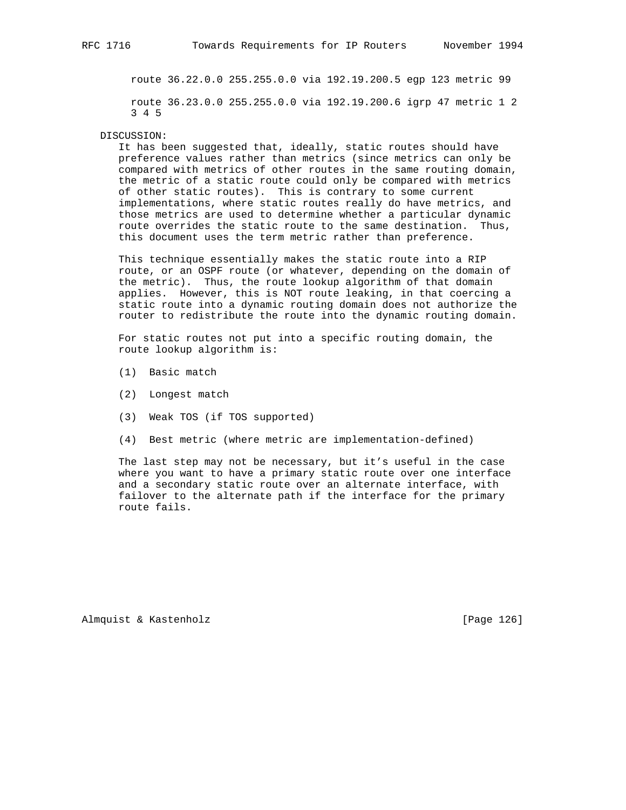route 36.22.0.0 255.255.0.0 via 192.19.200.5 egp 123 metric 99 route 36.23.0.0 255.255.0.0 via 192.19.200.6 igrp 47 metric 1 2 3 4 5

#### DISCUSSION:

 It has been suggested that, ideally, static routes should have preference values rather than metrics (since metrics can only be compared with metrics of other routes in the same routing domain, the metric of a static route could only be compared with metrics of other static routes). This is contrary to some current implementations, where static routes really do have metrics, and those metrics are used to determine whether a particular dynamic route overrides the static route to the same destination. Thus, this document uses the term metric rather than preference.

 This technique essentially makes the static route into a RIP route, or an OSPF route (or whatever, depending on the domain of the metric). Thus, the route lookup algorithm of that domain applies. However, this is NOT route leaking, in that coercing a static route into a dynamic routing domain does not authorize the router to redistribute the route into the dynamic routing domain.

 For static routes not put into a specific routing domain, the route lookup algorithm is:

- (1) Basic match
- (2) Longest match
- (3) Weak TOS (if TOS supported)
- (4) Best metric (where metric are implementation-defined)

 The last step may not be necessary, but it's useful in the case where you want to have a primary static route over one interface and a secondary static route over an alternate interface, with failover to the alternate path if the interface for the primary route fails.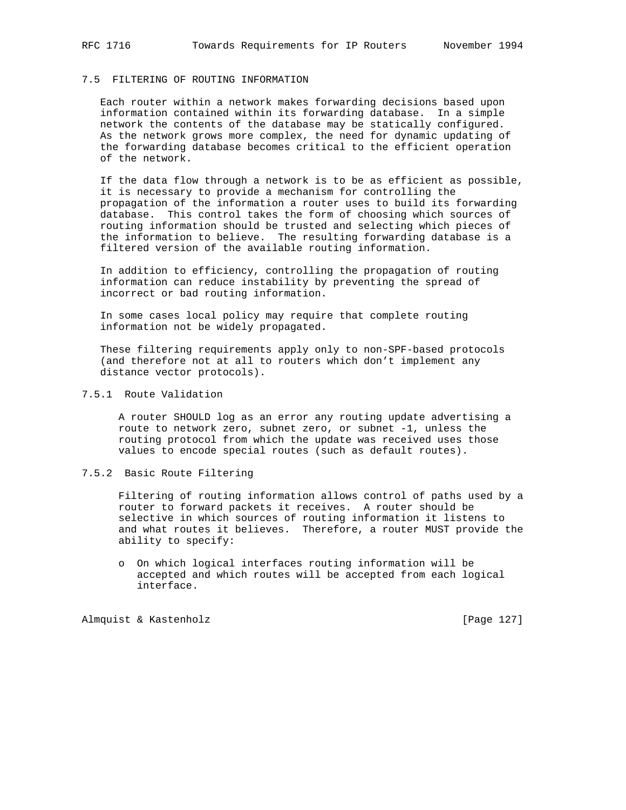## 7.5 FILTERING OF ROUTING INFORMATION

 Each router within a network makes forwarding decisions based upon information contained within its forwarding database. In a simple network the contents of the database may be statically configured. As the network grows more complex, the need for dynamic updating of the forwarding database becomes critical to the efficient operation of the network.

 If the data flow through a network is to be as efficient as possible, it is necessary to provide a mechanism for controlling the propagation of the information a router uses to build its forwarding database. This control takes the form of choosing which sources of routing information should be trusted and selecting which pieces of the information to believe. The resulting forwarding database is a filtered version of the available routing information.

 In addition to efficiency, controlling the propagation of routing information can reduce instability by preventing the spread of incorrect or bad routing information.

 In some cases local policy may require that complete routing information not be widely propagated.

 These filtering requirements apply only to non-SPF-based protocols (and therefore not at all to routers which don't implement any distance vector protocols).

## 7.5.1 Route Validation

 A router SHOULD log as an error any routing update advertising a route to network zero, subnet zero, or subnet -1, unless the routing protocol from which the update was received uses those values to encode special routes (such as default routes).

#### 7.5.2 Basic Route Filtering

 Filtering of routing information allows control of paths used by a router to forward packets it receives. A router should be selective in which sources of routing information it listens to and what routes it believes. Therefore, a router MUST provide the ability to specify:

 o On which logical interfaces routing information will be accepted and which routes will be accepted from each logical interface.

Almquist & Kastenholz **and Communist** [Page 127]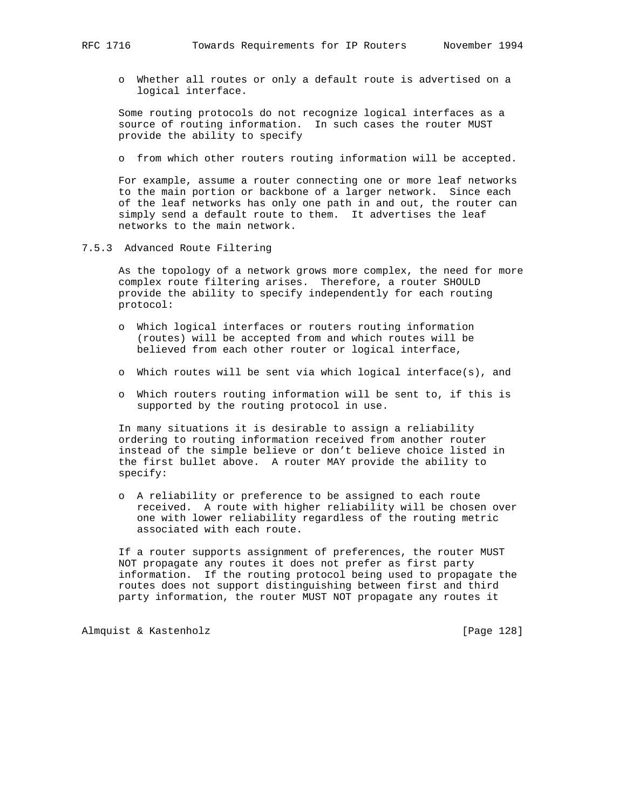o Whether all routes or only a default route is advertised on a logical interface.

 Some routing protocols do not recognize logical interfaces as a source of routing information. In such cases the router MUST provide the ability to specify

o from which other routers routing information will be accepted.

 For example, assume a router connecting one or more leaf networks to the main portion or backbone of a larger network. Since each of the leaf networks has only one path in and out, the router can simply send a default route to them. It advertises the leaf networks to the main network.

7.5.3 Advanced Route Filtering

 As the topology of a network grows more complex, the need for more complex route filtering arises. Therefore, a router SHOULD provide the ability to specify independently for each routing protocol:

- o Which logical interfaces or routers routing information (routes) will be accepted from and which routes will be believed from each other router or logical interface,
- o Which routes will be sent via which logical interface(s), and
- o Which routers routing information will be sent to, if this is supported by the routing protocol in use.

 In many situations it is desirable to assign a reliability ordering to routing information received from another router instead of the simple believe or don't believe choice listed in the first bullet above. A router MAY provide the ability to specify:

 o A reliability or preference to be assigned to each route received. A route with higher reliability will be chosen over one with lower reliability regardless of the routing metric associated with each route.

 If a router supports assignment of preferences, the router MUST NOT propagate any routes it does not prefer as first party information. If the routing protocol being used to propagate the routes does not support distinguishing between first and third party information, the router MUST NOT propagate any routes it

Almquist & Kastenholz [Page 128]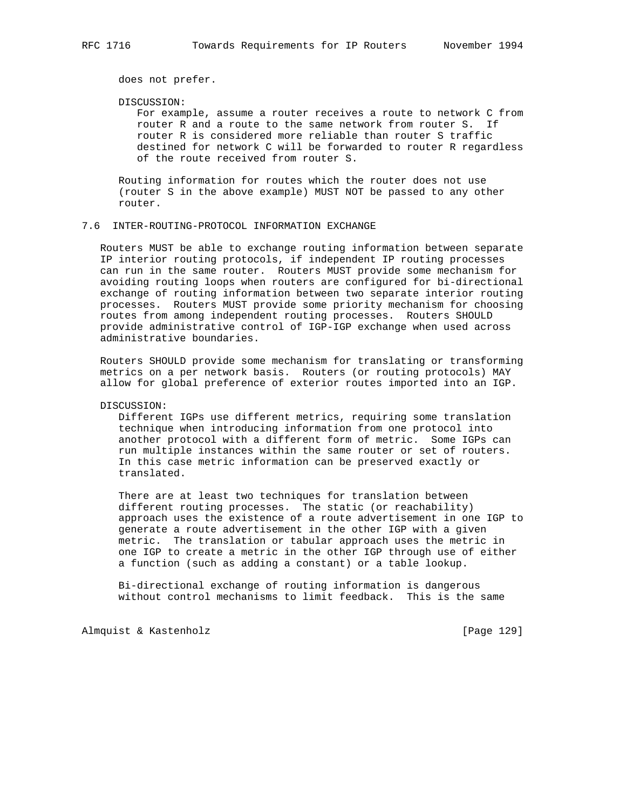does not prefer.

#### DISCUSSION:

 For example, assume a router receives a route to network C from router R and a route to the same network from router S. If router R is considered more reliable than router S traffic destined for network C will be forwarded to router R regardless of the route received from router S.

 Routing information for routes which the router does not use (router S in the above example) MUST NOT be passed to any other router.

#### 7.6 INTER-ROUTING-PROTOCOL INFORMATION EXCHANGE

 Routers MUST be able to exchange routing information between separate IP interior routing protocols, if independent IP routing processes can run in the same router. Routers MUST provide some mechanism for avoiding routing loops when routers are configured for bi-directional exchange of routing information between two separate interior routing processes. Routers MUST provide some priority mechanism for choosing routes from among independent routing processes. Routers SHOULD provide administrative control of IGP-IGP exchange when used across administrative boundaries.

 Routers SHOULD provide some mechanism for translating or transforming metrics on a per network basis. Routers (or routing protocols) MAY allow for global preference of exterior routes imported into an IGP.

DISCUSSION:

 Different IGPs use different metrics, requiring some translation technique when introducing information from one protocol into another protocol with a different form of metric. Some IGPs can run multiple instances within the same router or set of routers. In this case metric information can be preserved exactly or translated.

 There are at least two techniques for translation between different routing processes. The static (or reachability) approach uses the existence of a route advertisement in one IGP to generate a route advertisement in the other IGP with a given metric. The translation or tabular approach uses the metric in one IGP to create a metric in the other IGP through use of either a function (such as adding a constant) or a table lookup.

 Bi-directional exchange of routing information is dangerous without control mechanisms to limit feedback. This is the same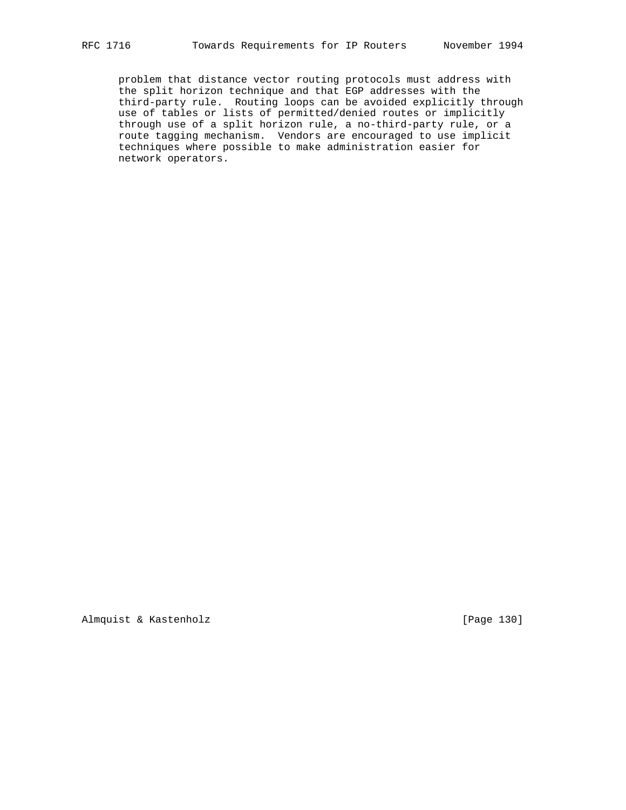problem that distance vector routing protocols must address with the split horizon technique and that EGP addresses with the third-party rule. Routing loops can be avoided explicitly through use of tables or lists of permitted/denied routes or implicitly through use of a split horizon rule, a no-third-party rule, or a route tagging mechanism. Vendors are encouraged to use implicit techniques where possible to make administration easier for network operators.

Almquist & Kastenholz [Page 130]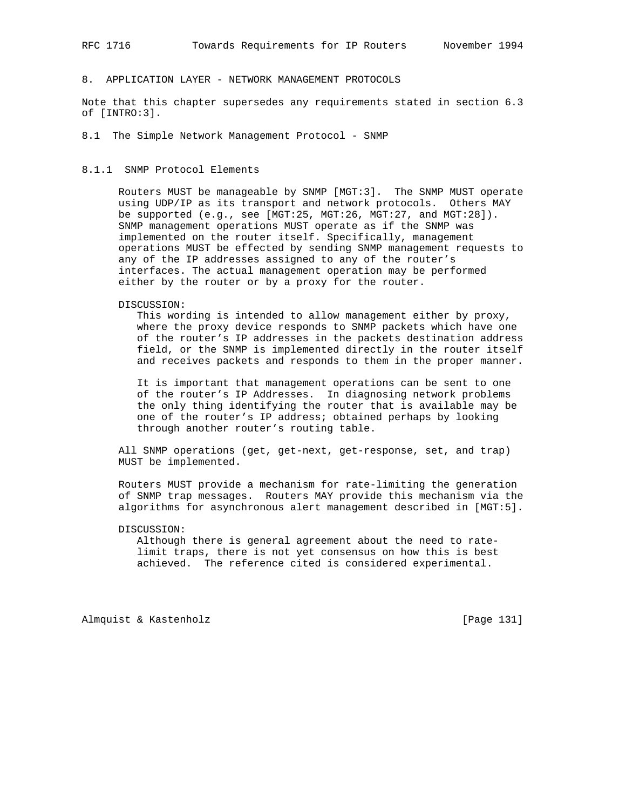# 8. APPLICATION LAYER - NETWORK MANAGEMENT PROTOCOLS

Note that this chapter supersedes any requirements stated in section 6.3 of [INTRO:3].

8.1 The Simple Network Management Protocol - SNMP

#### 8.1.1 SNMP Protocol Elements

 Routers MUST be manageable by SNMP [MGT:3]. The SNMP MUST operate using UDP/IP as its transport and network protocols. Others MAY be supported (e.g., see [MGT:25, MGT:26, MGT:27, and MGT:28]). SNMP management operations MUST operate as if the SNMP was implemented on the router itself. Specifically, management operations MUST be effected by sending SNMP management requests to any of the IP addresses assigned to any of the router's interfaces. The actual management operation may be performed either by the router or by a proxy for the router.

DISCUSSION:

 This wording is intended to allow management either by proxy, where the proxy device responds to SNMP packets which have one of the router's IP addresses in the packets destination address field, or the SNMP is implemented directly in the router itself and receives packets and responds to them in the proper manner.

 It is important that management operations can be sent to one of the router's IP Addresses. In diagnosing network problems the only thing identifying the router that is available may be one of the router's IP address; obtained perhaps by looking through another router's routing table.

 All SNMP operations (get, get-next, get-response, set, and trap) MUST be implemented.

 Routers MUST provide a mechanism for rate-limiting the generation of SNMP trap messages. Routers MAY provide this mechanism via the algorithms for asynchronous alert management described in [MGT:5].

### DISCUSSION:

 Although there is general agreement about the need to rate limit traps, there is not yet consensus on how this is best achieved. The reference cited is considered experimental.

Almquist & Kastenholz [Page 131]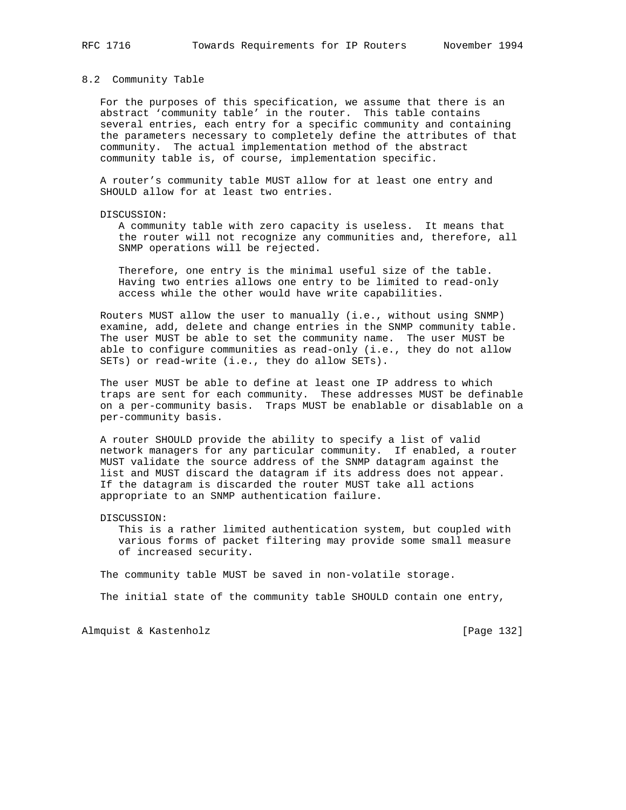#### 8.2 Community Table

 For the purposes of this specification, we assume that there is an abstract 'community table' in the router. This table contains several entries, each entry for a specific community and containing the parameters necessary to completely define the attributes of that community. The actual implementation method of the abstract community table is, of course, implementation specific.

 A router's community table MUST allow for at least one entry and SHOULD allow for at least two entries.

#### DISCUSSION:

 A community table with zero capacity is useless. It means that the router will not recognize any communities and, therefore, all SNMP operations will be rejected.

 Therefore, one entry is the minimal useful size of the table. Having two entries allows one entry to be limited to read-only access while the other would have write capabilities.

 Routers MUST allow the user to manually (i.e., without using SNMP) examine, add, delete and change entries in the SNMP community table. The user MUST be able to set the community name. The user MUST be able to configure communities as read-only (i.e., they do not allow SETs) or read-write (i.e., they do allow SETs).

 The user MUST be able to define at least one IP address to which traps are sent for each community. These addresses MUST be definable on a per-community basis. Traps MUST be enablable or disablable on a per-community basis.

 A router SHOULD provide the ability to specify a list of valid network managers for any particular community. If enabled, a router MUST validate the source address of the SNMP datagram against the list and MUST discard the datagram if its address does not appear. If the datagram is discarded the router MUST take all actions appropriate to an SNMP authentication failure.

DISCUSSION:

 This is a rather limited authentication system, but coupled with various forms of packet filtering may provide some small measure of increased security.

The community table MUST be saved in non-volatile storage.

The initial state of the community table SHOULD contain one entry,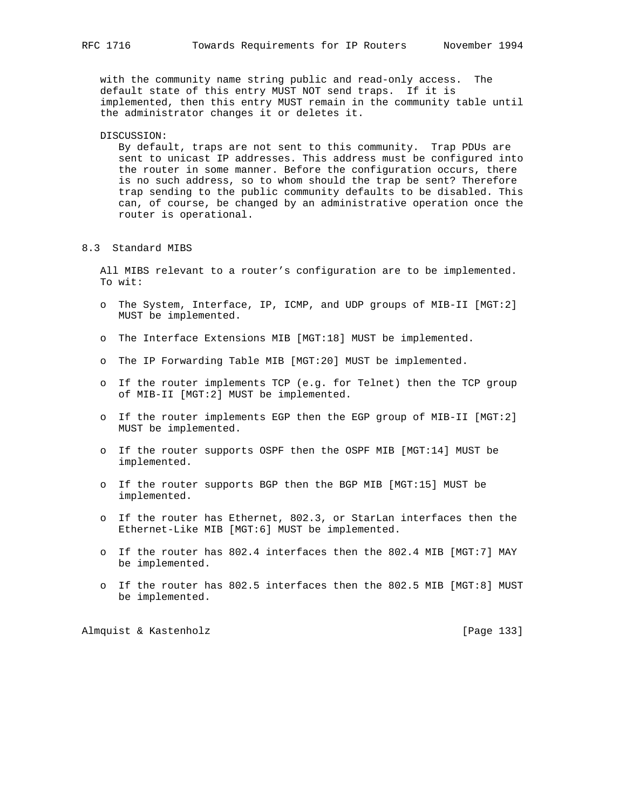with the community name string public and read-only access. The default state of this entry MUST NOT send traps. If it is implemented, then this entry MUST remain in the community table until the administrator changes it or deletes it.

#### DISCUSSION:

 By default, traps are not sent to this community. Trap PDUs are sent to unicast IP addresses. This address must be configured into the router in some manner. Before the configuration occurs, there is no such address, so to whom should the trap be sent? Therefore trap sending to the public community defaults to be disabled. This can, of course, be changed by an administrative operation once the router is operational.

#### 8.3 Standard MIBS

 All MIBS relevant to a router's configuration are to be implemented. To wit:

- o The System, Interface, IP, ICMP, and UDP groups of MIB-II [MGT:2] MUST be implemented.
- o The Interface Extensions MIB [MGT:18] MUST be implemented.
- o The IP Forwarding Table MIB [MGT:20] MUST be implemented.
- o If the router implements TCP (e.g. for Telnet) then the TCP group of MIB-II [MGT:2] MUST be implemented.
- o If the router implements EGP then the EGP group of MIB-II [MGT:2] MUST be implemented.
- o If the router supports OSPF then the OSPF MIB [MGT:14] MUST be implemented.
- o If the router supports BGP then the BGP MIB [MGT:15] MUST be implemented.
- o If the router has Ethernet, 802.3, or StarLan interfaces then the Ethernet-Like MIB [MGT:6] MUST be implemented.
- o If the router has 802.4 interfaces then the 802.4 MIB [MGT:7] MAY be implemented.
- o If the router has 802.5 interfaces then the 802.5 MIB [MGT:8] MUST be implemented.

Almquist & Kastenholz [Page 133]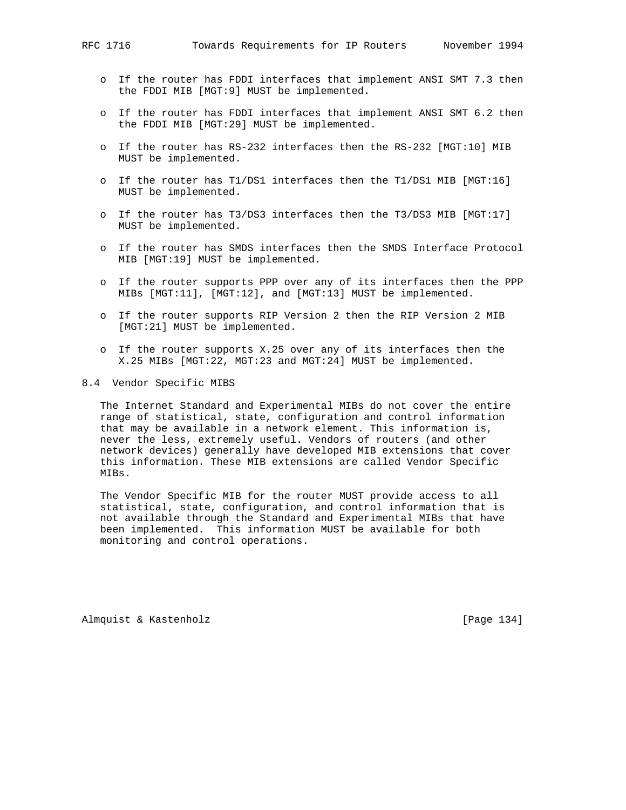- o If the router has FDDI interfaces that implement ANSI SMT 7.3 then the FDDI MIB [MGT:9] MUST be implemented.
- o If the router has FDDI interfaces that implement ANSI SMT 6.2 then the FDDI MIB [MGT:29] MUST be implemented.
- o If the router has RS-232 interfaces then the RS-232 [MGT:10] MIB MUST be implemented.
- o If the router has T1/DS1 interfaces then the T1/DS1 MIB [MGT:16] MUST be implemented.
- o If the router has T3/DS3 interfaces then the T3/DS3 MIB [MGT:17] MUST be implemented.
- o If the router has SMDS interfaces then the SMDS Interface Protocol MIB [MGT:19] MUST be implemented.
- o If the router supports PPP over any of its interfaces then the PPP MIBs [MGT:11], [MGT:12], and [MGT:13] MUST be implemented.
- o If the router supports RIP Version 2 then the RIP Version 2 MIB [MGT:21] MUST be implemented.
- o If the router supports X.25 over any of its interfaces then the X.25 MIBs [MGT:22, MGT:23 and MGT:24] MUST be implemented.
- 8.4 Vendor Specific MIBS

 The Internet Standard and Experimental MIBs do not cover the entire range of statistical, state, configuration and control information that may be available in a network element. This information is, never the less, extremely useful. Vendors of routers (and other network devices) generally have developed MIB extensions that cover this information. These MIB extensions are called Vendor Specific MIBs.

 The Vendor Specific MIB for the router MUST provide access to all statistical, state, configuration, and control information that is not available through the Standard and Experimental MIBs that have been implemented. This information MUST be available for both monitoring and control operations.

Almquist & Kastenholz **by Equal Contract Contract Contract** [Page 134]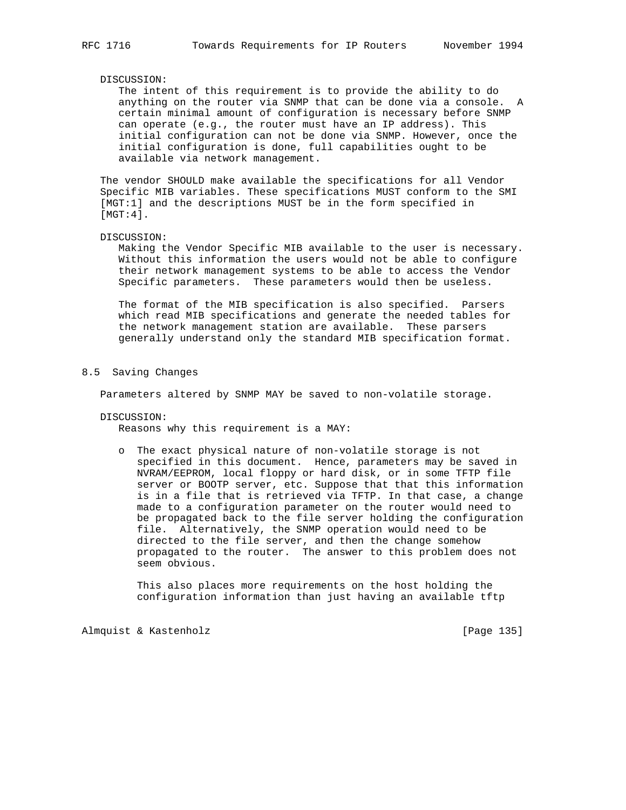#### DISCUSSION:

 The intent of this requirement is to provide the ability to do anything on the router via SNMP that can be done via a console. A certain minimal amount of configuration is necessary before SNMP can operate (e.g., the router must have an IP address). This initial configuration can not be done via SNMP. However, once the initial configuration is done, full capabilities ought to be available via network management.

 The vendor SHOULD make available the specifications for all Vendor Specific MIB variables. These specifications MUST conform to the SMI [MGT:1] and the descriptions MUST be in the form specified in [MGT:4].

#### DISCUSSION:

 Making the Vendor Specific MIB available to the user is necessary. Without this information the users would not be able to configure their network management systems to be able to access the Vendor Specific parameters. These parameters would then be useless.

 The format of the MIB specification is also specified. Parsers which read MIB specifications and generate the needed tables for the network management station are available. These parsers generally understand only the standard MIB specification format.

#### 8.5 Saving Changes

Parameters altered by SNMP MAY be saved to non-volatile storage.

DISCUSSION:

Reasons why this requirement is a MAY:

 o The exact physical nature of non-volatile storage is not specified in this document. Hence, parameters may be saved in NVRAM/EEPROM, local floppy or hard disk, or in some TFTP file server or BOOTP server, etc. Suppose that that this information is in a file that is retrieved via TFTP. In that case, a change made to a configuration parameter on the router would need to be propagated back to the file server holding the configuration file. Alternatively, the SNMP operation would need to be directed to the file server, and then the change somehow propagated to the router. The answer to this problem does not seem obvious.

 This also places more requirements on the host holding the configuration information than just having an available tftp

Almquist & Kastenholz [Page 135]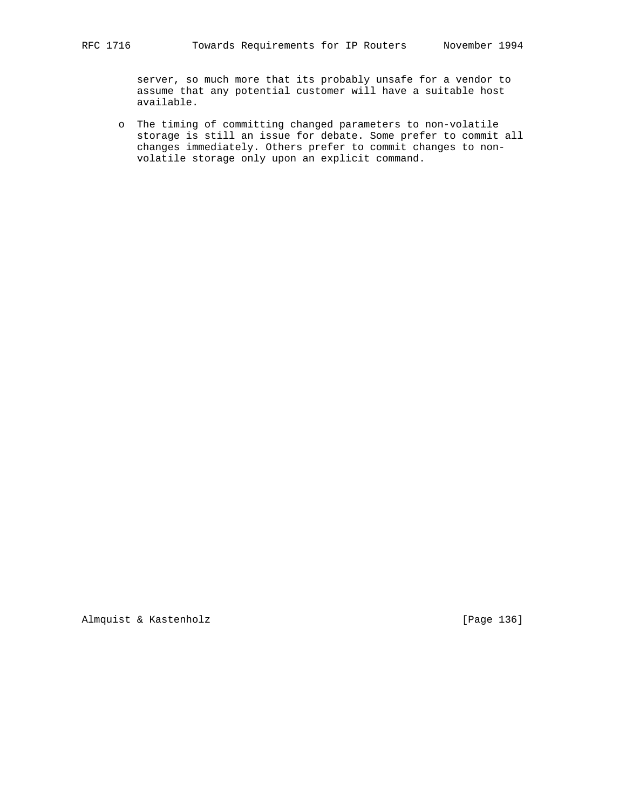server, so much more that its probably unsafe for a vendor to assume that any potential customer will have a suitable host available.

 o The timing of committing changed parameters to non-volatile storage is still an issue for debate. Some prefer to commit all changes immediately. Others prefer to commit changes to non volatile storage only upon an explicit command.

Almquist & Kastenholz [Page 136]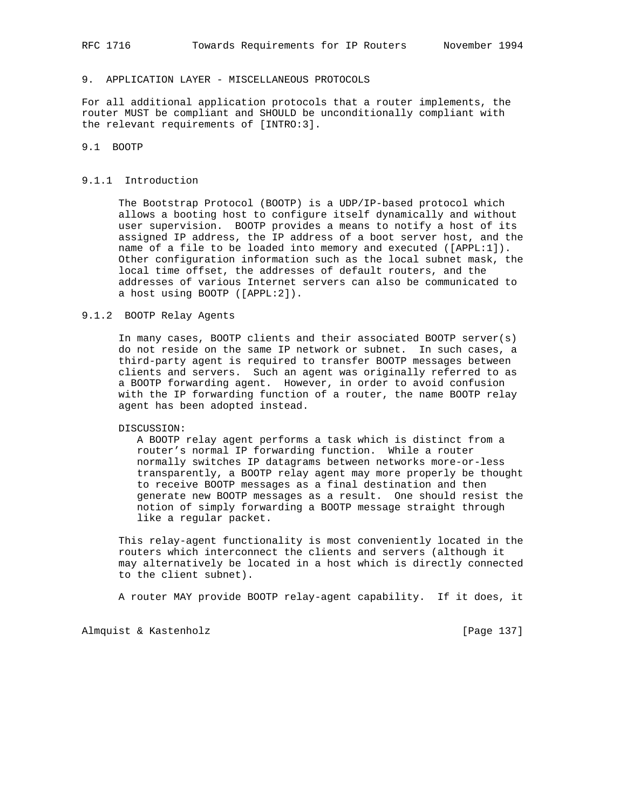# 9. APPLICATION LAYER - MISCELLANEOUS PROTOCOLS

For all additional application protocols that a router implements, the router MUST be compliant and SHOULD be unconditionally compliant with the relevant requirements of [INTRO:3].

# 9.1 BOOTP

#### 9.1.1 Introduction

 The Bootstrap Protocol (BOOTP) is a UDP/IP-based protocol which allows a booting host to configure itself dynamically and without user supervision. BOOTP provides a means to notify a host of its assigned IP address, the IP address of a boot server host, and the name of a file to be loaded into memory and executed ([APPL:1]). Other configuration information such as the local subnet mask, the local time offset, the addresses of default routers, and the addresses of various Internet servers can also be communicated to a host using BOOTP ([APPL:2]).

### 9.1.2 BOOTP Relay Agents

 In many cases, BOOTP clients and their associated BOOTP server(s) do not reside on the same IP network or subnet. In such cases, a third-party agent is required to transfer BOOTP messages between clients and servers. Such an agent was originally referred to as a BOOTP forwarding agent. However, in order to avoid confusion with the IP forwarding function of a router, the name BOOTP relay agent has been adopted instead.

DISCUSSION:

 A BOOTP relay agent performs a task which is distinct from a router's normal IP forwarding function. While a router normally switches IP datagrams between networks more-or-less transparently, a BOOTP relay agent may more properly be thought to receive BOOTP messages as a final destination and then generate new BOOTP messages as a result. One should resist the notion of simply forwarding a BOOTP message straight through like a regular packet.

 This relay-agent functionality is most conveniently located in the routers which interconnect the clients and servers (although it may alternatively be located in a host which is directly connected to the client subnet).

A router MAY provide BOOTP relay-agent capability. If it does, it

Almquist & Kastenholz **by Equal Contract Contract Contract** [Page 137]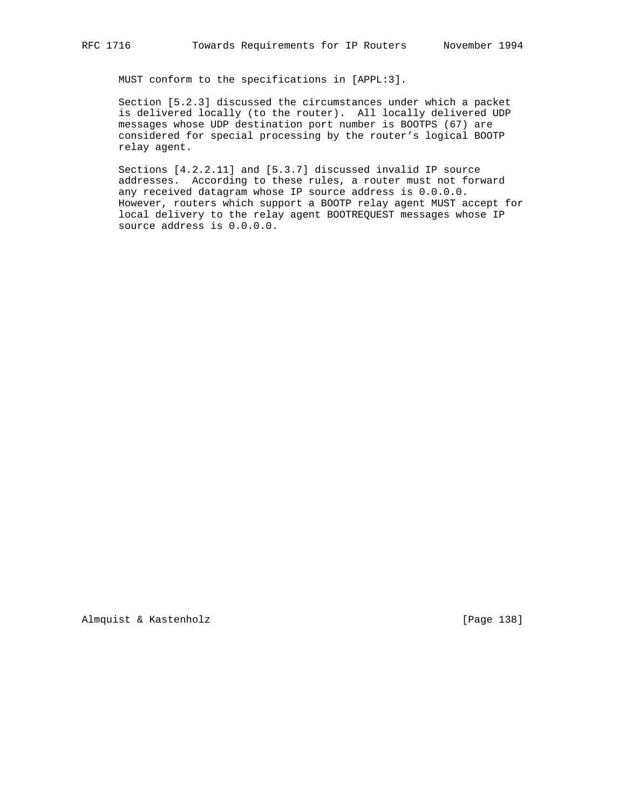MUST conform to the specifications in [APPL:3].

 Section [5.2.3] discussed the circumstances under which a packet is delivered locally (to the router). All locally delivered UDP messages whose UDP destination port number is BOOTPS (67) are considered for special processing by the router's logical BOOTP relay agent.

 Sections [4.2.2.11] and [5.3.7] discussed invalid IP source addresses. According to these rules, a router must not forward any received datagram whose IP source address is 0.0.0.0. However, routers which support a BOOTP relay agent MUST accept for local delivery to the relay agent BOOTREQUEST messages whose IP source address is 0.0.0.0.

Almquist & Kastenholz **and Contact Contact Contact Contact Contact Contact Contact Contact Contact Contact Contact Contact Contact Contact Contact Contact Contact Contact Contact Contact Contact Contact Contact Contact Con**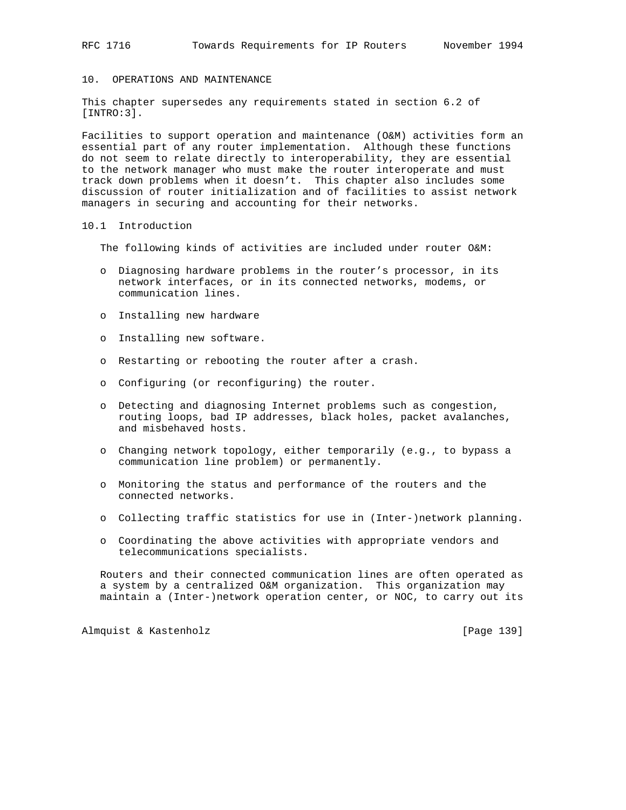## 10. OPERATIONS AND MAINTENANCE

This chapter supersedes any requirements stated in section 6.2 of [INTRO:3].

Facilities to support operation and maintenance (O&M) activities form an essential part of any router implementation. Although these functions do not seem to relate directly to interoperability, they are essential to the network manager who must make the router interoperate and must track down problems when it doesn't. This chapter also includes some discussion of router initialization and of facilities to assist network managers in securing and accounting for their networks.

## 10.1 Introduction

The following kinds of activities are included under router O&M:

- o Diagnosing hardware problems in the router's processor, in its network interfaces, or in its connected networks, modems, or communication lines.
- o Installing new hardware
- o Installing new software.
- o Restarting or rebooting the router after a crash.
- o Configuring (or reconfiguring) the router.
- o Detecting and diagnosing Internet problems such as congestion, routing loops, bad IP addresses, black holes, packet avalanches, and misbehaved hosts.
- o Changing network topology, either temporarily (e.g., to bypass a communication line problem) or permanently.
- o Monitoring the status and performance of the routers and the connected networks.
- o Collecting traffic statistics for use in (Inter-)network planning.
- o Coordinating the above activities with appropriate vendors and telecommunications specialists.

 Routers and their connected communication lines are often operated as a system by a centralized O&M organization. This organization may maintain a (Inter-)network operation center, or NOC, to carry out its

Almquist & Kastenholz [Page 139]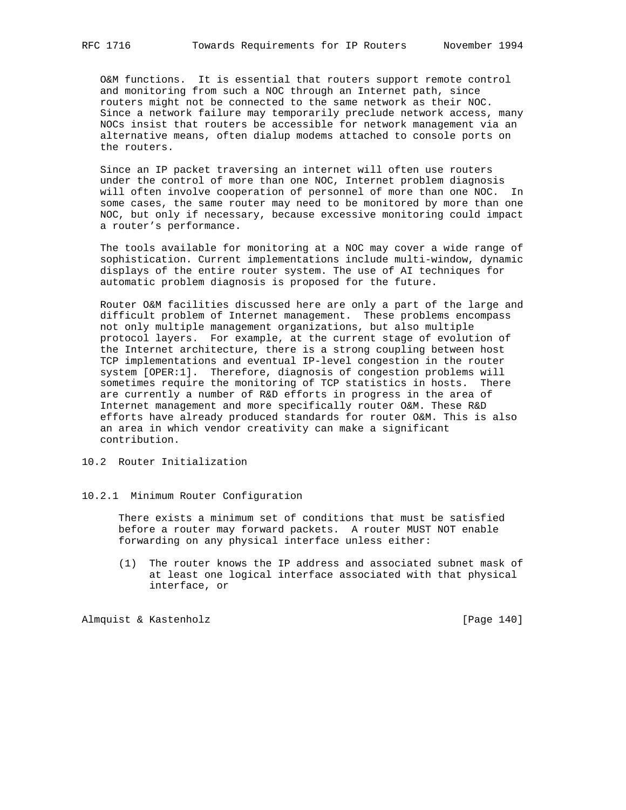O&M functions. It is essential that routers support remote control and monitoring from such a NOC through an Internet path, since routers might not be connected to the same network as their NOC. Since a network failure may temporarily preclude network access, many NOCs insist that routers be accessible for network management via an alternative means, often dialup modems attached to console ports on the routers.

 Since an IP packet traversing an internet will often use routers under the control of more than one NOC, Internet problem diagnosis will often involve cooperation of personnel of more than one NOC. In some cases, the same router may need to be monitored by more than one NOC, but only if necessary, because excessive monitoring could impact a router's performance.

 The tools available for monitoring at a NOC may cover a wide range of sophistication. Current implementations include multi-window, dynamic displays of the entire router system. The use of AI techniques for automatic problem diagnosis is proposed for the future.

 Router O&M facilities discussed here are only a part of the large and difficult problem of Internet management. These problems encompass not only multiple management organizations, but also multiple protocol layers. For example, at the current stage of evolution of the Internet architecture, there is a strong coupling between host TCP implementations and eventual IP-level congestion in the router system [OPER:1]. Therefore, diagnosis of congestion problems will sometimes require the monitoring of TCP statistics in hosts. There are currently a number of R&D efforts in progress in the area of Internet management and more specifically router O&M. These R&D efforts have already produced standards for router O&M. This is also an area in which vendor creativity can make a significant contribution.

## 10.2 Router Initialization

## 10.2.1 Minimum Router Configuration

 There exists a minimum set of conditions that must be satisfied before a router may forward packets. A router MUST NOT enable forwarding on any physical interface unless either:

 (1) The router knows the IP address and associated subnet mask of at least one logical interface associated with that physical interface, or

Almquist & Kastenholz **and Communist** [Page 140]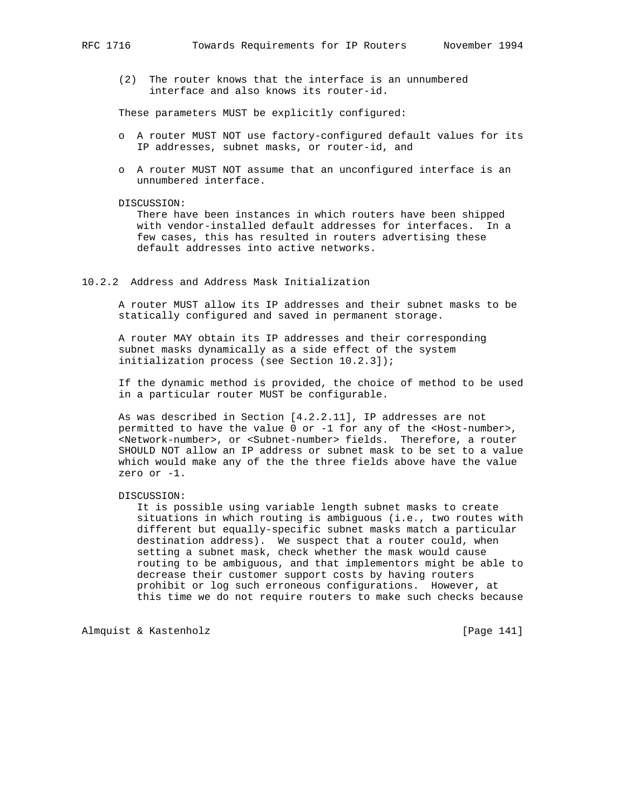(2) The router knows that the interface is an unnumbered interface and also knows its router-id.

These parameters MUST be explicitly configured:

- o A router MUST NOT use factory-configured default values for its IP addresses, subnet masks, or router-id, and
- o A router MUST NOT assume that an unconfigured interface is an unnumbered interface.

#### DISCUSSION:

 There have been instances in which routers have been shipped with vendor-installed default addresses for interfaces. In a few cases, this has resulted in routers advertising these default addresses into active networks.

## 10.2.2 Address and Address Mask Initialization

 A router MUST allow its IP addresses and their subnet masks to be statically configured and saved in permanent storage.

 A router MAY obtain its IP addresses and their corresponding subnet masks dynamically as a side effect of the system initialization process (see Section 10.2.3]);

 If the dynamic method is provided, the choice of method to be used in a particular router MUST be configurable.

 As was described in Section [4.2.2.11], IP addresses are not permitted to have the value 0 or -1 for any of the <Host-number>, <Network-number>, or <Subnet-number> fields. Therefore, a router SHOULD NOT allow an IP address or subnet mask to be set to a value which would make any of the the three fields above have the value zero or -1.

#### DISCUSSION:

 It is possible using variable length subnet masks to create situations in which routing is ambiguous (i.e., two routes with different but equally-specific subnet masks match a particular destination address). We suspect that a router could, when setting a subnet mask, check whether the mask would cause routing to be ambiguous, and that implementors might be able to decrease their customer support costs by having routers prohibit or log such erroneous configurations. However, at this time we do not require routers to make such checks because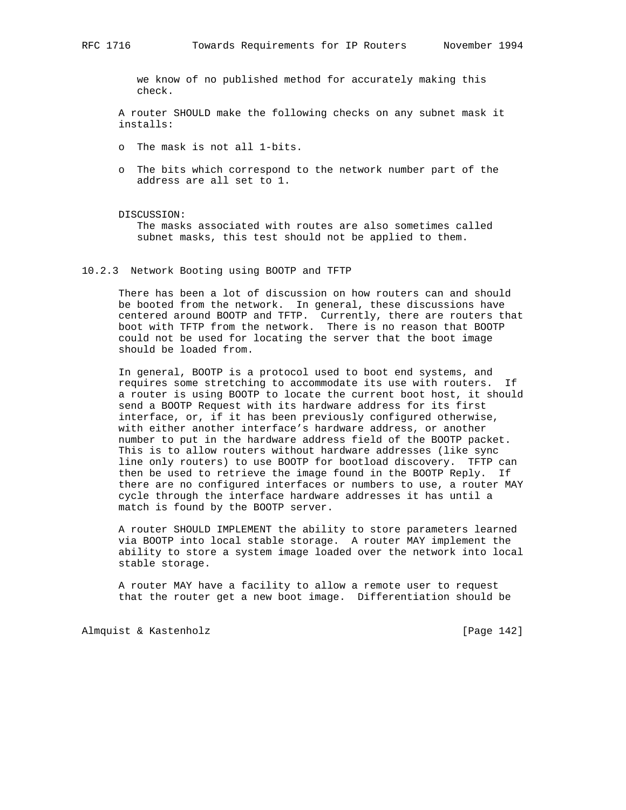we know of no published method for accurately making this check.

 A router SHOULD make the following checks on any subnet mask it installs:

- o The mask is not all 1-bits.
- o The bits which correspond to the network number part of the address are all set to 1.

#### DISCUSSION:

 The masks associated with routes are also sometimes called subnet masks, this test should not be applied to them.

## 10.2.3 Network Booting using BOOTP and TFTP

 There has been a lot of discussion on how routers can and should be booted from the network. In general, these discussions have centered around BOOTP and TFTP. Currently, there are routers that boot with TFTP from the network. There is no reason that BOOTP could not be used for locating the server that the boot image should be loaded from.

 In general, BOOTP is a protocol used to boot end systems, and requires some stretching to accommodate its use with routers. If a router is using BOOTP to locate the current boot host, it should send a BOOTP Request with its hardware address for its first interface, or, if it has been previously configured otherwise, with either another interface's hardware address, or another number to put in the hardware address field of the BOOTP packet. This is to allow routers without hardware addresses (like sync line only routers) to use BOOTP for bootload discovery. TFTP can then be used to retrieve the image found in the BOOTP Reply. If there are no configured interfaces or numbers to use, a router MAY cycle through the interface hardware addresses it has until a match is found by the BOOTP server.

 A router SHOULD IMPLEMENT the ability to store parameters learned via BOOTP into local stable storage. A router MAY implement the ability to store a system image loaded over the network into local stable storage.

 A router MAY have a facility to allow a remote user to request that the router get a new boot image. Differentiation should be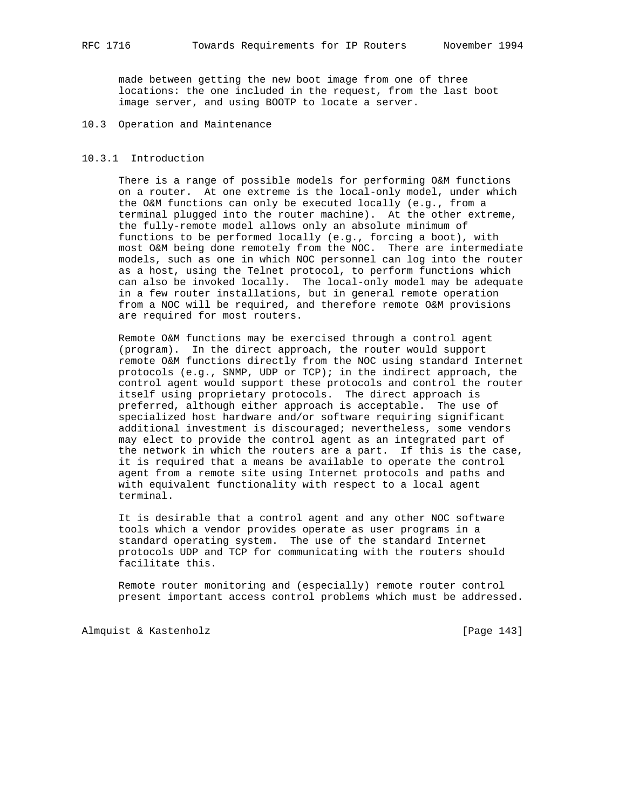made between getting the new boot image from one of three locations: the one included in the request, from the last boot image server, and using BOOTP to locate a server.

## 10.3 Operation and Maintenance

## 10.3.1 Introduction

 There is a range of possible models for performing O&M functions on a router. At one extreme is the local-only model, under which the O&M functions can only be executed locally (e.g., from a terminal plugged into the router machine). At the other extreme, the fully-remote model allows only an absolute minimum of functions to be performed locally (e.g., forcing a boot), with most O&M being done remotely from the NOC. There are intermediate models, such as one in which NOC personnel can log into the router as a host, using the Telnet protocol, to perform functions which can also be invoked locally. The local-only model may be adequate in a few router installations, but in general remote operation from a NOC will be required, and therefore remote O&M provisions are required for most routers.

 Remote O&M functions may be exercised through a control agent (program). In the direct approach, the router would support remote O&M functions directly from the NOC using standard Internet protocols (e.g., SNMP, UDP or TCP); in the indirect approach, the control agent would support these protocols and control the router itself using proprietary protocols. The direct approach is preferred, although either approach is acceptable. The use of specialized host hardware and/or software requiring significant additional investment is discouraged; nevertheless, some vendors may elect to provide the control agent as an integrated part of the network in which the routers are a part. If this is the case, it is required that a means be available to operate the control agent from a remote site using Internet protocols and paths and with equivalent functionality with respect to a local agent terminal.

 It is desirable that a control agent and any other NOC software tools which a vendor provides operate as user programs in a standard operating system. The use of the standard Internet protocols UDP and TCP for communicating with the routers should facilitate this.

 Remote router monitoring and (especially) remote router control present important access control problems which must be addressed.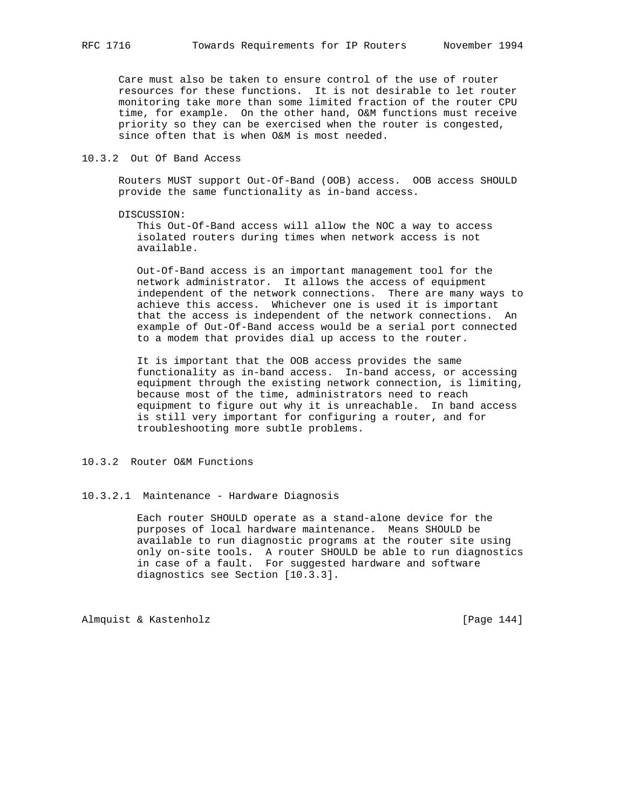Care must also be taken to ensure control of the use of router resources for these functions. It is not desirable to let router monitoring take more than some limited fraction of the router CPU time, for example. On the other hand, O&M functions must receive priority so they can be exercised when the router is congested, since often that is when O&M is most needed.

## 10.3.2 Out Of Band Access

 Routers MUST support Out-Of-Band (OOB) access. OOB access SHOULD provide the same functionality as in-band access.

## DISCUSSION:

 This Out-Of-Band access will allow the NOC a way to access isolated routers during times when network access is not available.

 Out-Of-Band access is an important management tool for the network administrator. It allows the access of equipment independent of the network connections. There are many ways to achieve this access. Whichever one is used it is important that the access is independent of the network connections. An example of Out-Of-Band access would be a serial port connected to a modem that provides dial up access to the router.

 It is important that the OOB access provides the same functionality as in-band access. In-band access, or accessing equipment through the existing network connection, is limiting, because most of the time, administrators need to reach equipment to figure out why it is unreachable. In band access is still very important for configuring a router, and for troubleshooting more subtle problems.

## 10.3.2 Router O&M Functions

## 10.3.2.1 Maintenance - Hardware Diagnosis

 Each router SHOULD operate as a stand-alone device for the purposes of local hardware maintenance. Means SHOULD be available to run diagnostic programs at the router site using only on-site tools. A router SHOULD be able to run diagnostics in case of a fault. For suggested hardware and software diagnostics see Section [10.3.3].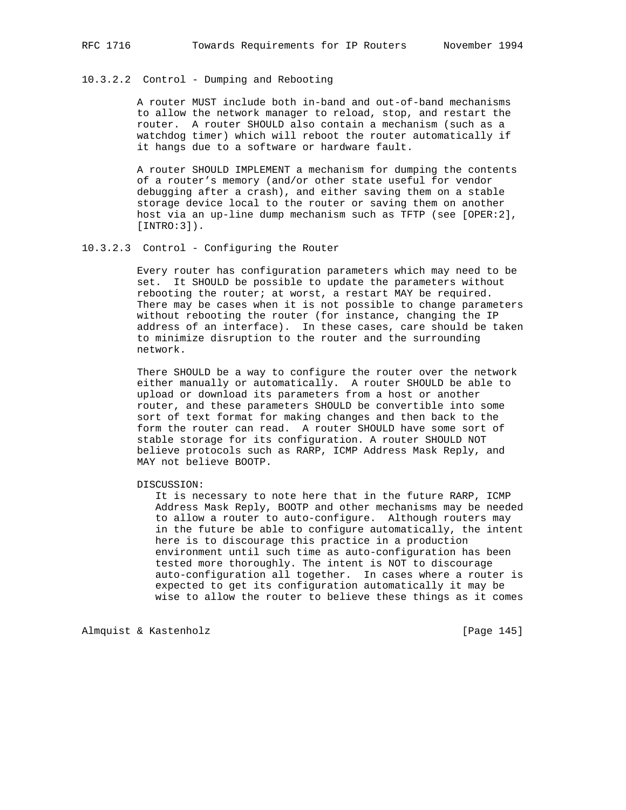## 10.3.2.2 Control - Dumping and Rebooting

 A router MUST include both in-band and out-of-band mechanisms to allow the network manager to reload, stop, and restart the router. A router SHOULD also contain a mechanism (such as a watchdog timer) which will reboot the router automatically if it hangs due to a software or hardware fault.

 A router SHOULD IMPLEMENT a mechanism for dumping the contents of a router's memory (and/or other state useful for vendor debugging after a crash), and either saving them on a stable storage device local to the router or saving them on another host via an up-line dump mechanism such as TFTP (see [OPER:2],  $[INTRO:3]$ .

## 10.3.2.3 Control - Configuring the Router

 Every router has configuration parameters which may need to be set. It SHOULD be possible to update the parameters without rebooting the router; at worst, a restart MAY be required. There may be cases when it is not possible to change parameters without rebooting the router (for instance, changing the IP address of an interface). In these cases, care should be taken to minimize disruption to the router and the surrounding network.

 There SHOULD be a way to configure the router over the network either manually or automatically. A router SHOULD be able to upload or download its parameters from a host or another router, and these parameters SHOULD be convertible into some sort of text format for making changes and then back to the form the router can read. A router SHOULD have some sort of stable storage for its configuration. A router SHOULD NOT believe protocols such as RARP, ICMP Address Mask Reply, and MAY not believe BOOTP.

DISCUSSION:

 It is necessary to note here that in the future RARP, ICMP Address Mask Reply, BOOTP and other mechanisms may be needed to allow a router to auto-configure. Although routers may in the future be able to configure automatically, the intent here is to discourage this practice in a production environment until such time as auto-configuration has been tested more thoroughly. The intent is NOT to discourage auto-configuration all together. In cases where a router is expected to get its configuration automatically it may be wise to allow the router to believe these things as it comes

Almquist & Kastenholz **by Equal Contract Contract Contract** [Page 145]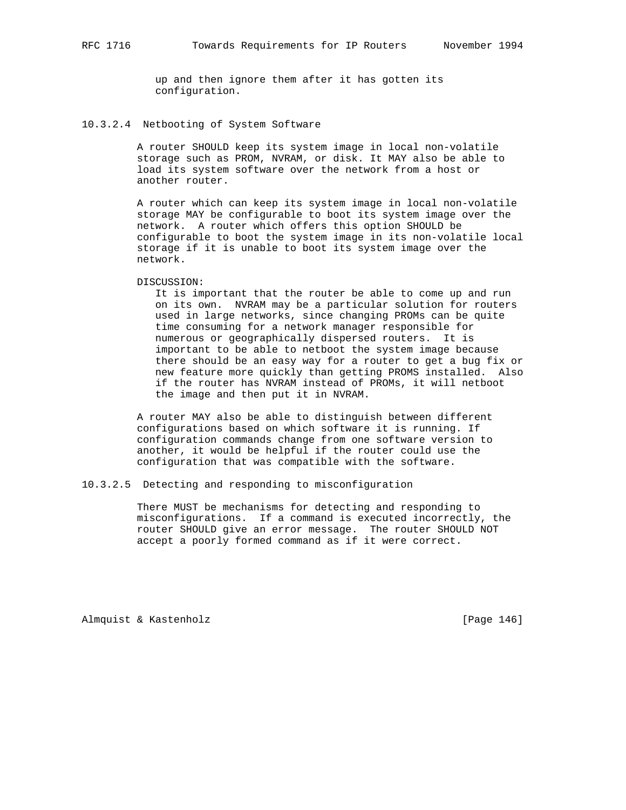up and then ignore them after it has gotten its configuration.

10.3.2.4 Netbooting of System Software

 A router SHOULD keep its system image in local non-volatile storage such as PROM, NVRAM, or disk. It MAY also be able to load its system software over the network from a host or another router.

 A router which can keep its system image in local non-volatile storage MAY be configurable to boot its system image over the network. A router which offers this option SHOULD be configurable to boot the system image in its non-volatile local storage if it is unable to boot its system image over the network.

#### DISCUSSION:

 It is important that the router be able to come up and run on its own. NVRAM may be a particular solution for routers used in large networks, since changing PROMs can be quite time consuming for a network manager responsible for numerous or geographically dispersed routers. It is important to be able to netboot the system image because there should be an easy way for a router to get a bug fix or new feature more quickly than getting PROMS installed. Also if the router has NVRAM instead of PROMs, it will netboot the image and then put it in NVRAM.

 A router MAY also be able to distinguish between different configurations based on which software it is running. If configuration commands change from one software version to another, it would be helpful if the router could use the configuration that was compatible with the software.

## 10.3.2.5 Detecting and responding to misconfiguration

 There MUST be mechanisms for detecting and responding to misconfigurations. If a command is executed incorrectly, the router SHOULD give an error message. The router SHOULD NOT accept a poorly formed command as if it were correct.

Almquist & Kastenholz **but all almaceutive** [Page 146]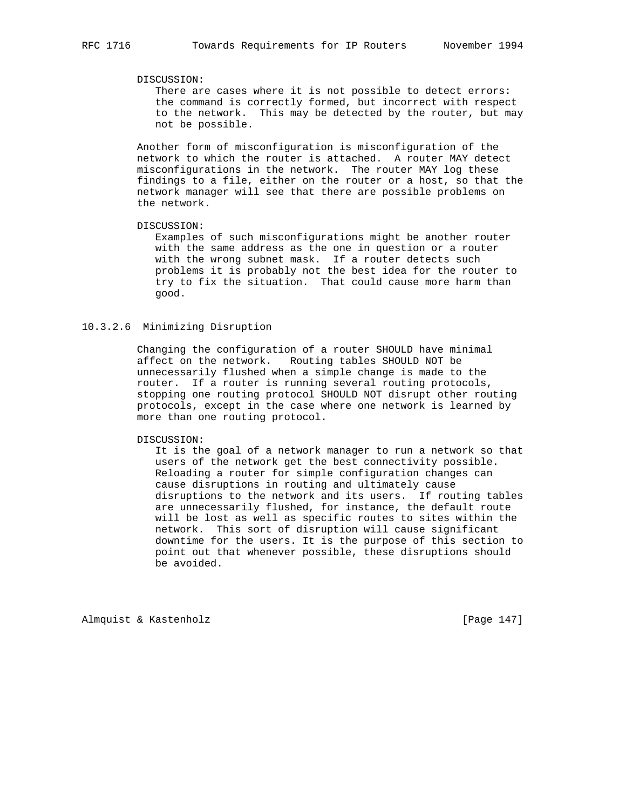## DISCUSSION:

 There are cases where it is not possible to detect errors: the command is correctly formed, but incorrect with respect to the network. This may be detected by the router, but may not be possible.

 Another form of misconfiguration is misconfiguration of the network to which the router is attached. A router MAY detect misconfigurations in the network. The router MAY log these findings to a file, either on the router or a host, so that the network manager will see that there are possible problems on the network.

## DISCUSSION:

 Examples of such misconfigurations might be another router with the same address as the one in question or a router with the wrong subnet mask. If a router detects such problems it is probably not the best idea for the router to try to fix the situation. That could cause more harm than good.

## 10.3.2.6 Minimizing Disruption

 Changing the configuration of a router SHOULD have minimal affect on the network. Routing tables SHOULD NOT be unnecessarily flushed when a simple change is made to the router. If a router is running several routing protocols, stopping one routing protocol SHOULD NOT disrupt other routing protocols, except in the case where one network is learned by more than one routing protocol.

## DISCUSSION:

 It is the goal of a network manager to run a network so that users of the network get the best connectivity possible. Reloading a router for simple configuration changes can cause disruptions in routing and ultimately cause disruptions to the network and its users. If routing tables are unnecessarily flushed, for instance, the default route will be lost as well as specific routes to sites within the network. This sort of disruption will cause significant downtime for the users. It is the purpose of this section to point out that whenever possible, these disruptions should be avoided.

Almquist & Kastenholz **and Communist** [Page 147]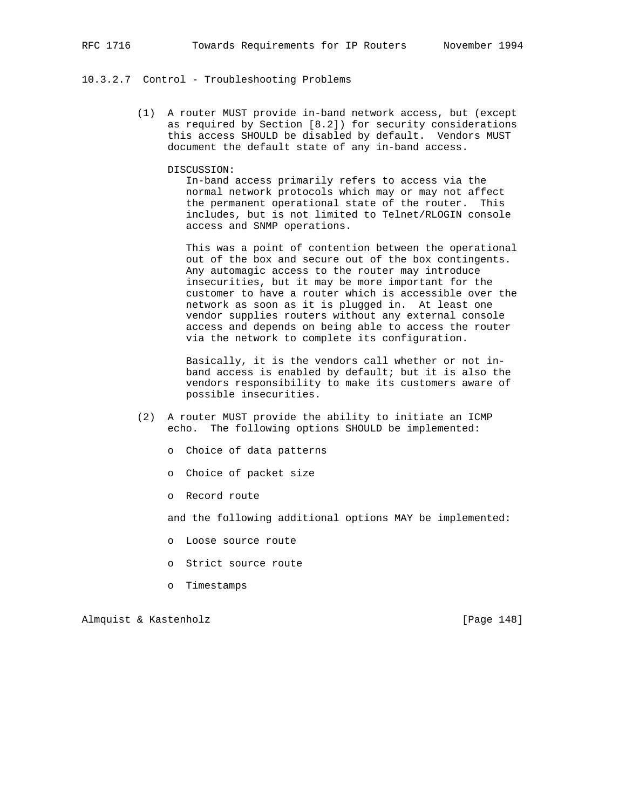## 10.3.2.7 Control - Troubleshooting Problems

 (1) A router MUST provide in-band network access, but (except as required by Section [8.2]) for security considerations this access SHOULD be disabled by default. Vendors MUST document the default state of any in-band access.

## DISCUSSION:

 In-band access primarily refers to access via the normal network protocols which may or may not affect the permanent operational state of the router. This includes, but is not limited to Telnet/RLOGIN console access and SNMP operations.

 This was a point of contention between the operational out of the box and secure out of the box contingents. Any automagic access to the router may introduce insecurities, but it may be more important for the customer to have a router which is accessible over the network as soon as it is plugged in. At least one vendor supplies routers without any external console access and depends on being able to access the router via the network to complete its configuration.

 Basically, it is the vendors call whether or not in band access is enabled by default; but it is also the vendors responsibility to make its customers aware of possible insecurities.

- (2) A router MUST provide the ability to initiate an ICMP echo. The following options SHOULD be implemented:
	- o Choice of data patterns
	- o Choice of packet size
	- o Record route

and the following additional options MAY be implemented:

- o Loose source route
- o Strict source route
- o Timestamps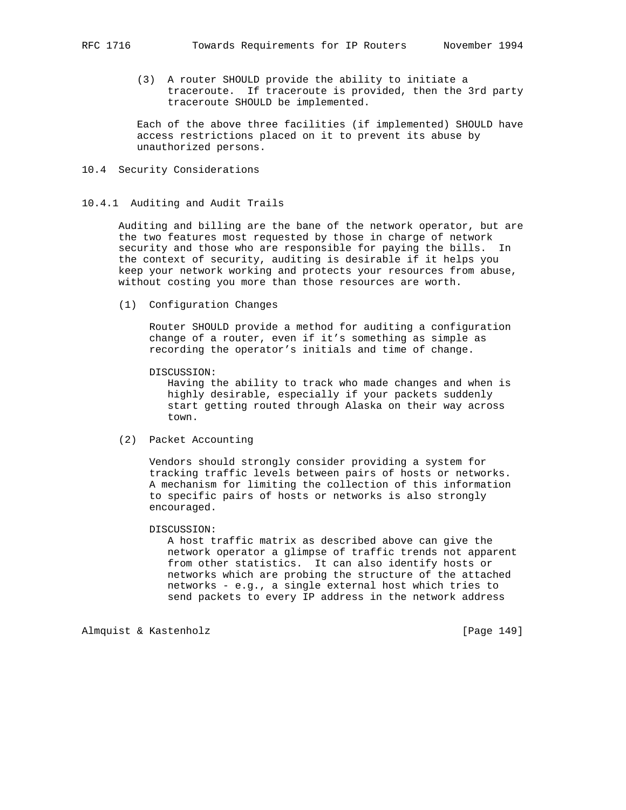(3) A router SHOULD provide the ability to initiate a traceroute. If traceroute is provided, then the 3rd party traceroute SHOULD be implemented.

 Each of the above three facilities (if implemented) SHOULD have access restrictions placed on it to prevent its abuse by unauthorized persons.

## 10.4 Security Considerations

## 10.4.1 Auditing and Audit Trails

 Auditing and billing are the bane of the network operator, but are the two features most requested by those in charge of network security and those who are responsible for paying the bills. In the context of security, auditing is desirable if it helps you keep your network working and protects your resources from abuse, without costing you more than those resources are worth.

(1) Configuration Changes

 Router SHOULD provide a method for auditing a configuration change of a router, even if it's something as simple as recording the operator's initials and time of change.

DISCUSSION:

 Having the ability to track who made changes and when is highly desirable, especially if your packets suddenly start getting routed through Alaska on their way across town.

(2) Packet Accounting

 Vendors should strongly consider providing a system for tracking traffic levels between pairs of hosts or networks. A mechanism for limiting the collection of this information to specific pairs of hosts or networks is also strongly encouraged.

## DISCUSSION:

 A host traffic matrix as described above can give the network operator a glimpse of traffic trends not apparent from other statistics. It can also identify hosts or networks which are probing the structure of the attached networks - e.g., a single external host which tries to send packets to every IP address in the network address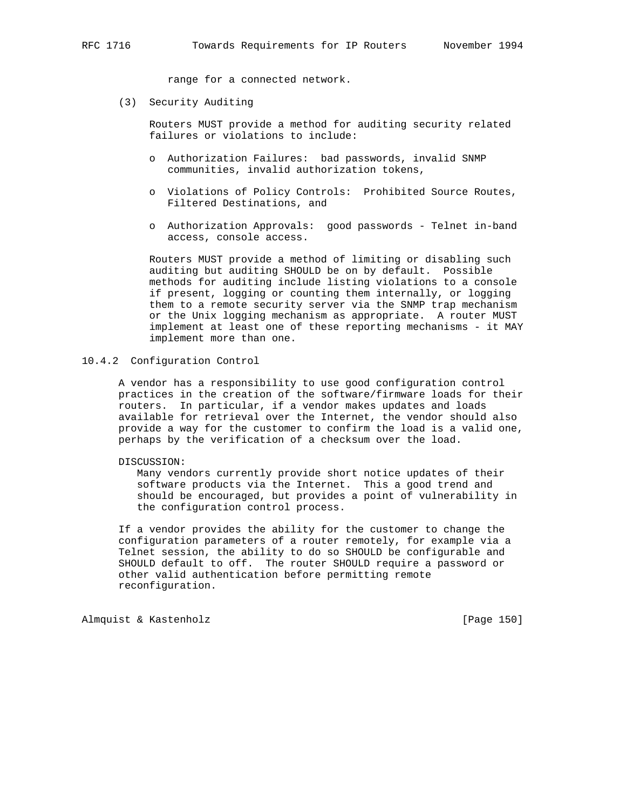range for a connected network.

(3) Security Auditing

 Routers MUST provide a method for auditing security related failures or violations to include:

- o Authorization Failures: bad passwords, invalid SNMP communities, invalid authorization tokens,
- o Violations of Policy Controls: Prohibited Source Routes, Filtered Destinations, and
- o Authorization Approvals: good passwords Telnet in-band access, console access.

 Routers MUST provide a method of limiting or disabling such auditing but auditing SHOULD be on by default. Possible methods for auditing include listing violations to a console if present, logging or counting them internally, or logging them to a remote security server via the SNMP trap mechanism or the Unix logging mechanism as appropriate. A router MUST implement at least one of these reporting mechanisms - it MAY implement more than one.

## 10.4.2 Configuration Control

 A vendor has a responsibility to use good configuration control practices in the creation of the software/firmware loads for their routers. In particular, if a vendor makes updates and loads available for retrieval over the Internet, the vendor should also provide a way for the customer to confirm the load is a valid one, perhaps by the verification of a checksum over the load.

#### DISCUSSION:

 Many vendors currently provide short notice updates of their software products via the Internet. This a good trend and should be encouraged, but provides a point of vulnerability in the configuration control process.

 If a vendor provides the ability for the customer to change the configuration parameters of a router remotely, for example via a Telnet session, the ability to do so SHOULD be configurable and SHOULD default to off. The router SHOULD require a password or other valid authentication before permitting remote reconfiguration.

Almquist & Kastenholz **and Communist** [Page 150]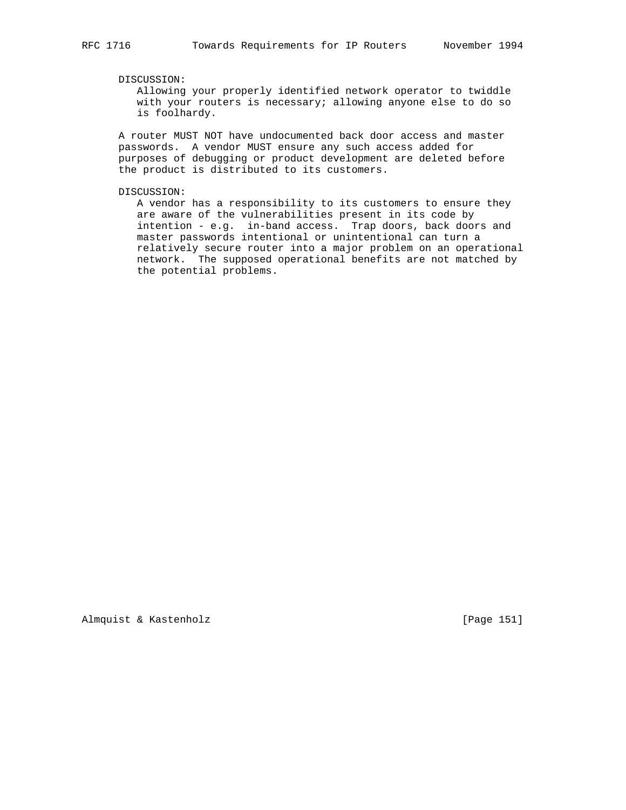# DISCUSSION:

 Allowing your properly identified network operator to twiddle with your routers is necessary; allowing anyone else to do so is foolhardy.

 A router MUST NOT have undocumented back door access and master passwords. A vendor MUST ensure any such access added for purposes of debugging or product development are deleted before the product is distributed to its customers.

DISCUSSION:

 A vendor has a responsibility to its customers to ensure they are aware of the vulnerabilities present in its code by intention - e.g. in-band access. Trap doors, back doors and master passwords intentional or unintentional can turn a relatively secure router into a major problem on an operational network. The supposed operational benefits are not matched by the potential problems.

Almquist & Kastenholz **and Communist** [Page 151]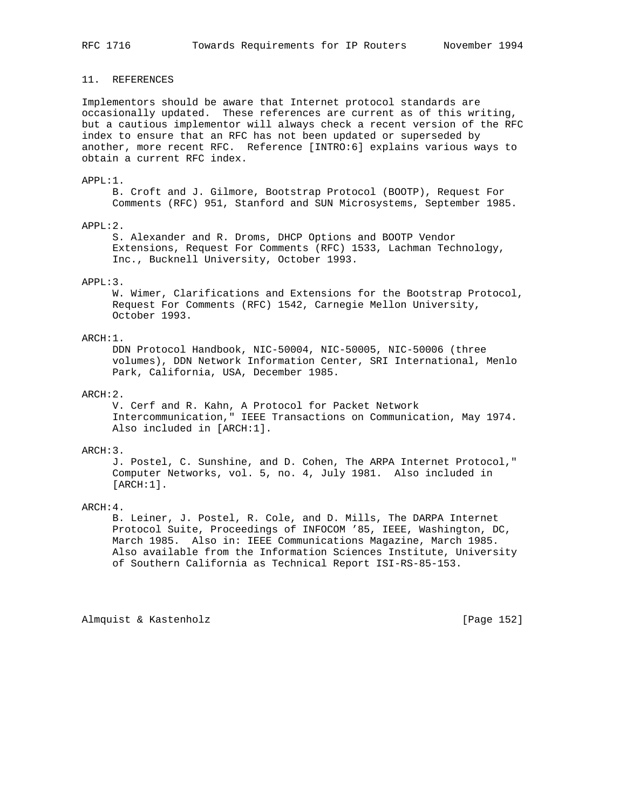## 11. REFERENCES

Implementors should be aware that Internet protocol standards are occasionally updated. These references are current as of this writing, but a cautious implementor will always check a recent version of the RFC index to ensure that an RFC has not been updated or superseded by another, more recent RFC. Reference [INTRO:6] explains various ways to obtain a current RFC index.

## APPL:1.

 B. Croft and J. Gilmore, Bootstrap Protocol (BOOTP), Request For Comments (RFC) 951, Stanford and SUN Microsystems, September 1985.

#### APPL:2.

 S. Alexander and R. Droms, DHCP Options and BOOTP Vendor Extensions, Request For Comments (RFC) 1533, Lachman Technology, Inc., Bucknell University, October 1993.

### APPL:3.

 W. Wimer, Clarifications and Extensions for the Bootstrap Protocol, Request For Comments (RFC) 1542, Carnegie Mellon University, October 1993.

## ARCH:1.

 DDN Protocol Handbook, NIC-50004, NIC-50005, NIC-50006 (three volumes), DDN Network Information Center, SRI International, Menlo Park, California, USA, December 1985.

## ARCH:2.

 V. Cerf and R. Kahn, A Protocol for Packet Network Intercommunication," IEEE Transactions on Communication, May 1974. Also included in [ARCH:1].

#### ARCH:3.

 J. Postel, C. Sunshine, and D. Cohen, The ARPA Internet Protocol," Computer Networks, vol. 5, no. 4, July 1981. Also included in [ARCH:1].

## ARCH:4.

 B. Leiner, J. Postel, R. Cole, and D. Mills, The DARPA Internet Protocol Suite, Proceedings of INFOCOM '85, IEEE, Washington, DC, March 1985. Also in: IEEE Communications Magazine, March 1985. Also available from the Information Sciences Institute, University of Southern California as Technical Report ISI-RS-85-153.

Almquist & Kastenholz **and Communist** [Page 152]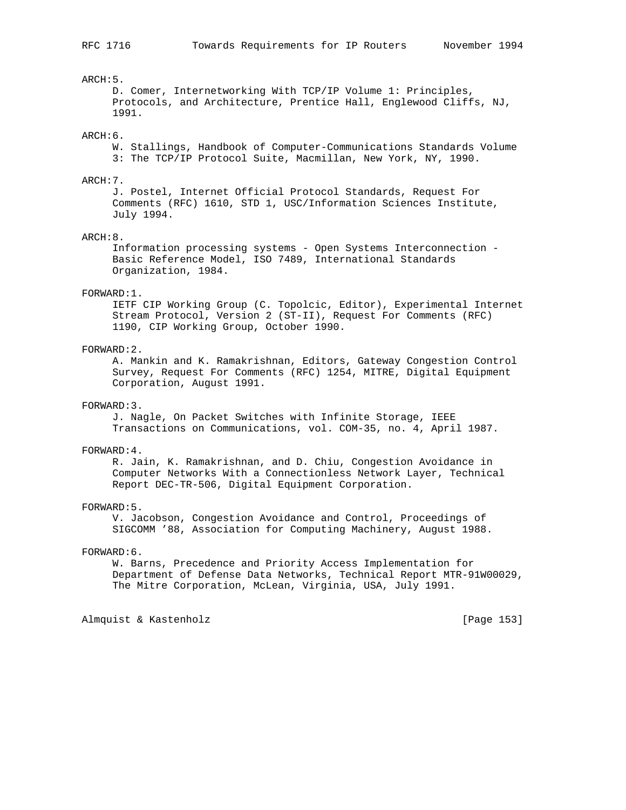## ARCH:5.

 D. Comer, Internetworking With TCP/IP Volume 1: Principles, Protocols, and Architecture, Prentice Hall, Englewood Cliffs, NJ, 1991.

## ARCH:6.

 W. Stallings, Handbook of Computer-Communications Standards Volume 3: The TCP/IP Protocol Suite, Macmillan, New York, NY, 1990.

## ARCH:7.

 J. Postel, Internet Official Protocol Standards, Request For Comments (RFC) 1610, STD 1, USC/Information Sciences Institute, July 1994.

#### ARCH:8.

 Information processing systems - Open Systems Interconnection - Basic Reference Model, ISO 7489, International Standards Organization, 1984.

#### FORWARD:1.

 IETF CIP Working Group (C. Topolcic, Editor), Experimental Internet Stream Protocol, Version 2 (ST-II), Request For Comments (RFC) 1190, CIP Working Group, October 1990.

## FORWARD:2.

 A. Mankin and K. Ramakrishnan, Editors, Gateway Congestion Control Survey, Request For Comments (RFC) 1254, MITRE, Digital Equipment Corporation, August 1991.

## FORWARD:3.

 J. Nagle, On Packet Switches with Infinite Storage, IEEE Transactions on Communications, vol. COM-35, no. 4, April 1987.

#### FORWARD:4.

 R. Jain, K. Ramakrishnan, and D. Chiu, Congestion Avoidance in Computer Networks With a Connectionless Network Layer, Technical Report DEC-TR-506, Digital Equipment Corporation.

#### FORWARD:5.

 V. Jacobson, Congestion Avoidance and Control, Proceedings of SIGCOMM '88, Association for Computing Machinery, August 1988.

## FORWARD:6.

 W. Barns, Precedence and Priority Access Implementation for Department of Defense Data Networks, Technical Report MTR-91W00029, The Mitre Corporation, McLean, Virginia, USA, July 1991.

Almquist & Kastenholz **and Communist** [Page 153]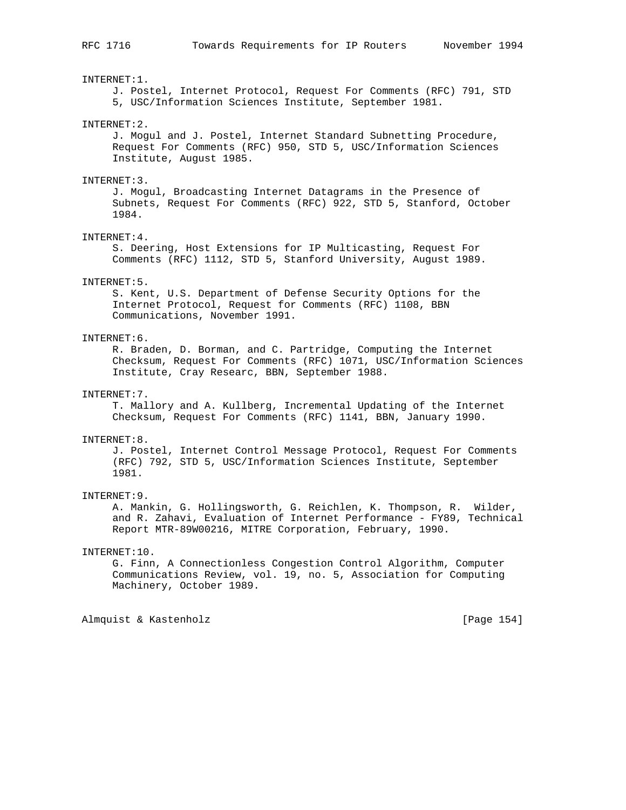INTERNET:1.

 J. Postel, Internet Protocol, Request For Comments (RFC) 791, STD 5, USC/Information Sciences Institute, September 1981. INTERNET:2. J. Mogul and J. Postel, Internet Standard Subnetting Procedure, Request For Comments (RFC) 950, STD 5, USC/Information Sciences Institute, August 1985. INTERNET:3. J. Mogul, Broadcasting Internet Datagrams in the Presence of Subnets, Request For Comments (RFC) 922, STD 5, Stanford, October 1984. INTERNET:4. S. Deering, Host Extensions for IP Multicasting, Request For Comments (RFC) 1112, STD 5, Stanford University, August 1989. INTERNET:5. S. Kent, U.S. Department of Defense Security Options for the Internet Protocol, Request for Comments (RFC) 1108, BBN Communications, November 1991. INTERNET:6. R. Braden, D. Borman, and C. Partridge, Computing the Internet Checksum, Request For Comments (RFC) 1071, USC/Information Sciences Institute, Cray Researc, BBN, September 1988.

#### INTERNET:7.

 T. Mallory and A. Kullberg, Incremental Updating of the Internet Checksum, Request For Comments (RFC) 1141, BBN, January 1990.

#### INTERNET:8.

 J. Postel, Internet Control Message Protocol, Request For Comments (RFC) 792, STD 5, USC/Information Sciences Institute, September 1981.

#### INTERNET:9.

 A. Mankin, G. Hollingsworth, G. Reichlen, K. Thompson, R. Wilder, and R. Zahavi, Evaluation of Internet Performance - FY89, Technical Report MTR-89W00216, MITRE Corporation, February, 1990.

## INTERNET:10.

 G. Finn, A Connectionless Congestion Control Algorithm, Computer Communications Review, vol. 19, no. 5, Association for Computing Machinery, October 1989.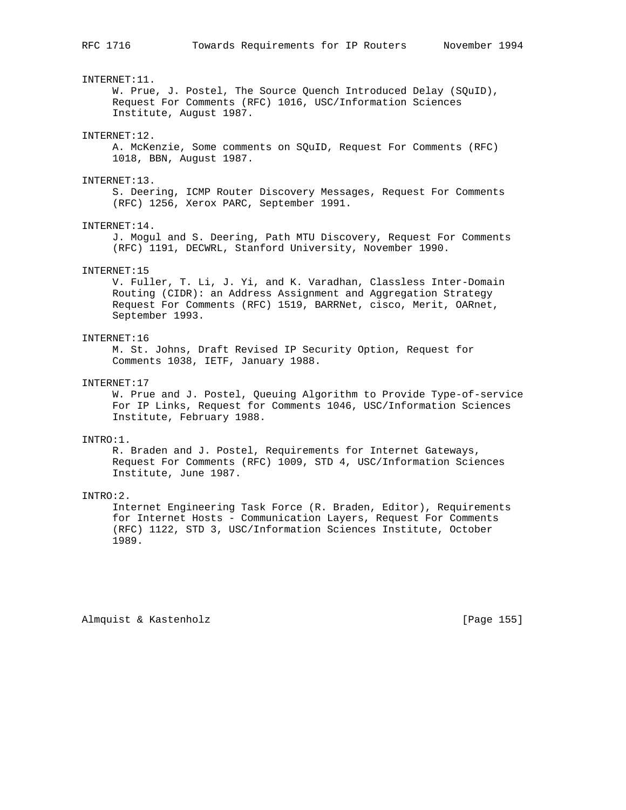INTERNET:11.

 W. Prue, J. Postel, The Source Quench Introduced Delay (SQuID), Request For Comments (RFC) 1016, USC/Information Sciences Institute, August 1987.

#### INTERNET:12.

 A. McKenzie, Some comments on SQuID, Request For Comments (RFC) 1018, BBN, August 1987.

#### INTERNET:13.

 S. Deering, ICMP Router Discovery Messages, Request For Comments (RFC) 1256, Xerox PARC, September 1991.

#### INTERNET:14.

 J. Mogul and S. Deering, Path MTU Discovery, Request For Comments (RFC) 1191, DECWRL, Stanford University, November 1990.

#### INTERNET:15

 V. Fuller, T. Li, J. Yi, and K. Varadhan, Classless Inter-Domain Routing (CIDR): an Address Assignment and Aggregation Strategy Request For Comments (RFC) 1519, BARRNet, cisco, Merit, OARnet, September 1993.

## INTERNET:16

 M. St. Johns, Draft Revised IP Security Option, Request for Comments 1038, IETF, January 1988.

### INTERNET:17

 W. Prue and J. Postel, Queuing Algorithm to Provide Type-of-service For IP Links, Request for Comments 1046, USC/Information Sciences Institute, February 1988.

### INTRO:1.

 R. Braden and J. Postel, Requirements for Internet Gateways, Request For Comments (RFC) 1009, STD 4, USC/Information Sciences Institute, June 1987.

#### INTRO:2.

 Internet Engineering Task Force (R. Braden, Editor), Requirements for Internet Hosts - Communication Layers, Request For Comments (RFC) 1122, STD 3, USC/Information Sciences Institute, October 1989.

Almquist & Kastenholz **but all almaceutive Contract Contract (Page 155**)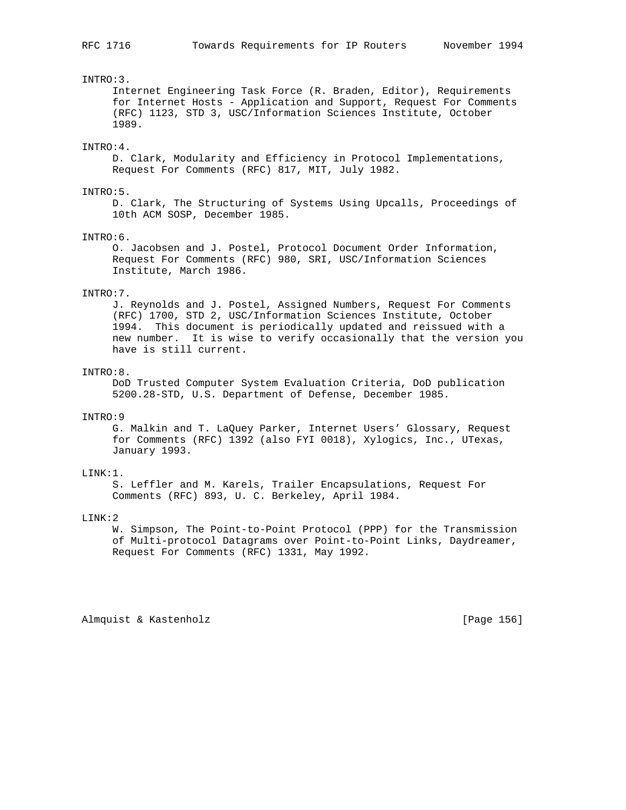## INTRO:3.

 Internet Engineering Task Force (R. Braden, Editor), Requirements for Internet Hosts - Application and Support, Request For Comments (RFC) 1123, STD 3, USC/Information Sciences Institute, October 1989.

## INTRO:4.

 D. Clark, Modularity and Efficiency in Protocol Implementations, Request For Comments (RFC) 817, MIT, July 1982.

#### INTRO:5.

 D. Clark, The Structuring of Systems Using Upcalls, Proceedings of 10th ACM SOSP, December 1985.

#### INTRO:6.

 O. Jacobsen and J. Postel, Protocol Document Order Information, Request For Comments (RFC) 980, SRI, USC/Information Sciences Institute, March 1986.

#### INTRO:7.

 J. Reynolds and J. Postel, Assigned Numbers, Request For Comments (RFC) 1700, STD 2, USC/Information Sciences Institute, October 1994. This document is periodically updated and reissued with a new number. It is wise to verify occasionally that the version you have is still current.

## INTRO:8.

 DoD Trusted Computer System Evaluation Criteria, DoD publication 5200.28-STD, U.S. Department of Defense, December 1985.

## INTRO:9

 G. Malkin and T. LaQuey Parker, Internet Users' Glossary, Request for Comments (RFC) 1392 (also FYI 0018), Xylogics, Inc., UTexas, January 1993.

## LINK:1.

 S. Leffler and M. Karels, Trailer Encapsulations, Request For Comments (RFC) 893, U. C. Berkeley, April 1984.

## LINK:2

 W. Simpson, The Point-to-Point Protocol (PPP) for the Transmission of Multi-protocol Datagrams over Point-to-Point Links, Daydreamer, Request For Comments (RFC) 1331, May 1992.

Almquist & Kastenholz **by Equal Contract Contract Contract** [Page 156]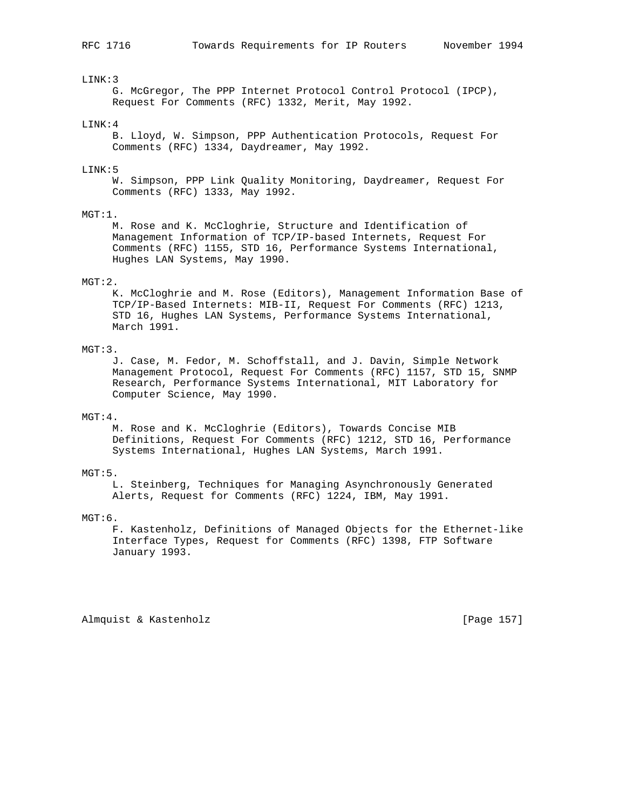## LINK:3

 G. McGregor, The PPP Internet Protocol Control Protocol (IPCP), Request For Comments (RFC) 1332, Merit, May 1992.

## LINK:4

 B. Lloyd, W. Simpson, PPP Authentication Protocols, Request For Comments (RFC) 1334, Daydreamer, May 1992.

#### LINK:5

 W. Simpson, PPP Link Quality Monitoring, Daydreamer, Request For Comments (RFC) 1333, May 1992.

#### $MGT:1$ .

 M. Rose and K. McCloghrie, Structure and Identification of Management Information of TCP/IP-based Internets, Request For Comments (RFC) 1155, STD 16, Performance Systems International, Hughes LAN Systems, May 1990.

## MGT:2.

 K. McCloghrie and M. Rose (Editors), Management Information Base of TCP/IP-Based Internets: MIB-II, Request For Comments (RFC) 1213, STD 16, Hughes LAN Systems, Performance Systems International, March 1991.

## MGT:3.

 J. Case, M. Fedor, M. Schoffstall, and J. Davin, Simple Network Management Protocol, Request For Comments (RFC) 1157, STD 15, SNMP Research, Performance Systems International, MIT Laboratory for Computer Science, May 1990.

## MGT:4.

 M. Rose and K. McCloghrie (Editors), Towards Concise MIB Definitions, Request For Comments (RFC) 1212, STD 16, Performance Systems International, Hughes LAN Systems, March 1991.

## MGT:5.

 L. Steinberg, Techniques for Managing Asynchronously Generated Alerts, Request for Comments (RFC) 1224, IBM, May 1991.

## MGT:6.

 F. Kastenholz, Definitions of Managed Objects for the Ethernet-like Interface Types, Request for Comments (RFC) 1398, FTP Software January 1993.

Almquist & Kastenholz **Example 157** [Page 157]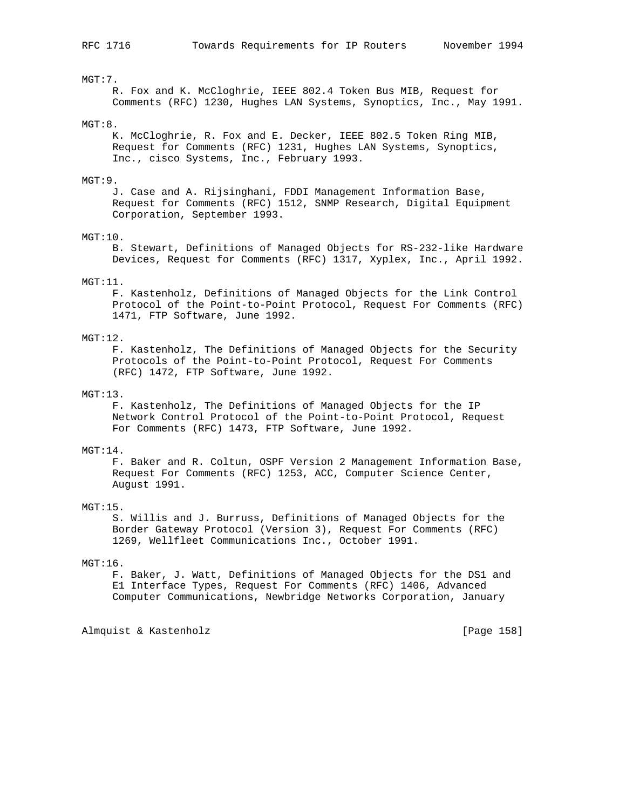## MGT:7.

 R. Fox and K. McCloghrie, IEEE 802.4 Token Bus MIB, Request for Comments (RFC) 1230, Hughes LAN Systems, Synoptics, Inc., May 1991.

#### MGT:8.

 K. McCloghrie, R. Fox and E. Decker, IEEE 802.5 Token Ring MIB, Request for Comments (RFC) 1231, Hughes LAN Systems, Synoptics, Inc., cisco Systems, Inc., February 1993.

## MGT:9.

 J. Case and A. Rijsinghani, FDDI Management Information Base, Request for Comments (RFC) 1512, SNMP Research, Digital Equipment Corporation, September 1993.

#### MGT:10.

 B. Stewart, Definitions of Managed Objects for RS-232-like Hardware Devices, Request for Comments (RFC) 1317, Xyplex, Inc., April 1992.

## MGT:11.

 F. Kastenholz, Definitions of Managed Objects for the Link Control Protocol of the Point-to-Point Protocol, Request For Comments (RFC) 1471, FTP Software, June 1992.

## MGT:12.

 F. Kastenholz, The Definitions of Managed Objects for the Security Protocols of the Point-to-Point Protocol, Request For Comments (RFC) 1472, FTP Software, June 1992.

## MGT:13.

 F. Kastenholz, The Definitions of Managed Objects for the IP Network Control Protocol of the Point-to-Point Protocol, Request For Comments (RFC) 1473, FTP Software, June 1992.

## MGT:14.

 F. Baker and R. Coltun, OSPF Version 2 Management Information Base, Request For Comments (RFC) 1253, ACC, Computer Science Center, August 1991.

#### MGT:15.

 S. Willis and J. Burruss, Definitions of Managed Objects for the Border Gateway Protocol (Version 3), Request For Comments (RFC) 1269, Wellfleet Communications Inc., October 1991.

#### MGT:16.

 F. Baker, J. Watt, Definitions of Managed Objects for the DS1 and E1 Interface Types, Request For Comments (RFC) 1406, Advanced Computer Communications, Newbridge Networks Corporation, January

Almquist & Kastenholz [Page 158]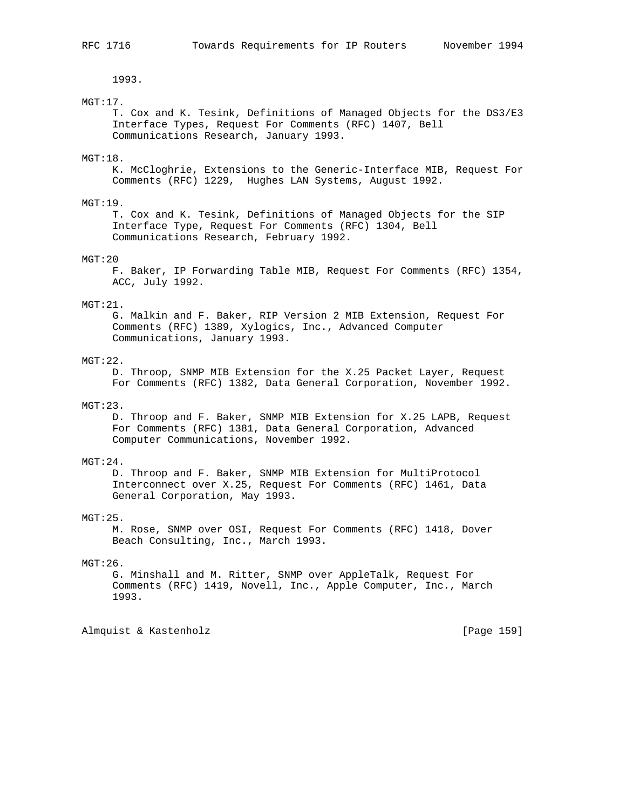1993.

## MGT:17.

 T. Cox and K. Tesink, Definitions of Managed Objects for the DS3/E3 Interface Types, Request For Comments (RFC) 1407, Bell Communications Research, January 1993.

## MGT:18.

 K. McCloghrie, Extensions to the Generic-Interface MIB, Request For Comments (RFC) 1229, Hughes LAN Systems, August 1992.

## MGT:19.

 T. Cox and K. Tesink, Definitions of Managed Objects for the SIP Interface Type, Request For Comments (RFC) 1304, Bell Communications Research, February 1992.

## MGT:20

 F. Baker, IP Forwarding Table MIB, Request For Comments (RFC) 1354, ACC, July 1992.

#### MGT:21.

 G. Malkin and F. Baker, RIP Version 2 MIB Extension, Request For Comments (RFC) 1389, Xylogics, Inc., Advanced Computer Communications, January 1993.

#### MGT:22.

 D. Throop, SNMP MIB Extension for the X.25 Packet Layer, Request For Comments (RFC) 1382, Data General Corporation, November 1992.

#### $MGT:23$

 D. Throop and F. Baker, SNMP MIB Extension for X.25 LAPB, Request For Comments (RFC) 1381, Data General Corporation, Advanced Computer Communications, November 1992.

#### MGT:24.

 D. Throop and F. Baker, SNMP MIB Extension for MultiProtocol Interconnect over X.25, Request For Comments (RFC) 1461, Data General Corporation, May 1993.

## $MGT:25$ .

 M. Rose, SNMP over OSI, Request For Comments (RFC) 1418, Dover Beach Consulting, Inc., March 1993.

#### MGT:26.

 G. Minshall and M. Ritter, SNMP over AppleTalk, Request For Comments (RFC) 1419, Novell, Inc., Apple Computer, Inc., March 1993.

Almquist & Kastenholz [Page 159]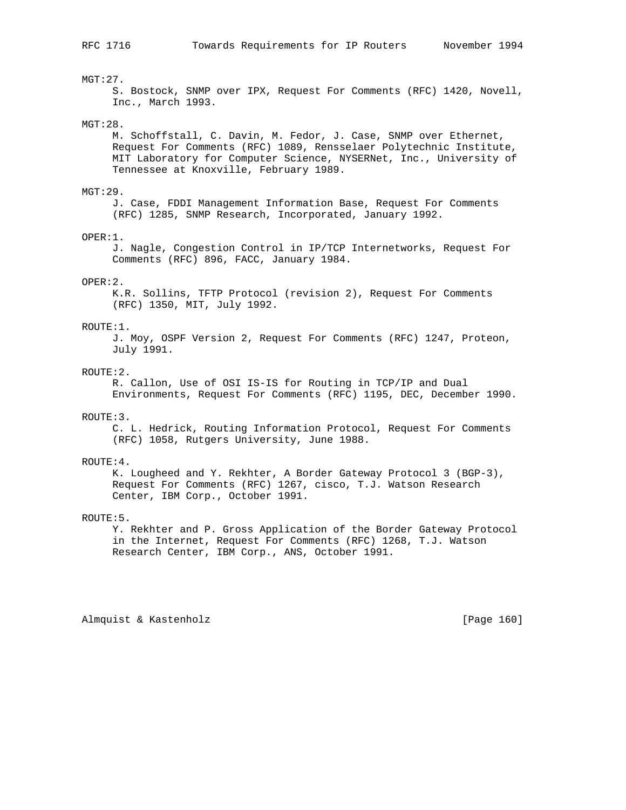## MGT:27.

 S. Bostock, SNMP over IPX, Request For Comments (RFC) 1420, Novell, Inc., March 1993.

## MGT:28.

 M. Schoffstall, C. Davin, M. Fedor, J. Case, SNMP over Ethernet, Request For Comments (RFC) 1089, Rensselaer Polytechnic Institute, MIT Laboratory for Computer Science, NYSERNet, Inc., University of Tennessee at Knoxville, February 1989.

#### $MGT:29$ .

 J. Case, FDDI Management Information Base, Request For Comments (RFC) 1285, SNMP Research, Incorporated, January 1992.

#### OPER:1.

 J. Nagle, Congestion Control in IP/TCP Internetworks, Request For Comments (RFC) 896, FACC, January 1984.

### OPER:2.

 K.R. Sollins, TFTP Protocol (revision 2), Request For Comments (RFC) 1350, MIT, July 1992.

#### ROUTE:1.

 J. Moy, OSPF Version 2, Request For Comments (RFC) 1247, Proteon, July 1991.

## ROUTE:2.

 R. Callon, Use of OSI IS-IS for Routing in TCP/IP and Dual Environments, Request For Comments (RFC) 1195, DEC, December 1990.

## ROUTE:3.

 C. L. Hedrick, Routing Information Protocol, Request For Comments (RFC) 1058, Rutgers University, June 1988.

#### ROUTE:4.

 K. Lougheed and Y. Rekhter, A Border Gateway Protocol 3 (BGP-3), Request For Comments (RFC) 1267, cisco, T.J. Watson Research Center, IBM Corp., October 1991.

#### ROUTE:5.

 Y. Rekhter and P. Gross Application of the Border Gateway Protocol in the Internet, Request For Comments (RFC) 1268, T.J. Watson Research Center, IBM Corp., ANS, October 1991.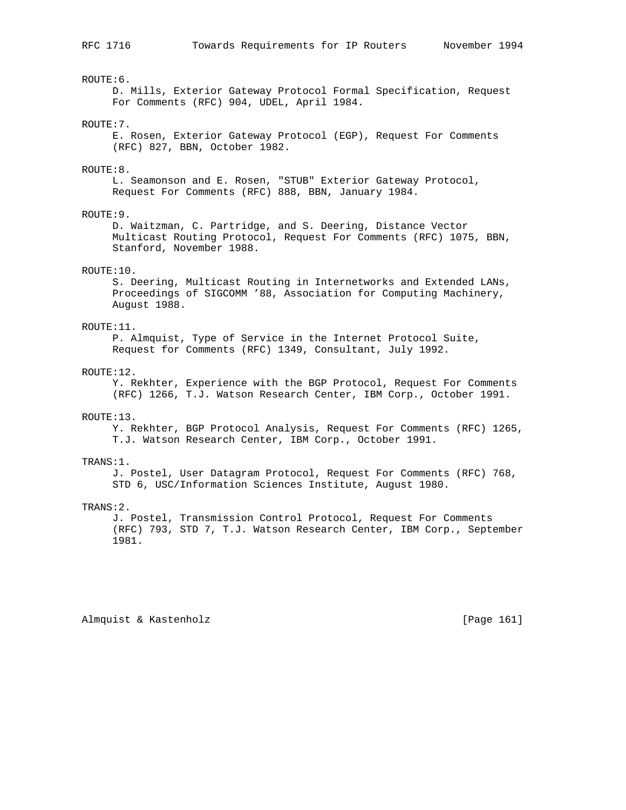ROUTE:6.

 D. Mills, Exterior Gateway Protocol Formal Specification, Request For Comments (RFC) 904, UDEL, April 1984.

#### ROUTE:7.

 E. Rosen, Exterior Gateway Protocol (EGP), Request For Comments (RFC) 827, BBN, October 1982.

#### ROUTE:8.

 L. Seamonson and E. Rosen, "STUB" Exterior Gateway Protocol, Request For Comments (RFC) 888, BBN, January 1984.

## ROUTE:9.

 D. Waitzman, C. Partridge, and S. Deering, Distance Vector Multicast Routing Protocol, Request For Comments (RFC) 1075, BBN, Stanford, November 1988.

## ROUTE:10.

 S. Deering, Multicast Routing in Internetworks and Extended LANs, Proceedings of SIGCOMM '88, Association for Computing Machinery, August 1988.

## ROUTE:11.

 P. Almquist, Type of Service in the Internet Protocol Suite, Request for Comments (RFC) 1349, Consultant, July 1992.

## ROUTE:12.

 Y. Rekhter, Experience with the BGP Protocol, Request For Comments (RFC) 1266, T.J. Watson Research Center, IBM Corp., October 1991.

## ROUTE:13.

 Y. Rekhter, BGP Protocol Analysis, Request For Comments (RFC) 1265, T.J. Watson Research Center, IBM Corp., October 1991.

#### TRANS:1.

 J. Postel, User Datagram Protocol, Request For Comments (RFC) 768, STD 6, USC/Information Sciences Institute, August 1980.

#### TRANS:2.

 J. Postel, Transmission Control Protocol, Request For Comments (RFC) 793, STD 7, T.J. Watson Research Center, IBM Corp., September 1981.

Almquist & Kastenholz **by Equal Contract Contract Contract** [Page 161]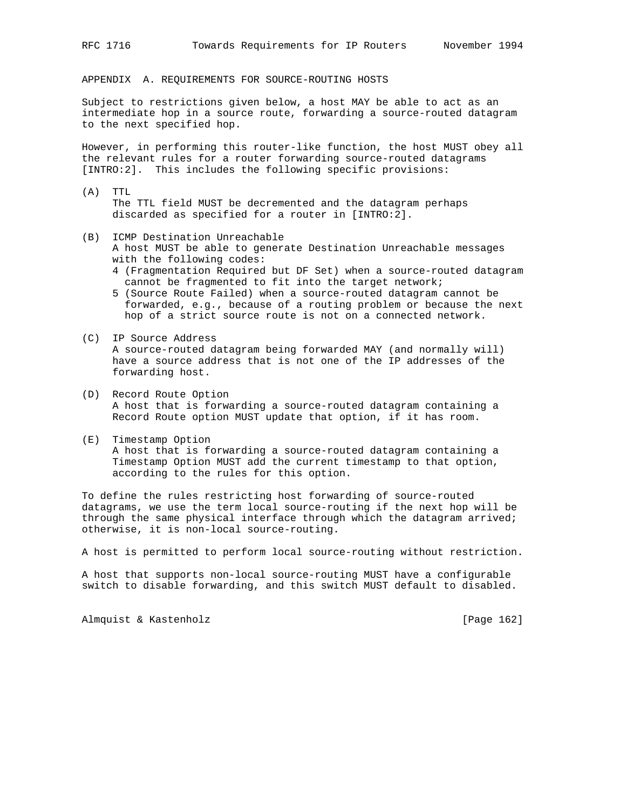APPENDIX A. REQUIREMENTS FOR SOURCE-ROUTING HOSTS

Subject to restrictions given below, a host MAY be able to act as an intermediate hop in a source route, forwarding a source-routed datagram to the next specified hop.

However, in performing this router-like function, the host MUST obey all the relevant rules for a router forwarding source-routed datagrams [INTRO:2]. This includes the following specific provisions:

- (A) TTL The TTL field MUST be decremented and the datagram perhaps discarded as specified for a router in [INTRO:2].
- (B) ICMP Destination Unreachable
	- A host MUST be able to generate Destination Unreachable messages with the following codes:
	- 4 (Fragmentation Required but DF Set) when a source-routed datagram cannot be fragmented to fit into the target network;
	- 5 (Source Route Failed) when a source-routed datagram cannot be forwarded, e.g., because of a routing problem or because the next hop of a strict source route is not on a connected network.
- (C) IP Source Address A source-routed datagram being forwarded MAY (and normally will) have a source address that is not one of the IP addresses of the forwarding host.
- (D) Record Route Option A host that is forwarding a source-routed datagram containing a Record Route option MUST update that option, if it has room.
- (E) Timestamp Option A host that is forwarding a source-routed datagram containing a Timestamp Option MUST add the current timestamp to that option, according to the rules for this option.

To define the rules restricting host forwarding of source-routed datagrams, we use the term local source-routing if the next hop will be through the same physical interface through which the datagram arrived; otherwise, it is non-local source-routing.

A host is permitted to perform local source-routing without restriction.

A host that supports non-local source-routing MUST have a configurable switch to disable forwarding, and this switch MUST default to disabled.

Almquist & Kastenholz **and Contact Contact Act Contact Contact Contact Contact Contact Contact Contact Contact Contact Contact Contact Contact Contact Contact Contact Contact Contact Contact Contact Contact Contact Contact**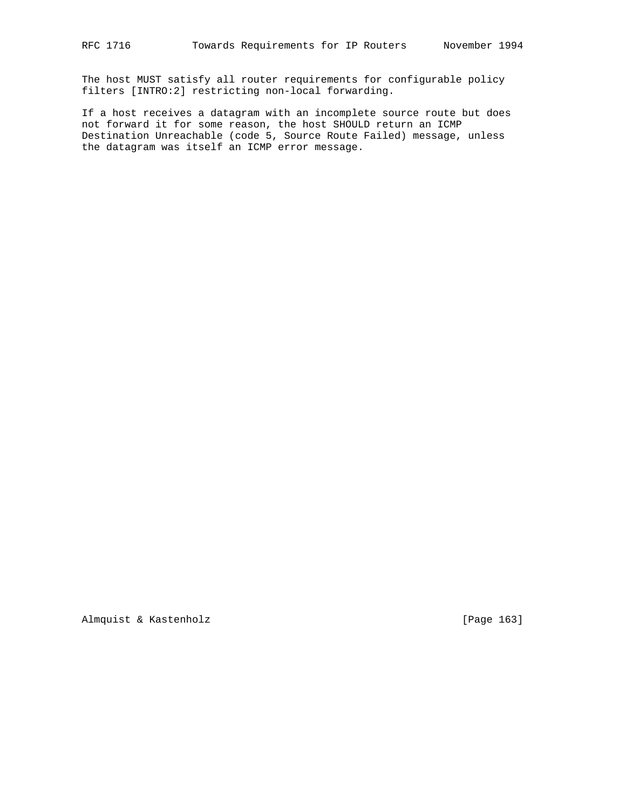The host MUST satisfy all router requirements for configurable policy filters [INTRO:2] restricting non-local forwarding.

If a host receives a datagram with an incomplete source route but does not forward it for some reason, the host SHOULD return an ICMP Destination Unreachable (code 5, Source Route Failed) message, unless the datagram was itself an ICMP error message.

Almquist & Kastenholz [Page 163]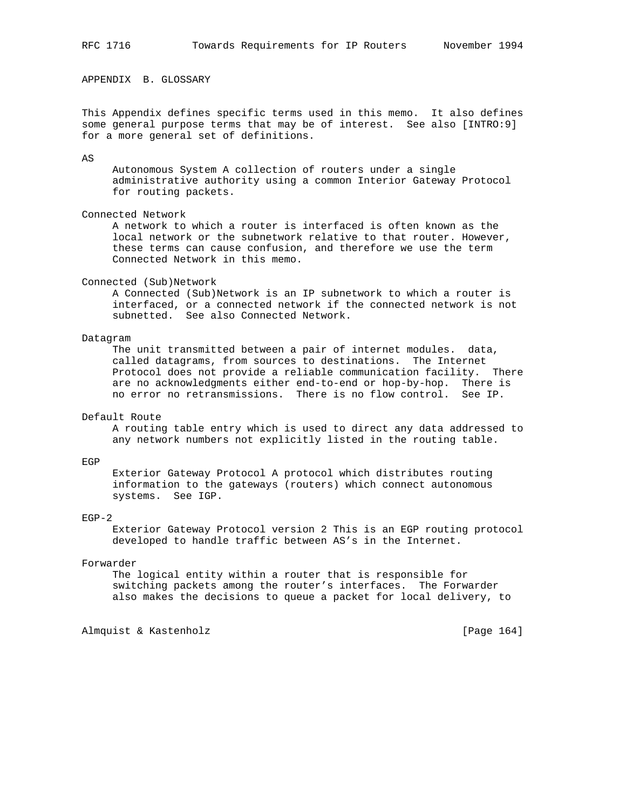APPENDIX B. GLOSSARY

This Appendix defines specific terms used in this memo. It also defines some general purpose terms that may be of interest. See also [INTRO:9] for a more general set of definitions.

AS

 Autonomous System A collection of routers under a single administrative authority using a common Interior Gateway Protocol for routing packets.

## Connected Network

 A network to which a router is interfaced is often known as the local network or the subnetwork relative to that router. However, these terms can cause confusion, and therefore we use the term Connected Network in this memo.

#### Connected (Sub)Network

 A Connected (Sub)Network is an IP subnetwork to which a router is interfaced, or a connected network if the connected network is not subnetted. See also Connected Network.

### Datagram

 The unit transmitted between a pair of internet modules. data, called datagrams, from sources to destinations. The Internet Protocol does not provide a reliable communication facility. There are no acknowledgments either end-to-end or hop-by-hop. There is no error no retransmissions. There is no flow control. See IP.

## Default Route

 A routing table entry which is used to direct any data addressed to any network numbers not explicitly listed in the routing table.

#### EGP

 Exterior Gateway Protocol A protocol which distributes routing information to the gateways (routers) which connect autonomous systems. See IGP.

## EGP-2

 Exterior Gateway Protocol version 2 This is an EGP routing protocol developed to handle traffic between AS's in the Internet.

#### Forwarder

 The logical entity within a router that is responsible for switching packets among the router's interfaces. The Forwarder also makes the decisions to queue a packet for local delivery, to

Almquist & Kastenholz [Page 164]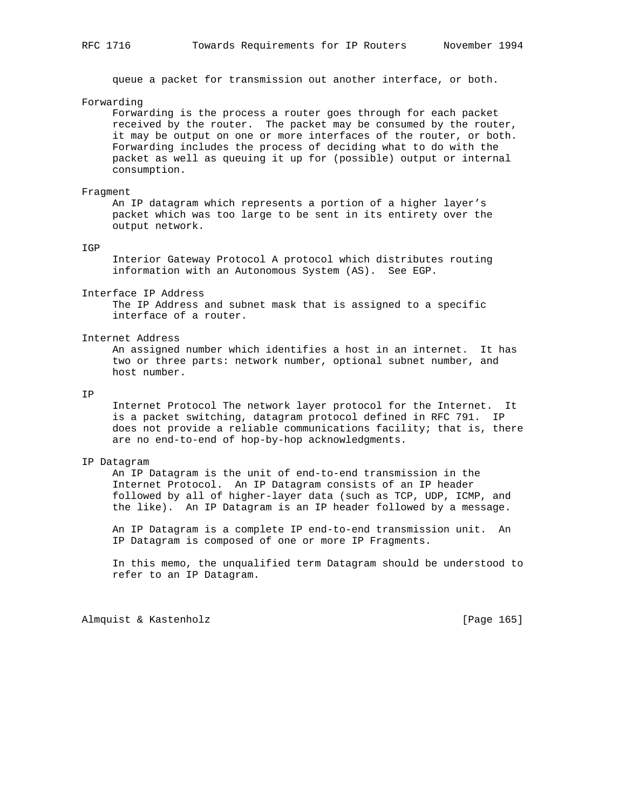queue a packet for transmission out another interface, or both.

## Forwarding

 Forwarding is the process a router goes through for each packet received by the router. The packet may be consumed by the router, it may be output on one or more interfaces of the router, or both. Forwarding includes the process of deciding what to do with the packet as well as queuing it up for (possible) output or internal consumption.

#### Fragment

 An IP datagram which represents a portion of a higher layer's packet which was too large to be sent in its entirety over the output network.

#### IGP

 Interior Gateway Protocol A protocol which distributes routing information with an Autonomous System (AS). See EGP.

#### Interface IP Address

 The IP Address and subnet mask that is assigned to a specific interface of a router.

## Internet Address

 An assigned number which identifies a host in an internet. It has two or three parts: network number, optional subnet number, and host number.

## IP

 Internet Protocol The network layer protocol for the Internet. It is a packet switching, datagram protocol defined in RFC 791. IP does not provide a reliable communications facility; that is, there are no end-to-end of hop-by-hop acknowledgments.

#### IP Datagram

 An IP Datagram is the unit of end-to-end transmission in the Internet Protocol. An IP Datagram consists of an IP header followed by all of higher-layer data (such as TCP, UDP, ICMP, and the like). An IP Datagram is an IP header followed by a message.

 An IP Datagram is a complete IP end-to-end transmission unit. An IP Datagram is composed of one or more IP Fragments.

 In this memo, the unqualified term Datagram should be understood to refer to an IP Datagram.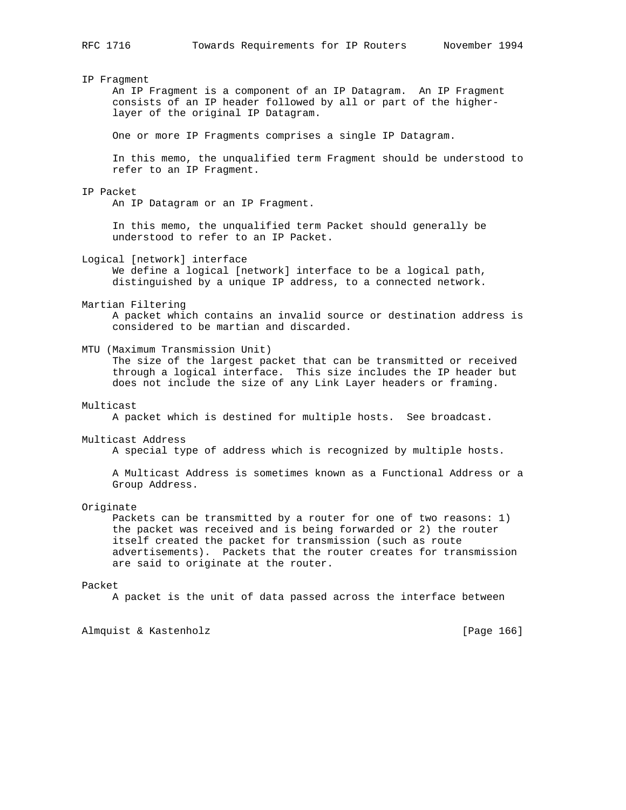#### IP Fragment

 An IP Fragment is a component of an IP Datagram. An IP Fragment consists of an IP header followed by all or part of the higher layer of the original IP Datagram.

One or more IP Fragments comprises a single IP Datagram.

 In this memo, the unqualified term Fragment should be understood to refer to an IP Fragment.

#### IP Packet

An IP Datagram or an IP Fragment.

 In this memo, the unqualified term Packet should generally be understood to refer to an IP Packet.

Logical [network] interface

 We define a logical [network] interface to be a logical path, distinguished by a unique IP address, to a connected network.

#### Martian Filtering

 A packet which contains an invalid source or destination address is considered to be martian and discarded.

MTU (Maximum Transmission Unit)

 The size of the largest packet that can be transmitted or received through a logical interface. This size includes the IP header but does not include the size of any Link Layer headers or framing.

#### Multicast

A packet which is destined for multiple hosts. See broadcast.

#### Multicast Address

A special type of address which is recognized by multiple hosts.

 A Multicast Address is sometimes known as a Functional Address or a Group Address.

Originate

 Packets can be transmitted by a router for one of two reasons: 1) the packet was received and is being forwarded or 2) the router itself created the packet for transmission (such as route advertisements). Packets that the router creates for transmission are said to originate at the router.

## Packet

A packet is the unit of data passed across the interface between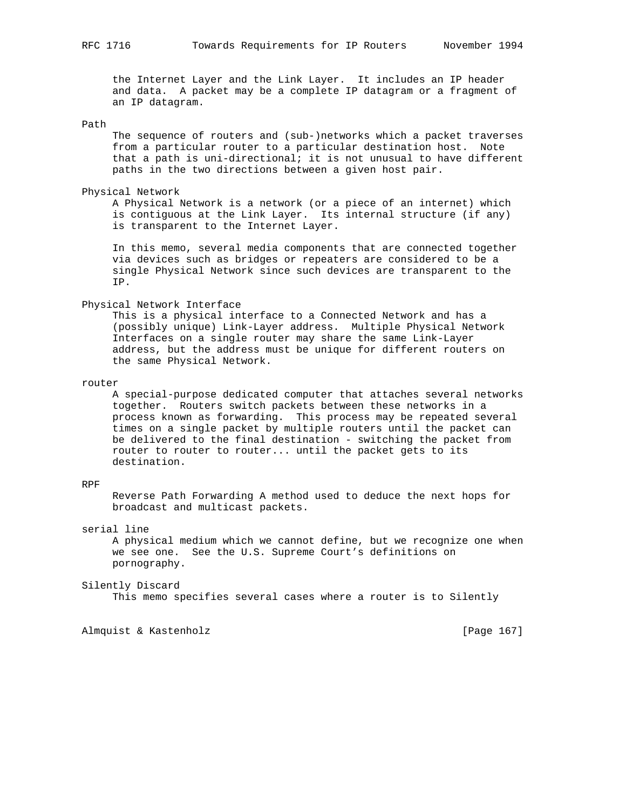the Internet Layer and the Link Layer. It includes an IP header and data. A packet may be a complete IP datagram or a fragment of an IP datagram.

## Path

 The sequence of routers and (sub-)networks which a packet traverses from a particular router to a particular destination host. Note that a path is uni-directional; it is not unusual to have different paths in the two directions between a given host pair.

#### Physical Network

 A Physical Network is a network (or a piece of an internet) which is contiguous at the Link Layer. Its internal structure (if any) is transparent to the Internet Layer.

 In this memo, several media components that are connected together via devices such as bridges or repeaters are considered to be a single Physical Network since such devices are transparent to the IP.

#### Physical Network Interface

 This is a physical interface to a Connected Network and has a (possibly unique) Link-Layer address. Multiple Physical Network Interfaces on a single router may share the same Link-Layer address, but the address must be unique for different routers on the same Physical Network.

#### router

 A special-purpose dedicated computer that attaches several networks together. Routers switch packets between these networks in a process known as forwarding. This process may be repeated several times on a single packet by multiple routers until the packet can be delivered to the final destination - switching the packet from router to router to router... until the packet gets to its destination.

## RPF

 Reverse Path Forwarding A method used to deduce the next hops for broadcast and multicast packets.

## serial line

 A physical medium which we cannot define, but we recognize one when we see one. See the U.S. Supreme Court's definitions on pornography.

#### Silently Discard

This memo specifies several cases where a router is to Silently

Almquist & Kastenholz **by Equal Contract Contract Contract** [Page 167]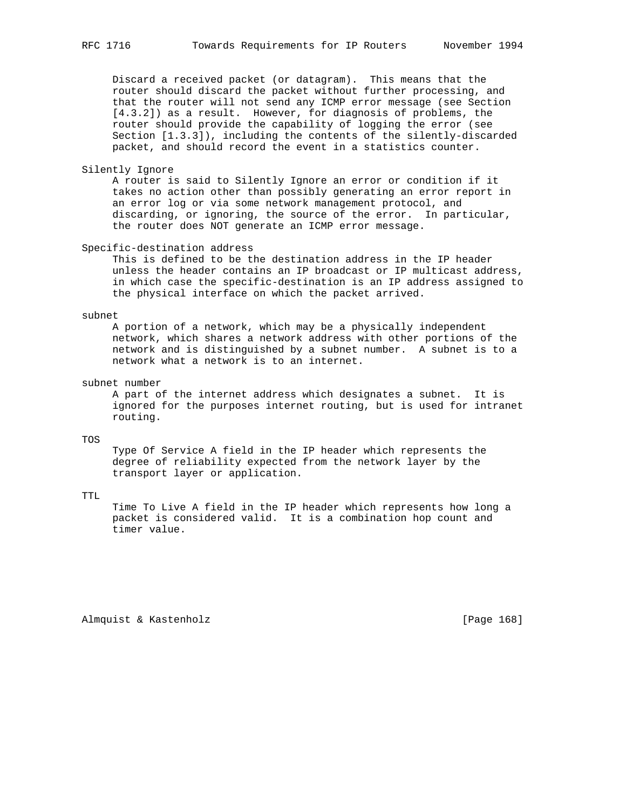Discard a received packet (or datagram). This means that the router should discard the packet without further processing, and that the router will not send any ICMP error message (see Section [4.3.2]) as a result. However, for diagnosis of problems, the router should provide the capability of logging the error (see Section [1.3.3]), including the contents of the silently-discarded packet, and should record the event in a statistics counter.

#### Silently Ignore

 A router is said to Silently Ignore an error or condition if it takes no action other than possibly generating an error report in an error log or via some network management protocol, and discarding, or ignoring, the source of the error. In particular, the router does NOT generate an ICMP error message.

## Specific-destination address

 This is defined to be the destination address in the IP header unless the header contains an IP broadcast or IP multicast address, in which case the specific-destination is an IP address assigned to the physical interface on which the packet arrived.

## subnet

 A portion of a network, which may be a physically independent network, which shares a network address with other portions of the network and is distinguished by a subnet number. A subnet is to a network what a network is to an internet.

## subnet number

 A part of the internet address which designates a subnet. It is ignored for the purposes internet routing, but is used for intranet routing.

## TOS

 Type Of Service A field in the IP header which represents the degree of reliability expected from the network layer by the transport layer or application.

## TTL

 Time To Live A field in the IP header which represents how long a packet is considered valid. It is a combination hop count and timer value.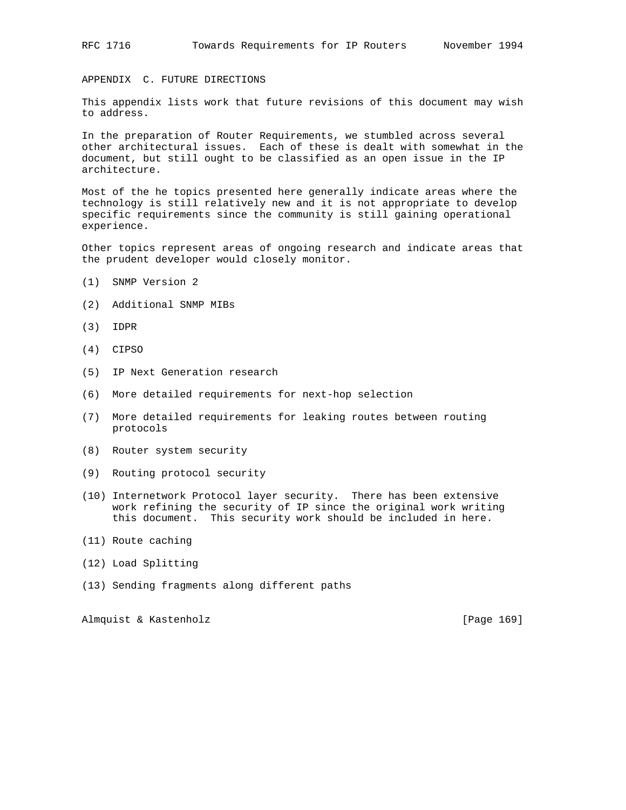APPENDIX C. FUTURE DIRECTIONS

This appendix lists work that future revisions of this document may wish to address.

In the preparation of Router Requirements, we stumbled across several other architectural issues. Each of these is dealt with somewhat in the document, but still ought to be classified as an open issue in the IP architecture.

Most of the he topics presented here generally indicate areas where the technology is still relatively new and it is not appropriate to develop specific requirements since the community is still gaining operational experience.

Other topics represent areas of ongoing research and indicate areas that the prudent developer would closely monitor.

- (1) SNMP Version 2
- (2) Additional SNMP MIBs
- (3) IDPR
- (4) CIPSO
- (5) IP Next Generation research
- (6) More detailed requirements for next-hop selection
- (7) More detailed requirements for leaking routes between routing protocols
- (8) Router system security
- (9) Routing protocol security
- (10) Internetwork Protocol layer security. There has been extensive work refining the security of IP since the original work writing this document. This security work should be included in here.
- (11) Route caching
- (12) Load Splitting
- (13) Sending fragments along different paths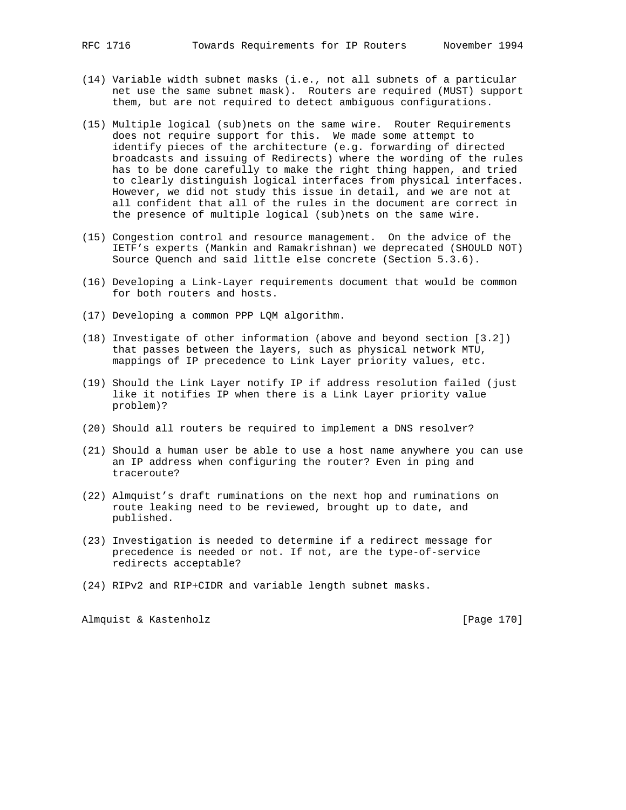- (14) Variable width subnet masks (i.e., not all subnets of a particular net use the same subnet mask). Routers are required (MUST) support them, but are not required to detect ambiguous configurations.
- (15) Multiple logical (sub)nets on the same wire. Router Requirements does not require support for this. We made some attempt to identify pieces of the architecture (e.g. forwarding of directed broadcasts and issuing of Redirects) where the wording of the rules has to be done carefully to make the right thing happen, and tried to clearly distinguish logical interfaces from physical interfaces. However, we did not study this issue in detail, and we are not at all confident that all of the rules in the document are correct in the presence of multiple logical (sub)nets on the same wire.
- (15) Congestion control and resource management. On the advice of the IETF's experts (Mankin and Ramakrishnan) we deprecated (SHOULD NOT) Source Quench and said little else concrete (Section 5.3.6).
- (16) Developing a Link-Layer requirements document that would be common for both routers and hosts.
- (17) Developing a common PPP LQM algorithm.
- (18) Investigate of other information (above and beyond section [3.2]) that passes between the layers, such as physical network MTU, mappings of IP precedence to Link Layer priority values, etc.
- (19) Should the Link Layer notify IP if address resolution failed (just like it notifies IP when there is a Link Layer priority value problem)?
- (20) Should all routers be required to implement a DNS resolver?
- (21) Should a human user be able to use a host name anywhere you can use an IP address when configuring the router? Even in ping and traceroute?
- (22) Almquist's draft ruminations on the next hop and ruminations on route leaking need to be reviewed, brought up to date, and published.
- (23) Investigation is needed to determine if a redirect message for precedence is needed or not. If not, are the type-of-service redirects acceptable?
- (24) RIPv2 and RIP+CIDR and variable length subnet masks.

Almquist & Kastenholz **Example 1999** [Page 170]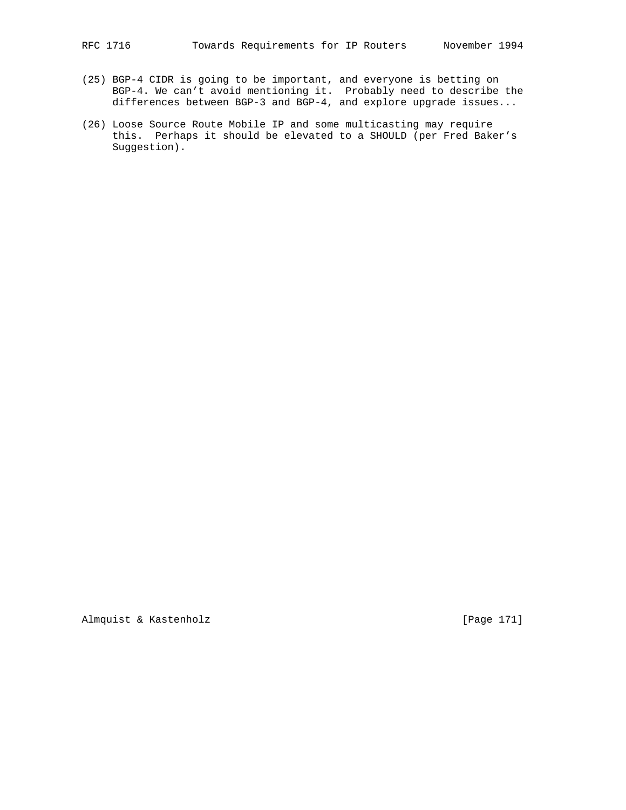- (25) BGP-4 CIDR is going to be important, and everyone is betting on BGP-4. We can't avoid mentioning it. Probably need to describe the differences between BGP-3 and BGP-4, and explore upgrade issues...
- (26) Loose Source Route Mobile IP and some multicasting may require this. Perhaps it should be elevated to a SHOULD (per Fred Baker's Suggestion).

Almquist & Kastenholz [Page 171]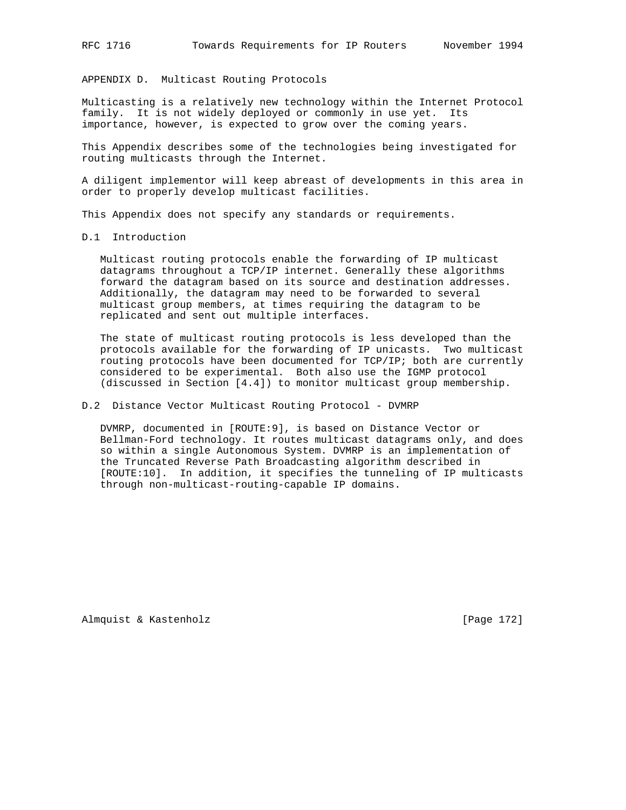APPENDIX D. Multicast Routing Protocols

Multicasting is a relatively new technology within the Internet Protocol family. It is not widely deployed or commonly in use yet. Its importance, however, is expected to grow over the coming years.

This Appendix describes some of the technologies being investigated for routing multicasts through the Internet.

A diligent implementor will keep abreast of developments in this area in order to properly develop multicast facilities.

This Appendix does not specify any standards or requirements.

## D.1 Introduction

 Multicast routing protocols enable the forwarding of IP multicast datagrams throughout a TCP/IP internet. Generally these algorithms forward the datagram based on its source and destination addresses. Additionally, the datagram may need to be forwarded to several multicast group members, at times requiring the datagram to be replicated and sent out multiple interfaces.

 The state of multicast routing protocols is less developed than the protocols available for the forwarding of IP unicasts. Two multicast routing protocols have been documented for TCP/IP; both are currently considered to be experimental. Both also use the IGMP protocol (discussed in Section [4.4]) to monitor multicast group membership.

## D.2 Distance Vector Multicast Routing Protocol - DVMRP

 DVMRP, documented in [ROUTE:9], is based on Distance Vector or Bellman-Ford technology. It routes multicast datagrams only, and does so within a single Autonomous System. DVMRP is an implementation of the Truncated Reverse Path Broadcasting algorithm described in [ROUTE:10]. In addition, it specifies the tunneling of IP multicasts through non-multicast-routing-capable IP domains.

Almquist & Kastenholz **Example 19** (Page 172)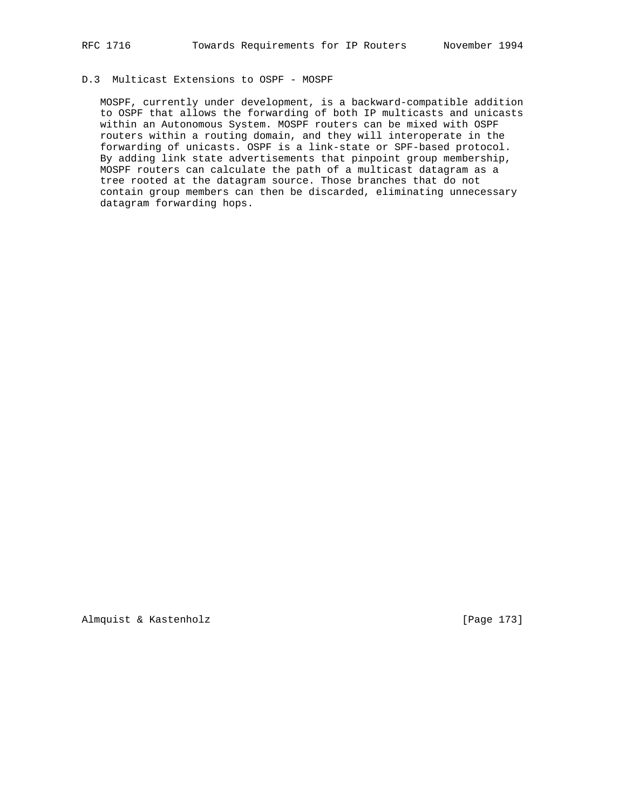## D.3 Multicast Extensions to OSPF - MOSPF

 MOSPF, currently under development, is a backward-compatible addition to OSPF that allows the forwarding of both IP multicasts and unicasts within an Autonomous System. MOSPF routers can be mixed with OSPF routers within a routing domain, and they will interoperate in the forwarding of unicasts. OSPF is a link-state or SPF-based protocol. By adding link state advertisements that pinpoint group membership, MOSPF routers can calculate the path of a multicast datagram as a tree rooted at the datagram source. Those branches that do not contain group members can then be discarded, eliminating unnecessary datagram forwarding hops.

Almquist & Kastenholz **and Contact Contact Act (Page 173**)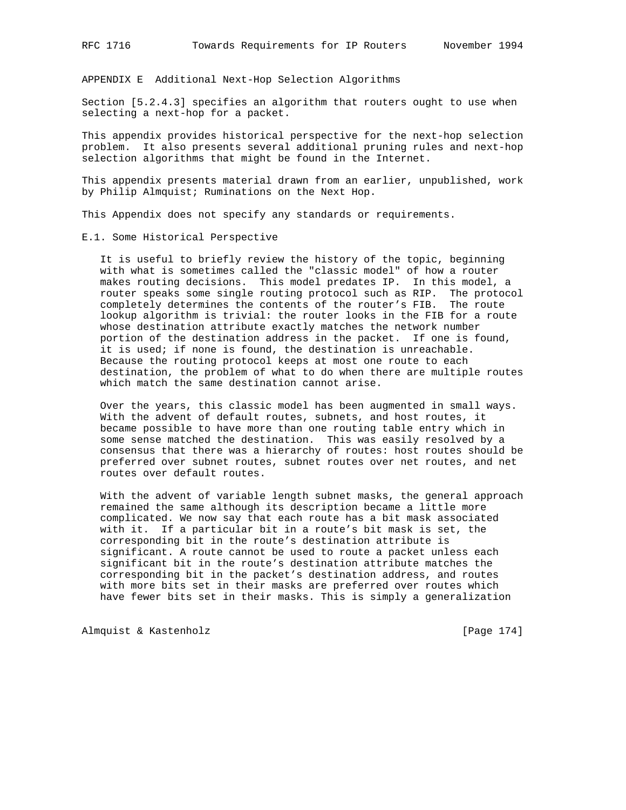APPENDIX E Additional Next-Hop Selection Algorithms

Section [5.2.4.3] specifies an algorithm that routers ought to use when selecting a next-hop for a packet.

This appendix provides historical perspective for the next-hop selection problem. It also presents several additional pruning rules and next-hop selection algorithms that might be found in the Internet.

This appendix presents material drawn from an earlier, unpublished, work by Philip Almquist; Ruminations on the Next Hop.

This Appendix does not specify any standards or requirements.

E.1. Some Historical Perspective

 It is useful to briefly review the history of the topic, beginning with what is sometimes called the "classic model" of how a router makes routing decisions. This model predates IP. In this model, a router speaks some single routing protocol such as RIP. The protocol completely determines the contents of the router's FIB. The route lookup algorithm is trivial: the router looks in the FIB for a route whose destination attribute exactly matches the network number portion of the destination address in the packet. If one is found, it is used; if none is found, the destination is unreachable. Because the routing protocol keeps at most one route to each destination, the problem of what to do when there are multiple routes which match the same destination cannot arise.

 Over the years, this classic model has been augmented in small ways. With the advent of default routes, subnets, and host routes, it became possible to have more than one routing table entry which in some sense matched the destination. This was easily resolved by a consensus that there was a hierarchy of routes: host routes should be preferred over subnet routes, subnet routes over net routes, and net routes over default routes.

 With the advent of variable length subnet masks, the general approach remained the same although its description became a little more complicated. We now say that each route has a bit mask associated with it. If a particular bit in a route's bit mask is set, the corresponding bit in the route's destination attribute is significant. A route cannot be used to route a packet unless each significant bit in the route's destination attribute matches the corresponding bit in the packet's destination address, and routes with more bits set in their masks are preferred over routes which have fewer bits set in their masks. This is simply a generalization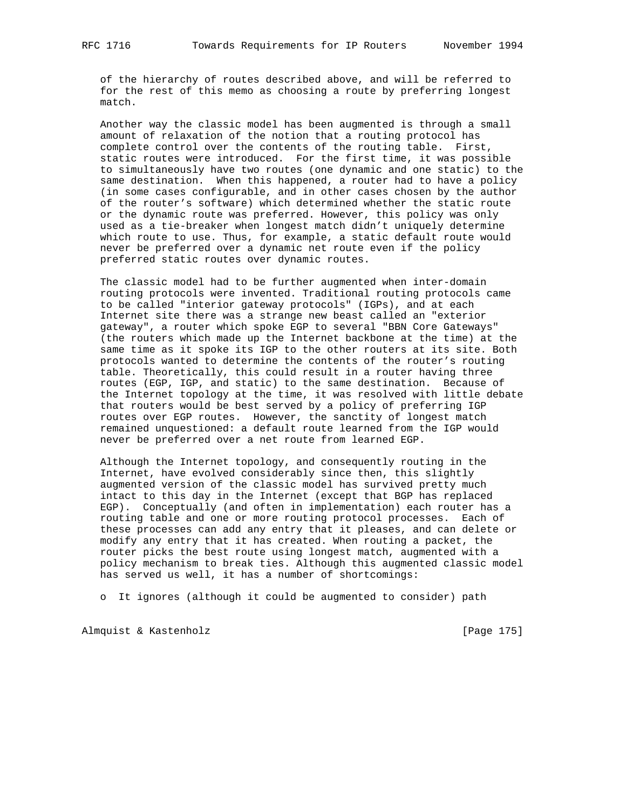of the hierarchy of routes described above, and will be referred to for the rest of this memo as choosing a route by preferring longest match.

 Another way the classic model has been augmented is through a small amount of relaxation of the notion that a routing protocol has complete control over the contents of the routing table. First, static routes were introduced. For the first time, it was possible to simultaneously have two routes (one dynamic and one static) to the same destination. When this happened, a router had to have a policy (in some cases configurable, and in other cases chosen by the author of the router's software) which determined whether the static route or the dynamic route was preferred. However, this policy was only used as a tie-breaker when longest match didn't uniquely determine which route to use. Thus, for example, a static default route would never be preferred over a dynamic net route even if the policy preferred static routes over dynamic routes.

 The classic model had to be further augmented when inter-domain routing protocols were invented. Traditional routing protocols came to be called "interior gateway protocols" (IGPs), and at each Internet site there was a strange new beast called an "exterior gateway", a router which spoke EGP to several "BBN Core Gateways" (the routers which made up the Internet backbone at the time) at the same time as it spoke its IGP to the other routers at its site. Both protocols wanted to determine the contents of the router's routing table. Theoretically, this could result in a router having three routes (EGP, IGP, and static) to the same destination. Because of the Internet topology at the time, it was resolved with little debate that routers would be best served by a policy of preferring IGP routes over EGP routes. However, the sanctity of longest match remained unquestioned: a default route learned from the IGP would never be preferred over a net route from learned EGP.

 Although the Internet topology, and consequently routing in the Internet, have evolved considerably since then, this slightly augmented version of the classic model has survived pretty much intact to this day in the Internet (except that BGP has replaced EGP). Conceptually (and often in implementation) each router has a routing table and one or more routing protocol processes. Each of these processes can add any entry that it pleases, and can delete or modify any entry that it has created. When routing a packet, the router picks the best route using longest match, augmented with a policy mechanism to break ties. Although this augmented classic model has served us well, it has a number of shortcomings:

o It ignores (although it could be augmented to consider) path

Almquist & Kastenholz **by Equal Contract Contract Contract** [Page 175]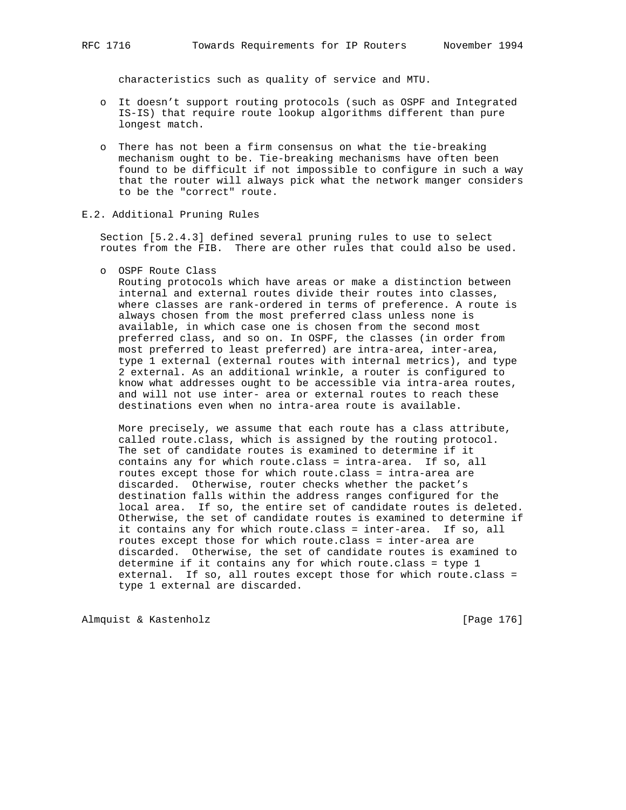characteristics such as quality of service and MTU.

- o It doesn't support routing protocols (such as OSPF and Integrated IS-IS) that require route lookup algorithms different than pure longest match.
- o There has not been a firm consensus on what the tie-breaking mechanism ought to be. Tie-breaking mechanisms have often been found to be difficult if not impossible to configure in such a way that the router will always pick what the network manger considers to be the "correct" route.
- E.2. Additional Pruning Rules

 Section [5.2.4.3] defined several pruning rules to use to select routes from the FIB. There are other rules that could also be used.

o OSPF Route Class

 Routing protocols which have areas or make a distinction between internal and external routes divide their routes into classes, where classes are rank-ordered in terms of preference. A route is always chosen from the most preferred class unless none is available, in which case one is chosen from the second most preferred class, and so on. In OSPF, the classes (in order from most preferred to least preferred) are intra-area, inter-area, type 1 external (external routes with internal metrics), and type 2 external. As an additional wrinkle, a router is configured to know what addresses ought to be accessible via intra-area routes, and will not use inter- area or external routes to reach these destinations even when no intra-area route is available.

 More precisely, we assume that each route has a class attribute, called route.class, which is assigned by the routing protocol. The set of candidate routes is examined to determine if it contains any for which route.class = intra-area. If so, all routes except those for which route.class = intra-area are discarded. Otherwise, router checks whether the packet's destination falls within the address ranges configured for the local area. If so, the entire set of candidate routes is deleted. Otherwise, the set of candidate routes is examined to determine if it contains any for which route.class = inter-area. If so, all routes except those for which route.class = inter-area are discarded. Otherwise, the set of candidate routes is examined to determine if it contains any for which route.class = type 1 external. If so, all routes except those for which route.class = type 1 external are discarded.

Almquist & Kastenholz **and Communist** [Page 176]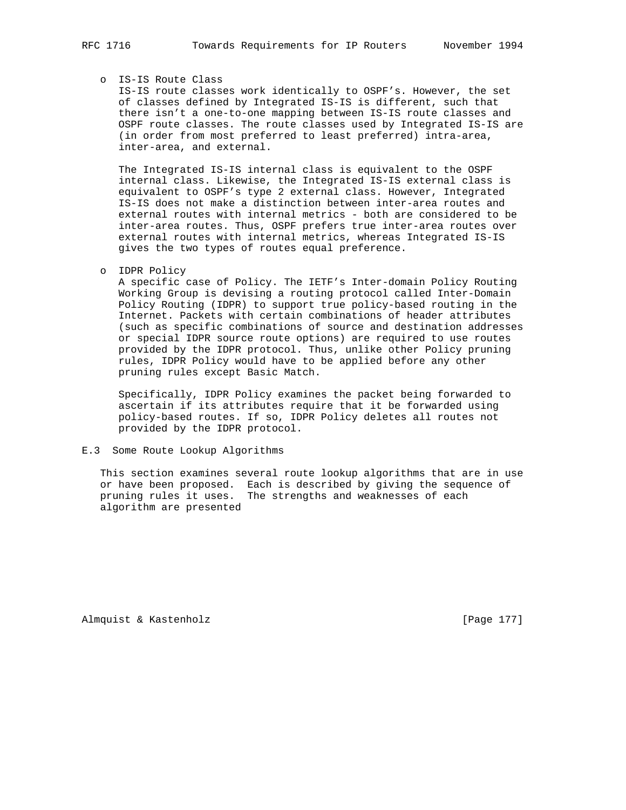## o IS-IS Route Class

 IS-IS route classes work identically to OSPF's. However, the set of classes defined by Integrated IS-IS is different, such that there isn't a one-to-one mapping between IS-IS route classes and OSPF route classes. The route classes used by Integrated IS-IS are (in order from most preferred to least preferred) intra-area, inter-area, and external.

 The Integrated IS-IS internal class is equivalent to the OSPF internal class. Likewise, the Integrated IS-IS external class is equivalent to OSPF's type 2 external class. However, Integrated IS-IS does not make a distinction between inter-area routes and external routes with internal metrics - both are considered to be inter-area routes. Thus, OSPF prefers true inter-area routes over external routes with internal metrics, whereas Integrated IS-IS gives the two types of routes equal preference.

o IDPR Policy

 A specific case of Policy. The IETF's Inter-domain Policy Routing Working Group is devising a routing protocol called Inter-Domain Policy Routing (IDPR) to support true policy-based routing in the Internet. Packets with certain combinations of header attributes (such as specific combinations of source and destination addresses or special IDPR source route options) are required to use routes provided by the IDPR protocol. Thus, unlike other Policy pruning rules, IDPR Policy would have to be applied before any other pruning rules except Basic Match.

 Specifically, IDPR Policy examines the packet being forwarded to ascertain if its attributes require that it be forwarded using policy-based routes. If so, IDPR Policy deletes all routes not provided by the IDPR protocol.

## E.3 Some Route Lookup Algorithms

 This section examines several route lookup algorithms that are in use or have been proposed. Each is described by giving the sequence of pruning rules it uses. The strengths and weaknesses of each algorithm are presented

Almquist & Kastenholz **Example 19** (Page 177)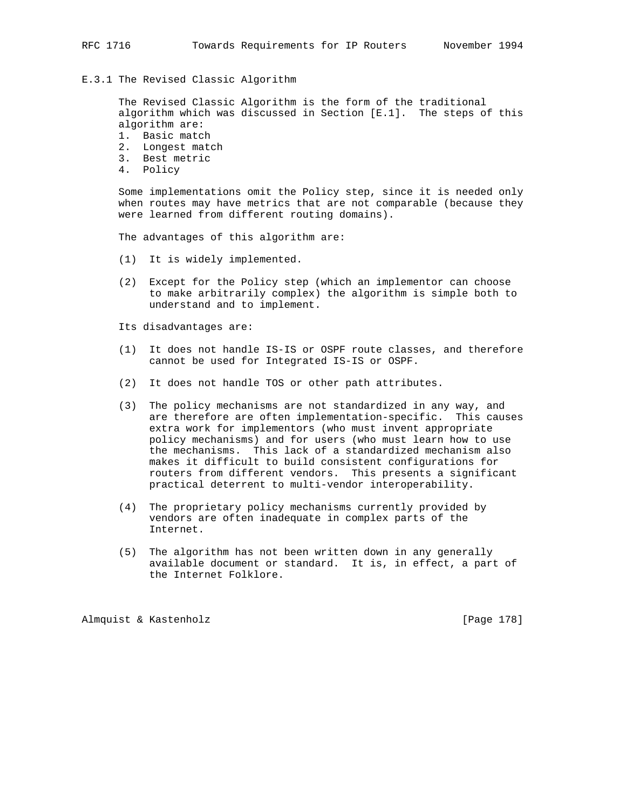## E.3.1 The Revised Classic Algorithm

 The Revised Classic Algorithm is the form of the traditional algorithm which was discussed in Section [E.1]. The steps of this algorithm are:

- 1. Basic match
- 2. Longest match
- 3. Best metric
- 4. Policy

 Some implementations omit the Policy step, since it is needed only when routes may have metrics that are not comparable (because they were learned from different routing domains).

The advantages of this algorithm are:

- (1) It is widely implemented.
- (2) Except for the Policy step (which an implementor can choose to make arbitrarily complex) the algorithm is simple both to understand and to implement.

Its disadvantages are:

- (1) It does not handle IS-IS or OSPF route classes, and therefore cannot be used for Integrated IS-IS or OSPF.
- (2) It does not handle TOS or other path attributes.
- (3) The policy mechanisms are not standardized in any way, and are therefore are often implementation-specific. This causes extra work for implementors (who must invent appropriate policy mechanisms) and for users (who must learn how to use the mechanisms. This lack of a standardized mechanism also makes it difficult to build consistent configurations for routers from different vendors. This presents a significant practical deterrent to multi-vendor interoperability.
- (4) The proprietary policy mechanisms currently provided by vendors are often inadequate in complex parts of the Internet.
- (5) The algorithm has not been written down in any generally available document or standard. It is, in effect, a part of the Internet Folklore.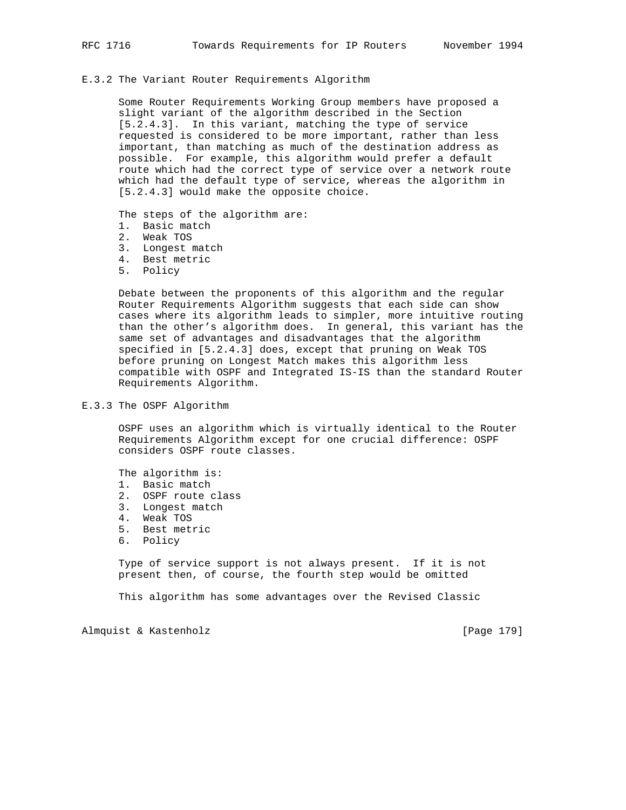## E.3.2 The Variant Router Requirements Algorithm

 Some Router Requirements Working Group members have proposed a slight variant of the algorithm described in the Section [5.2.4.3]. In this variant, matching the type of service requested is considered to be more important, rather than less important, than matching as much of the destination address as possible. For example, this algorithm would prefer a default route which had the correct type of service over a network route which had the default type of service, whereas the algorithm in [5.2.4.3] would make the opposite choice.

The steps of the algorithm are:

- 1. Basic match
- 2. Weak TOS
- 3. Longest match
- 4. Best metric
- 5. Policy

 Debate between the proponents of this algorithm and the regular Router Requirements Algorithm suggests that each side can show cases where its algorithm leads to simpler, more intuitive routing than the other's algorithm does. In general, this variant has the same set of advantages and disadvantages that the algorithm specified in [5.2.4.3] does, except that pruning on Weak TOS before pruning on Longest Match makes this algorithm less compatible with OSPF and Integrated IS-IS than the standard Router Requirements Algorithm.

E.3.3 The OSPF Algorithm

 OSPF uses an algorithm which is virtually identical to the Router Requirements Algorithm except for one crucial difference: OSPF considers OSPF route classes.

The algorithm is:

- 1. Basic match
- 2. OSPF route class
- 3. Longest match
- 4. Weak TOS
- 5. Best metric
- 6. Policy

 Type of service support is not always present. If it is not present then, of course, the fourth step would be omitted

This algorithm has some advantages over the Revised Classic

Almquist & Kastenholz **by Equal Contract Contract Contract** [Page 179]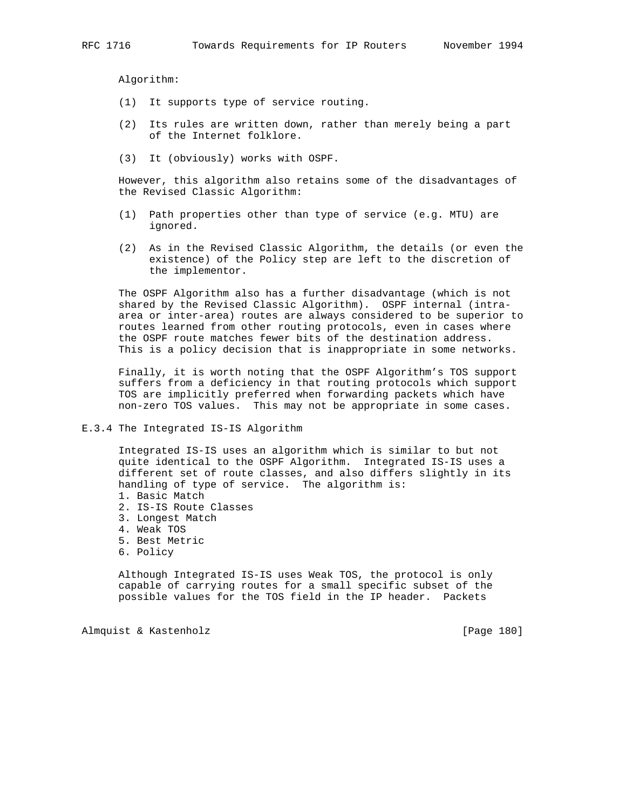Algorithm:

- (1) It supports type of service routing.
- (2) Its rules are written down, rather than merely being a part of the Internet folklore.
- (3) It (obviously) works with OSPF.

 However, this algorithm also retains some of the disadvantages of the Revised Classic Algorithm:

- (1) Path properties other than type of service (e.g. MTU) are ignored.
- (2) As in the Revised Classic Algorithm, the details (or even the existence) of the Policy step are left to the discretion of the implementor.

 The OSPF Algorithm also has a further disadvantage (which is not shared by the Revised Classic Algorithm). OSPF internal (intra area or inter-area) routes are always considered to be superior to routes learned from other routing protocols, even in cases where the OSPF route matches fewer bits of the destination address. This is a policy decision that is inappropriate in some networks.

 Finally, it is worth noting that the OSPF Algorithm's TOS support suffers from a deficiency in that routing protocols which support TOS are implicitly preferred when forwarding packets which have non-zero TOS values. This may not be appropriate in some cases.

E.3.4 The Integrated IS-IS Algorithm

 Integrated IS-IS uses an algorithm which is similar to but not quite identical to the OSPF Algorithm. Integrated IS-IS uses a different set of route classes, and also differs slightly in its handling of type of service. The algorithm is:

- 1. Basic Match
- 2. IS-IS Route Classes
- 3. Longest Match
- 4. Weak TOS
- 5. Best Metric
- 6. Policy

 Although Integrated IS-IS uses Weak TOS, the protocol is only capable of carrying routes for a small specific subset of the possible values for the TOS field in the IP header. Packets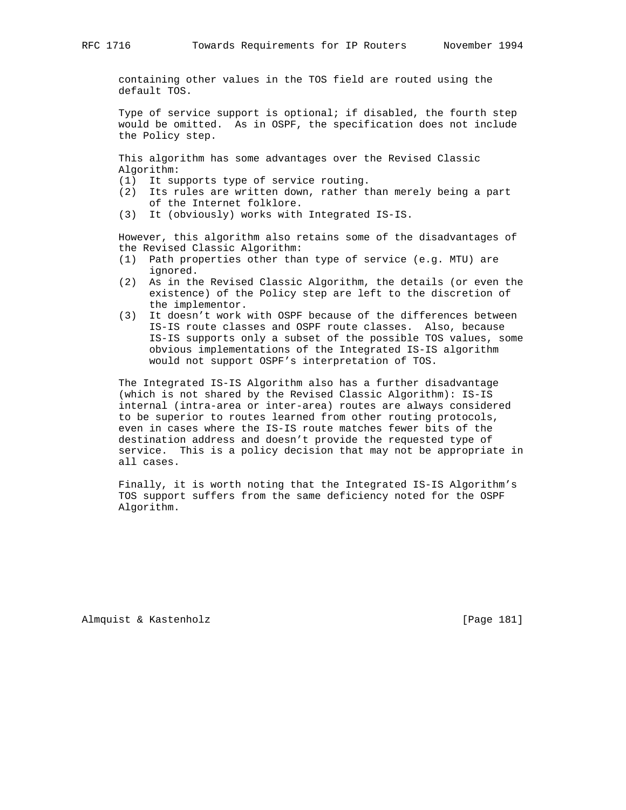containing other values in the TOS field are routed using the default TOS.

 Type of service support is optional; if disabled, the fourth step would be omitted. As in OSPF, the specification does not include the Policy step.

 This algorithm has some advantages over the Revised Classic Algorithm:

- (1) It supports type of service routing.
- (2) Its rules are written down, rather than merely being a part of the Internet folklore.
- (3) It (obviously) works with Integrated IS-IS.

 However, this algorithm also retains some of the disadvantages of the Revised Classic Algorithm:

- (1) Path properties other than type of service (e.g. MTU) are ignored.
- (2) As in the Revised Classic Algorithm, the details (or even the existence) of the Policy step are left to the discretion of the implementor.
- (3) It doesn't work with OSPF because of the differences between IS-IS route classes and OSPF route classes. Also, because IS-IS supports only a subset of the possible TOS values, some obvious implementations of the Integrated IS-IS algorithm would not support OSPF's interpretation of TOS.

 The Integrated IS-IS Algorithm also has a further disadvantage (which is not shared by the Revised Classic Algorithm): IS-IS internal (intra-area or inter-area) routes are always considered to be superior to routes learned from other routing protocols, even in cases where the IS-IS route matches fewer bits of the destination address and doesn't provide the requested type of service. This is a policy decision that may not be appropriate in all cases.

 Finally, it is worth noting that the Integrated IS-IS Algorithm's TOS support suffers from the same deficiency noted for the OSPF Algorithm.

Almquist & Kastenholz **Example 181** [Page 181]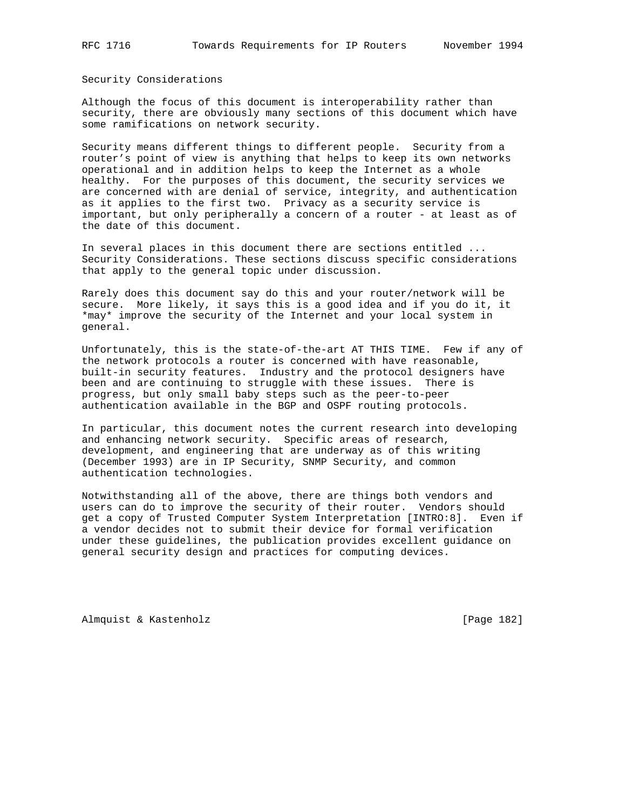Security Considerations

Although the focus of this document is interoperability rather than security, there are obviously many sections of this document which have some ramifications on network security.

Security means different things to different people. Security from a router's point of view is anything that helps to keep its own networks operational and in addition helps to keep the Internet as a whole healthy. For the purposes of this document, the security services we are concerned with are denial of service, integrity, and authentication as it applies to the first two. Privacy as a security service is important, but only peripherally a concern of a router - at least as of the date of this document.

In several places in this document there are sections entitled ... Security Considerations. These sections discuss specific considerations that apply to the general topic under discussion.

Rarely does this document say do this and your router/network will be secure. More likely, it says this is a good idea and if you do it, it \*may\* improve the security of the Internet and your local system in general.

Unfortunately, this is the state-of-the-art AT THIS TIME. Few if any of the network protocols a router is concerned with have reasonable, built-in security features. Industry and the protocol designers have been and are continuing to struggle with these issues. There is progress, but only small baby steps such as the peer-to-peer authentication available in the BGP and OSPF routing protocols.

In particular, this document notes the current research into developing and enhancing network security. Specific areas of research, development, and engineering that are underway as of this writing (December 1993) are in IP Security, SNMP Security, and common authentication technologies.

Notwithstanding all of the above, there are things both vendors and users can do to improve the security of their router. Vendors should get a copy of Trusted Computer System Interpretation [INTRO:8]. Even if a vendor decides not to submit their device for formal verification under these guidelines, the publication provides excellent guidance on general security design and practices for computing devices.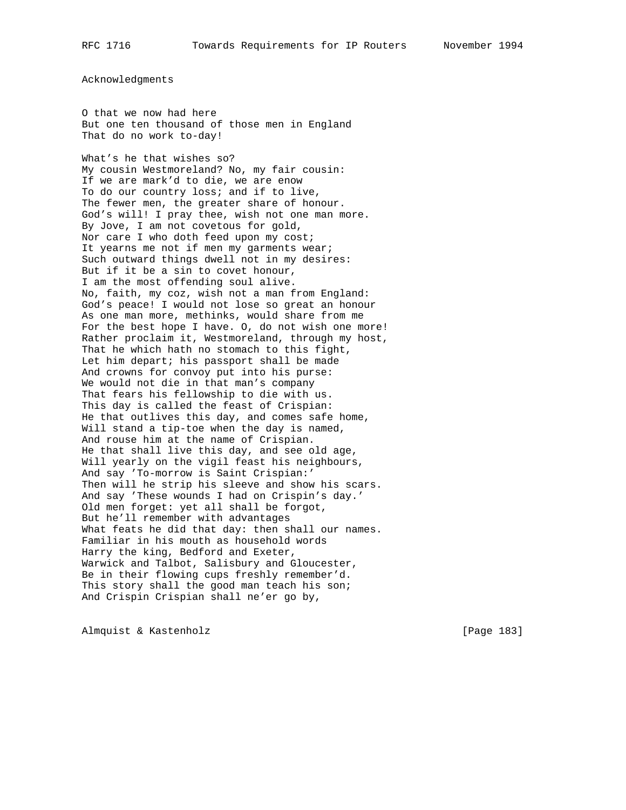Acknowledgments

O that we now had here But one ten thousand of those men in England That do no work to-day!

What's he that wishes so? My cousin Westmoreland? No, my fair cousin: If we are mark'd to die, we are enow To do our country loss; and if to live, The fewer men, the greater share of honour. God's will! I pray thee, wish not one man more. By Jove, I am not covetous for gold, Nor care I who doth feed upon my cost; It yearns me not if men my garments wear; Such outward things dwell not in my desires: But if it be a sin to covet honour, I am the most offending soul alive. No, faith, my coz, wish not a man from England: God's peace! I would not lose so great an honour As one man more, methinks, would share from me For the best hope I have. O, do not wish one more! Rather proclaim it, Westmoreland, through my host, That he which hath no stomach to this fight, Let him depart; his passport shall be made And crowns for convoy put into his purse: We would not die in that man's company That fears his fellowship to die with us. This day is called the feast of Crispian: He that outlives this day, and comes safe home, Will stand a tip-toe when the day is named, And rouse him at the name of Crispian. He that shall live this day, and see old age, Will yearly on the vigil feast his neighbours, And say 'To-morrow is Saint Crispian:' Then will he strip his sleeve and show his scars. And say 'These wounds I had on Crispin's day.' Old men forget: yet all shall be forgot, But he'll remember with advantages What feats he did that day: then shall our names. Familiar in his mouth as household words Harry the king, Bedford and Exeter, Warwick and Talbot, Salisbury and Gloucester, Be in their flowing cups freshly remember'd. This story shall the good man teach his son; And Crispin Crispian shall ne'er go by,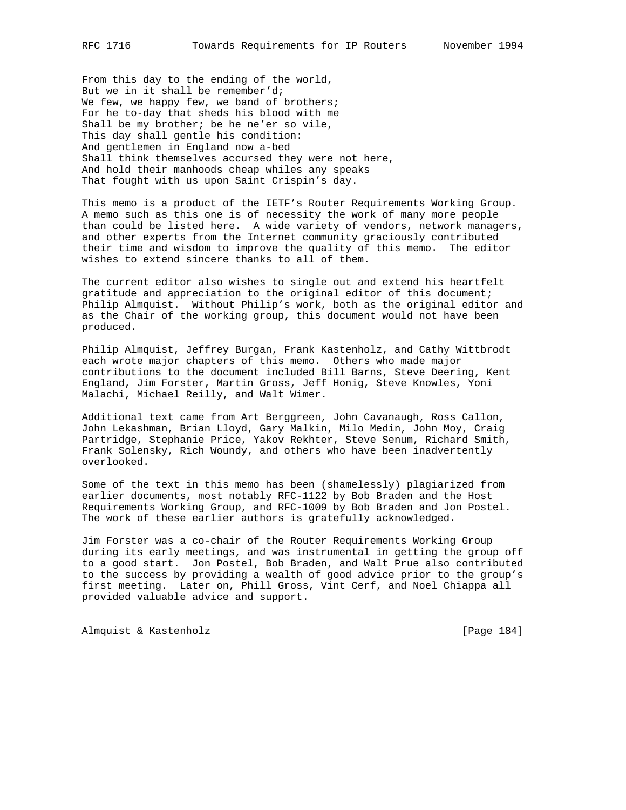From this day to the ending of the world, But we in it shall be remember'd; We few, we happy few, we band of brothers; For he to-day that sheds his blood with me Shall be my brother; be he ne'er so vile, This day shall gentle his condition: And gentlemen in England now a-bed Shall think themselves accursed they were not here, And hold their manhoods cheap whiles any speaks That fought with us upon Saint Crispin's day.

This memo is a product of the IETF's Router Requirements Working Group. A memo such as this one is of necessity the work of many more people than could be listed here. A wide variety of vendors, network managers, and other experts from the Internet community graciously contributed their time and wisdom to improve the quality of this memo. The editor wishes to extend sincere thanks to all of them.

The current editor also wishes to single out and extend his heartfelt gratitude and appreciation to the original editor of this document; Philip Almquist. Without Philip's work, both as the original editor and as the Chair of the working group, this document would not have been produced.

Philip Almquist, Jeffrey Burgan, Frank Kastenholz, and Cathy Wittbrodt each wrote major chapters of this memo. Others who made major contributions to the document included Bill Barns, Steve Deering, Kent England, Jim Forster, Martin Gross, Jeff Honig, Steve Knowles, Yoni Malachi, Michael Reilly, and Walt Wimer.

Additional text came from Art Berggreen, John Cavanaugh, Ross Callon, John Lekashman, Brian Lloyd, Gary Malkin, Milo Medin, John Moy, Craig Partridge, Stephanie Price, Yakov Rekhter, Steve Senum, Richard Smith, Frank Solensky, Rich Woundy, and others who have been inadvertently overlooked.

Some of the text in this memo has been (shamelessly) plagiarized from earlier documents, most notably RFC-1122 by Bob Braden and the Host Requirements Working Group, and RFC-1009 by Bob Braden and Jon Postel. The work of these earlier authors is gratefully acknowledged.

Jim Forster was a co-chair of the Router Requirements Working Group during its early meetings, and was instrumental in getting the group off to a good start. Jon Postel, Bob Braden, and Walt Prue also contributed to the success by providing a wealth of good advice prior to the group's first meeting. Later on, Phill Gross, Vint Cerf, and Noel Chiappa all provided valuable advice and support.

Almquist & Kastenholz [Page 184]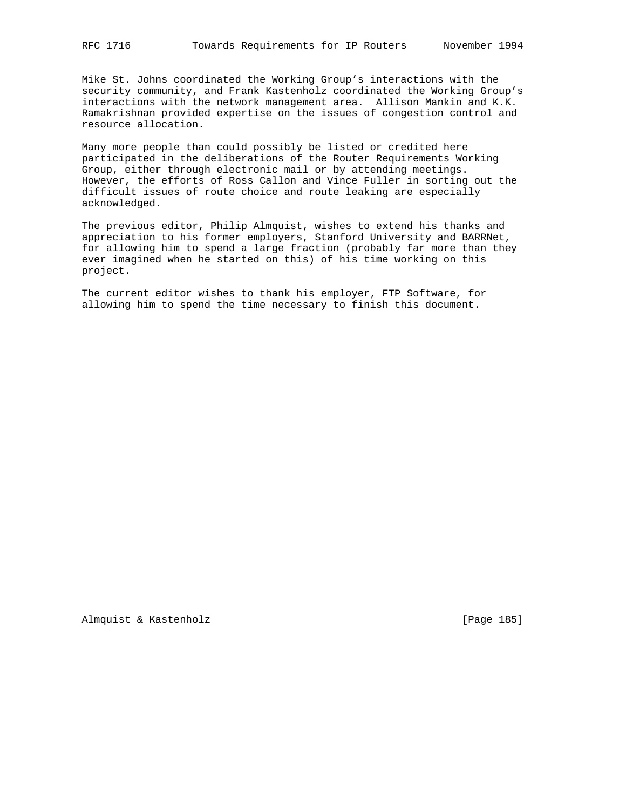Mike St. Johns coordinated the Working Group's interactions with the security community, and Frank Kastenholz coordinated the Working Group's interactions with the network management area. Allison Mankin and K.K. Ramakrishnan provided expertise on the issues of congestion control and resource allocation.

Many more people than could possibly be listed or credited here participated in the deliberations of the Router Requirements Working Group, either through electronic mail or by attending meetings. However, the efforts of Ross Callon and Vince Fuller in sorting out the difficult issues of route choice and route leaking are especially acknowledged.

The previous editor, Philip Almquist, wishes to extend his thanks and appreciation to his former employers, Stanford University and BARRNet, for allowing him to spend a large fraction (probably far more than they ever imagined when he started on this) of his time working on this project.

The current editor wishes to thank his employer, FTP Software, for allowing him to spend the time necessary to finish this document.

Almquist & Kastenholz **and Contact Contact Contact Contact Contact Contact Contact Contact Contact Contact Contact Contact Contact Contact Contact Contact Contact Contact Contact Contact Contact Contact Contact Contact Con**